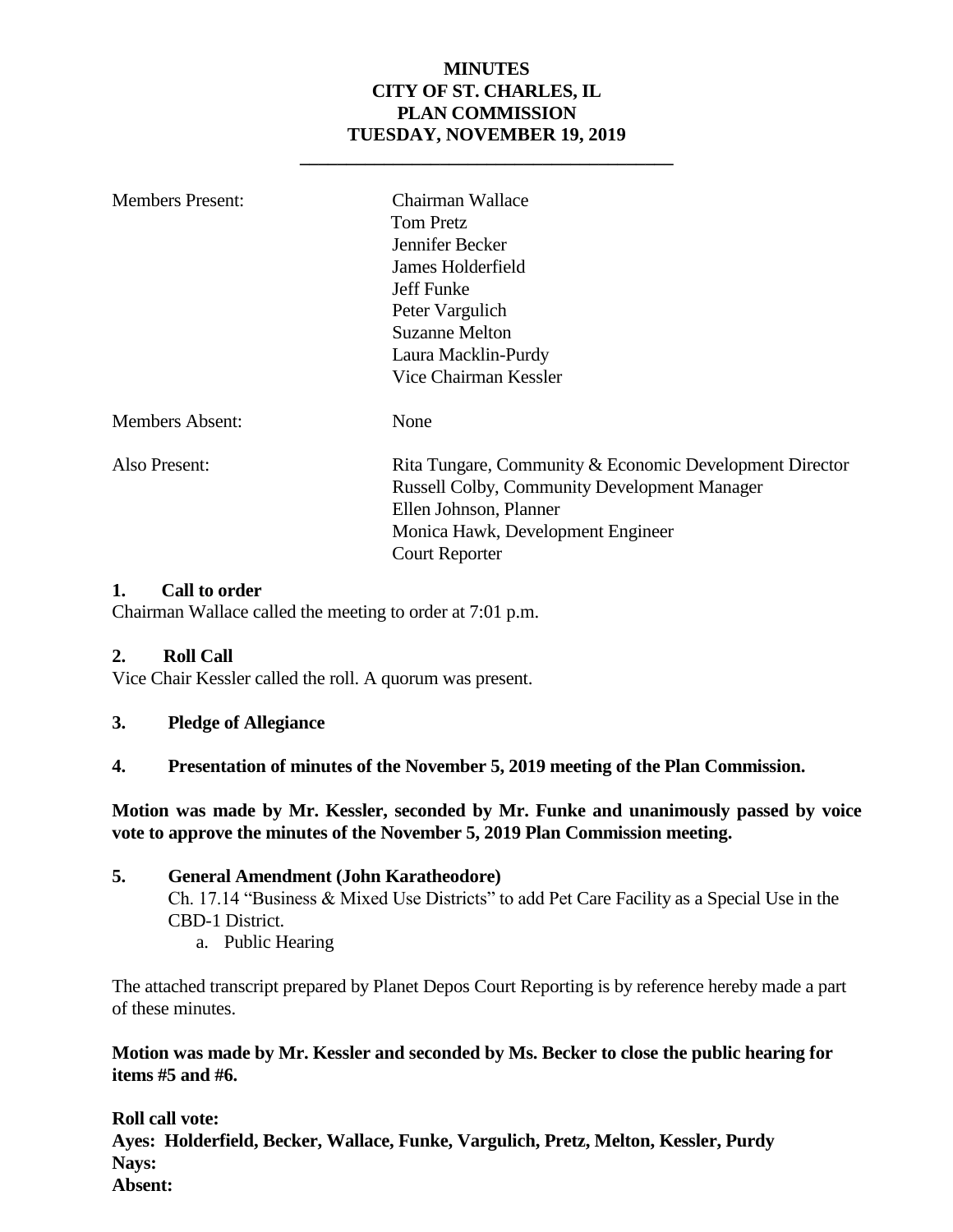#### **MINUTES CITY OF ST. CHARLES, IL PLAN COMMISSION TUESDAY, NOVEMBER 19, 2019**

**\_\_\_\_\_\_\_\_\_\_\_\_\_\_\_\_\_\_\_\_\_\_\_\_\_\_\_\_\_\_\_\_\_\_\_\_\_\_\_\_**

| <b>Members Present:</b> | Chairman Wallace<br><b>Tom Pretz</b><br>Jennifer Becker<br>James Holderfield<br>Jeff Funke<br>Peter Vargulich<br><b>Suzanne Melton</b><br>Laura Macklin-Purdy<br>Vice Chairman Kessler                 |
|-------------------------|--------------------------------------------------------------------------------------------------------------------------------------------------------------------------------------------------------|
| <b>Members Absent:</b>  | None                                                                                                                                                                                                   |
| Also Present:           | Rita Tungare, Community & Economic Development Director<br><b>Russell Colby, Community Development Manager</b><br>Ellen Johnson, Planner<br>Monica Hawk, Development Engineer<br><b>Court Reporter</b> |

#### **1. Call to order**

Chairman Wallace called the meeting to order at 7:01 p.m.

#### **2. Roll Call**

Vice Chair Kessler called the roll. A quorum was present.

- **3. Pledge of Allegiance**
- **4. Presentation of minutes of the November 5, 2019 meeting of the Plan Commission.**

**Motion was made by Mr. Kessler, seconded by Mr. Funke and unanimously passed by voice vote to approve the minutes of the November 5, 2019 Plan Commission meeting.** 

#### **5. General Amendment (John Karatheodore)**

Ch. 17.14 "Business & Mixed Use Districts" to add Pet Care Facility as a Special Use in the CBD-1 District.

a. Public Hearing

The attached transcript prepared by Planet Depos Court Reporting is by reference hereby made a part of these minutes.

**Motion was made by Mr. Kessler and seconded by Ms. Becker to close the public hearing for items #5 and #6.**

**Roll call vote: Ayes: Holderfield, Becker, Wallace, Funke, Vargulich, Pretz, Melton, Kessler, Purdy Nays: Absent:**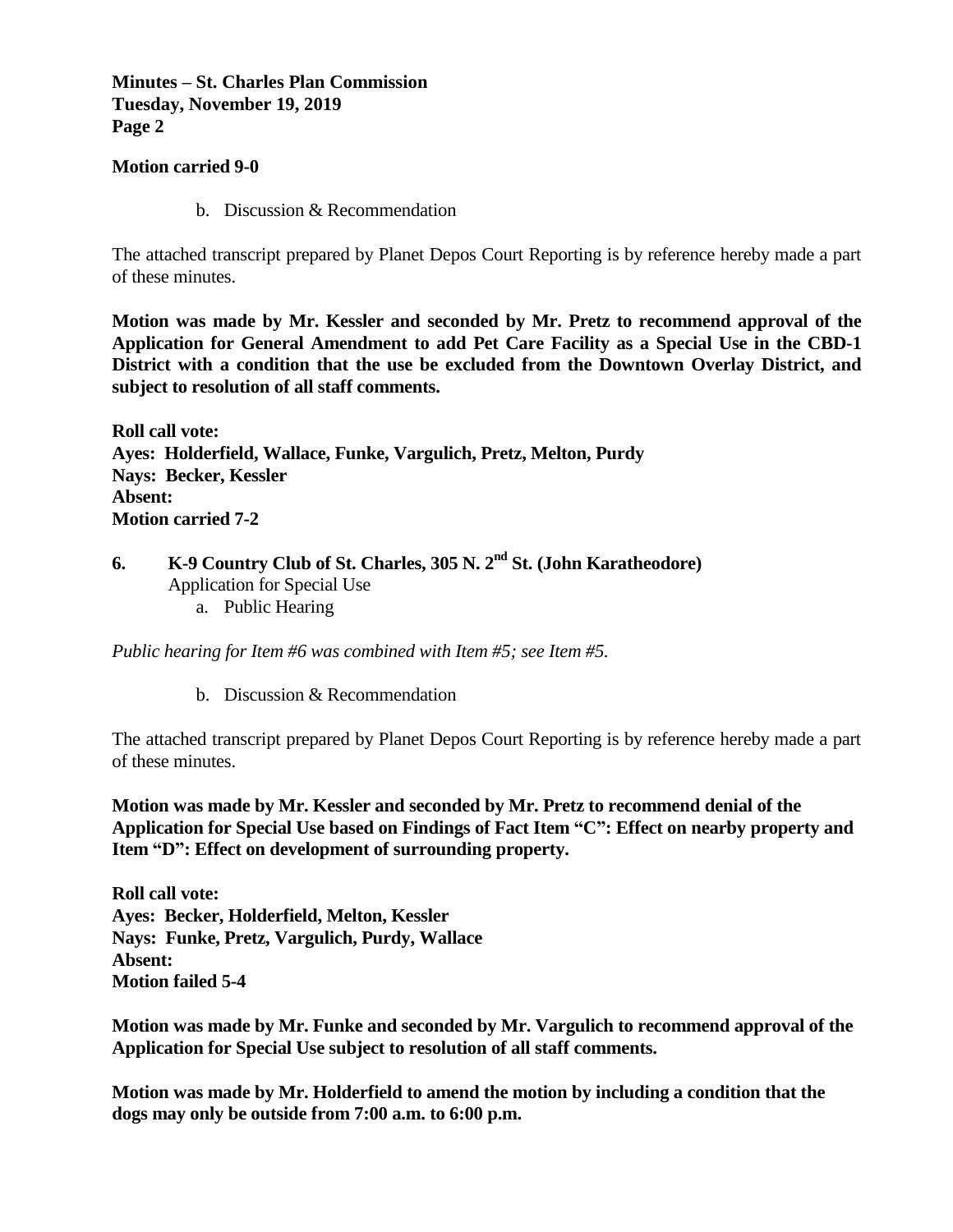#### **Minutes – St. Charles Plan Commission Tuesday, November 19, 2019 Page 2**

#### **Motion carried 9-0**

b. Discussion & Recommendation

The attached transcript prepared by Planet Depos Court Reporting is by reference hereby made a part of these minutes.

**Motion was made by Mr. Kessler and seconded by Mr. Pretz to recommend approval of the Application for General Amendment to add Pet Care Facility as a Special Use in the CBD-1 District with a condition that the use be excluded from the Downtown Overlay District, and subject to resolution of all staff comments.** 

**Roll call vote: Ayes: Holderfield, Wallace, Funke, Vargulich, Pretz, Melton, Purdy Nays: Becker, Kessler Absent: Motion carried 7-2**

**6. K-9 Country Club of St. Charles, 305 N. 2nd St. (John Karatheodore)**  Application for Special Use a. Public Hearing

*Public hearing for Item #6 was combined with Item #5; see Item #5.* 

b. Discussion & Recommendation

The attached transcript prepared by Planet Depos Court Reporting is by reference hereby made a part of these minutes.

**Motion was made by Mr. Kessler and seconded by Mr. Pretz to recommend denial of the Application for Special Use based on Findings of Fact Item "C": Effect on nearby property and Item "D": Effect on development of surrounding property.**

**Roll call vote: Ayes: Becker, Holderfield, Melton, Kessler Nays: Funke, Pretz, Vargulich, Purdy, Wallace Absent: Motion failed 5-4**

**Motion was made by Mr. Funke and seconded by Mr. Vargulich to recommend approval of the Application for Special Use subject to resolution of all staff comments.**

**Motion was made by Mr. Holderfield to amend the motion by including a condition that the dogs may only be outside from 7:00 a.m. to 6:00 p.m.**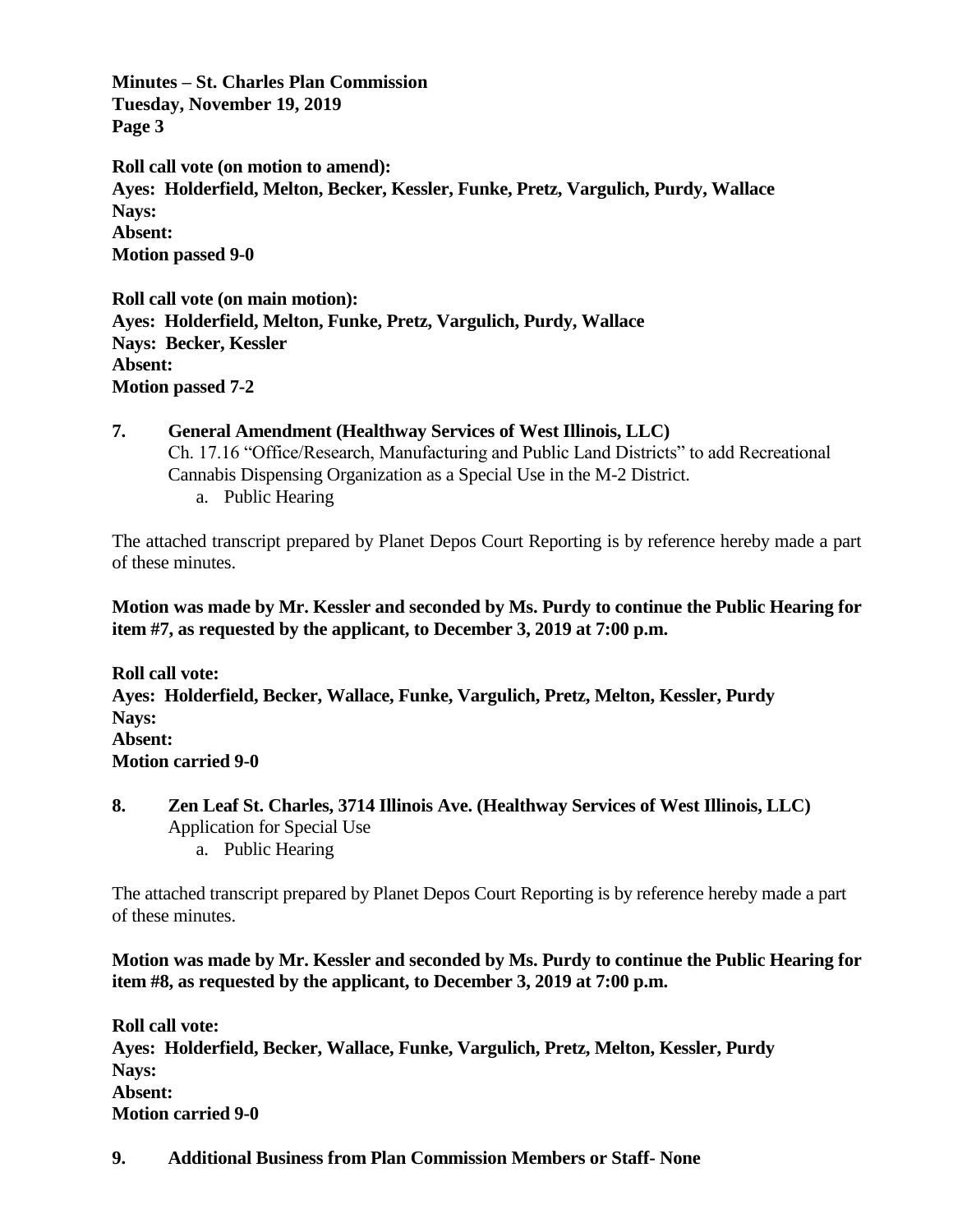**Minutes – St. Charles Plan Commission Tuesday, November 19, 2019 Page 3**

**Roll call vote (on motion to amend): Ayes: Holderfield, Melton, Becker, Kessler, Funke, Pretz, Vargulich, Purdy, Wallace Nays: Absent: Motion passed 9-0**

**Roll call vote (on main motion): Ayes: Holderfield, Melton, Funke, Pretz, Vargulich, Purdy, Wallace Nays: Becker, Kessler Absent: Motion passed 7-2**

**7. General Amendment (Healthway Services of West Illinois, LLC)**  Ch. 17.16 "Office/Research, Manufacturing and Public Land Districts" to add Recreational Cannabis Dispensing Organization as a Special Use in the M-2 District. a. Public Hearing

The attached transcript prepared by Planet Depos Court Reporting is by reference hereby made a part of these minutes.

**Motion was made by Mr. Kessler and seconded by Ms. Purdy to continue the Public Hearing for item #7, as requested by the applicant, to December 3, 2019 at 7:00 p.m.** 

**Roll call vote: Ayes: Holderfield, Becker, Wallace, Funke, Vargulich, Pretz, Melton, Kessler, Purdy Nays: Absent: Motion carried 9-0**

- **8. Zen Leaf St. Charles, 3714 Illinois Ave. (Healthway Services of West Illinois, LLC)** Application for Special Use
	- a. Public Hearing

The attached transcript prepared by Planet Depos Court Reporting is by reference hereby made a part of these minutes.

**Motion was made by Mr. Kessler and seconded by Ms. Purdy to continue the Public Hearing for item #8, as requested by the applicant, to December 3, 2019 at 7:00 p.m.** 

**Roll call vote: Ayes: Holderfield, Becker, Wallace, Funke, Vargulich, Pretz, Melton, Kessler, Purdy Nays: Absent: Motion carried 9-0**

**9. Additional Business from Plan Commission Members or Staff- None**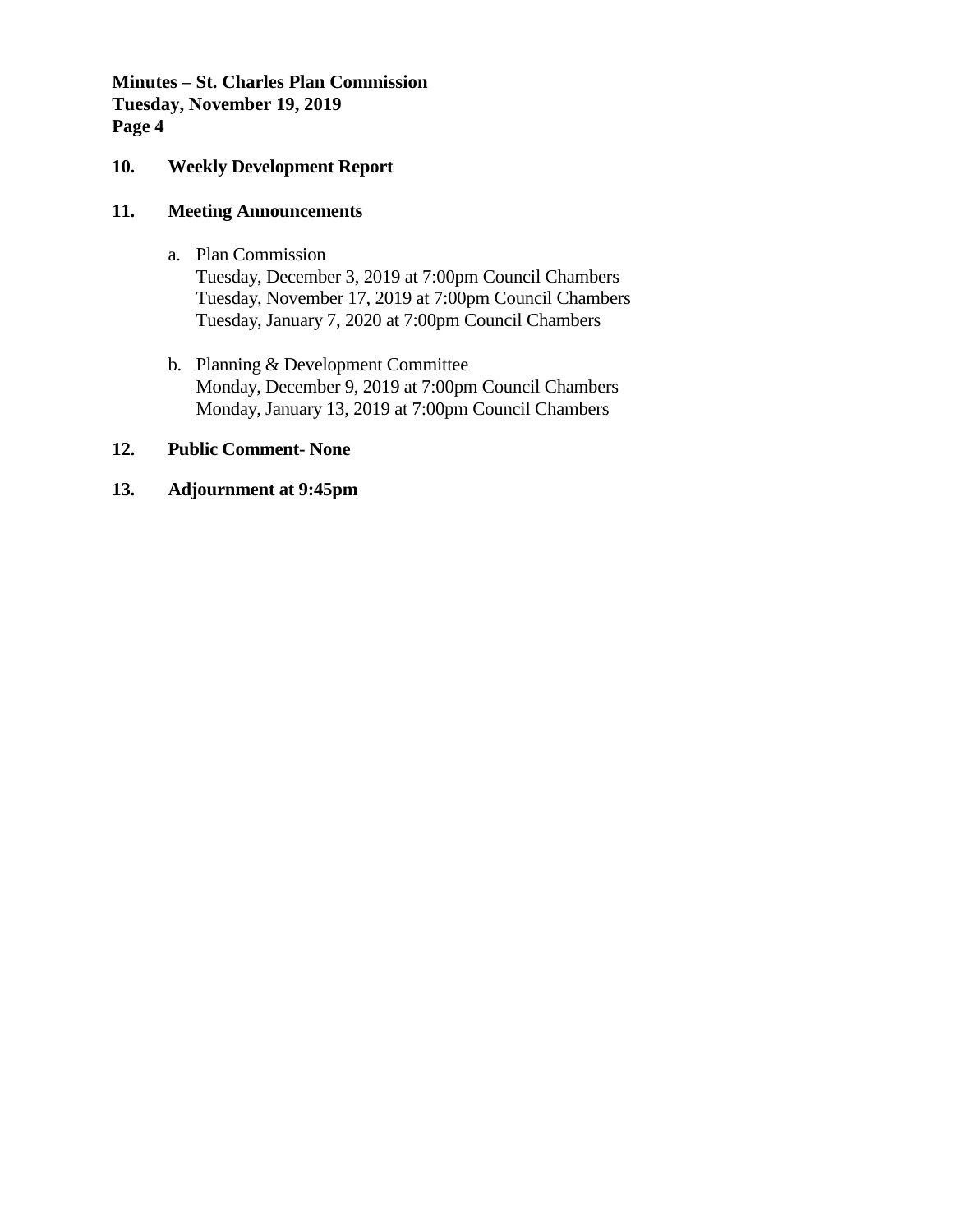**Minutes – St. Charles Plan Commission Tuesday, November 19, 2019 Page 4**

#### **10. Weekly Development Report**

#### **11. Meeting Announcements**

- a. Plan Commission Tuesday, December 3, 2019 at 7:00pm Council Chambers Tuesday, November 17, 2019 at 7:00pm Council Chambers Tuesday, January 7, 2020 at 7:00pm Council Chambers
- b. Planning & Development Committee Monday, December 9, 2019 at 7:00pm Council Chambers Monday, January 13, 2019 at 7:00pm Council Chambers

#### **12. Public Comment- None**

#### **13. Adjournment at 9:45pm**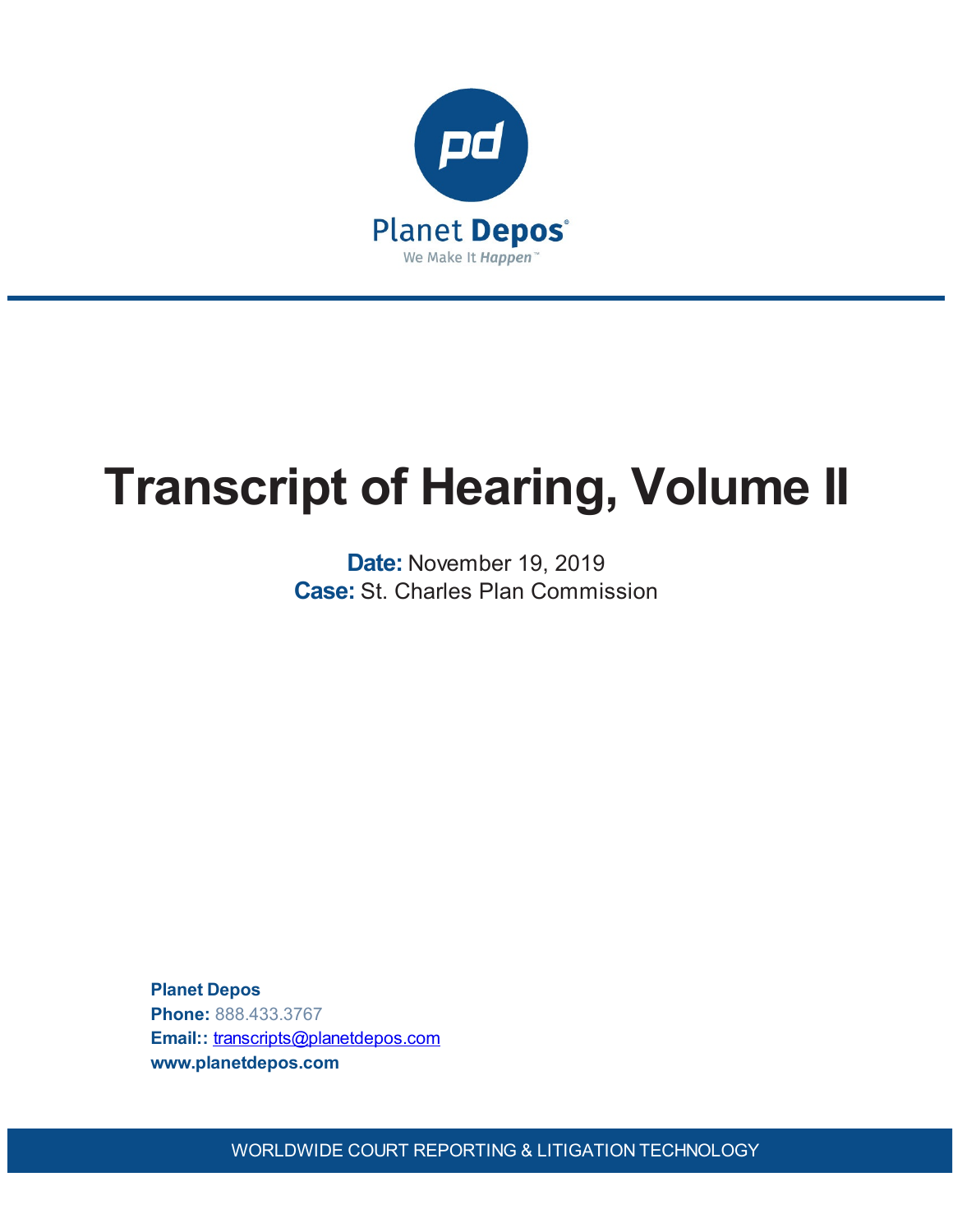

# **Transcript of Hearing, Volume II**

**Date:** November 19, 2019 **Case:** St. Charles Plan Commission

**Planet Depos Phone:** 888.433.3767 **Email::** [transcripts@planetdepos.com](mailto:transcripts@planetdepos.com) **www.planetdepos.com**

WORLDWIDE COURT REPORTING & LITIGATION TECHNOLOGY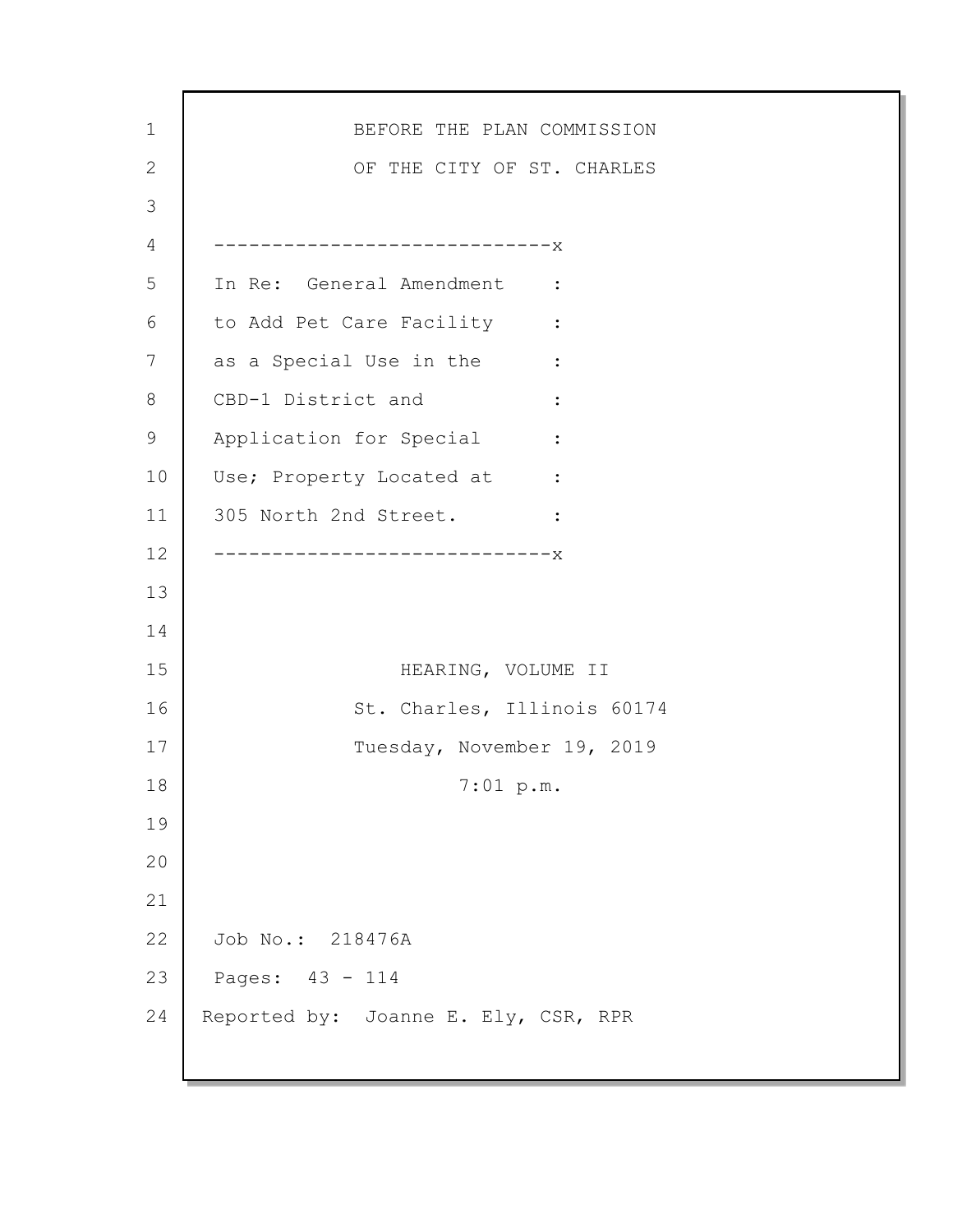| $\mathbf 1$ | BEFORE THE PLAN COMMISSION           |
|-------------|--------------------------------------|
| 2           | OF THE CITY OF ST. CHARLES           |
| 3           |                                      |
| 4           | -----------------------------X       |
| 5           | In Re: General Amendment :           |
| 6           | to Add Pet Care Facility :           |
| 7           | as a Special Use in the :            |
| 8           | CBD-1 District and                   |
| 9           | Application for Special :            |
| 10          | Use; Property Located at :           |
| 11          | 305 North 2nd Street. :              |
| 12          | ---------------------------X         |
| 13          |                                      |
| 14          |                                      |
| 15          | HEARING, VOLUME II                   |
| 16          | St. Charles, Illinois 60174          |
| 17          | Tuesday, November 19, 2019           |
| 18          | 7:01~p.m.                            |
| 19          |                                      |
| 20          |                                      |
| 21          |                                      |
| 22          | Job No.: 218476A                     |
| 23          | Pages: 43 - 114                      |
| 24          | Reported by: Joanne E. Ely, CSR, RPR |
|             |                                      |

ľ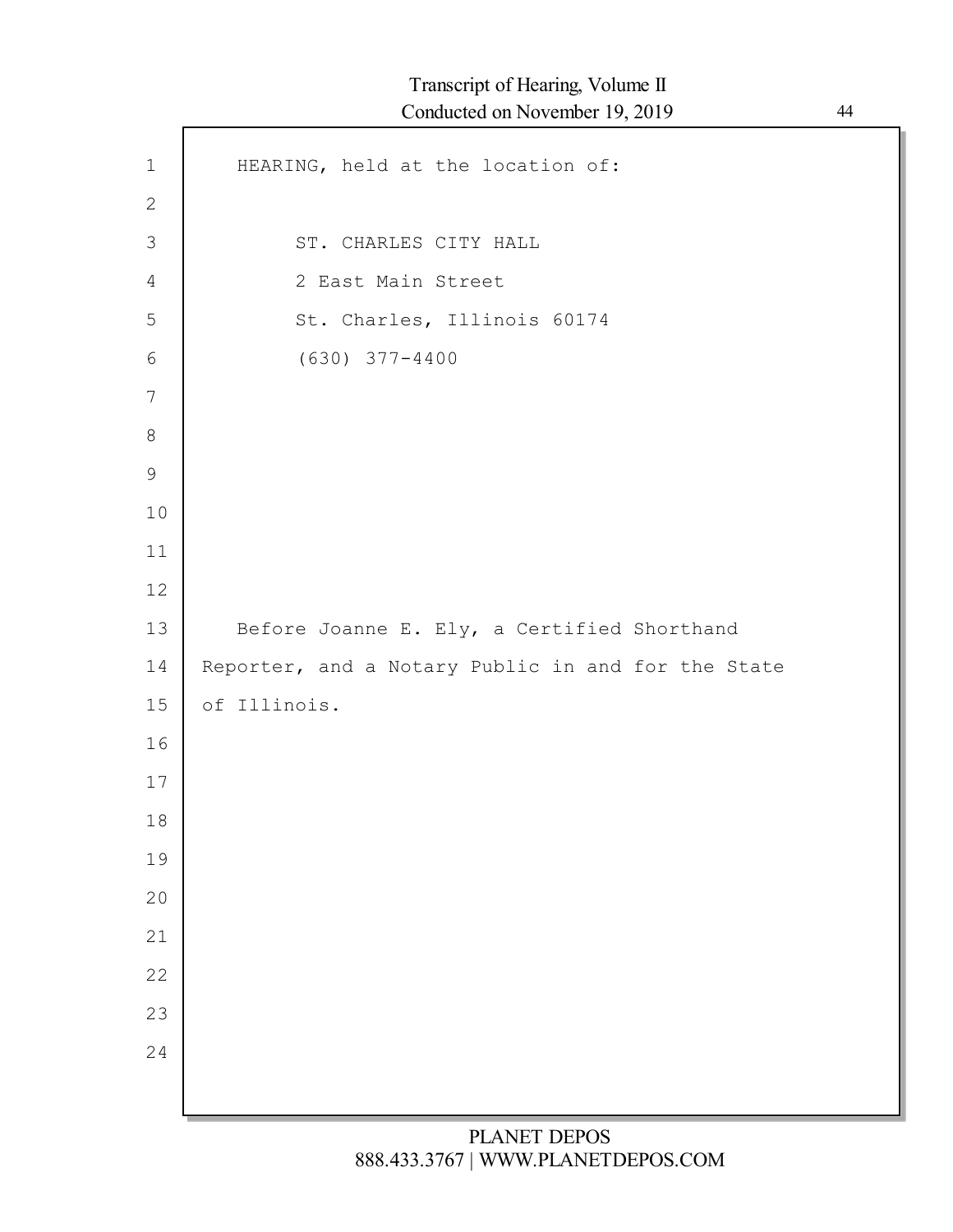| $1\,$          | HEARING, held at the location of:                  |
|----------------|----------------------------------------------------|
| $\mathbf{2}$   |                                                    |
| $\mathfrak{Z}$ | ST. CHARLES CITY HALL                              |
| 4              | 2 East Main Street                                 |
| 5              | St. Charles, Illinois 60174                        |
| 6              | $(630)$ $377 - 4400$                               |
| 7              |                                                    |
| $8\,$          |                                                    |
| $\mathsf 9$    |                                                    |
| 10             |                                                    |
| 11             |                                                    |
| 12             |                                                    |
| 13             | Before Joanne E. Ely, a Certified Shorthand        |
| 14             | Reporter, and a Notary Public in and for the State |
| 15             | of Illinois.                                       |
| 16             |                                                    |
| 17             |                                                    |
| 18             |                                                    |
| 19             |                                                    |
| 20             |                                                    |
| 21             |                                                    |
| 22             |                                                    |
| 23             |                                                    |
| 24             |                                                    |
|                |                                                    |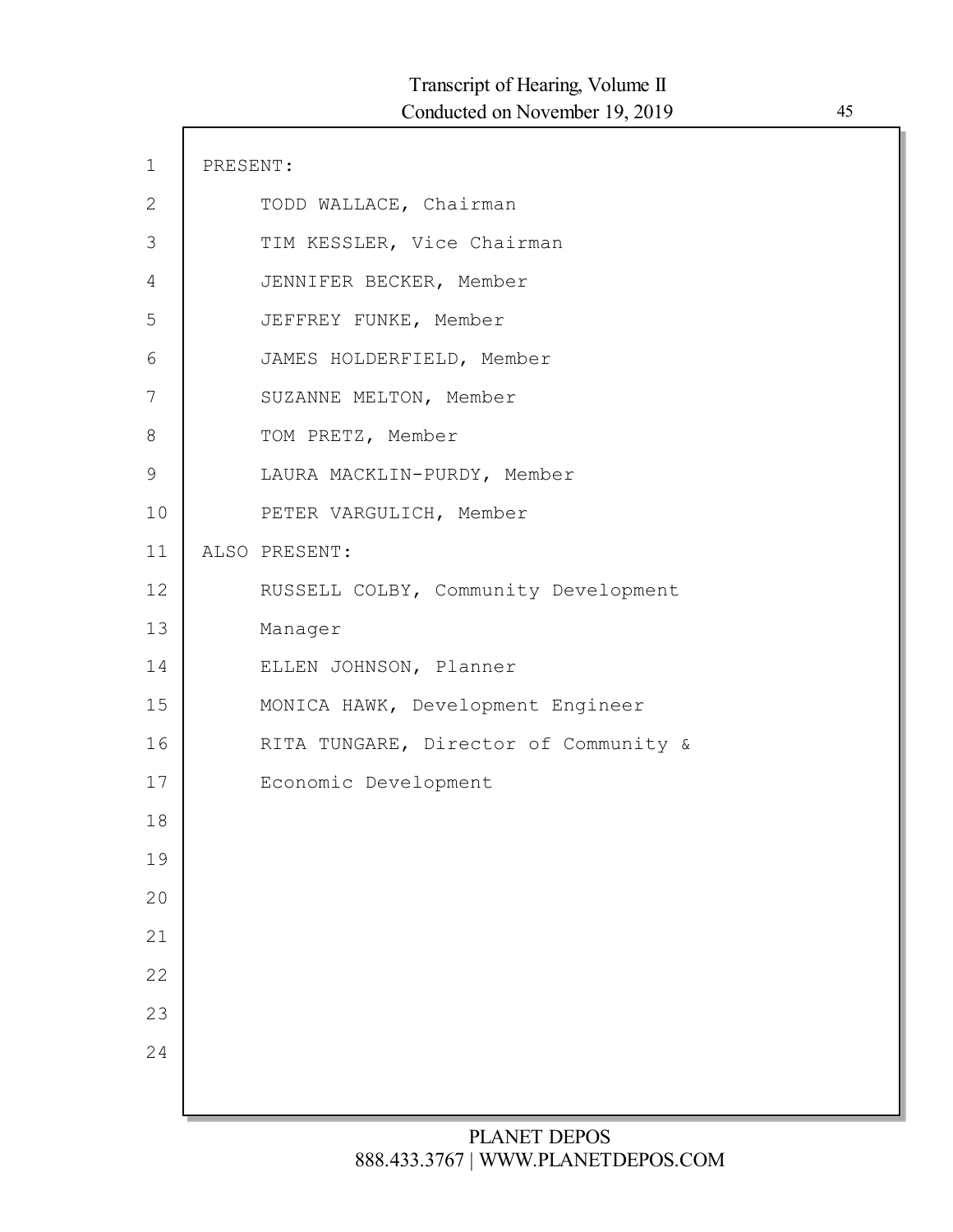| $\mathbf 1$  | PRESENT: |                                       |
|--------------|----------|---------------------------------------|
| $\mathbf{2}$ |          | TODD WALLACE, Chairman                |
| $\Im$        |          | TIM KESSLER, Vice Chairman            |
| 4            |          | JENNIFER BECKER, Member               |
| 5            |          | JEFFREY FUNKE, Member                 |
| 6            |          | JAMES HOLDERFIELD, Member             |
| 7            |          | SUZANNE MELTON, Member                |
| 8            |          | TOM PRETZ, Member                     |
| $\mathsf 9$  |          | LAURA MACKLIN-PURDY, Member           |
| 10           |          | PETER VARGULICH, Member               |
| 11           |          | ALSO PRESENT:                         |
| 12           |          | RUSSELL COLBY, Community Development  |
| 13           |          | Manager                               |
| 14           |          | ELLEN JOHNSON, Planner                |
| 15           |          | MONICA HAWK, Development Engineer     |
| 16           |          | RITA TUNGARE, Director of Community & |
| 17           |          | Economic Development                  |
| 18           |          |                                       |
| 19           |          |                                       |
| 20           |          |                                       |
| 21           |          |                                       |
| 22           |          |                                       |
| 23           |          |                                       |
| 24           |          |                                       |
|              |          |                                       |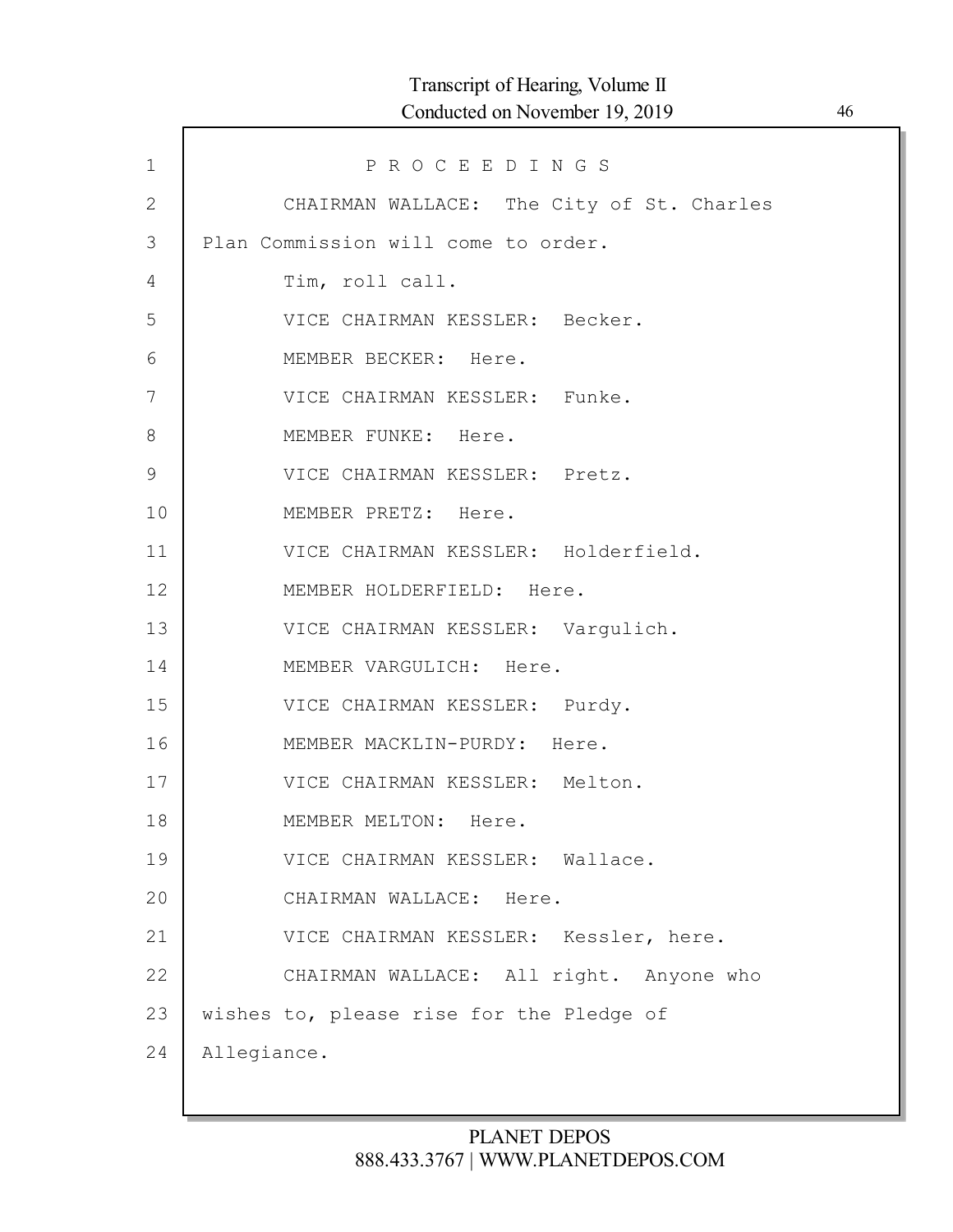| $\mathbf{1}$   | PROCEEDINGS                               |
|----------------|-------------------------------------------|
| $\overline{2}$ | CHAIRMAN WALLACE: The City of St. Charles |
| 3              | Plan Commission will come to order.       |
| 4              | Tim, roll call.                           |
| 5              | VICE CHAIRMAN KESSLER: Becker.            |
| 6              | MEMBER BECKER: Here.                      |
| 7              | VICE CHAIRMAN KESSLER: Funke.             |
| 8              | MEMBER FUNKE: Here.                       |
| $\mathsf 9$    | VICE CHAIRMAN KESSLER: Pretz.             |
| 10             | MEMBER PRETZ: Here.                       |
| 11             | VICE CHAIRMAN KESSLER: Holderfield.       |
| 12             | MEMBER HOLDERFIELD: Here.                 |
| 13             | VICE CHAIRMAN KESSLER: Vargulich.         |
| 14             | MEMBER VARGULICH: Here.                   |
| 15             | VICE CHAIRMAN KESSLER: Purdy.             |
| 16             | MEMBER MACKLIN-PURDY: Here.               |
| 17             | VICE CHAIRMAN KESSLER: Melton.            |
| 18             | MEMBER MELTON: Here.                      |
| 19             | VICE CHAIRMAN KESSLER: Wallace.           |
| 20             | CHAIRMAN WALLACE: Here.                   |
| 21             | VICE CHAIRMAN KESSLER: Kessler, here.     |
| 22             | CHAIRMAN WALLACE: All right. Anyone who   |
| 23             | wishes to, please rise for the Pledge of  |
| 24             | Allegiance.                               |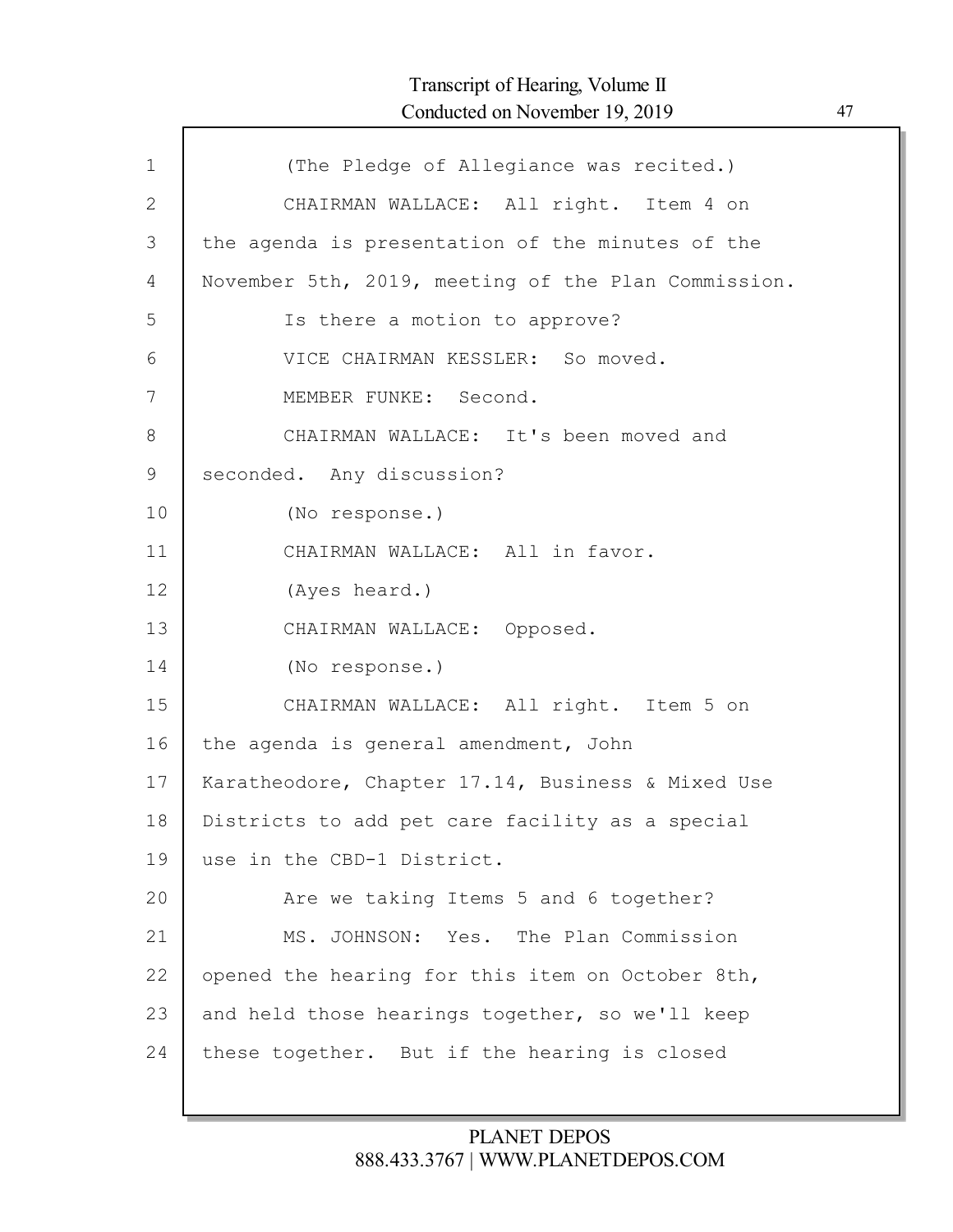| $\mathbf 1$    | (The Pledge of Allegiance was recited.)             |
|----------------|-----------------------------------------------------|
| $\mathbf{2}$   | CHAIRMAN WALLACE: All right. Item 4 on              |
| 3              | the agenda is presentation of the minutes of the    |
| $\overline{4}$ | November 5th, 2019, meeting of the Plan Commission. |
| 5              | Is there a motion to approve?                       |
| 6              | VICE CHAIRMAN KESSLER: So moved.                    |
| 7              | MEMBER FUNKE: Second.                               |
| $8\,$          | CHAIRMAN WALLACE: It's been moved and               |
| 9              | seconded. Any discussion?                           |
| 10             | (No response.)                                      |
| 11             | CHAIRMAN WALLACE: All in favor.                     |
| 12             | (Ayes heard.)                                       |
| 13             | CHAIRMAN WALLACE: Opposed.                          |
| 14             | (No response.)                                      |
| 15             | CHAIRMAN WALLACE: All right. Item 5 on              |
| 16             | the agenda is general amendment, John               |
| 17             | Karatheodore, Chapter 17.14, Business & Mixed Use   |
| 18             | Districts to add pet care facility as a special     |
| 19             | use in the CBD-1 District.                          |
| 20             | Are we taking Items 5 and 6 together?               |
| 21             | MS. JOHNSON: Yes. The Plan Commission               |
| 22             | opened the hearing for this item on October 8th,    |
| 23             | and held those hearings together, so we'll keep     |
| 24             | these together. But if the hearing is closed        |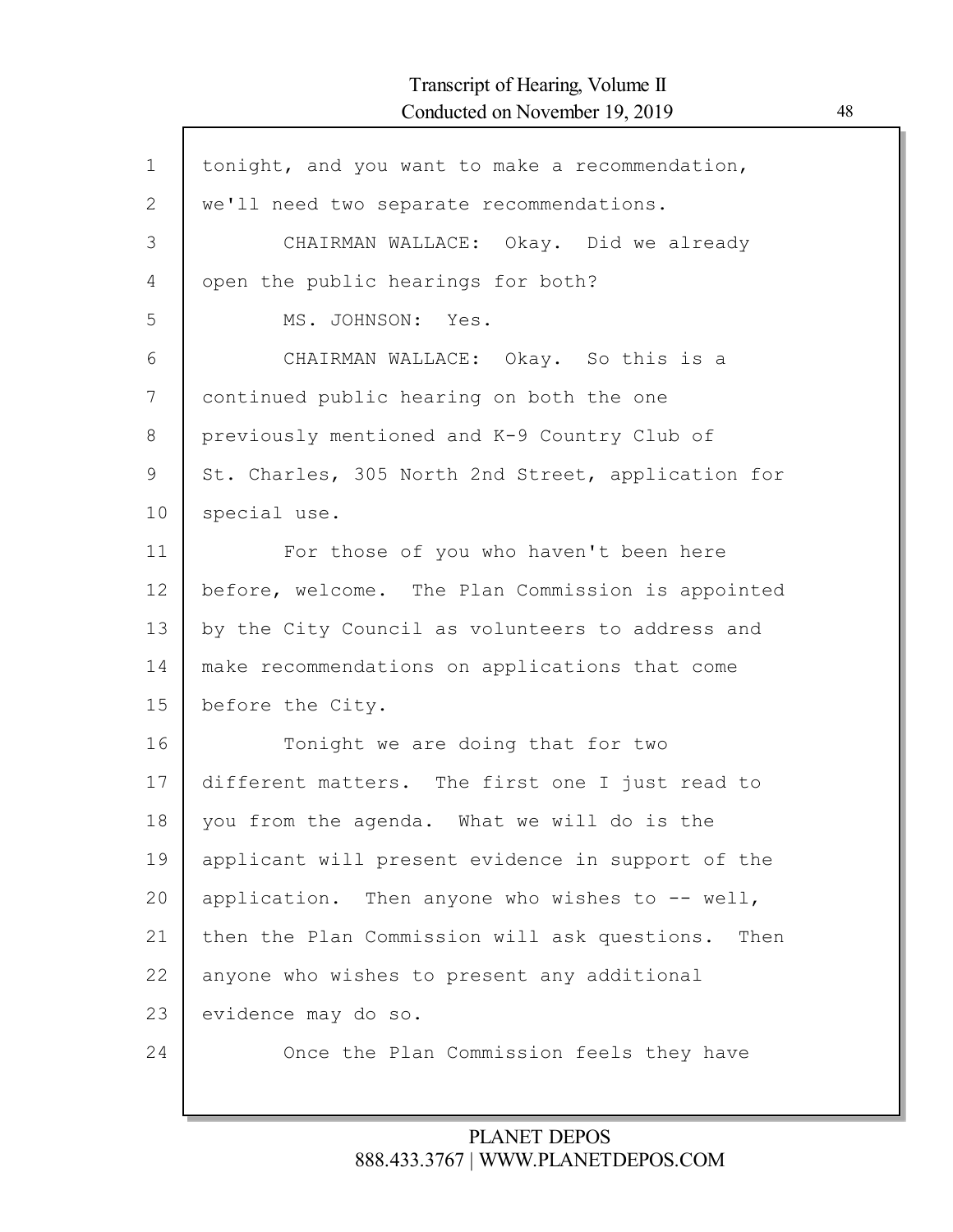| $\mathbf 1$  | tonight, and you want to make a recommendation,      |
|--------------|------------------------------------------------------|
| $\mathbf{2}$ | we'll need two separate recommendations.             |
| 3            | CHAIRMAN WALLACE: Okay. Did we already               |
| 4            | open the public hearings for both?                   |
| 5            | MS. JOHNSON: Yes.                                    |
| 6            | CHAIRMAN WALLACE: Okay. So this is a                 |
| 7            | continued public hearing on both the one             |
| 8            | previously mentioned and K-9 Country Club of         |
| 9            | St. Charles, 305 North 2nd Street, application for   |
| 10           | special use.                                         |
| 11           | For those of you who haven't been here               |
| 12           | before, welcome. The Plan Commission is appointed    |
| 13           | by the City Council as volunteers to address and     |
| 14           | make recommendations on applications that come       |
| 15           | before the City.                                     |
| 16           | Tonight we are doing that for two                    |
| 17           | different matters. The first one I just read to      |
| 18           | you from the agenda. What we will do is the          |
| 19           | applicant will present evidence in support of the    |
| 20           | application. Then anyone who wishes to $-$ - well,   |
| 21           | then the Plan Commission will ask questions.<br>Then |
| 22           | anyone who wishes to present any additional          |
| 23           | evidence may do so.                                  |
| 24           | Once the Plan Commission feels they have             |
|              |                                                      |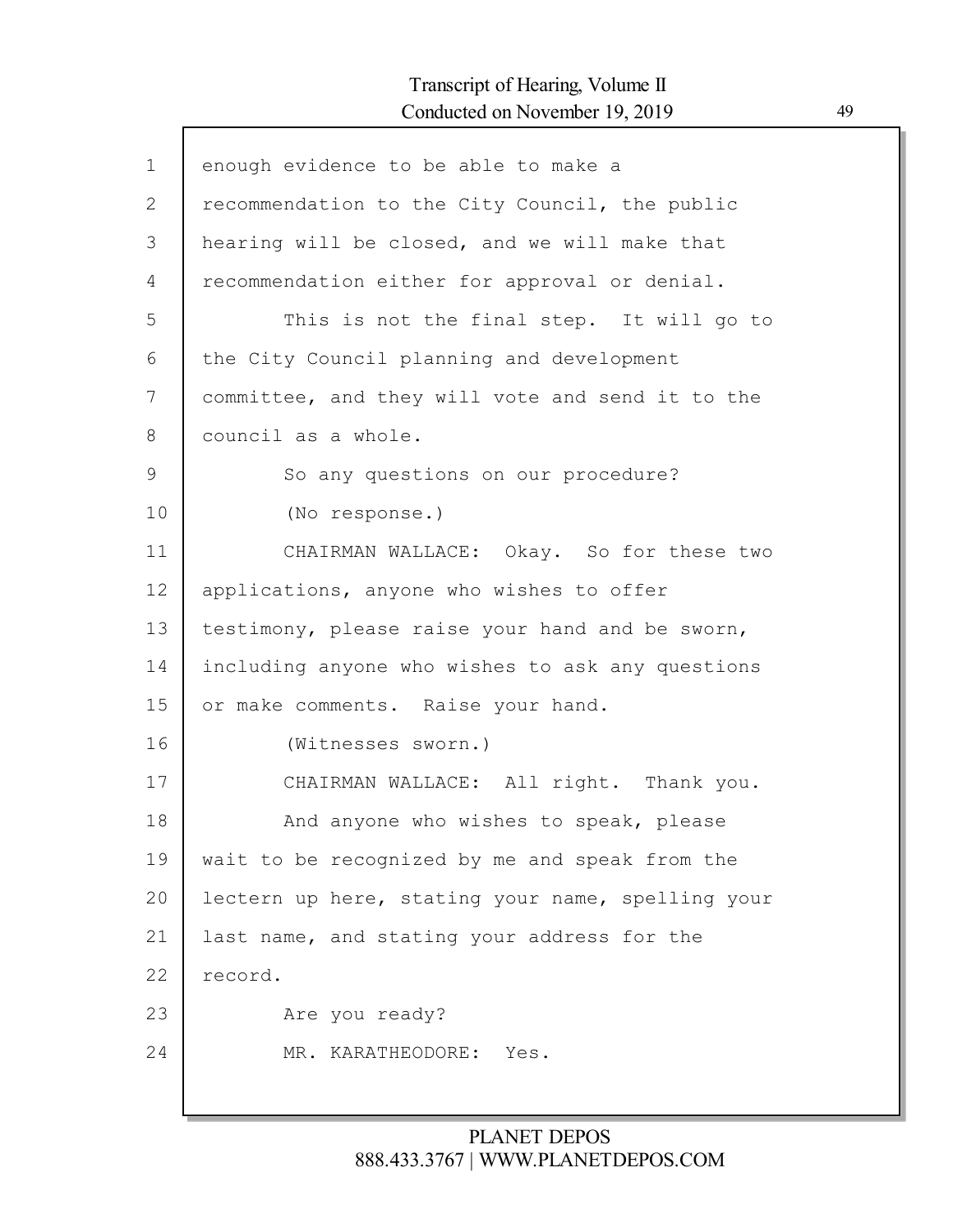| $\mathbf{1}$ | enough evidence to be able to make a              |
|--------------|---------------------------------------------------|
| 2            | recommendation to the City Council, the public    |
| 3            | hearing will be closed, and we will make that     |
| 4            | recommendation either for approval or denial.     |
| 5            | This is not the final step. It will go to         |
| 6            | the City Council planning and development         |
| 7            | committee, and they will vote and send it to the  |
| 8            | council as a whole.                               |
| 9            | So any questions on our procedure?                |
| 10           | (No response.)                                    |
| 11           | CHAIRMAN WALLACE: Okay. So for these two          |
| 12           | applications, anyone who wishes to offer          |
| 13           | testimony, please raise your hand and be sworn,   |
| 14           | including anyone who wishes to ask any questions  |
| 15           | or make comments. Raise your hand.                |
| 16           | (Witnesses sworn.)                                |
| 17           | CHAIRMAN WALLACE: All right. Thank you.           |
| 18           | And anyone who wishes to speak, please            |
| 19           | wait to be recognized by me and speak from the    |
| 20           | lectern up here, stating your name, spelling your |
| 21           | last name, and stating your address for the       |
| 22           | record.                                           |
| 23           | Are you ready?                                    |
| 24           | MR. KARATHEODORE:<br>Yes.                         |
|              |                                                   |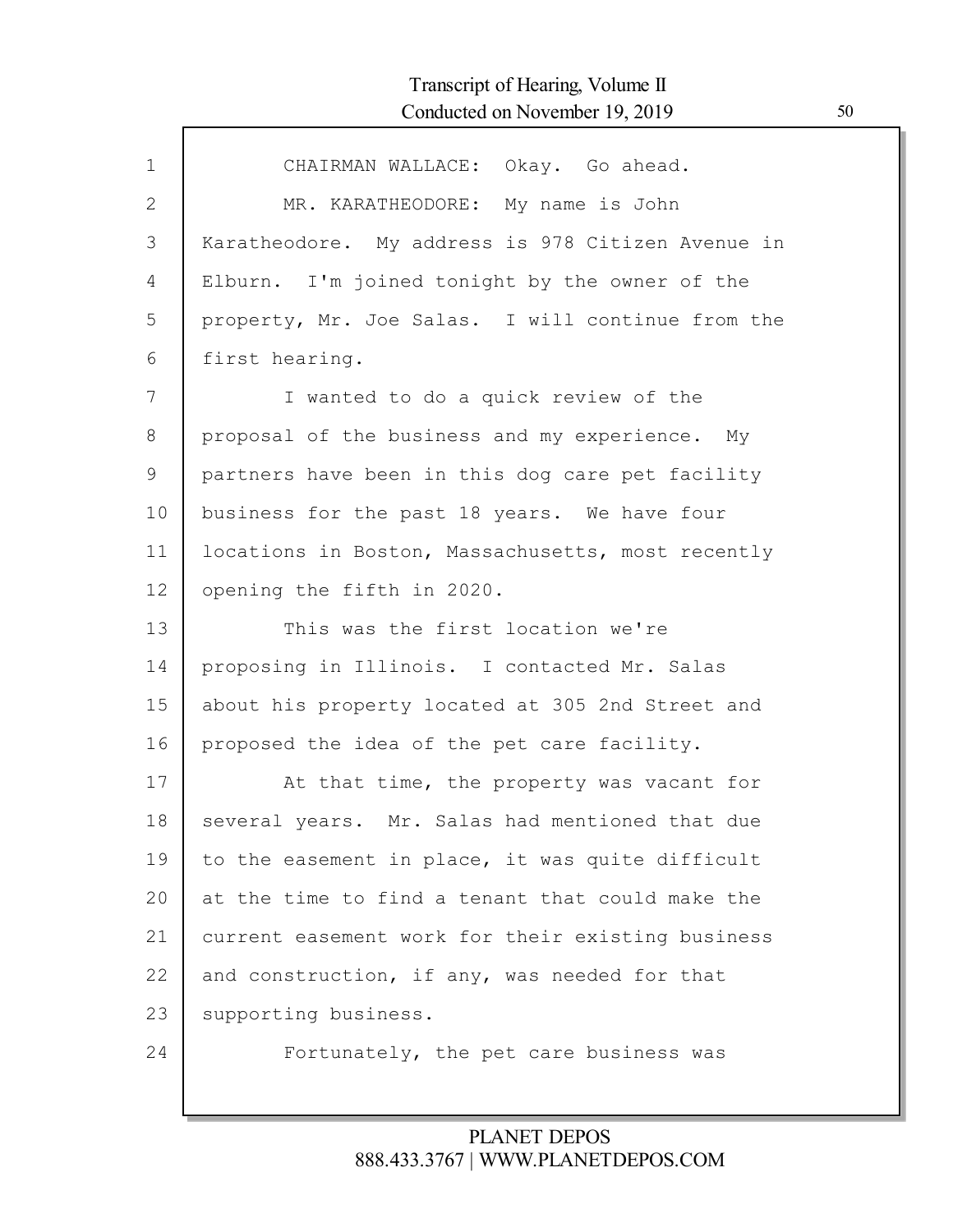| $\mathbf{1}$ | CHAIRMAN WALLACE: Okay. Go ahead.                 |
|--------------|---------------------------------------------------|
| 2            | MR. KARATHEODORE: My name is John                 |
| 3            | Karatheodore. My address is 978 Citizen Avenue in |
| 4            | Elburn. I'm joined tonight by the owner of the    |
| 5            | property, Mr. Joe Salas. I will continue from the |
| 6            | first hearing.                                    |
| 7            | I wanted to do a quick review of the              |
| 8            | proposal of the business and my experience. My    |
| 9            | partners have been in this dog care pet facility  |
| 10           | business for the past 18 years. We have four      |
| 11           | locations in Boston, Massachusetts, most recently |
| 12           | opening the fifth in 2020.                        |
| 13           | This was the first location we're                 |
| 14           | proposing in Illinois. I contacted Mr. Salas      |
| 15           | about his property located at 305 2nd Street and  |
| 16           | proposed the idea of the pet care facility.       |
| 17           | At that time, the property was vacant for         |
| 18           | several years. Mr. Salas had mentioned that due   |
| 19           | to the easement in place, it was quite difficult  |
| 20           | at the time to find a tenant that could make the  |
| 21           | current easement work for their existing business |
| 22           | and construction, if any, was needed for that     |
| 23           | supporting business.                              |
| 24           | Fortunately, the pet care business was            |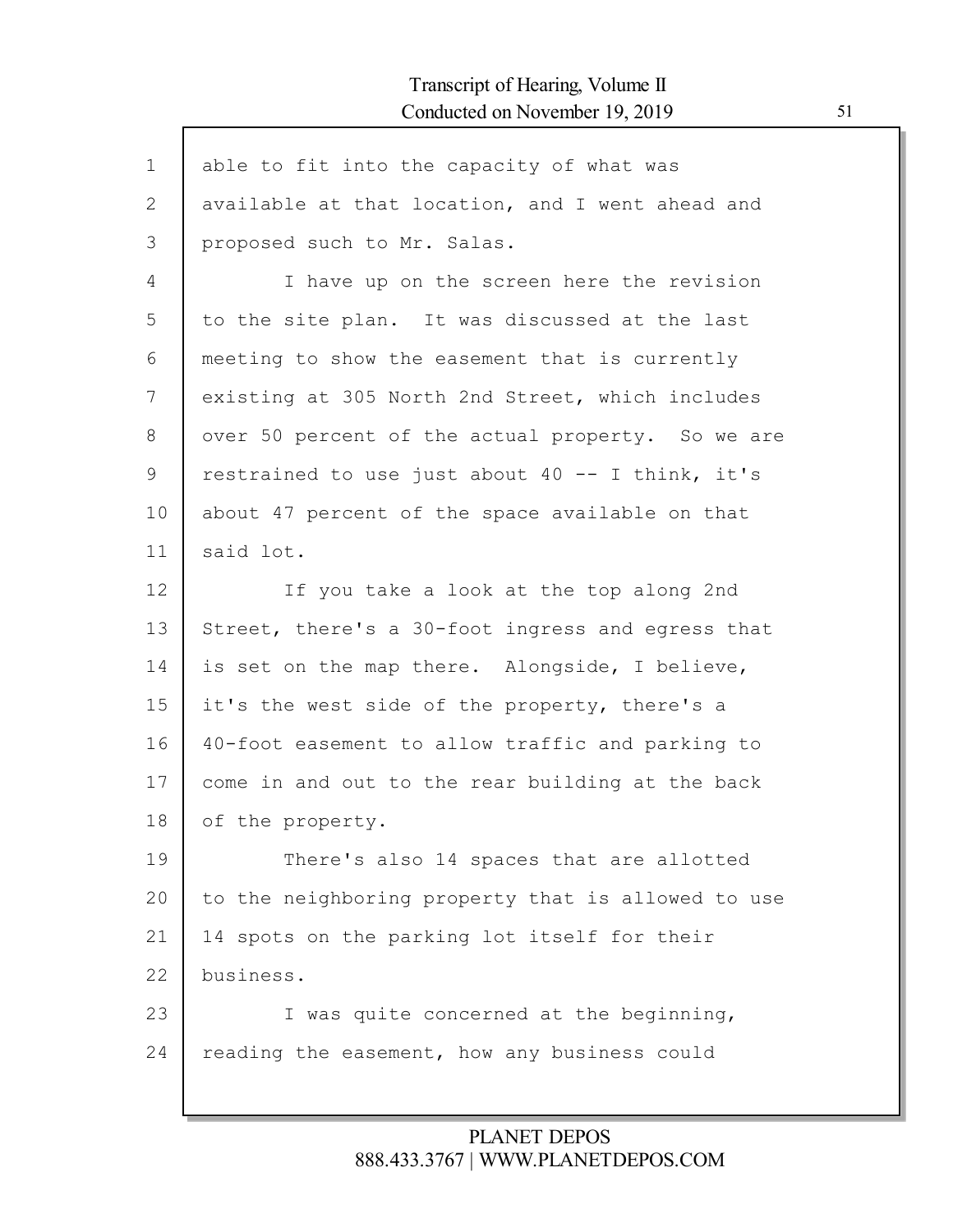| $\mathbf 1$ | able to fit into the capacity of what was          |
|-------------|----------------------------------------------------|
| 2           | available at that location, and I went ahead and   |
| 3           | proposed such to Mr. Salas.                        |
| 4           | I have up on the screen here the revision          |
| 5           | to the site plan. It was discussed at the last     |
| 6           | meeting to show the easement that is currently     |
| 7           | existing at 305 North 2nd Street, which includes   |
| 8           | over 50 percent of the actual property. So we are  |
| 9           | restrained to use just about 40 -- I think, it's   |
| 10          | about 47 percent of the space available on that    |
| 11          | said lot.                                          |
| 12          | If you take a look at the top along 2nd            |
| 13          | Street, there's a 30-foot ingress and egress that  |
| 14          | is set on the map there. Alongside, I believe,     |
| 15          | it's the west side of the property, there's a      |
| 16          | 40-foot easement to allow traffic and parking to   |
| 17          | come in and out to the rear building at the back   |
| 18          | of the property.                                   |
| 19          | There's also 14 spaces that are allotted           |
| 20          | to the neighboring property that is allowed to use |
| 21          | 14 spots on the parking lot itself for their       |
| 22          | business.                                          |
| 23          | I was quite concerned at the beginning,            |
| 24          | reading the easement, how any business could       |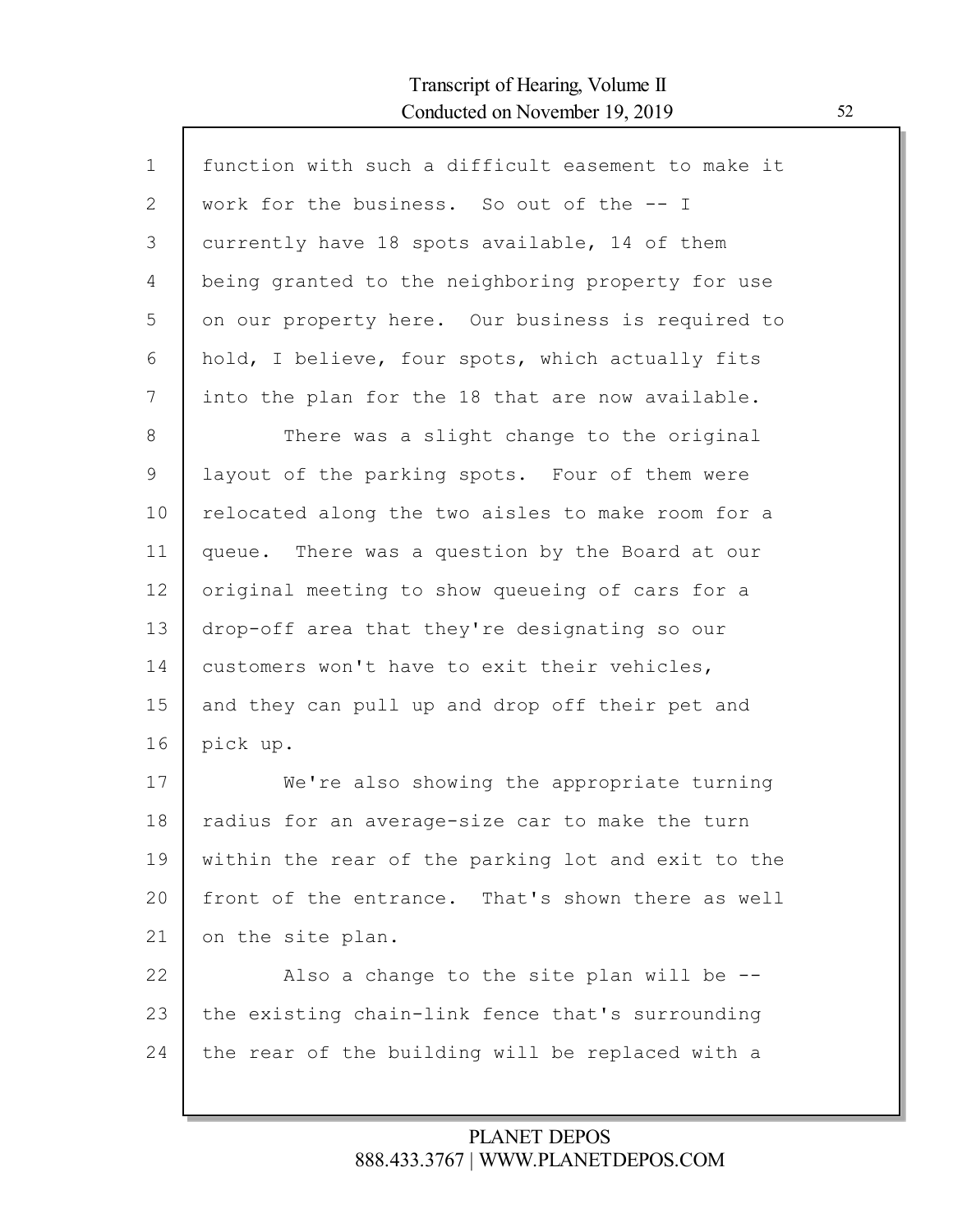| $\mathbf{1}$ | function with such a difficult easement to make it |
|--------------|----------------------------------------------------|
| $\mathbf{2}$ | work for the business. So out of the -- I          |
| 3            | currently have 18 spots available, 14 of them      |
| 4            | being granted to the neighboring property for use  |
| 5            | on our property here. Our business is required to  |
| 6            | hold, I believe, four spots, which actually fits   |
| 7            | into the plan for the 18 that are now available.   |
| 8            | There was a slight change to the original          |
| 9            | layout of the parking spots. Four of them were     |
| 10           | relocated along the two aisles to make room for a  |
| 11           | queue. There was a question by the Board at our    |
| 12           | original meeting to show queueing of cars for a    |
| 13           | drop-off area that they're designating so our      |
| 14           | customers won't have to exit their vehicles,       |
| 15           | and they can pull up and drop off their pet and    |
| 16           | pick up.                                           |
| 17           | We're also showing the appropriate turning         |
| 18           | radius for an average-size car to make the turn    |
| 19           | within the rear of the parking lot and exit to the |
| 20           | front of the entrance. That's shown there as well  |
| 21           | on the site plan.                                  |
| 22           | Also a change to the site plan will be --          |
| 23           | the existing chain-link fence that's surrounding   |
| 24           | the rear of the building will be replaced with a   |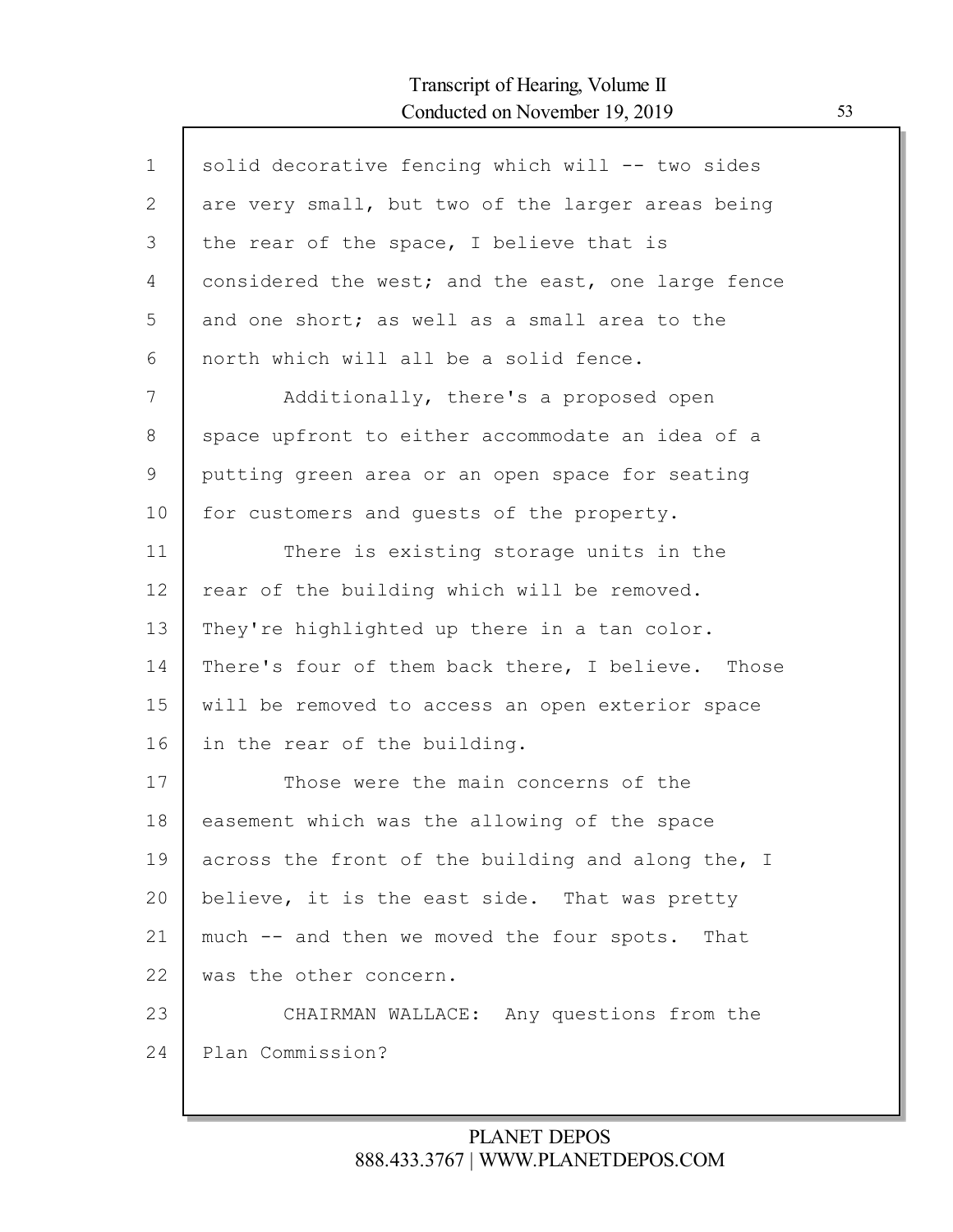| $\mathbf{1}$ | solid decorative fencing which will -- two sides   |
|--------------|----------------------------------------------------|
| $\mathbf{2}$ | are very small, but two of the larger areas being  |
| 3            | the rear of the space, I believe that is           |
| 4            | considered the west; and the east, one large fence |
| 5            | and one short; as well as a small area to the      |
| 6            | north which will all be a solid fence.             |
| 7            | Additionally, there's a proposed open              |
| 8            | space upfront to either accommodate an idea of a   |
| 9            | putting green area or an open space for seating    |
| 10           | for customers and guests of the property.          |
| 11           | There is existing storage units in the             |
| 12           | rear of the building which will be removed.        |
| 13           | They're highlighted up there in a tan color.       |
| 14           | There's four of them back there, I believe. Those  |
| 15           | will be removed to access an open exterior space   |
| 16           | in the rear of the building.                       |
| 17           | Those were the main concerns of the                |
| 18           | easement which was the allowing of the space       |
| 19           | across the front of the building and along the, I  |
| 20           | believe, it is the east side. That was pretty      |
| 21           | much -- and then we moved the four spots. That     |
| 22           | was the other concern.                             |
| 23           | CHAIRMAN WALLACE: Any questions from the           |
| 24           | Plan Commission?                                   |
|              |                                                    |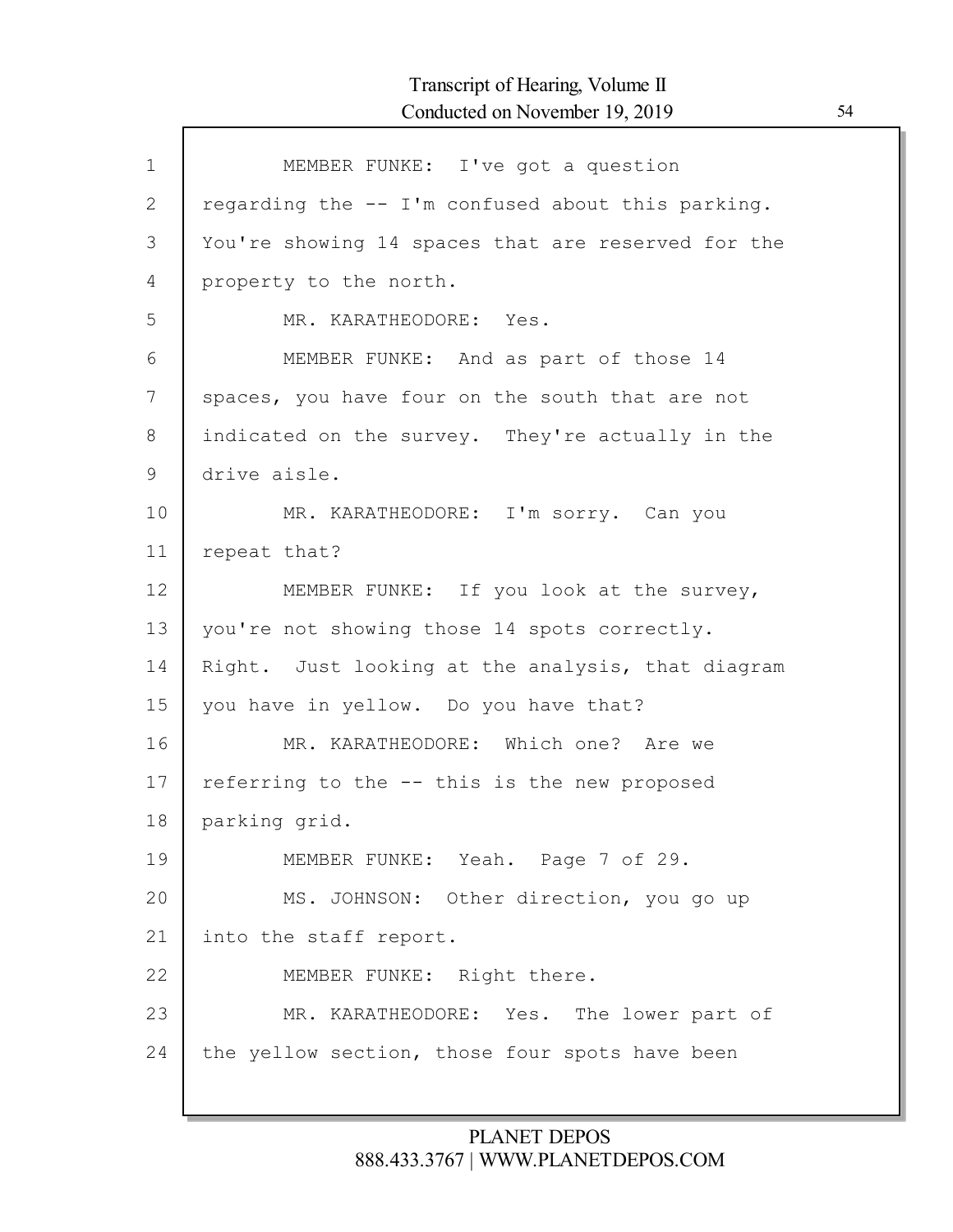$\mathsf{l}$ 

| $\mathbf 1$ | MEMBER FUNKE: I've got a question                  |
|-------------|----------------------------------------------------|
| 2           | regarding the -- I'm confused about this parking.  |
| 3           | You're showing 14 spaces that are reserved for the |
| 4           | property to the north.                             |
| 5           | MR. KARATHEODORE: Yes.                             |
| 6           | MEMBER FUNKE: And as part of those 14              |
| 7           | spaces, you have four on the south that are not    |
| 8           | indicated on the survey. They're actually in the   |
| 9           | drive aisle.                                       |
| 10          | MR. KARATHEODORE: I'm sorry. Can you               |
| 11          | repeat that?                                       |
| 12          | MEMBER FUNKE: If you look at the survey,           |
| 13          | you're not showing those 14 spots correctly.       |
| 14          | Right. Just looking at the analysis, that diagram  |
| 15          | you have in yellow. Do you have that?              |
| 16          | MR. KARATHEODORE: Which one? Are we                |
| 17          | referring to the -- this is the new proposed       |
| 18          | parking grid.                                      |
| 19          | MEMBER FUNKE: Yeah. Page 7 of 29.                  |
| 20          | MS. JOHNSON: Other direction, you go up            |
| 21          | into the staff report.                             |
| 22          | MEMBER FUNKE: Right there.                         |
| 23          | MR. KARATHEODORE: Yes. The lower part of           |
| 24          | the yellow section, those four spots have been     |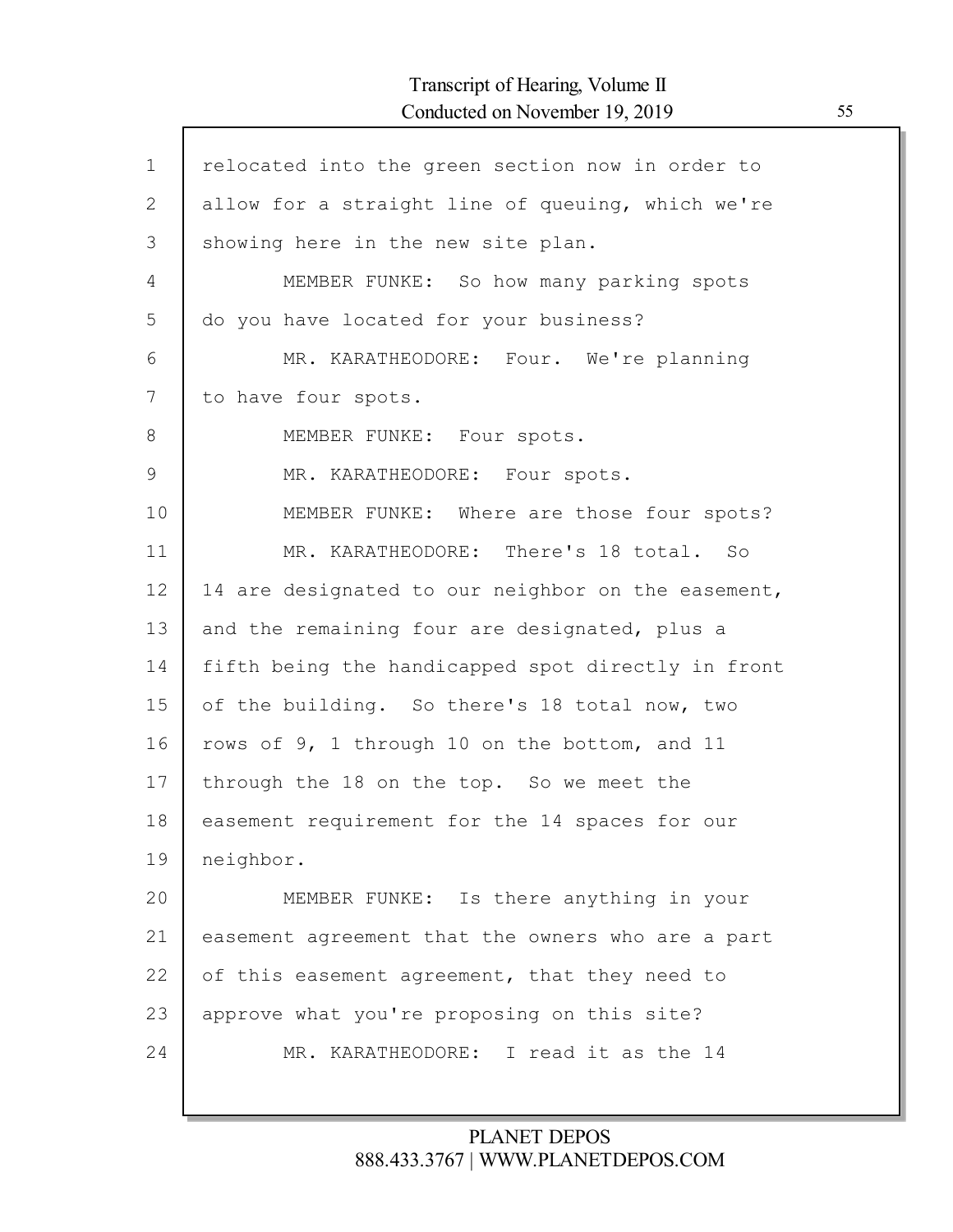| relocated into the green section now in order to   |
|----------------------------------------------------|
| allow for a straight line of queuing, which we're  |
| showing here in the new site plan.                 |
| MEMBER FUNKE: So how many parking spots            |
| do you have located for your business?             |
| MR. KARATHEODORE: Four. We're planning             |
| to have four spots.                                |
| MEMBER FUNKE: Four spots.                          |
| MR. KARATHEODORE: Four spots.                      |
| MEMBER FUNKE: Where are those four spots?          |
| MR. KARATHEODORE: There's 18 total. So             |
| 14 are designated to our neighbor on the easement, |
| and the remaining four are designated, plus a      |
| fifth being the handicapped spot directly in front |
| of the building. So there's 18 total now, two      |
| rows of 9, 1 through 10 on the bottom, and 11      |
| through the 18 on the top. So we meet the          |
| easement requirement for the 14 spaces for our     |
| neighbor.                                          |
| MEMBER FUNKE: Is there anything in your            |
| easement agreement that the owners who are a part  |
| of this easement agreement, that they need to      |
| approve what you're proposing on this site?        |
| MR. KARATHEODORE: I read it as the 14              |
|                                                    |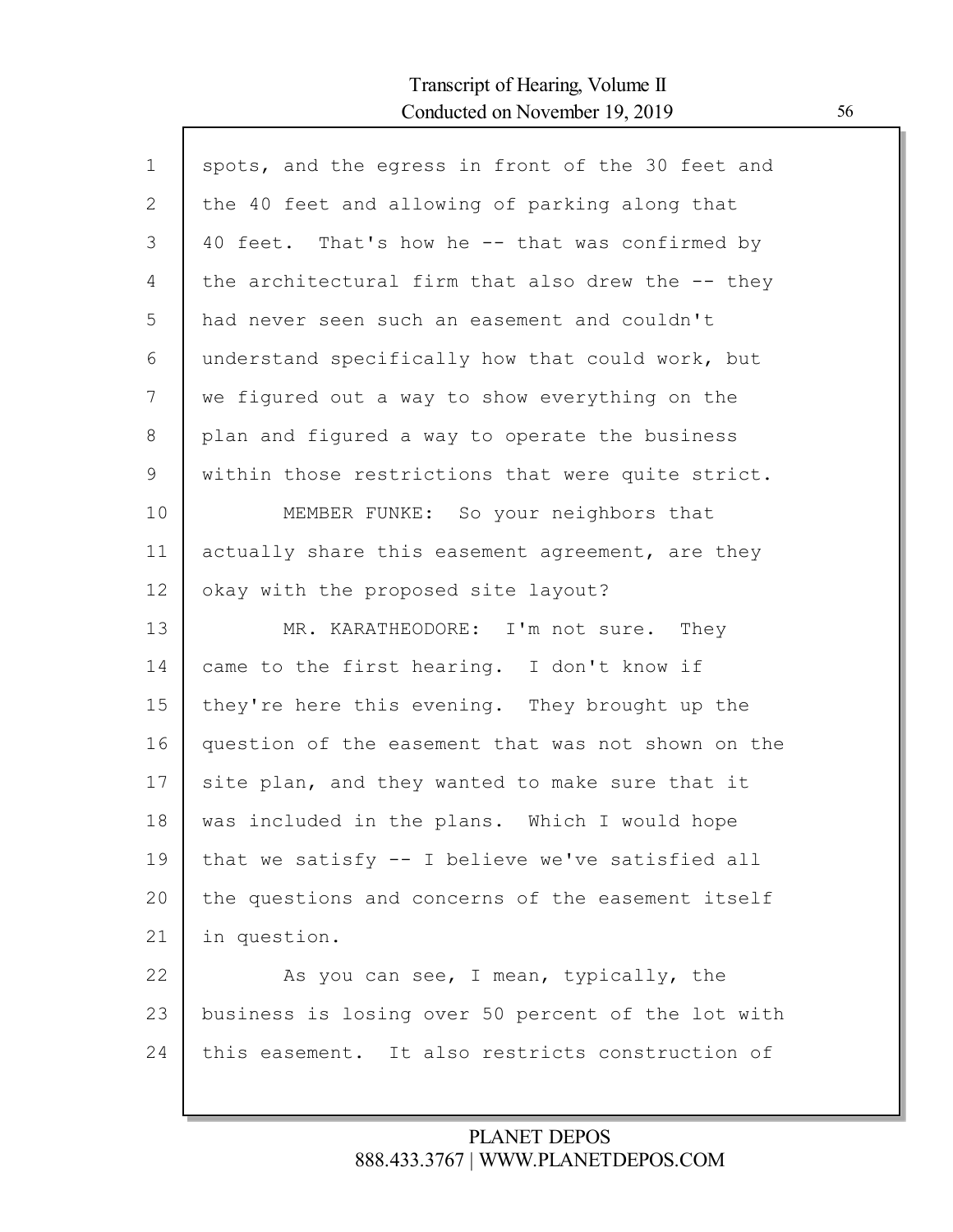Г

| $\mathbf 1$ | spots, and the egress in front of the 30 feet and  |
|-------------|----------------------------------------------------|
|             |                                                    |
| 2           | the 40 feet and allowing of parking along that     |
| 3           | 40 feet. That's how he -- that was confirmed by    |
| 4           | the architectural firm that also drew the -- they  |
| 5           | had never seen such an easement and couldn't       |
| 6           | understand specifically how that could work, but   |
| 7           | we figured out a way to show everything on the     |
| 8           | plan and figured a way to operate the business     |
| 9           | within those restrictions that were quite strict.  |
| 10          | MEMBER FUNKE: So your neighbors that               |
| 11          | actually share this easement agreement, are they   |
| 12          | okay with the proposed site layout?                |
| 13          | MR. KARATHEODORE: I'm not sure. They               |
| 14          | came to the first hearing. I don't know if         |
| 15          | they're here this evening. They brought up the     |
| 16          | question of the easement that was not shown on the |
| 17          | site plan, and they wanted to make sure that it    |
| 18          | was included in the plans. Which I would hope      |
|             |                                                    |
| 19          | that we satisfy -- I believe we've satisfied all   |
| 20          | the questions and concerns of the easement itself  |
| 21          | in question.                                       |
| 22          | As you can see, I mean, typically, the             |
| 23          | business is losing over 50 percent of the lot with |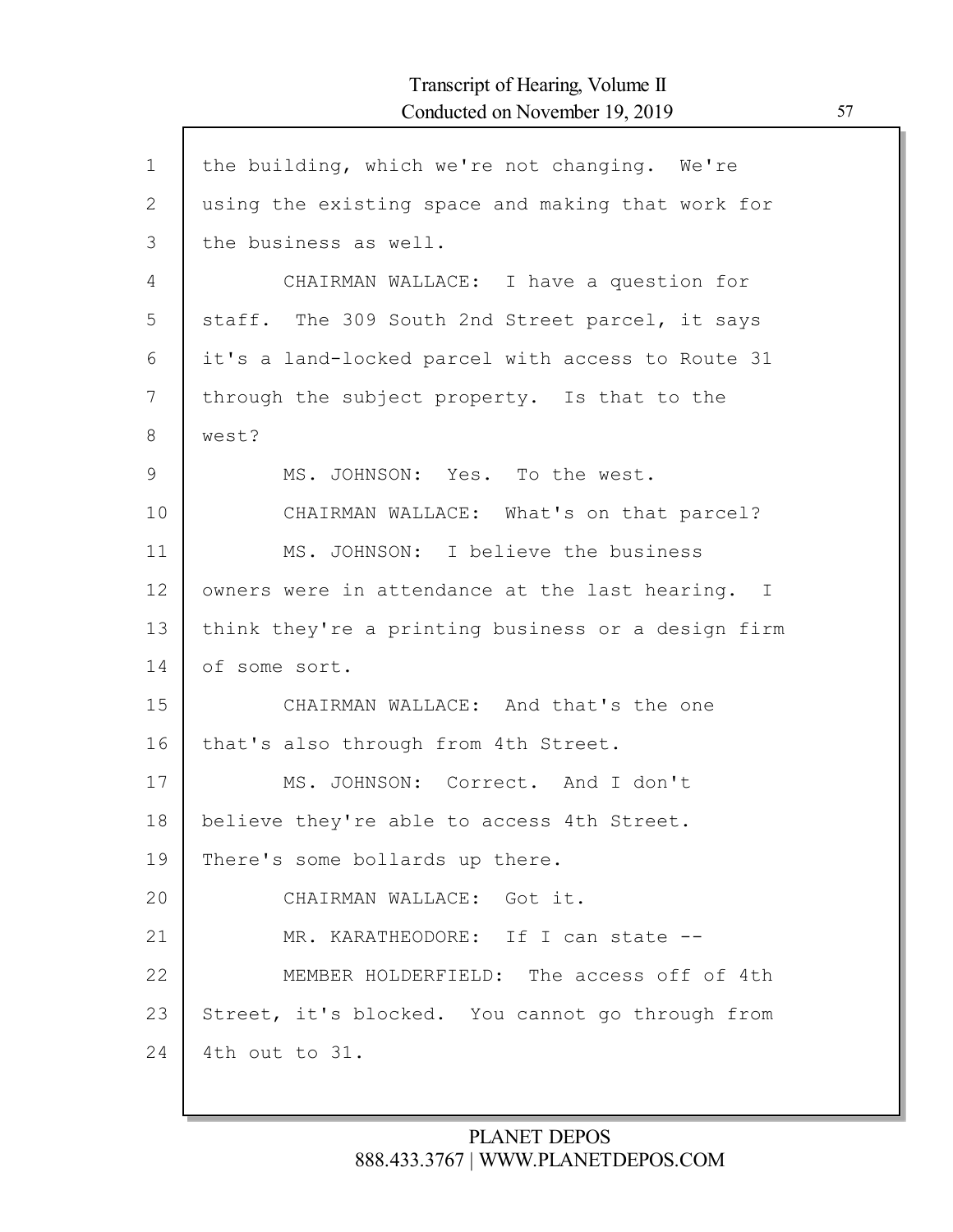$\mathsf{l}$ 

| $\mathbf 1$    | the building, which we're not changing. We're      |
|----------------|----------------------------------------------------|
| $\overline{2}$ | using the existing space and making that work for  |
| 3              | the business as well.                              |
| 4              | CHAIRMAN WALLACE: I have a question for            |
| 5              | staff. The 309 South 2nd Street parcel, it says    |
| 6              | it's a land-locked parcel with access to Route 31  |
| 7              | through the subject property. Is that to the       |
| 8              | west?                                              |
| 9              | MS. JOHNSON: Yes. To the west.                     |
| 10             | CHAIRMAN WALLACE: What's on that parcel?           |
| 11             | MS. JOHNSON: I believe the business                |
| 12             | owners were in attendance at the last hearing. I   |
| 13             | think they're a printing business or a design firm |
| 14             | of some sort.                                      |
| 15             | CHAIRMAN WALLACE: And that's the one               |
| 16             | that's also through from 4th Street.               |
| 17             | MS. JOHNSON: Correct. And I don't                  |
| 18             | believe they're able to access 4th Street.         |
| 19             | There's some bollards up there.                    |
| 20             | CHAIRMAN WALLACE: Got it.                          |
| 21             | MR. KARATHEODORE: If I can state --                |
| 22             | MEMBER HOLDERFIELD: The access off of 4th          |
| 23             | Street, it's blocked. You cannot go through from   |
| 24             | 4th out to 31.                                     |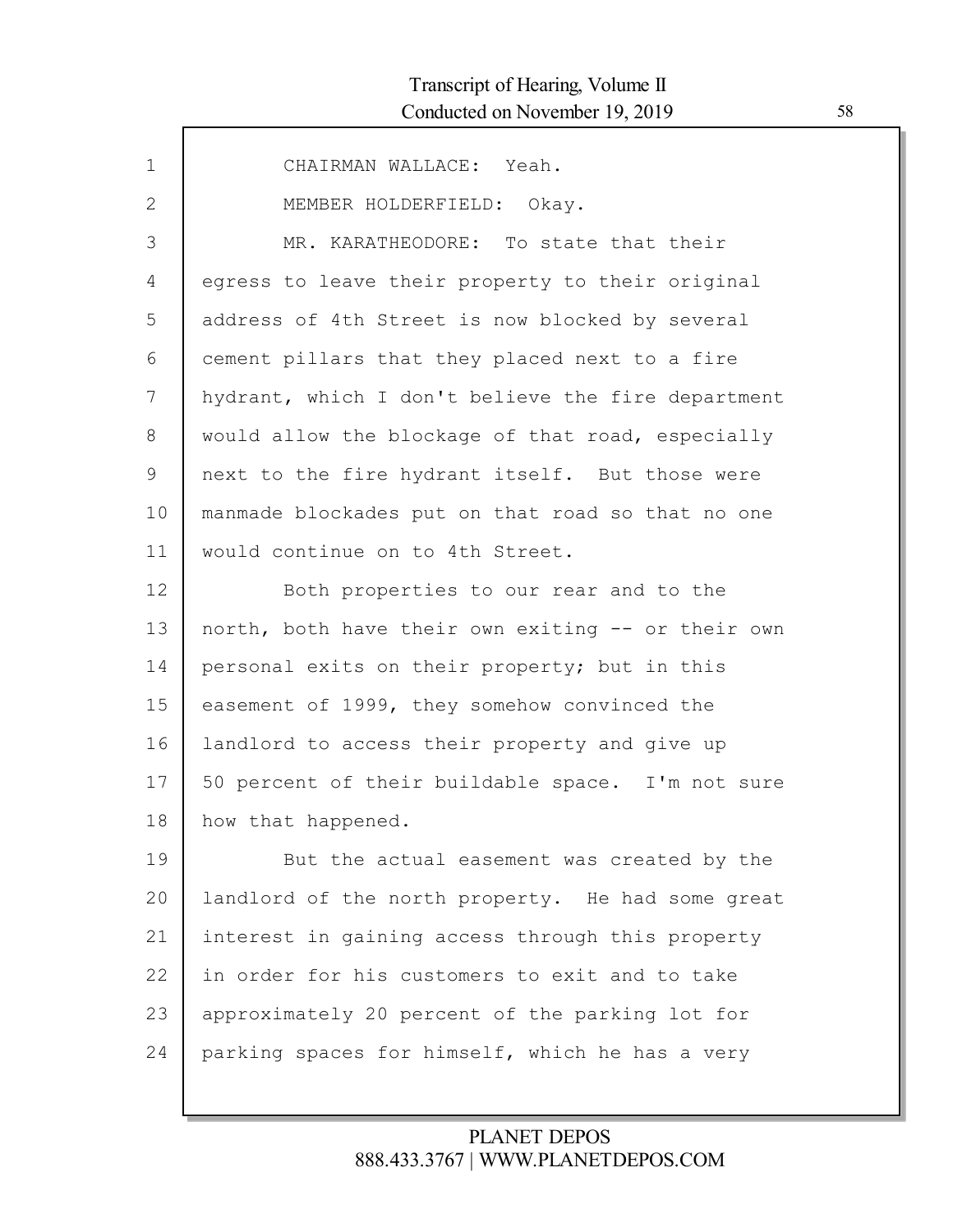| $\mathbf{1}$ | CHAIRMAN WALLACE: Yeah.                            |
|--------------|----------------------------------------------------|
| 2            | MEMBER HOLDERFIELD: Okay.                          |
| 3            | MR. KARATHEODORE: To state that their              |
| 4            | egress to leave their property to their original   |
| 5            | address of 4th Street is now blocked by several    |
| 6            | cement pillars that they placed next to a fire     |
| 7            | hydrant, which I don't believe the fire department |
| 8            | would allow the blockage of that road, especially  |
| 9            | next to the fire hydrant itself. But those were    |
| 10           | manmade blockades put on that road so that no one  |
| 11           | would continue on to 4th Street.                   |
| 12           | Both properties to our rear and to the             |
| 13           | north, both have their own exiting -- or their own |
| 14           | personal exits on their property; but in this      |
| 15           | easement of 1999, they somehow convinced the       |
| 16           | landlord to access their property and give up      |
| 17           | 50 percent of their buildable space. I'm not sure  |
| 18           | how that happened.                                 |
| 19           | But the actual easement was created by the         |
| 20           | landlord of the north property. He had some great  |
| 21           | interest in gaining access through this property   |
| 22           | in order for his customers to exit and to take     |
| 23           | approximately 20 percent of the parking lot for    |
| 24           | parking spaces for himself, which he has a very    |
|              |                                                    |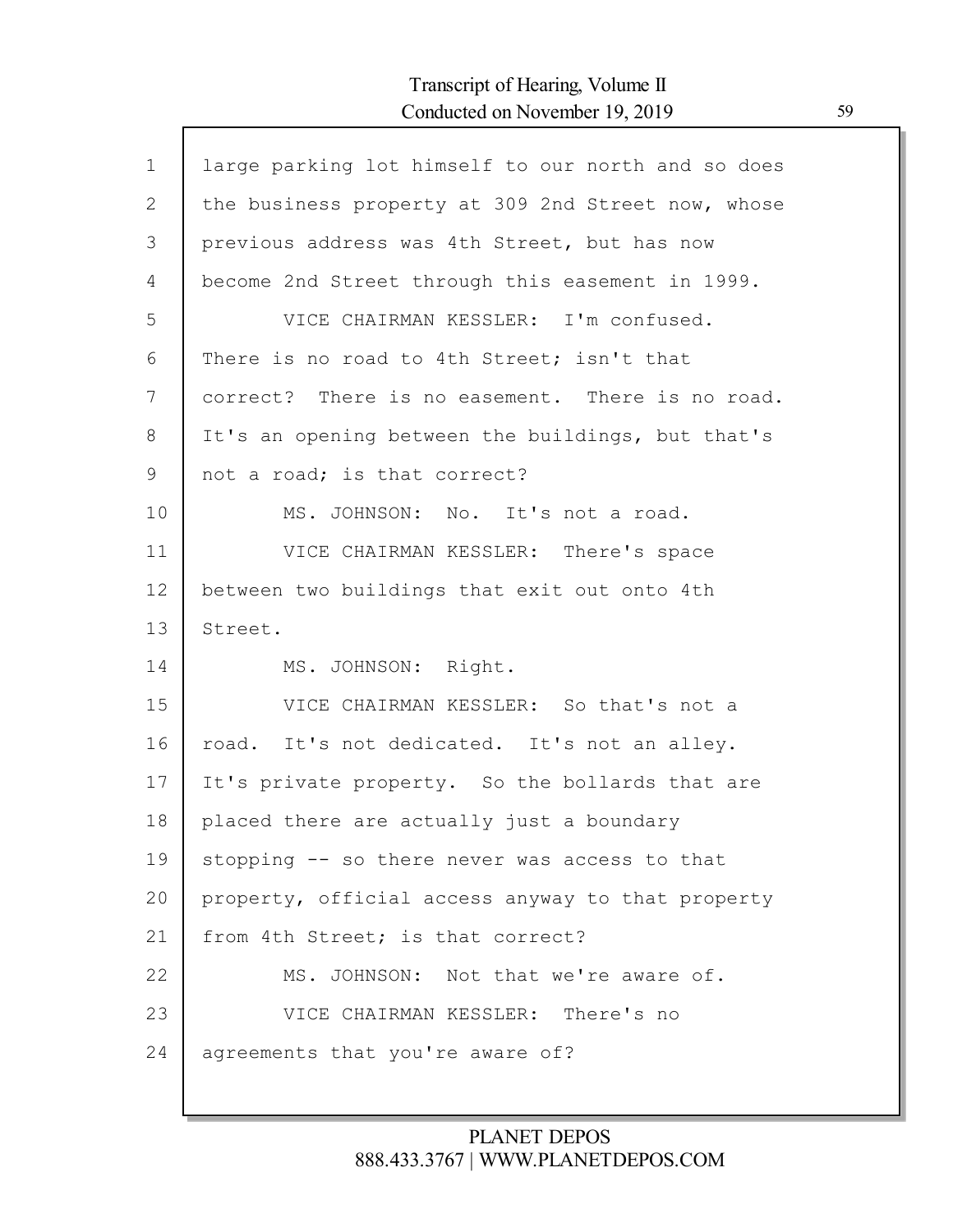Г

| $\mathbf{1}$ | large parking lot himself to our north and so does |
|--------------|----------------------------------------------------|
| 2            | the business property at 309 2nd Street now, whose |
| 3            | previous address was 4th Street, but has now       |
| 4            | become 2nd Street through this easement in 1999.   |
| 5            | VICE CHAIRMAN KESSLER: I'm confused.               |
| 6            | There is no road to 4th Street; isn't that         |
| 7            | correct? There is no easement. There is no road.   |
| 8            | It's an opening between the buildings, but that's  |
| 9            | not a road; is that correct?                       |
| 10           | MS. JOHNSON: No. It's not a road.                  |
| 11           | VICE CHAIRMAN KESSLER: There's space               |
| 12           | between two buildings that exit out onto 4th       |
| 13           | Street.                                            |
| 14           | MS. JOHNSON: Right.                                |
| 15           | VICE CHAIRMAN KESSLER: So that's not a             |
| 16           | road. It's not dedicated. It's not an alley.       |
| 17           | It's private property. So the bollards that are    |
| 18           | placed there are actually just a boundary          |
| 19           | stopping -- so there never was access to that      |
| 20           | property, official access anyway to that property  |
| 21           | from 4th Street; is that correct?                  |
| 22           | MS. JOHNSON: Not that we're aware of.              |
| 23           | VICE CHAIRMAN KESSLER: There's no                  |
| 24           | agreements that you're aware of?                   |
|              |                                                    |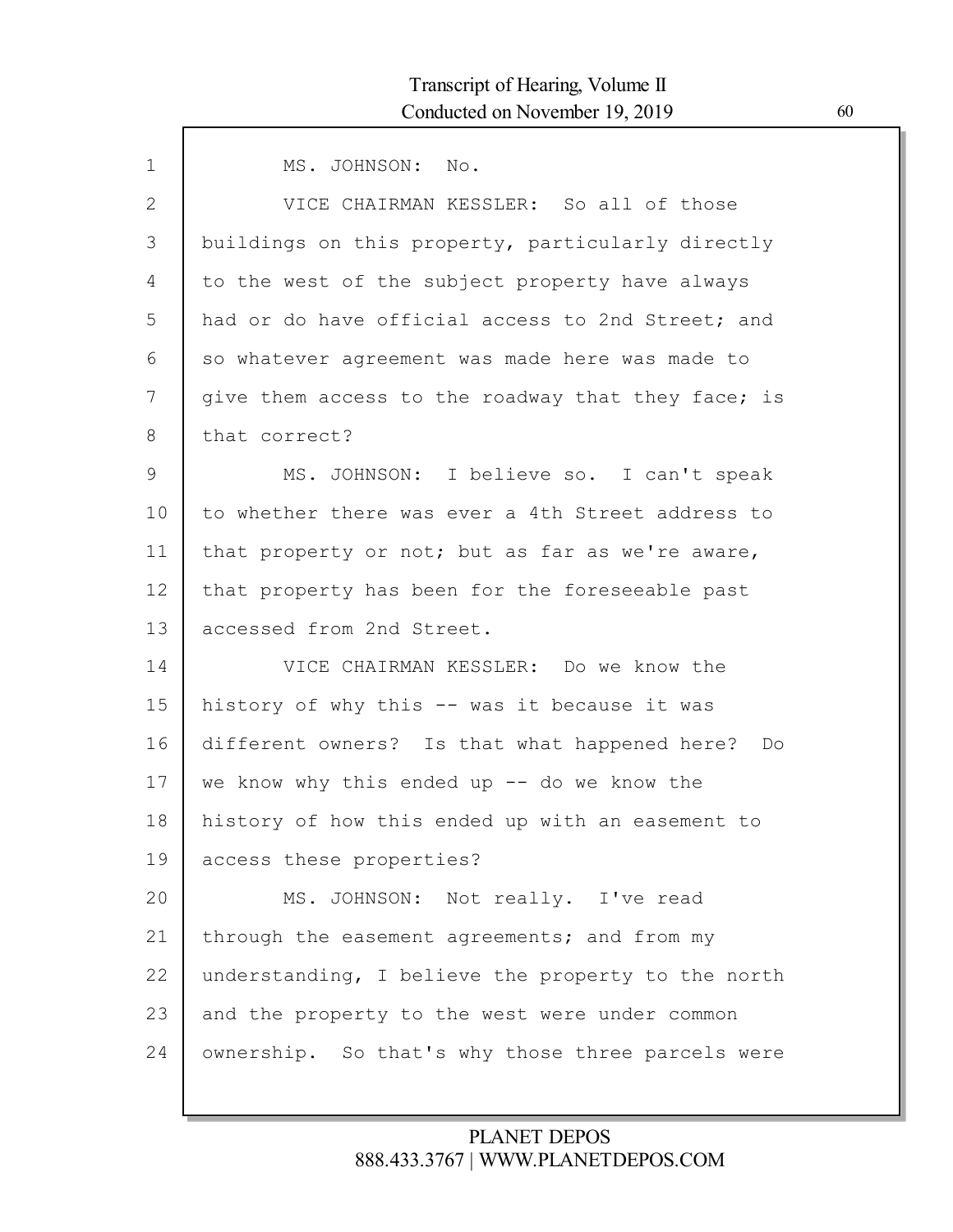| MS. JOHNSON: No.                                    |
|-----------------------------------------------------|
| VICE CHAIRMAN KESSLER: So all of those              |
| buildings on this property, particularly directly   |
| to the west of the subject property have always     |
| had or do have official access to 2nd Street; and   |
| so whatever agreement was made here was made to     |
| give them access to the roadway that they face; is  |
| that correct?                                       |
| MS. JOHNSON: I believe so. I can't speak            |
| to whether there was ever a 4th Street address to   |
| that property or not; but as far as we're aware,    |
| that property has been for the foreseeable past     |
| accessed from 2nd Street.                           |
| VICE CHAIRMAN KESSLER: Do we know the               |
| history of why this -- was it because it was        |
| different owners? Is that what happened here?<br>Do |
| we know why this ended up $--$ do we know the       |
| history of how this ended up with an easement to    |
| access these properties?                            |
| MS. JOHNSON: Not really. I've read                  |
| through the easement agreements; and from my        |
| understanding, I believe the property to the north  |
| and the property to the west were under common      |
| ownership. So that's why those three parcels were   |
|                                                     |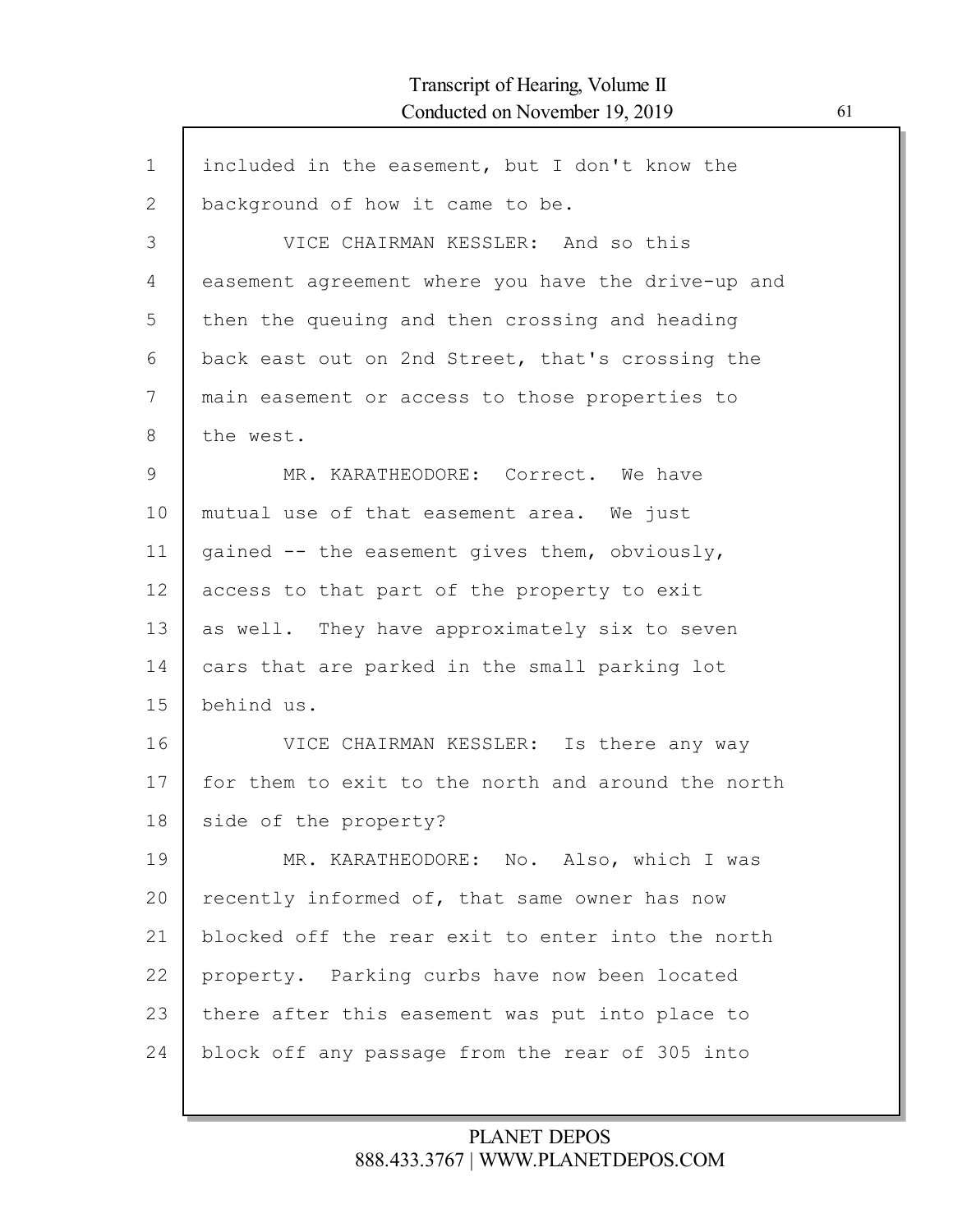$\mathsf{l}$ 

| $\mathbf 1$ | included in the easement, but I don't know the     |
|-------------|----------------------------------------------------|
| 2           | background of how it came to be.                   |
| 3           | VICE CHAIRMAN KESSLER: And so this                 |
| 4           | easement agreement where you have the drive-up and |
| 5           | then the queuing and then crossing and heading     |
| 6           | back east out on 2nd Street, that's crossing the   |
| 7           | main easement or access to those properties to     |
| 8           | the west.                                          |
| 9           | MR. KARATHEODORE: Correct. We have                 |
| 10          | mutual use of that easement area. We just          |
| 11          | gained -- the easement gives them, obviously,      |
| 12          | access to that part of the property to exit        |
| 13          | as well. They have approximately six to seven      |
| 14          | cars that are parked in the small parking lot      |
| 15          | behind us.                                         |
| 16          | VICE CHAIRMAN KESSLER: Is there any way            |
| 17          | for them to exit to the north and around the north |
| 18          | side of the property?                              |
| 19          | MR. KARATHEODORE: No. Also, which I was            |
| 20          | recently informed of, that same owner has now      |
| 21          | blocked off the rear exit to enter into the north  |
| 22          | property. Parking curbs have now been located      |
| 23          | there after this easement was put into place to    |
| 24          | block off any passage from the rear of 305 into    |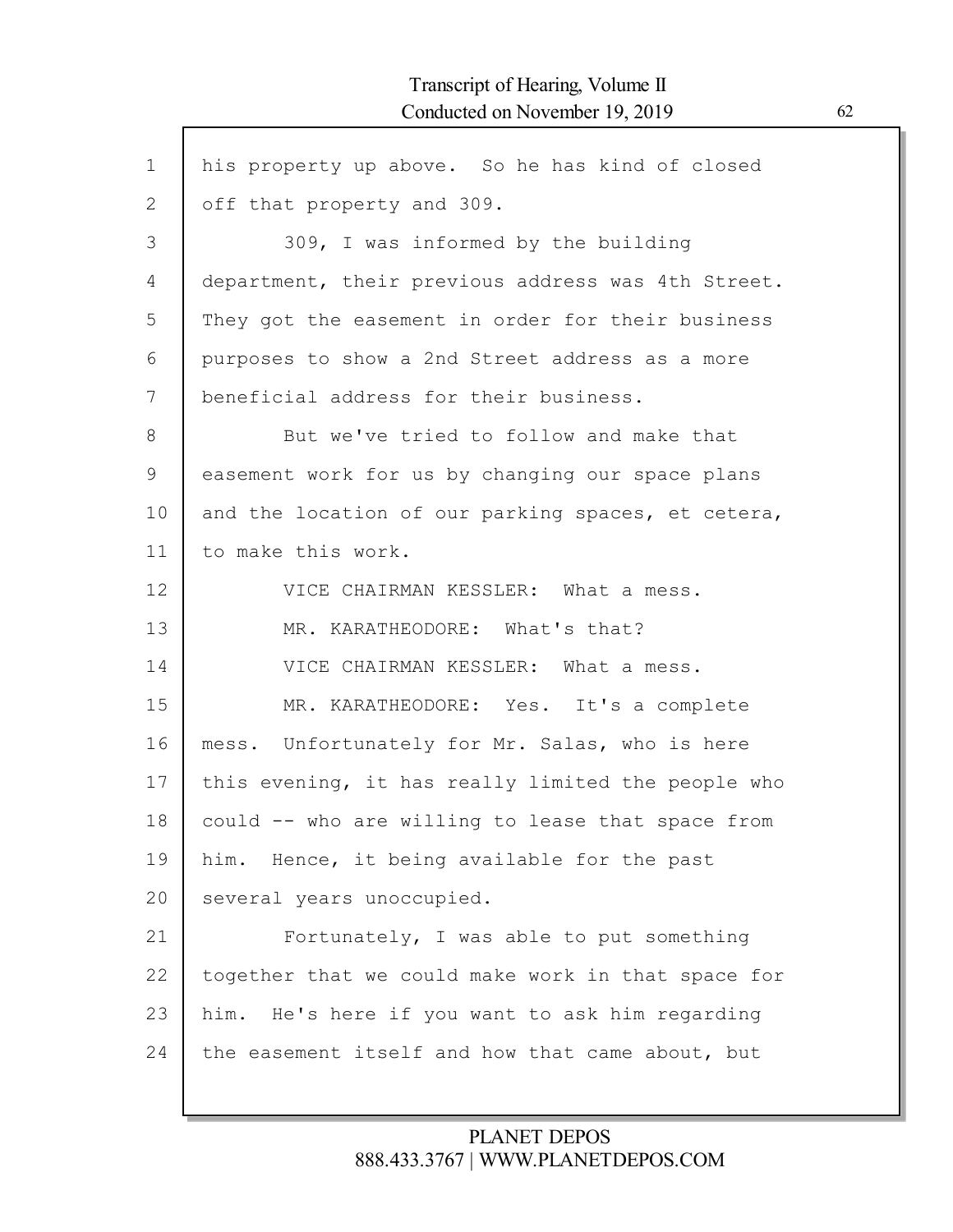| $\mathbf 1$ | his property up above. So he has kind of closed    |
|-------------|----------------------------------------------------|
| 2           | off that property and 309.                         |
| 3           | 309, I was informed by the building                |
| 4           | department, their previous address was 4th Street. |
| 5           | They got the easement in order for their business  |
| 6           | purposes to show a 2nd Street address as a more    |
| 7           | beneficial address for their business.             |
| 8           | But we've tried to follow and make that            |
| 9           | easement work for us by changing our space plans   |
| 10          | and the location of our parking spaces, et cetera, |
| 11          | to make this work.                                 |
| 12          | VICE CHAIRMAN KESSLER: What a mess.                |
| 13          | MR. KARATHEODORE: What's that?                     |
| 14          | VICE CHAIRMAN KESSLER: What a mess.                |
| 15          | MR. KARATHEODORE: Yes. It's a complete             |
| 16          | mess. Unfortunately for Mr. Salas, who is here     |
| 17          | this evening, it has really limited the people who |
| 18          | could -- who are willing to lease that space from  |
| 19          | him. Hence, it being available for the past        |
| 20          | several years unoccupied.                          |
| 21          | Fortunately, I was able to put something           |
| 22          | together that we could make work in that space for |
| 23          | him. He's here if you want to ask him regarding    |
| 24          | the easement itself and how that came about, but   |
|             |                                                    |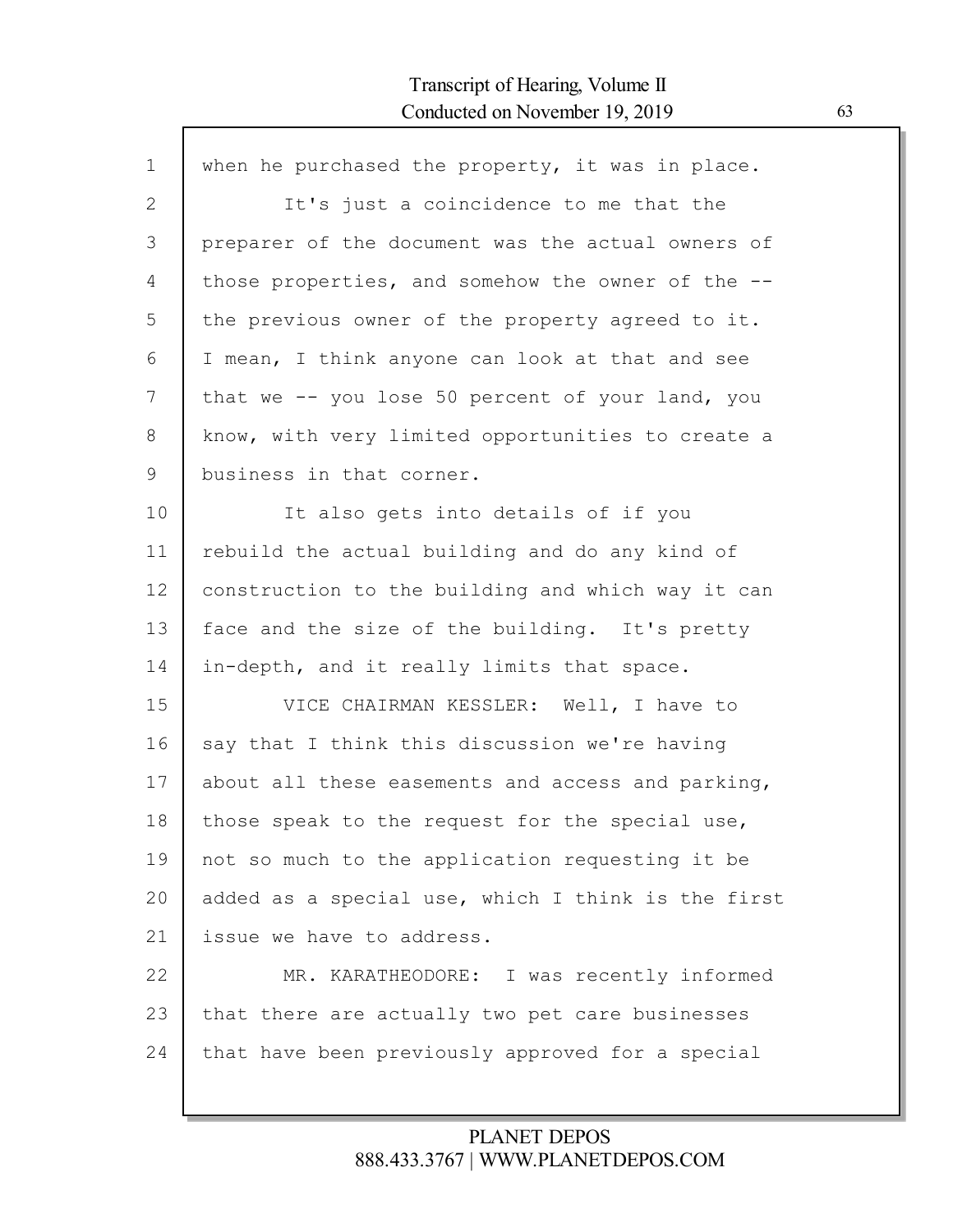Г

| It's just a coincidence to me that the<br>preparer of the document was the actual owners of |
|---------------------------------------------------------------------------------------------|
|                                                                                             |
|                                                                                             |
| those properties, and somehow the owner of the --                                           |
| the previous owner of the property agreed to it.                                            |
| I mean, I think anyone can look at that and see                                             |
| that we -- you lose 50 percent of your land, you                                            |
| know, with very limited opportunities to create a                                           |
|                                                                                             |
| It also gets into details of if you                                                         |
| rebuild the actual building and do any kind of                                              |
| construction to the building and which way it can                                           |
| face and the size of the building. It's pretty                                              |
| in-depth, and it really limits that space.                                                  |
| VICE CHAIRMAN KESSLER: Well, I have to                                                      |
| say that I think this discussion we're having                                               |
| about all these easements and access and parking,                                           |
| those speak to the request for the special use,                                             |
| not so much to the application requesting it be                                             |
| added as a special use, which I think is the first                                          |
|                                                                                             |
| MR. KARATHEODORE: I was recently informed                                                   |
|                                                                                             |
| that there are actually two pet care businesses                                             |
|                                                                                             |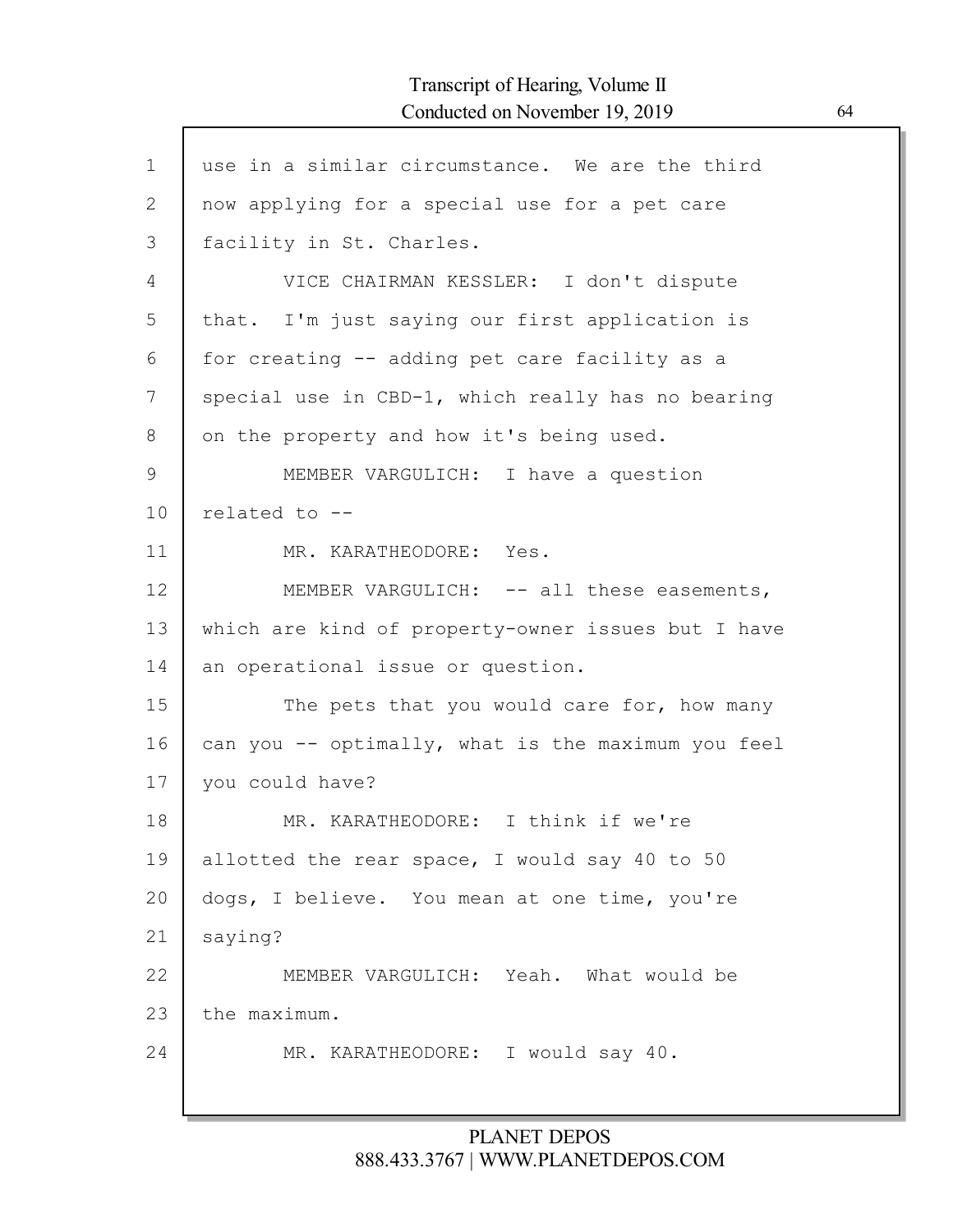Г

| $\mathbf{1}$ | use in a similar circumstance. We are the third    |
|--------------|----------------------------------------------------|
| 2            | now applying for a special use for a pet care      |
| 3            | facility in St. Charles.                           |
| 4            | VICE CHAIRMAN KESSLER: I don't dispute             |
| 5            | that. I'm just saying our first application is     |
| 6            | for creating -- adding pet care facility as a      |
| 7            | special use in CBD-1, which really has no bearing  |
| 8            | on the property and how it's being used.           |
| 9            | MEMBER VARGULICH: I have a question                |
| 10           | related to --                                      |
| 11           | MR. KARATHEODORE: Yes.                             |
| 12           | MEMBER VARGULICH: -- all these easements,          |
| 13           | which are kind of property-owner issues but I have |
| 14           | an operational issue or question.                  |
| 15           | The pets that you would care for, how many         |
| 16           | can you -- optimally, what is the maximum you feel |
| 17           | you could have?                                    |
| 18           | MR. KARATHEODORE: I think if we're                 |
| 19           | allotted the rear space, I would say 40 to 50      |
| 20           | dogs, I believe. You mean at one time, you're      |
| 21           | saying?                                            |
| 22           | MEMBER VARGULICH: Yeah. What would be              |
| 23           | the maximum.                                       |
| 24           | MR. KARATHEODORE: I would say 40.                  |
|              |                                                    |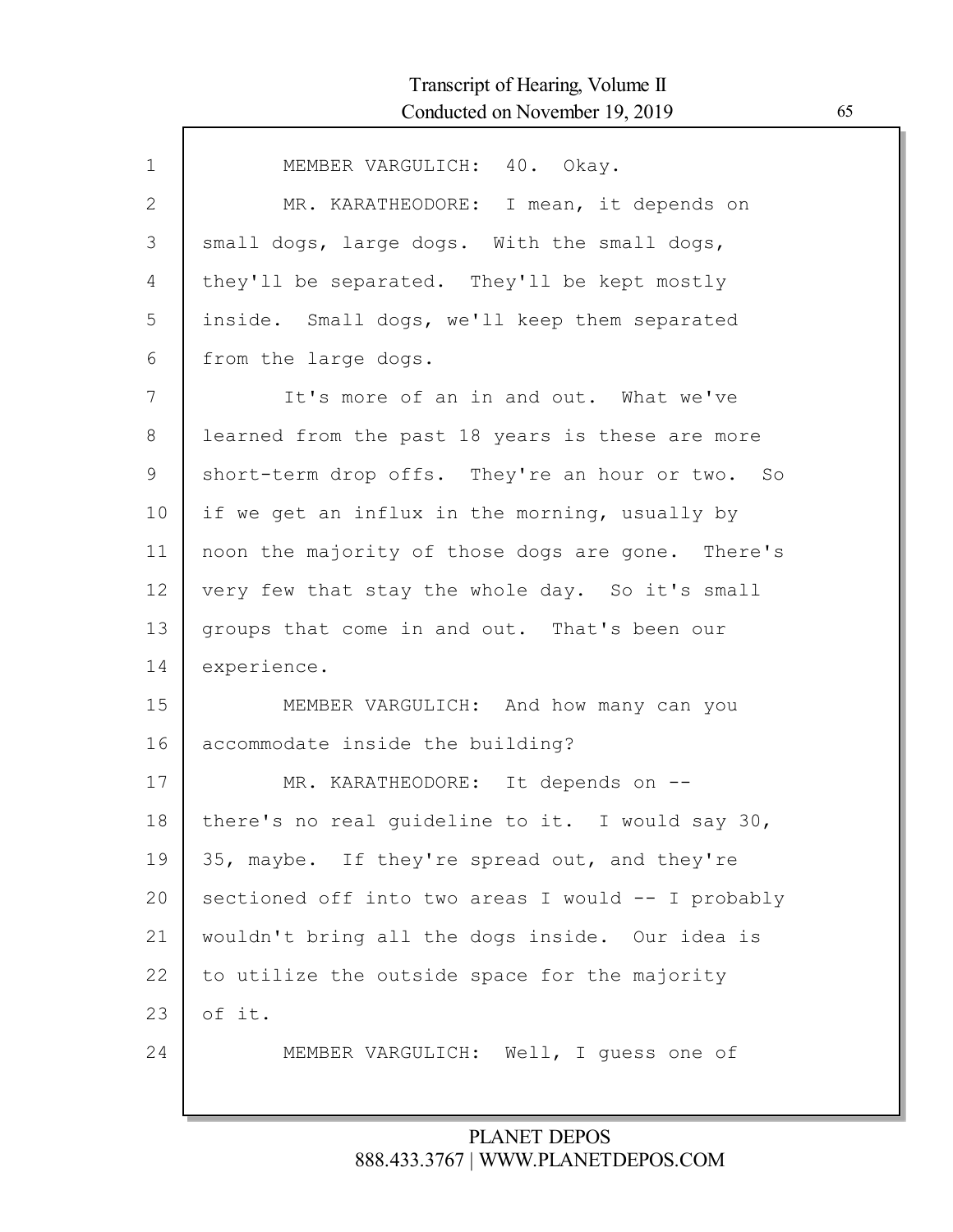| $\mathbf 1$ | MEMBER VARGULICH: 40. Okay.                        |
|-------------|----------------------------------------------------|
| 2           | MR. KARATHEODORE: I mean, it depends on            |
| 3           | small dogs, large dogs. With the small dogs,       |
| 4           | they'll be separated. They'll be kept mostly       |
| 5           | inside. Small dogs, we'll keep them separated      |
| 6           | from the large dogs.                               |
| 7           | It's more of an in and out. What we've             |
| 8           | learned from the past 18 years is these are more   |
| 9           | short-term drop offs. They're an hour or two. So   |
| 10          | if we get an influx in the morning, usually by     |
| 11          | noon the majority of those dogs are gone. There's  |
| 12          | very few that stay the whole day. So it's small    |
| 13          | groups that come in and out. That's been our       |
| 14          | experience.                                        |
| 15          | MEMBER VARGULICH: And how many can you             |
| 16          | accommodate inside the building?                   |
| 17          | MR. KARATHEODORE: It depends on --                 |
| 18          | there's no real guideline to it. I would say 30,   |
| 19          | 35, maybe. If they're spread out, and they're      |
| 20          | sectioned off into two areas I would -- I probably |
| 21          | wouldn't bring all the dogs inside. Our idea is    |
| 22          | to utilize the outside space for the majority      |
| 23          | of it.                                             |
| 24          | MEMBER VARGULICH: Well, I guess one of             |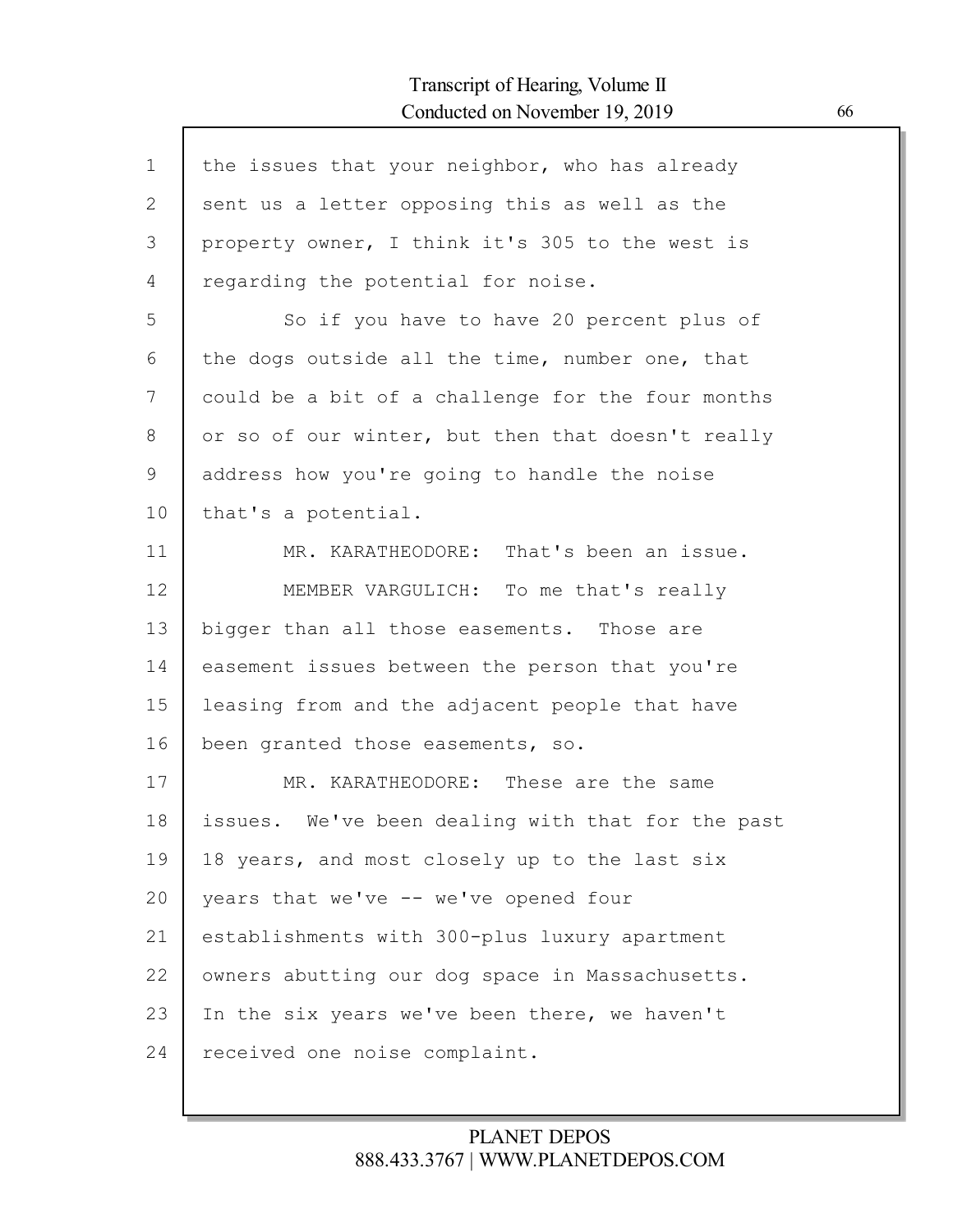| the issues that your neighbor, who has already    |
|---------------------------------------------------|
| sent us a letter opposing this as well as the     |
| property owner, I think it's 305 to the west is   |
| regarding the potential for noise.                |
| So if you have to have 20 percent plus of         |
| the dogs outside all the time, number one, that   |
| could be a bit of a challenge for the four months |
| or so of our winter, but then that doesn't really |
| address how you're going to handle the noise      |
| that's a potential.                               |
| MR. KARATHEODORE: That's been an issue.           |
| MEMBER VARGULICH: To me that's really             |
| bigger than all those easements. Those are        |
| easement issues between the person that you're    |
| leasing from and the adjacent people that have    |
| been granted those easements, so.                 |
| MR. KARATHEODORE: These are the same              |
| issues. We've been dealing with that for the past |
| 18 years, and most closely up to the last six     |
| years that we've -- we've opened four             |
| establishments with 300-plus luxury apartment     |
| owners abutting our dog space in Massachusetts.   |
| In the six years we've been there, we haven't     |
| received one noise complaint.                     |
|                                                   |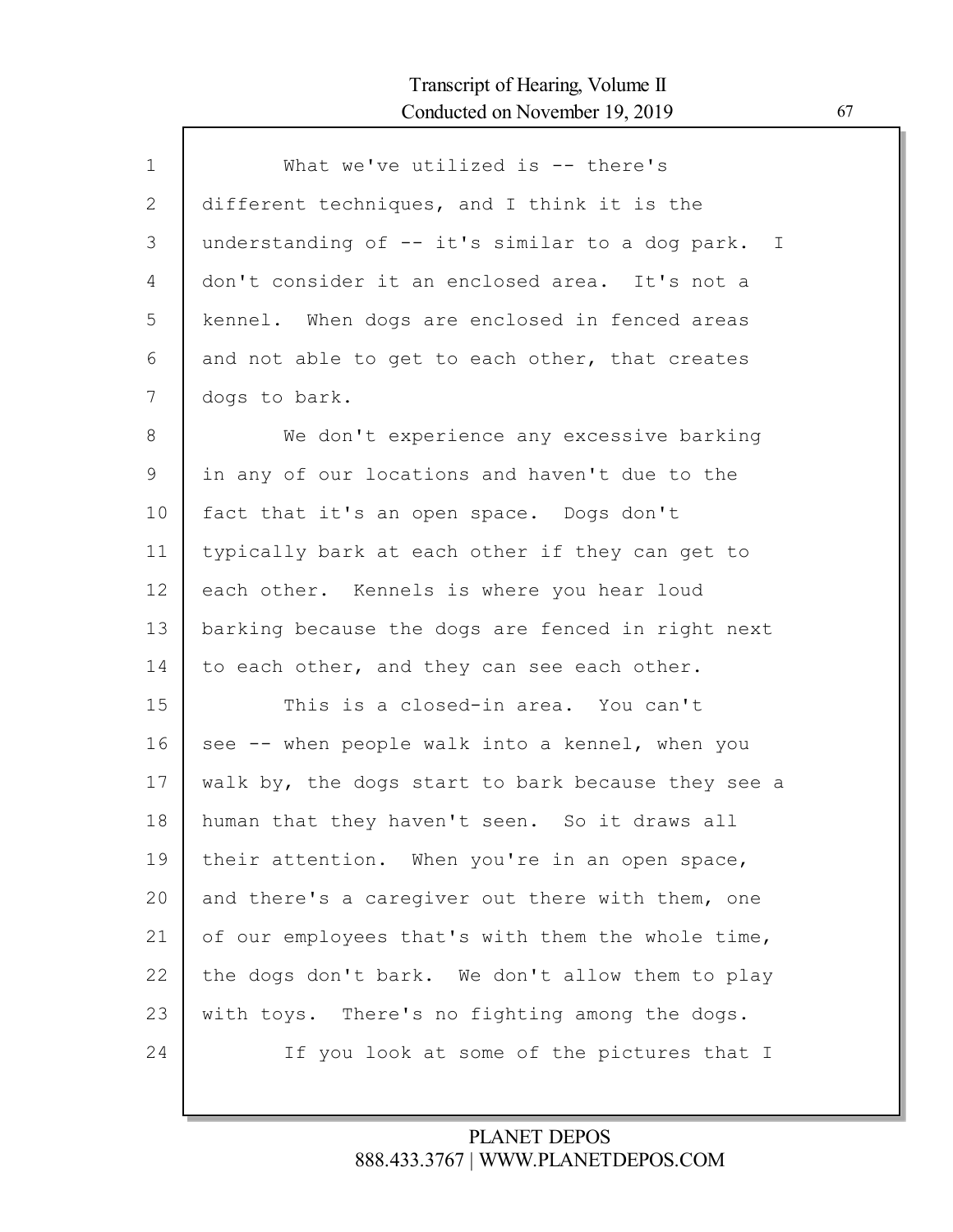| $\mathbf 1$ | What we've utilized is $--$ there's                |
|-------------|----------------------------------------------------|
| 2           | different techniques, and I think it is the        |
| 3           | understanding of -- it's similar to a dog park. I  |
| 4           | don't consider it an enclosed area. It's not a     |
| 5           | kennel. When dogs are enclosed in fenced areas     |
| 6           | and not able to get to each other, that creates    |
| 7           | dogs to bark.                                      |
| 8           | We don't experience any excessive barking          |
| 9           | in any of our locations and haven't due to the     |
| 10          | fact that it's an open space. Dogs don't           |
| 11          | typically bark at each other if they can get to    |
| 12          | each other. Kennels is where you hear loud         |
| 13          | barking because the dogs are fenced in right next  |
| 14          | to each other, and they can see each other.        |
| 15          | This is a closed-in area. You can't                |
| 16          | see -- when people walk into a kennel, when you    |
| 17          | walk by, the dogs start to bark because they see a |
| 18          | human that they haven't seen. So it draws all      |
| 19          | their attention. When you're in an open space,     |
| 20          | and there's a caregiver out there with them, one   |
| 21          | of our employees that's with them the whole time,  |
| 22          | the dogs don't bark. We don't allow them to play   |
| 23          | with toys. There's no fighting among the dogs.     |
| 24          | If you look at some of the pictures that I         |
|             |                                                    |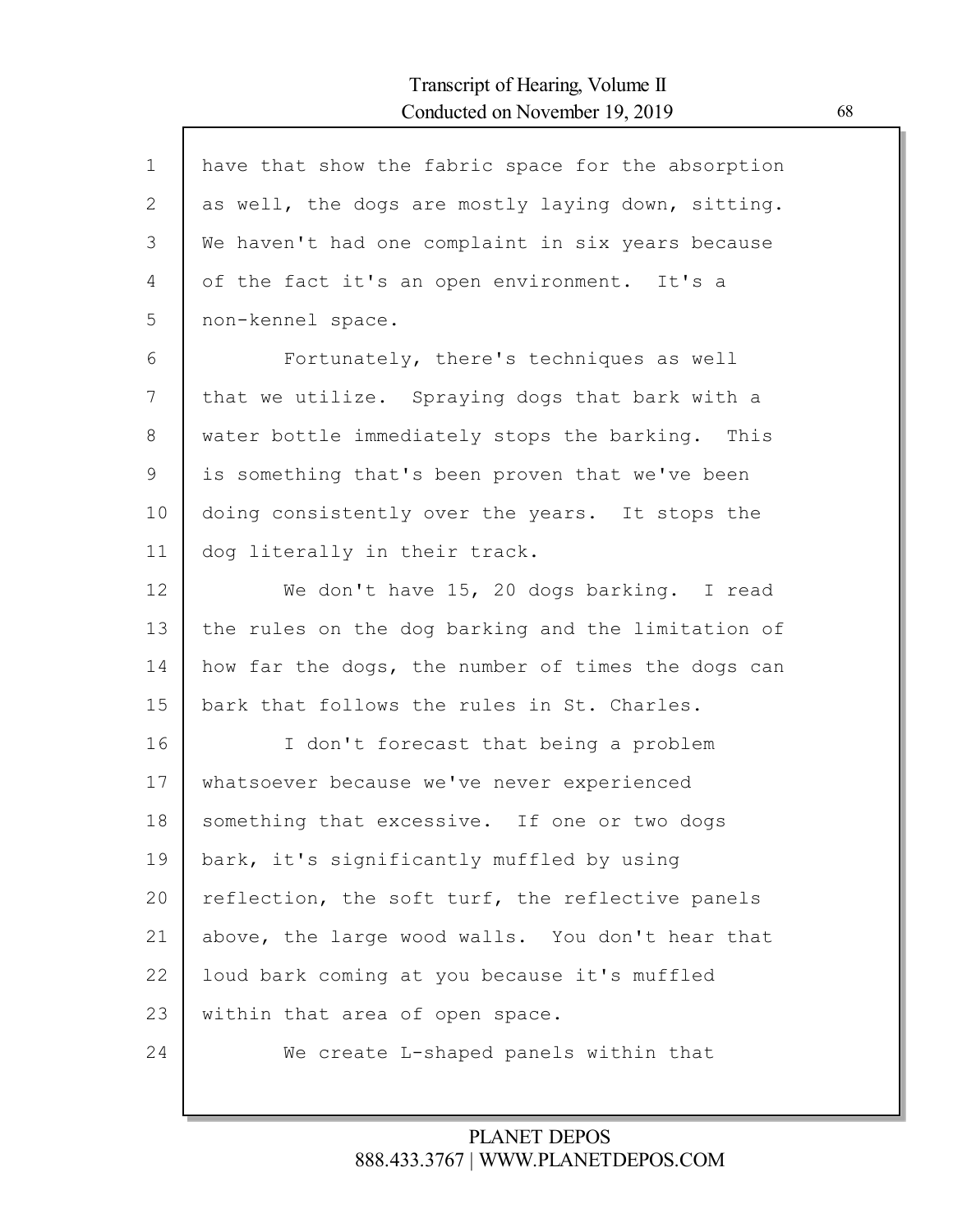| $\mathbf 1$ | have that show the fabric space for the absorption |
|-------------|----------------------------------------------------|
| 2           | as well, the dogs are mostly laying down, sitting. |
| 3           | We haven't had one complaint in six years because  |
| 4           | of the fact it's an open environment. It's a       |
| 5           | non-kennel space.                                  |
| 6           | Fortunately, there's techniques as well            |
| 7           | that we utilize. Spraying dogs that bark with a    |
| 8           | water bottle immediately stops the barking. This   |
| 9           | is something that's been proven that we've been    |
| 10          | doing consistently over the years. It stops the    |
| 11          | dog literally in their track.                      |
| 12          | We don't have 15, 20 dogs barking. I read          |
| 13          | the rules on the dog barking and the limitation of |
| 14          | how far the dogs, the number of times the dogs can |
| 15          | bark that follows the rules in St. Charles.        |
| 16          | I don't forecast that being a problem              |
| 17          | whatsoever because we've never experienced         |
| 18          | something that excessive. If one or two dogs       |
| 19          | bark, it's significantly muffled by using          |
| 20          | reflection, the soft turf, the reflective panels   |
| 21          | above, the large wood walls. You don't hear that   |
| 22          | loud bark coming at you because it's muffled       |
| 23          | within that area of open space.                    |
| 24          | We create L-shaped panels within that              |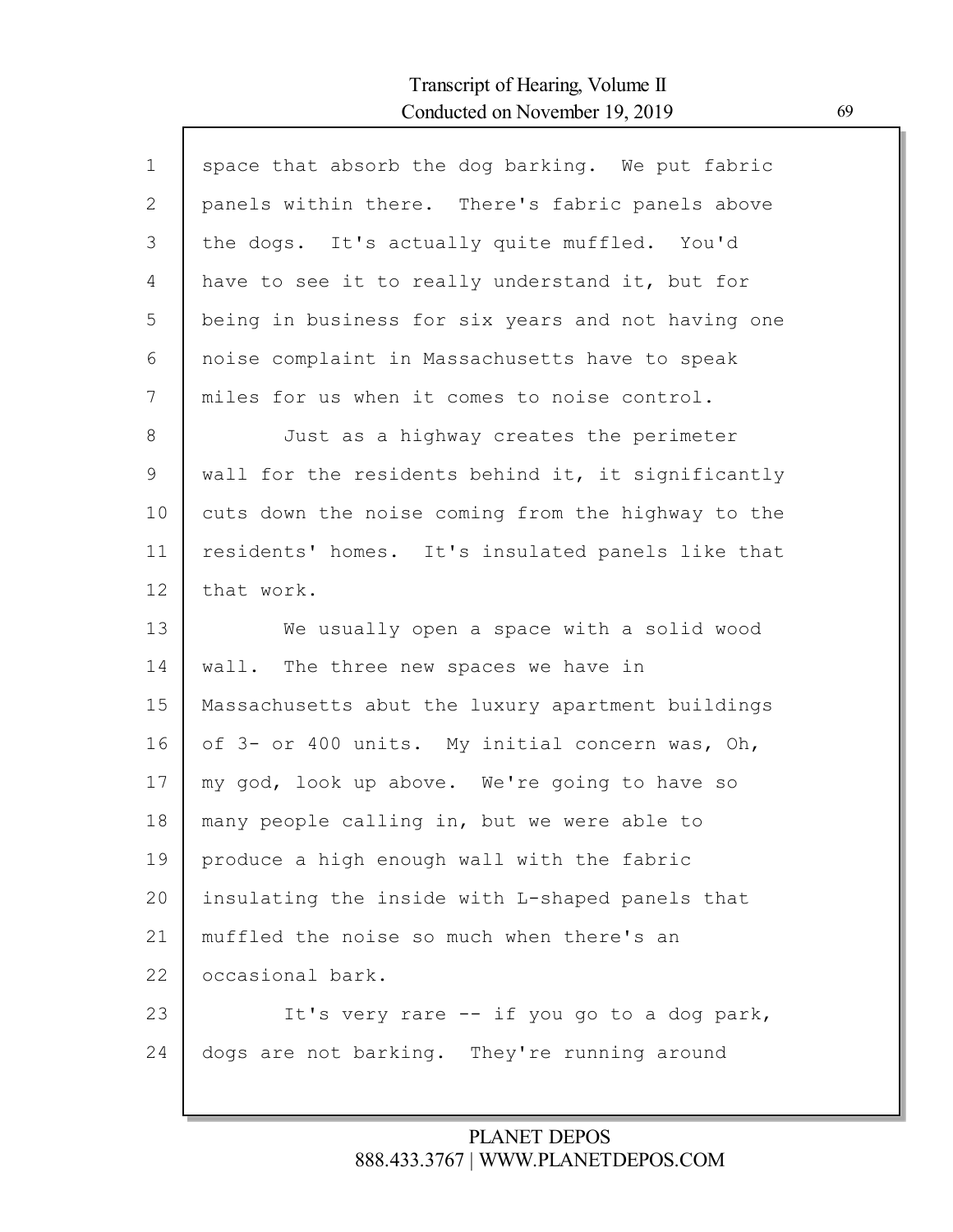| $\mathbf 1$  | space that absorb the dog barking. We put fabric   |
|--------------|----------------------------------------------------|
| $\mathbf{2}$ | panels within there. There's fabric panels above   |
| 3            | the dogs. It's actually quite muffled. You'd       |
| 4            | have to see it to really understand it, but for    |
| 5            | being in business for six years and not having one |
| 6            | noise complaint in Massachusetts have to speak     |
| 7            | miles for us when it comes to noise control.       |
| 8            | Just as a highway creates the perimeter            |
| 9            | wall for the residents behind it, it significantly |
| 10           | cuts down the noise coming from the highway to the |
| 11           | residents' homes. It's insulated panels like that  |
| 12           | that work.                                         |
| 13           | We usually open a space with a solid wood          |
| 14           | wall. The three new spaces we have in              |
| 15           | Massachusetts abut the luxury apartment buildings  |
| 16           | of 3- or 400 units. My initial concern was, Oh,    |
| 17           | my god, look up above. We're going to have so      |
| 18           | many people calling in, but we were able to        |
| 19           | produce a high enough wall with the fabric         |
| 20           | insulating the inside with L-shaped panels that    |
| 21           | muffled the noise so much when there's an          |
| 22           | occasional bark.                                   |
| 23           | It's very rare -- if you go to a dog park,         |
| 24           | dogs are not barking. They're running around       |
|              |                                                    |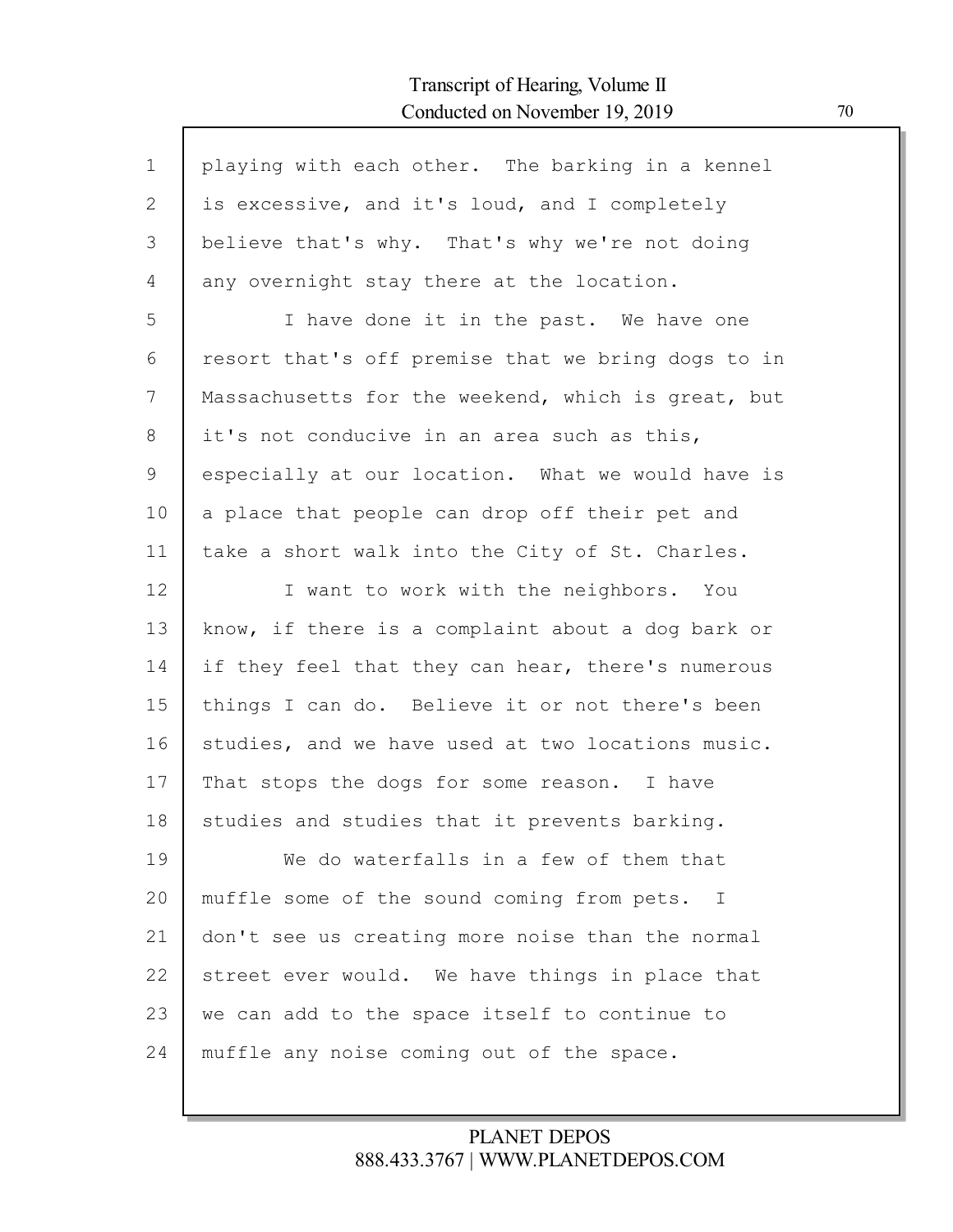| $\mathbf 1$  | playing with each other. The barking in a kennel   |
|--------------|----------------------------------------------------|
| $\mathbf{2}$ | is excessive, and it's loud, and I completely      |
|              |                                                    |
| 3            | believe that's why. That's why we're not doing     |
| 4            | any overnight stay there at the location.          |
| 5            | I have done it in the past. We have one            |
| 6            | resort that's off premise that we bring dogs to in |
| 7            | Massachusetts for the weekend, which is great, but |
| 8            | it's not conducive in an area such as this,        |
| 9            | especially at our location. What we would have is  |
| 10           | a place that people can drop off their pet and     |
| 11           | take a short walk into the City of St. Charles.    |
| 12           | I want to work with the neighbors. You             |
| 13           | know, if there is a complaint about a dog bark or  |
| 14           | if they feel that they can hear, there's numerous  |
| 15           | things I can do. Believe it or not there's been    |
| 16           | studies, and we have used at two locations music.  |
| 17           | That stops the dogs for some reason. I have        |
| 18           | studies and studies that it prevents barking.      |
| 19           | We do waterfalls in a few of them that             |
| 20           | muffle some of the sound coming from pets. I       |
| 21           | don't see us creating more noise than the normal   |
| 22           | street ever would. We have things in place that    |
| 23           | we can add to the space itself to continue to      |
| 24           | muffle any noise coming out of the space.          |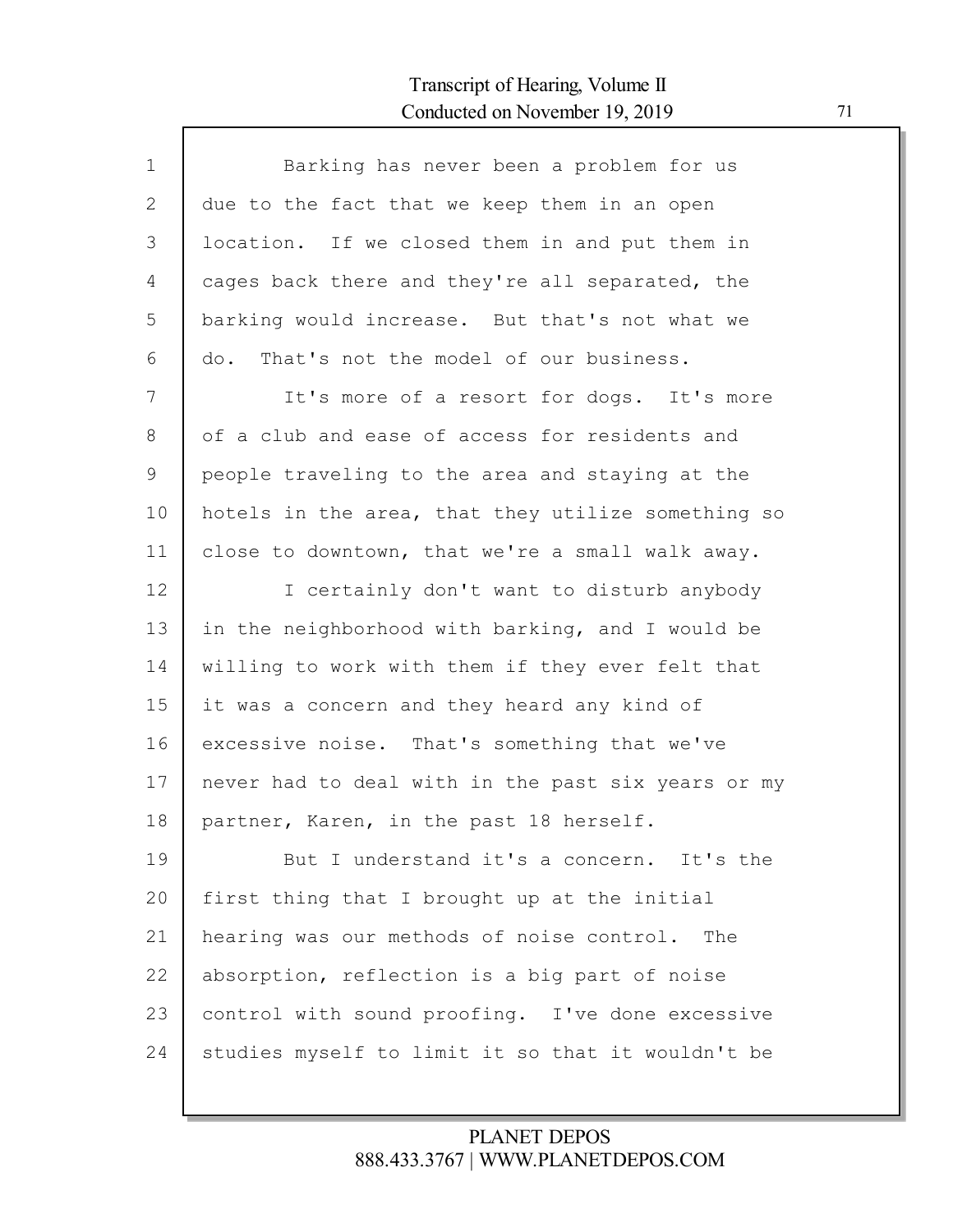Г

| $\mathbf 1$ | Barking has never been a problem for us            |
|-------------|----------------------------------------------------|
| 2           | due to the fact that we keep them in an open       |
| 3           | location. If we closed them in and put them in     |
| 4           | cages back there and they're all separated, the    |
| 5           | barking would increase. But that's not what we     |
| 6           | That's not the model of our business.<br>do.       |
| 7           | It's more of a resort for dogs. It's more          |
| 8           | of a club and ease of access for residents and     |
| 9           | people traveling to the area and staying at the    |
| 10          | hotels in the area, that they utilize something so |
| 11          | close to downtown, that we're a small walk away.   |
| 12          | I certainly don't want to disturb anybody          |
| 13          | in the neighborhood with barking, and I would be   |
| 14          | willing to work with them if they ever felt that   |
| 15          | it was a concern and they heard any kind of        |
| 16          | excessive noise. That's something that we've       |
| 17          | never had to deal with in the past six years or my |
| 18          | partner, Karen, in the past 18 herself.            |
| 19          | But I understand it's a concern. It's the          |
| 20          | first thing that I brought up at the initial       |
| 21          | hearing was our methods of noise control. The      |
| 22          | absorption, reflection is a big part of noise      |
| 23          | control with sound proofing. I've done excessive   |
| 24          | studies myself to limit it so that it wouldn't be  |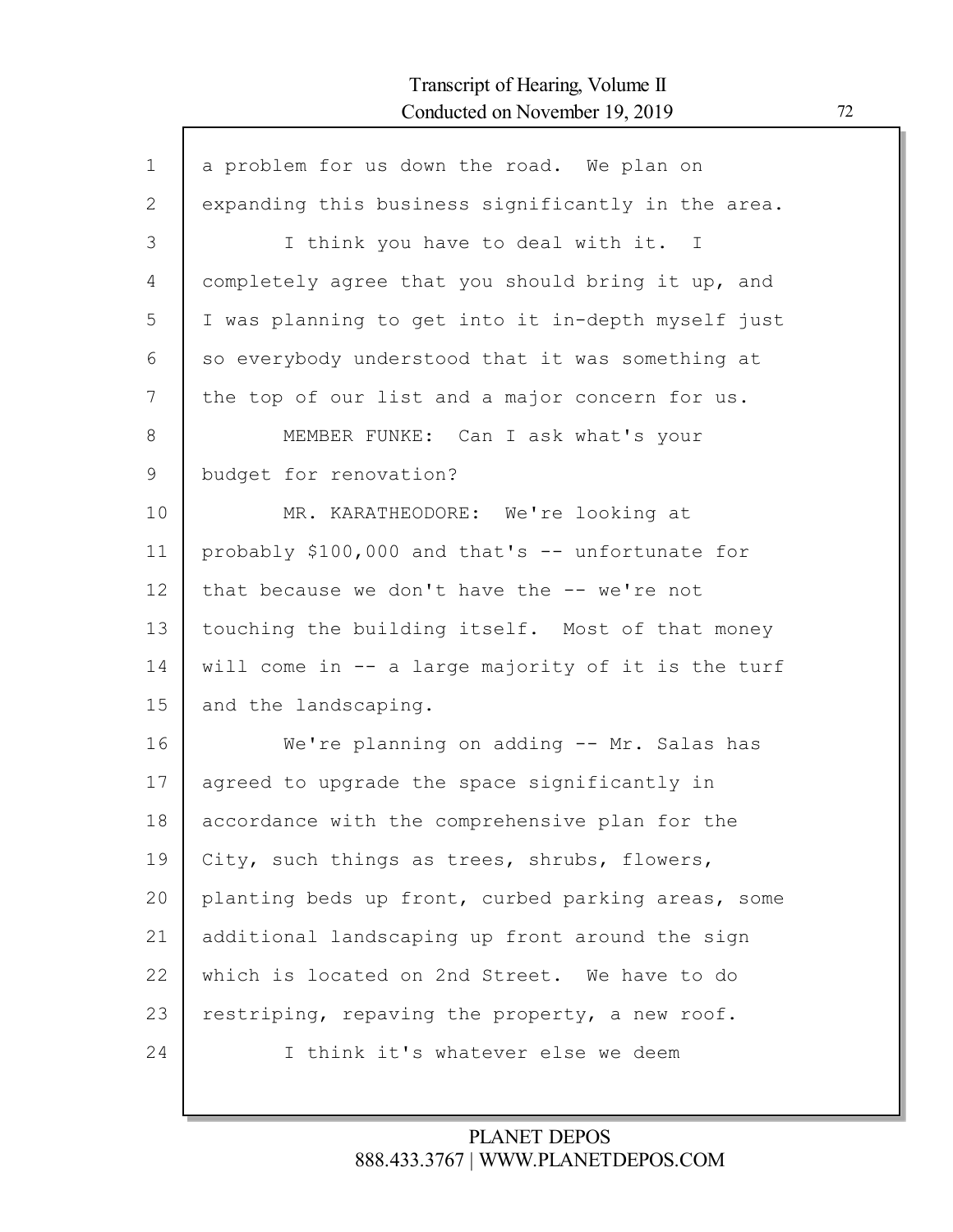Г

| a problem for us down the road. We plan on         |
|----------------------------------------------------|
| expanding this business significantly in the area. |
| I think you have to deal with it. I                |
| completely agree that you should bring it up, and  |
| I was planning to get into it in-depth myself just |
| so everybody understood that it was something at   |
| the top of our list and a major concern for us.    |
| MEMBER FUNKE: Can I ask what's your                |
| budget for renovation?                             |
| MR. KARATHEODORE: We're looking at                 |
| probably \$100,000 and that's -- unfortunate for   |
| that because we don't have the -- we're not        |
| touching the building itself. Most of that money   |
| will come in -- a large majority of it is the turf |
| and the landscaping.                               |
| We're planning on adding -- Mr. Salas has          |
| agreed to upgrade the space significantly in       |
| accordance with the comprehensive plan for the     |
| City, such things as trees, shrubs, flowers,       |
| planting beds up front, curbed parking areas, some |
| additional landscaping up front around the sign    |
| which is located on 2nd Street. We have to do      |
| restriping, repaving the property, a new roof.     |
| I think it's whatever else we deem                 |
|                                                    |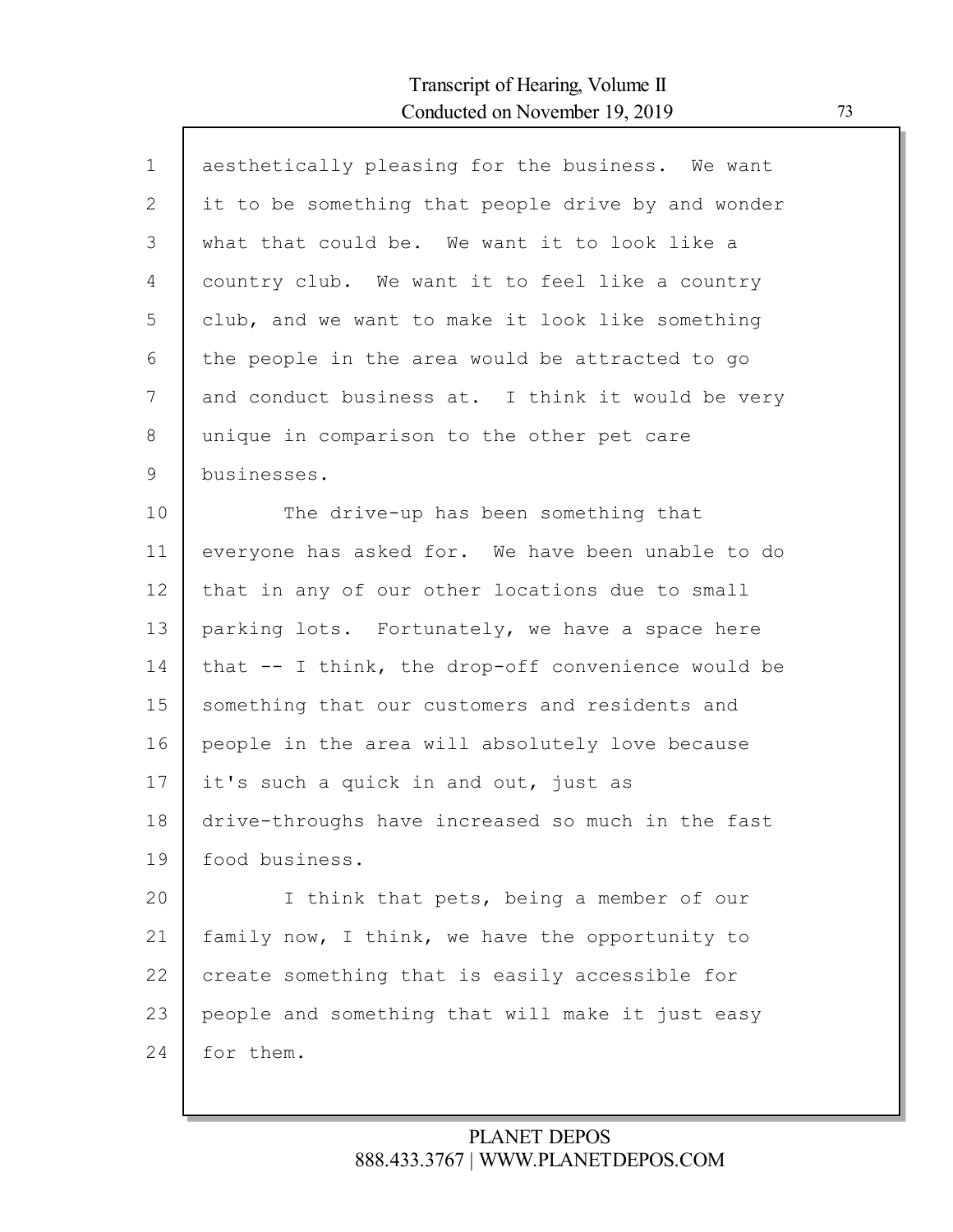| $\mathbf 1$ | aesthetically pleasing for the business. We want     |
|-------------|------------------------------------------------------|
| 2           | it to be something that people drive by and wonder   |
| 3           | what that could be. We want it to look like a        |
| 4           | country club. We want it to feel like a country      |
| 5           | club, and we want to make it look like something     |
| 6           | the people in the area would be attracted to go      |
| 7           | and conduct business at. I think it would be very    |
| $8\,$       | unique in comparison to the other pet care           |
| 9           | businesses.                                          |
| 10          | The drive-up has been something that                 |
| 11          | everyone has asked for. We have been unable to do    |
| 12          | that in any of our other locations due to small      |
| 13          | parking lots. Fortunately, we have a space here      |
| 14          | that $--$ I think, the drop-off convenience would be |
| 15          | something that our customers and residents and       |
| 16          | people in the area will absolutely love because      |
| 17          | it's such a quick in and out, just as                |
| 18          | drive-throughs have increased so much in the fast    |
| 19          | food business.                                       |
| 20          | I think that pets, being a member of our             |
| 21          | family now, I think, we have the opportunity to      |
| 22          | create something that is easily accessible for       |
| 23          | people and something that will make it just easy     |
| 24          | for them.                                            |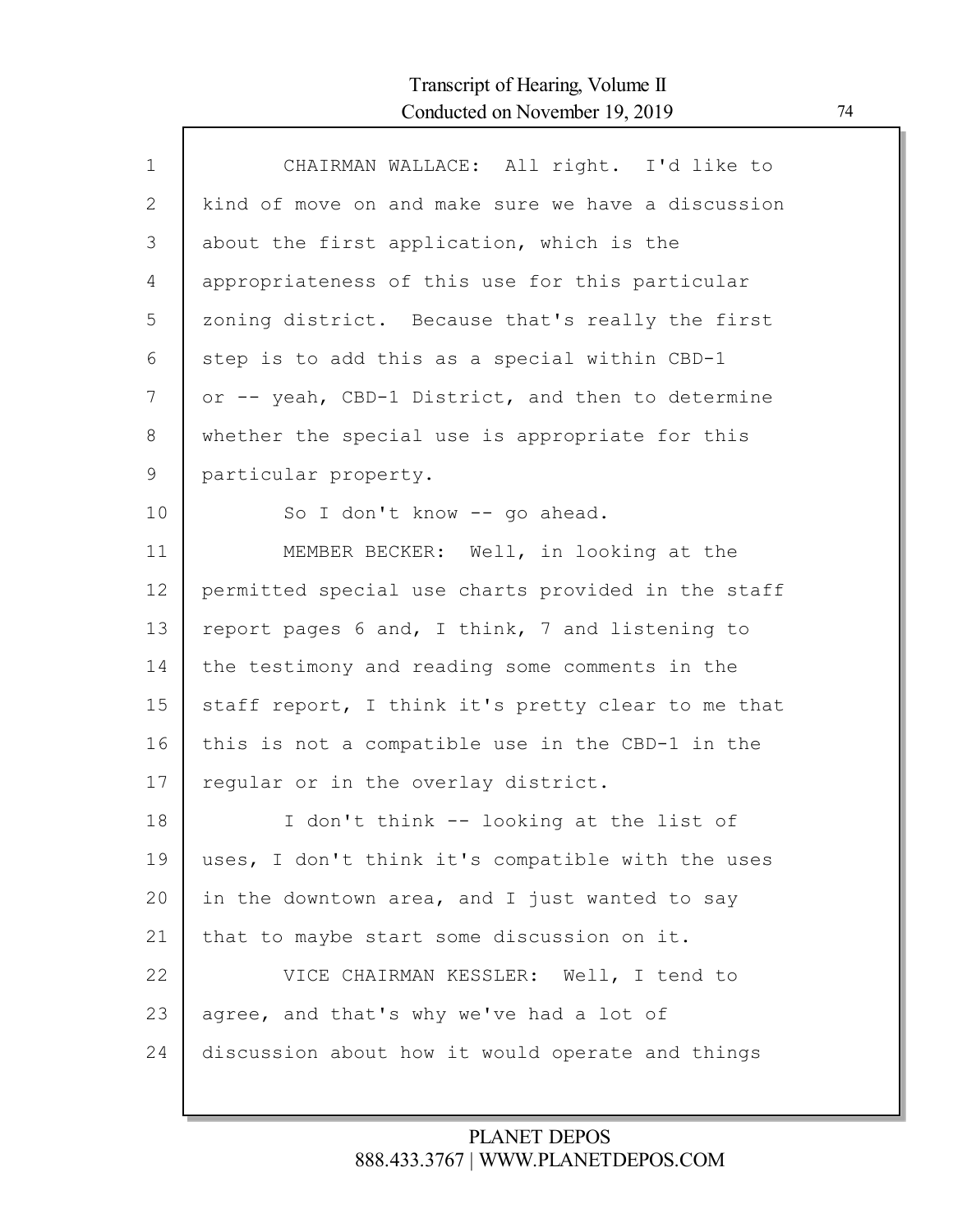| $\mathbf 1$ | CHAIRMAN WALLACE: All right. I'd like to           |
|-------------|----------------------------------------------------|
| 2           | kind of move on and make sure we have a discussion |
| 3           | about the first application, which is the          |
| 4           | appropriateness of this use for this particular    |
| 5           | zoning district. Because that's really the first   |
| 6           | step is to add this as a special within CBD-1      |
| 7           | or -- yeah, CBD-1 District, and then to determine  |
| 8           | whether the special use is appropriate for this    |
| 9           | particular property.                               |
| 10          | So I don't know -- go ahead.                       |
| 11          | MEMBER BECKER: Well, in looking at the             |
| 12          | permitted special use charts provided in the staff |
| 13          | report pages 6 and, I think, 7 and listening to    |
| 14          | the testimony and reading some comments in the     |
| 15          | staff report, I think it's pretty clear to me that |
| 16          | this is not a compatible use in the CBD-1 in the   |
| 17          | regular or in the overlay district.                |
| 18          | I don't think -- looking at the list of            |
| 19          | uses, I don't think it's compatible with the uses  |
| 20          | in the downtown area, and I just wanted to say     |
| 21          | that to maybe start some discussion on it.         |
| 22          | VICE CHAIRMAN KESSLER: Well, I tend to             |
| 23          | agree, and that's why we've had a lot of           |
| 24          | discussion about how it would operate and things   |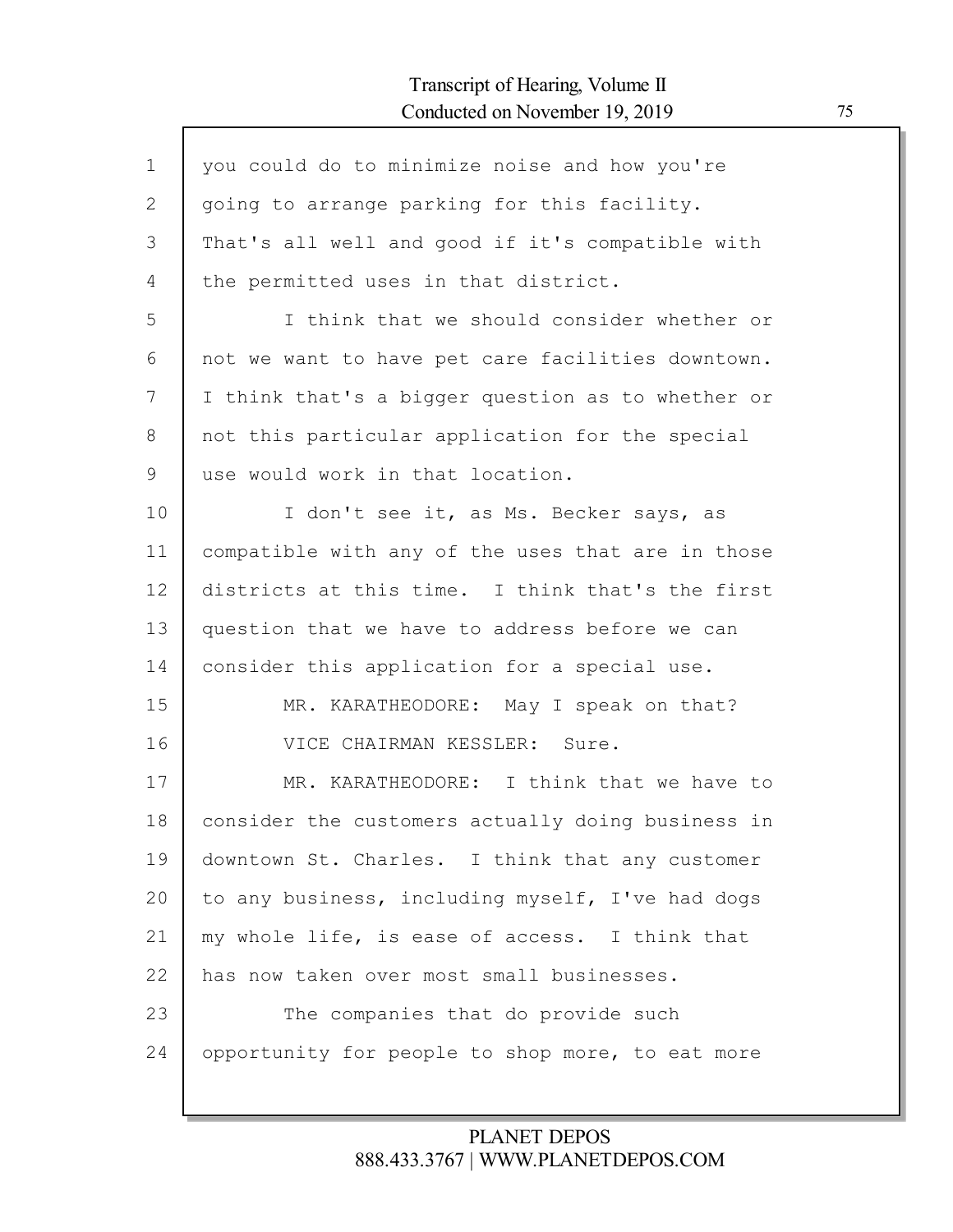| $\mathbf{1}$ | you could do to minimize noise and how you're     |
|--------------|---------------------------------------------------|
| 2            | going to arrange parking for this facility.       |
| 3            | That's all well and good if it's compatible with  |
| 4            | the permitted uses in that district.              |
| 5            | I think that we should consider whether or        |
| 6            | not we want to have pet care facilities downtown. |
| 7            | I think that's a bigger question as to whether or |
| 8            | not this particular application for the special   |
| 9            | use would work in that location.                  |
| 10           | I don't see it, as Ms. Becker says, as            |
| 11           | compatible with any of the uses that are in those |
| 12           | districts at this time. I think that's the first  |
| 13           | question that we have to address before we can    |
| 14           | consider this application for a special use.      |
| 15           | MR. KARATHEODORE: May I speak on that?            |
| 16           | VICE CHAIRMAN KESSLER: Sure.                      |
| 17           | MR. KARATHEODORE: I think that we have to         |
| 18           | consider the customers actually doing business in |
| 19           | downtown St. Charles. I think that any customer   |
| 20           | to any business, including myself, I've had dogs  |
| 21           | my whole life, is ease of access. I think that    |
| 22           | has now taken over most small businesses.         |
| 23           | The companies that do provide such                |
| 24           | opportunity for people to shop more, to eat more  |
|              |                                                   |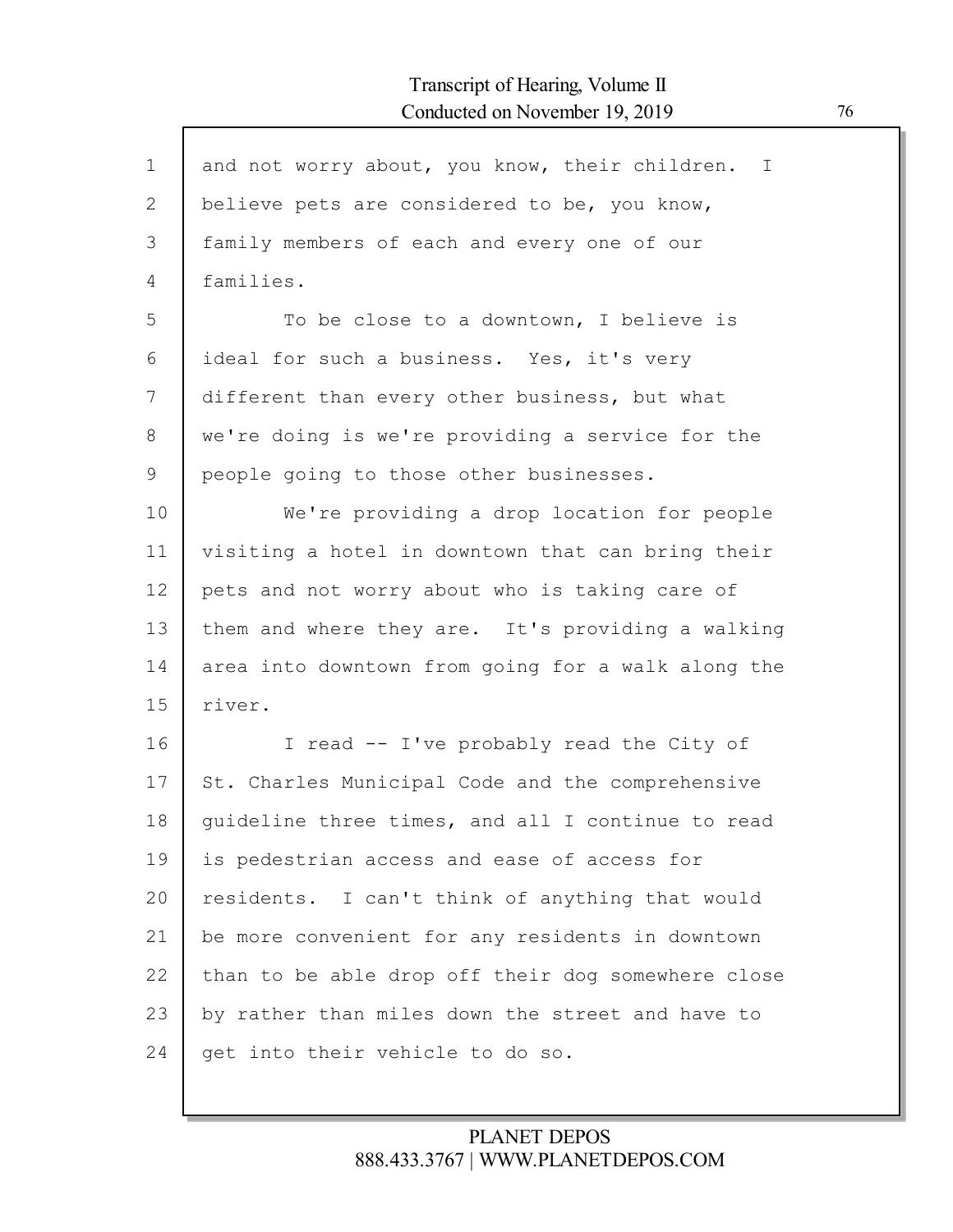| $\mathbf{1}$ | and not worry about, you know, their children.<br>$\mathbf{I}$ |
|--------------|----------------------------------------------------------------|
| $\mathbf{2}$ | believe pets are considered to be, you know,                   |
| 3            | family members of each and every one of our                    |
| 4            | families.                                                      |
| 5            | To be close to a downtown, I believe is                        |
|              |                                                                |
| 6            | ideal for such a business. Yes, it's very                      |
| 7            | different than every other business, but what                  |
| 8            | we're doing is we're providing a service for the               |
| 9            | people going to those other businesses.                        |
| 10           | We're providing a drop location for people                     |
| 11           | visiting a hotel in downtown that can bring their              |
| 12           | pets and not worry about who is taking care of                 |
| 13           | them and where they are. It's providing a walking              |
| 14           | area into downtown from going for a walk along the             |
| 15           | river.                                                         |
| 16           | I read -- I've probably read the City of                       |
| 17           | St. Charles Municipal Code and the comprehensive               |
| 18           | quideline three times, and all I continue to read              |
| 19           | is pedestrian access and ease of access for                    |
| 20           | residents. I can't think of anything that would                |
| 21           | be more convenient for any residents in downtown               |
| 22           | than to be able drop off their dog somewhere close             |
| 23           | by rather than miles down the street and have to               |
| 24           | get into their vehicle to do so.                               |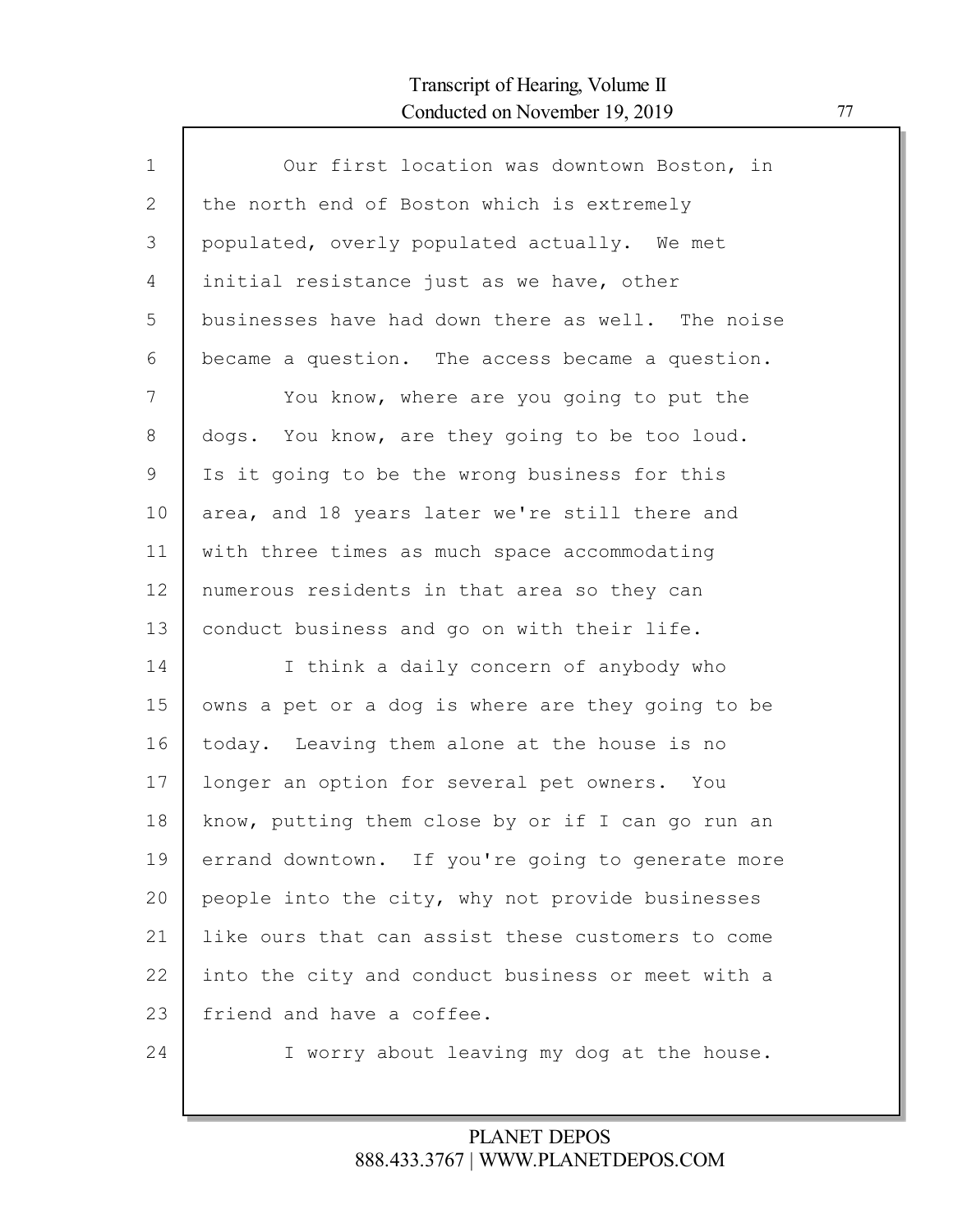Г

| $\mathbf 1$ | Our first location was downtown Boston, in        |
|-------------|---------------------------------------------------|
| 2           | the north end of Boston which is extremely        |
| 3           | populated, overly populated actually. We met      |
| 4           | initial resistance just as we have, other         |
| 5           | businesses have had down there as well. The noise |
| 6           | became a question. The access became a question.  |
| 7           | You know, where are you going to put the          |
| 8           | dogs. You know, are they going to be too loud.    |
| 9           | Is it going to be the wrong business for this     |
| 10          | area, and 18 years later we're still there and    |
| 11          | with three times as much space accommodating      |
| 12          | numerous residents in that area so they can       |
| 13          | conduct business and go on with their life.       |
| 14          | I think a daily concern of anybody who            |
| 15          | owns a pet or a dog is where are they going to be |
| 16          | today. Leaving them alone at the house is no      |
| 17          | longer an option for several pet owners. You      |
| 18          | know, putting them close by or if I can go run an |
| 19          | errand downtown. If you're going to generate more |
| 20          | people into the city, why not provide businesses  |
| 21          | like ours that can assist these customers to come |
| 22          | into the city and conduct business or meet with a |
| 23          | friend and have a coffee.                         |
| 24          | I worry about leaving my dog at the house.        |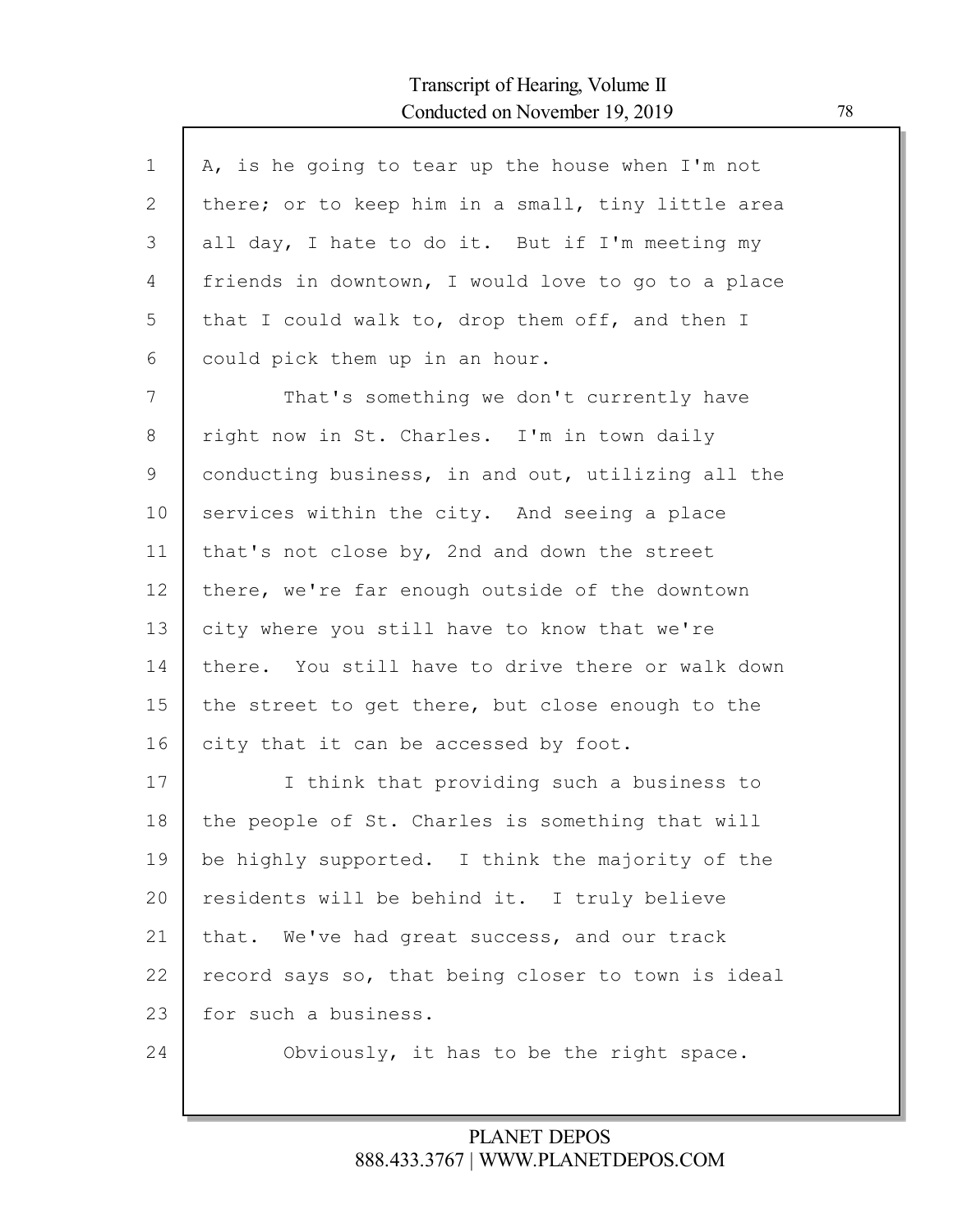Г

| $\mathbf 1$  | A, is he going to tear up the house when I'm not   |
|--------------|----------------------------------------------------|
| $\mathbf{2}$ | there; or to keep him in a small, tiny little area |
| 3            | all day, I hate to do it. But if I'm meeting my    |
| 4            | friends in downtown, I would love to go to a place |
| 5            | that I could walk to, drop them off, and then I    |
| 6            | could pick them up in an hour.                     |
| 7            | That's something we don't currently have           |
| 8            | right now in St. Charles. I'm in town daily        |
| 9            | conducting business, in and out, utilizing all the |
| 10           | services within the city. And seeing a place       |
| 11           | that's not close by, 2nd and down the street       |
| 12           | there, we're far enough outside of the downtown    |
| 13           | city where you still have to know that we're       |
| 14           | there. You still have to drive there or walk down  |
| 15           | the street to get there, but close enough to the   |
| 16           | city that it can be accessed by foot.              |
| 17           | I think that providing such a business to          |
| 18           | the people of St. Charles is something that will   |
| 19           | be highly supported. I think the majority of the   |
| 20           | residents will be behind it. I truly believe       |
| 21           | that. We've had great success, and our track       |
| 22           | record says so, that being closer to town is ideal |
| 23           | for such a business.                               |
| 24           | Obviously, it has to be the right space.           |
|              |                                                    |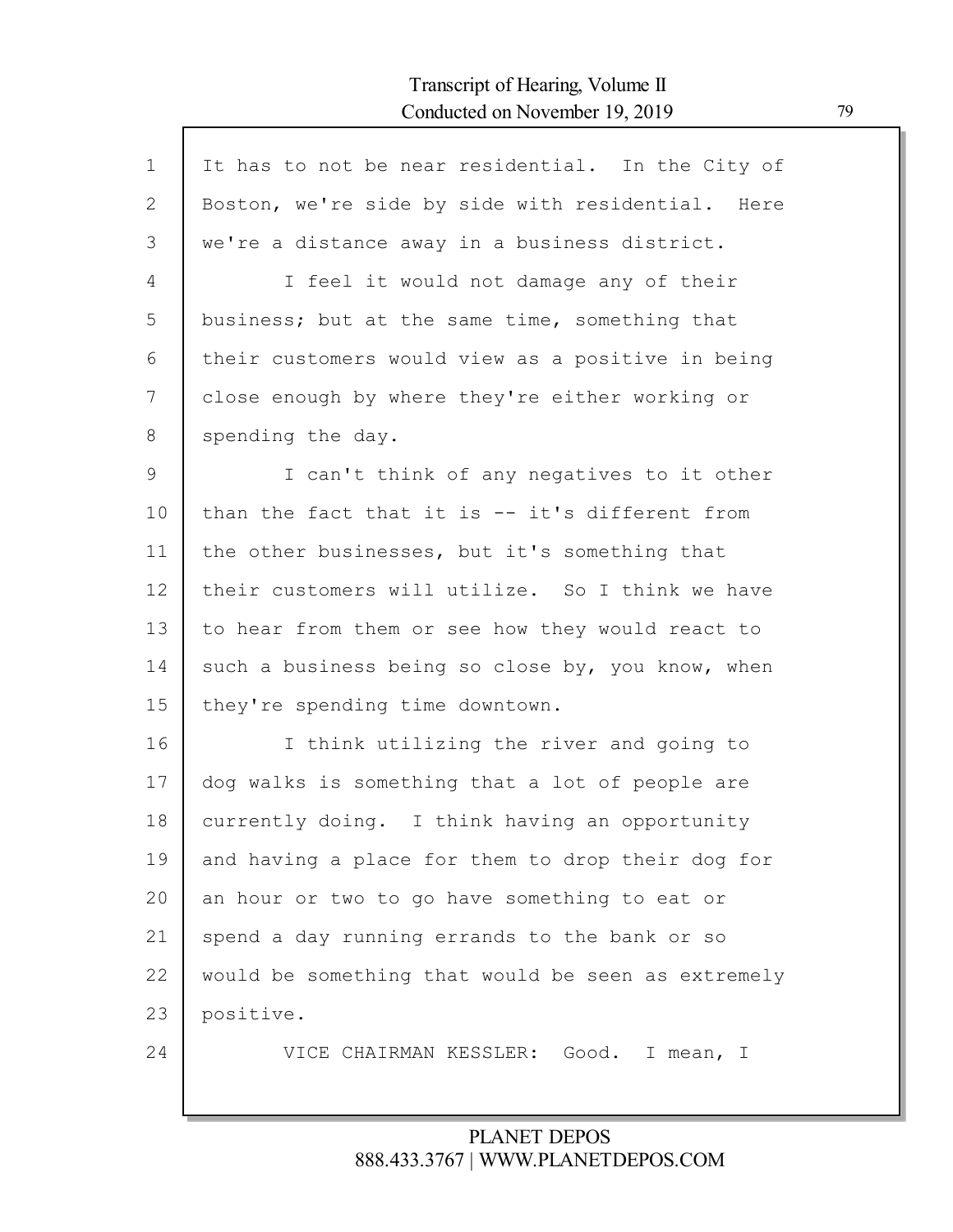Г

| $\mathbf{1}$   | It has to not be near residential. In the City of  |
|----------------|----------------------------------------------------|
| 2              | Boston, we're side by side with residential. Here  |
| 3              | we're a distance away in a business district.      |
| 4              | I feel it would not damage any of their            |
| 5              | business; but at the same time, something that     |
| 6              | their customers would view as a positive in being  |
| 7              | close enough by where they're either working or    |
| 8              | spending the day.                                  |
| $\overline{9}$ | I can't think of any negatives to it other         |
| 10             | than the fact that it is -- it's different from    |
| 11             | the other businesses, but it's something that      |
| 12             | their customers will utilize. So I think we have   |
| 13             | to hear from them or see how they would react to   |
| 14             | such a business being so close by, you know, when  |
| 15             | they're spending time downtown.                    |
| 16             | I think utilizing the river and going to           |
| 17             | dog walks is something that a lot of people are    |
| 18             | currently doing. I think having an opportunity     |
| 19             | and having a place for them to drop their dog for  |
| 20             | an hour or two to go have something to eat or      |
| 21             | spend a day running errands to the bank or so      |
| 22             | would be something that would be seen as extremely |
| 23             | positive.                                          |
| 24             | VICE CHAIRMAN KESSLER: Good. I mean, I             |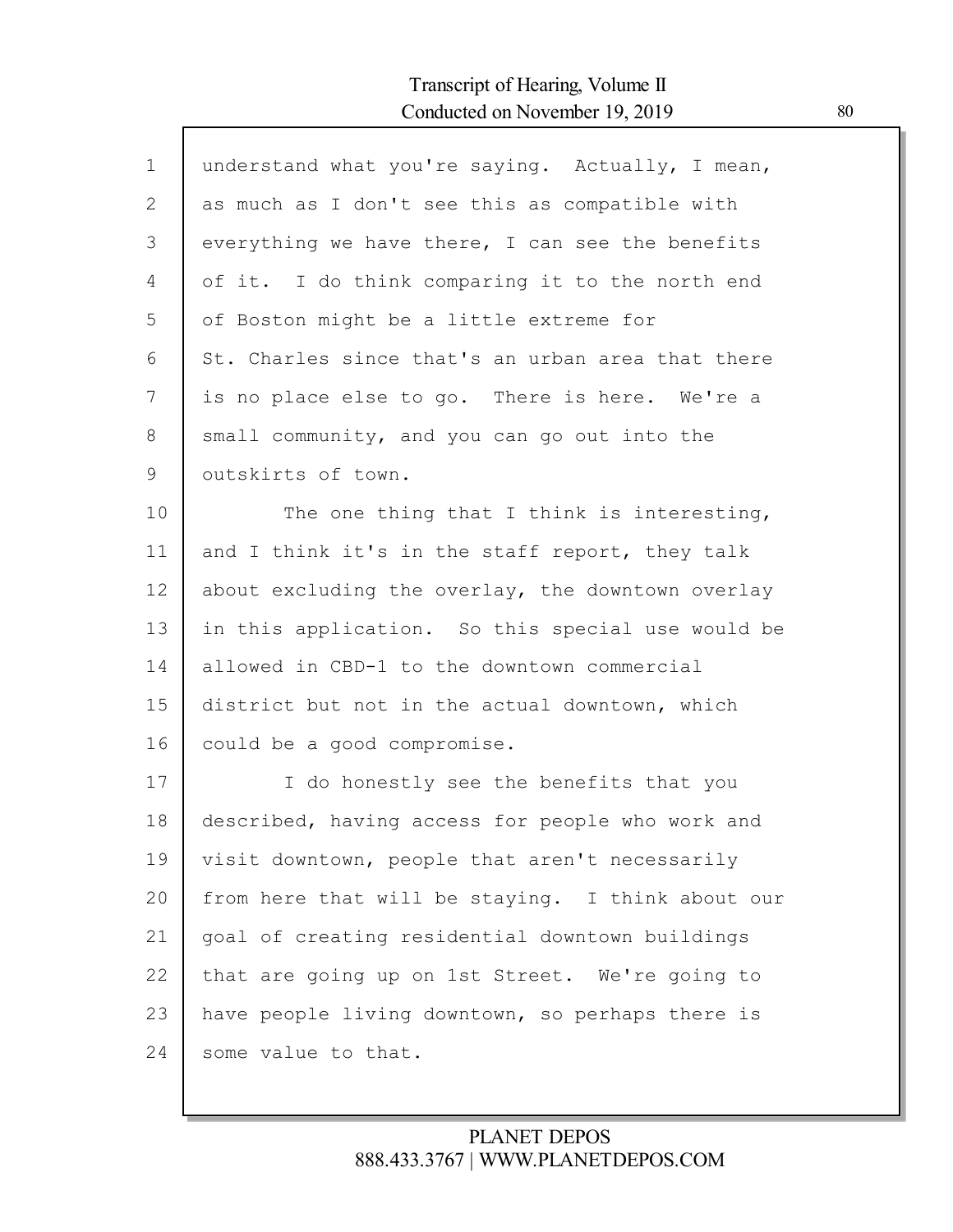| $\mathbf 1$ | understand what you're saying. Actually, I mean,  |
|-------------|---------------------------------------------------|
| 2           | as much as I don't see this as compatible with    |
| 3           | everything we have there, I can see the benefits  |
| 4           | of it. I do think comparing it to the north end   |
| 5           | of Boston might be a little extreme for           |
| 6           | St. Charles since that's an urban area that there |
| 7           | is no place else to go. There is here. We're a    |
| 8           | small community, and you can go out into the      |
| 9           | outskirts of town.                                |
| 10          | The one thing that I think is interesting,        |
| 11          | and I think it's in the staff report, they talk   |
| 12          | about excluding the overlay, the downtown overlay |
| 13          | in this application. So this special use would be |
| 14          | allowed in CBD-1 to the downtown commercial       |
| 15          | district but not in the actual downtown, which    |
| 16          | could be a good compromise.                       |
| 17          | I do honestly see the benefits that you           |
| 18          | described, having access for people who work and  |
| 19          | visit downtown, people that aren't necessarily    |
| 20          | from here that will be staying. I think about our |
| 21          | goal of creating residential downtown buildings   |
| 22          | that are going up on 1st Street. We're going to   |
| 23          | have people living downtown, so perhaps there is  |
| 24          | some value to that.                               |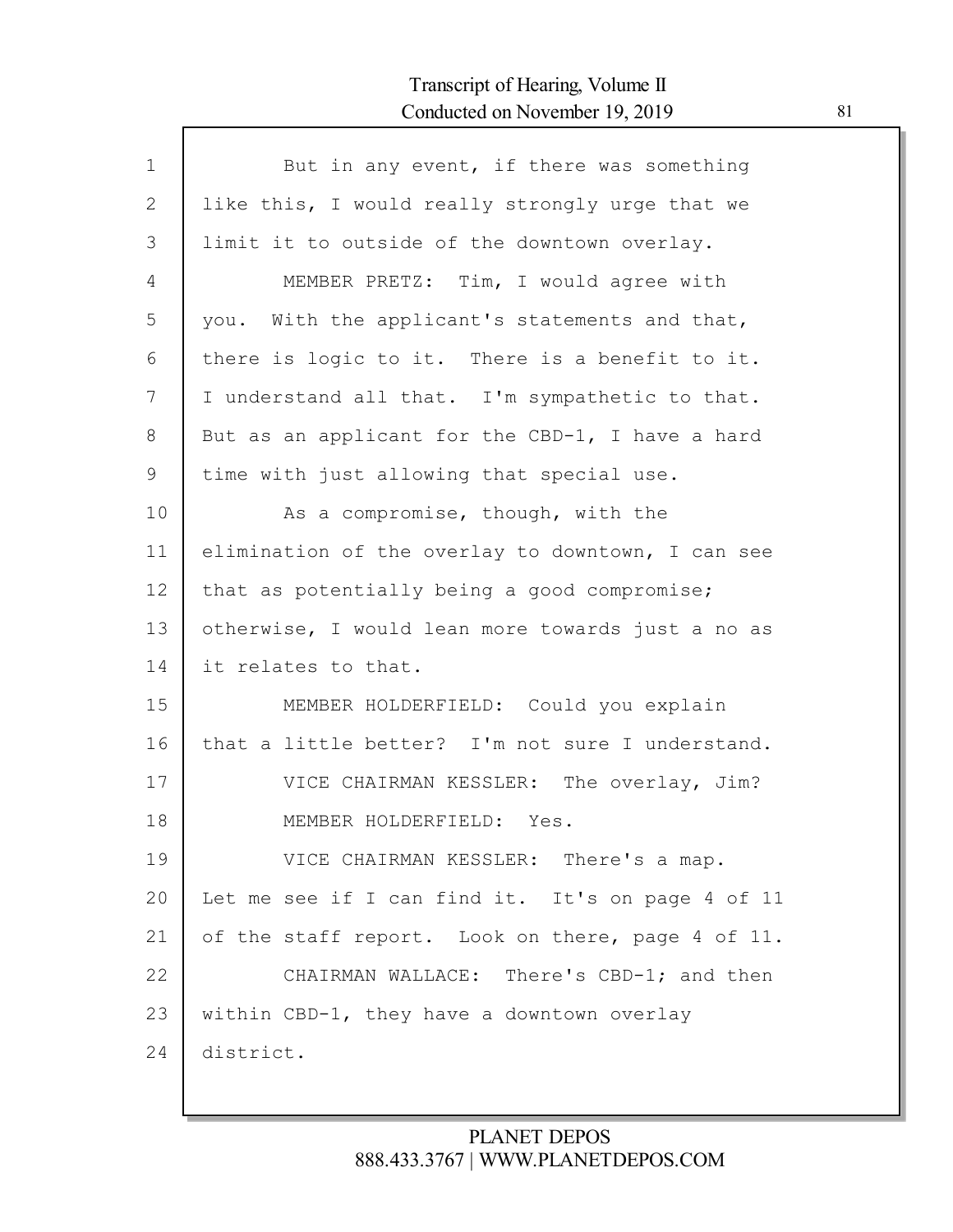| $\mathbf 1$ | But in any event, if there was something          |
|-------------|---------------------------------------------------|
| 2           | like this, I would really strongly urge that we   |
| 3           | limit it to outside of the downtown overlay.      |
| 4           | MEMBER PRETZ: Tim, I would agree with             |
| 5           | you. With the applicant's statements and that,    |
| 6           | there is logic to it. There is a benefit to it.   |
| 7           | I understand all that. I'm sympathetic to that.   |
| 8           | But as an applicant for the CBD-1, I have a hard  |
| 9           | time with just allowing that special use.         |
| 10          | As a compromise, though, with the                 |
| 11          | elimination of the overlay to downtown, I can see |
| 12          | that as potentially being a good compromise;      |
| 13          | otherwise, I would lean more towards just a no as |
| 14          | it relates to that.                               |
| 15          | MEMBER HOLDERFIELD: Could you explain             |
| 16          | that a little better? I'm not sure I understand.  |
| 17          | VICE CHAIRMAN KESSLER: The overlay, Jim?          |
| 18          | MEMBER HOLDERFIELD: Yes.                          |
| 19          | VICE CHAIRMAN KESSLER: There's a map.             |
| 20          | Let me see if I can find it. It's on page 4 of 11 |
| 21          | of the staff report. Look on there, page 4 of 11. |
| 22          | CHAIRMAN WALLACE: There's CBD-1; and then         |
| 23          | within CBD-1, they have a downtown overlay        |
| 24          | district.                                         |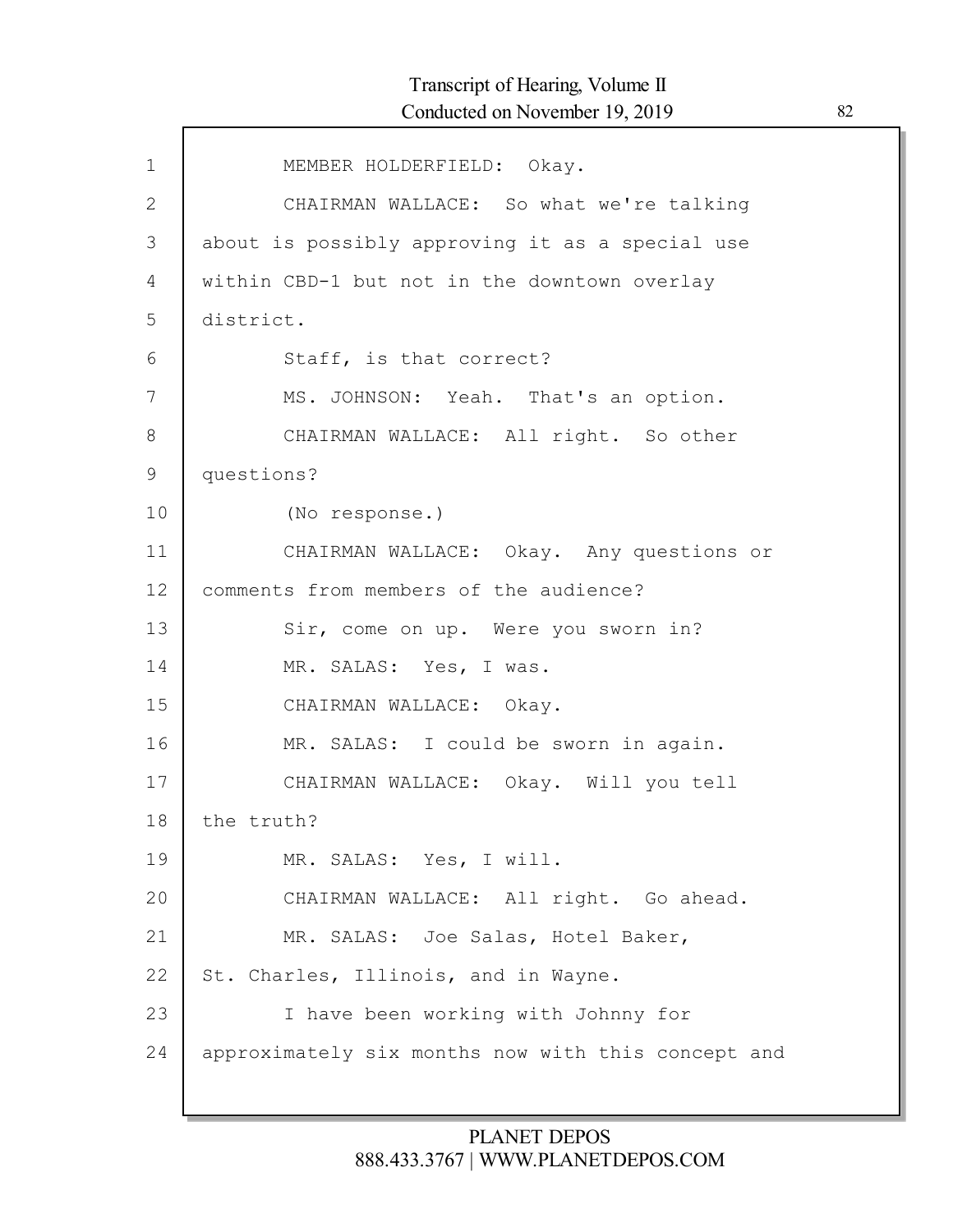| $\mathbf{1}$ | MEMBER HOLDERFIELD: Okay.                          |
|--------------|----------------------------------------------------|
| 2            | CHAIRMAN WALLACE: So what we're talking            |
| 3            | about is possibly approving it as a special use    |
| 4            | within CBD-1 but not in the downtown overlay       |
| 5            | district.                                          |
| 6            | Staff, is that correct?                            |
| 7            | MS. JOHNSON: Yeah. That's an option.               |
| 8            | CHAIRMAN WALLACE: All right. So other              |
| 9            | questions?                                         |
| 10           | (No response.)                                     |
| 11           | CHAIRMAN WALLACE: Okay. Any questions or           |
| 12           | comments from members of the audience?             |
| 13           | Sir, come on up. Were you sworn in?                |
| 14           | MR. SALAS: Yes, I was.                             |
| 15           | CHAIRMAN WALLACE: Okay.                            |
| 16           | MR. SALAS: I could be sworn in again.              |
| 17           | CHAIRMAN WALLACE: Okay. Will you tell              |
| 18           | the truth?                                         |
| 19           | MR. SALAS: Yes, I will.                            |
| 20           | CHAIRMAN WALLACE: All right. Go ahead.             |
| 21           | MR. SALAS: Joe Salas, Hotel Baker,                 |
| 22           | St. Charles, Illinois, and in Wayne.               |
| 23           | I have been working with Johnny for                |
| 24           | approximately six months now with this concept and |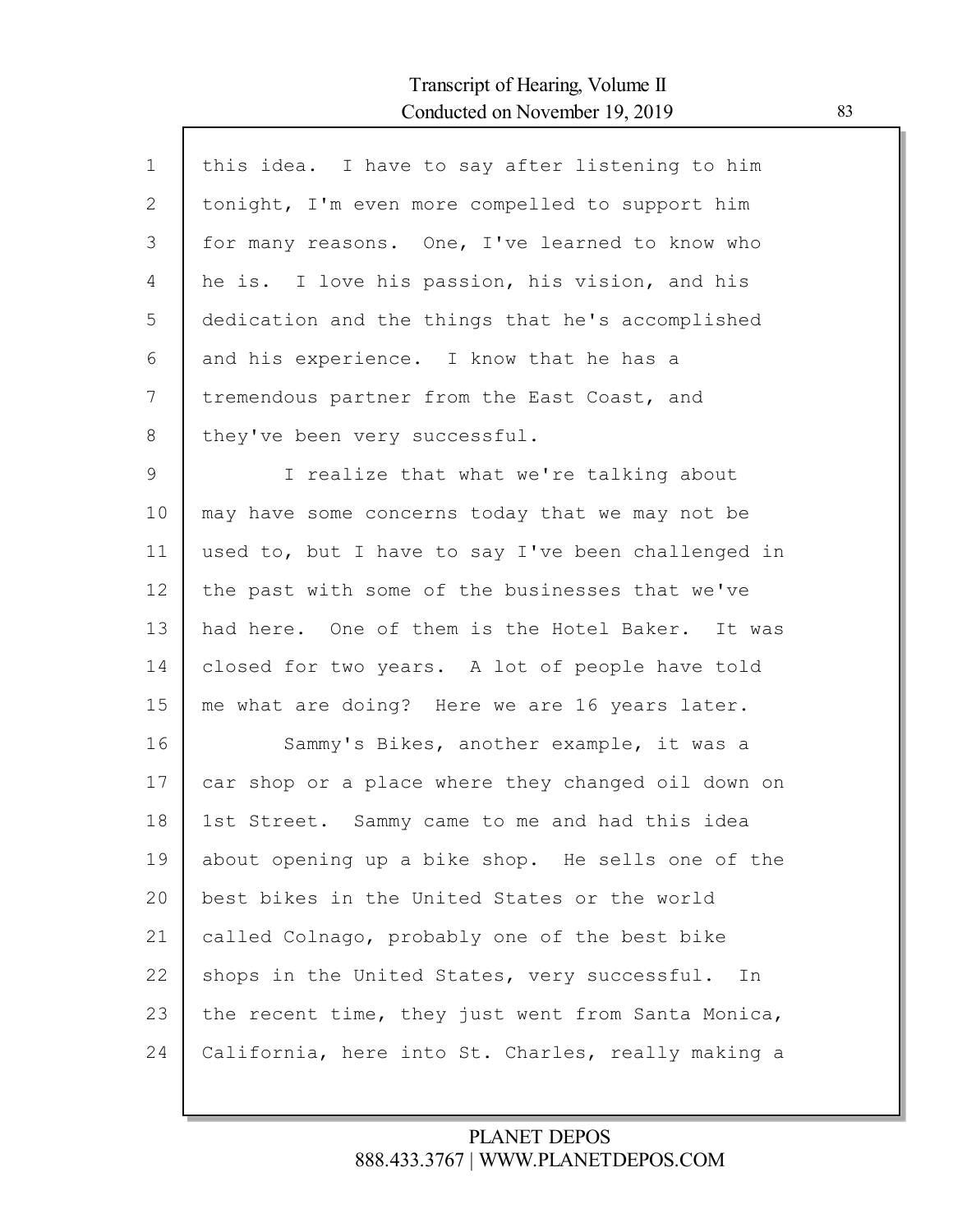Г

| $\mathbf 1$ | this idea. I have to say after listening to him    |
|-------------|----------------------------------------------------|
| 2           | tonight, I'm even more compelled to support him    |
| 3           | for many reasons. One, I've learned to know who    |
| 4           | he is. I love his passion, his vision, and his     |
| 5           | dedication and the things that he's accomplished   |
| 6           | and his experience. I know that he has a           |
| 7           | tremendous partner from the East Coast, and        |
| 8           | they've been very successful.                      |
| 9           | I realize that what we're talking about            |
| 10          | may have some concerns today that we may not be    |
| 11          | used to, but I have to say I've been challenged in |
| 12          | the past with some of the businesses that we've    |
| 13          | had here. One of them is the Hotel Baker. It was   |
| 14          | closed for two years. A lot of people have told    |
| 15          | me what are doing? Here we are 16 years later.     |
| 16          | Sammy's Bikes, another example, it was a           |
| 17          | car shop or a place where they changed oil down on |
| 18          | 1st Street. Sammy came to me and had this idea     |
| 19          | about opening up a bike shop. He sells one of the  |
| 20          | best bikes in the United States or the world       |
| 21          | called Colnago, probably one of the best bike      |
| 22          | shops in the United States, very successful.<br>In |
| 23          | the recent time, they just went from Santa Monica, |
| 24          | California, here into St. Charles, really making a |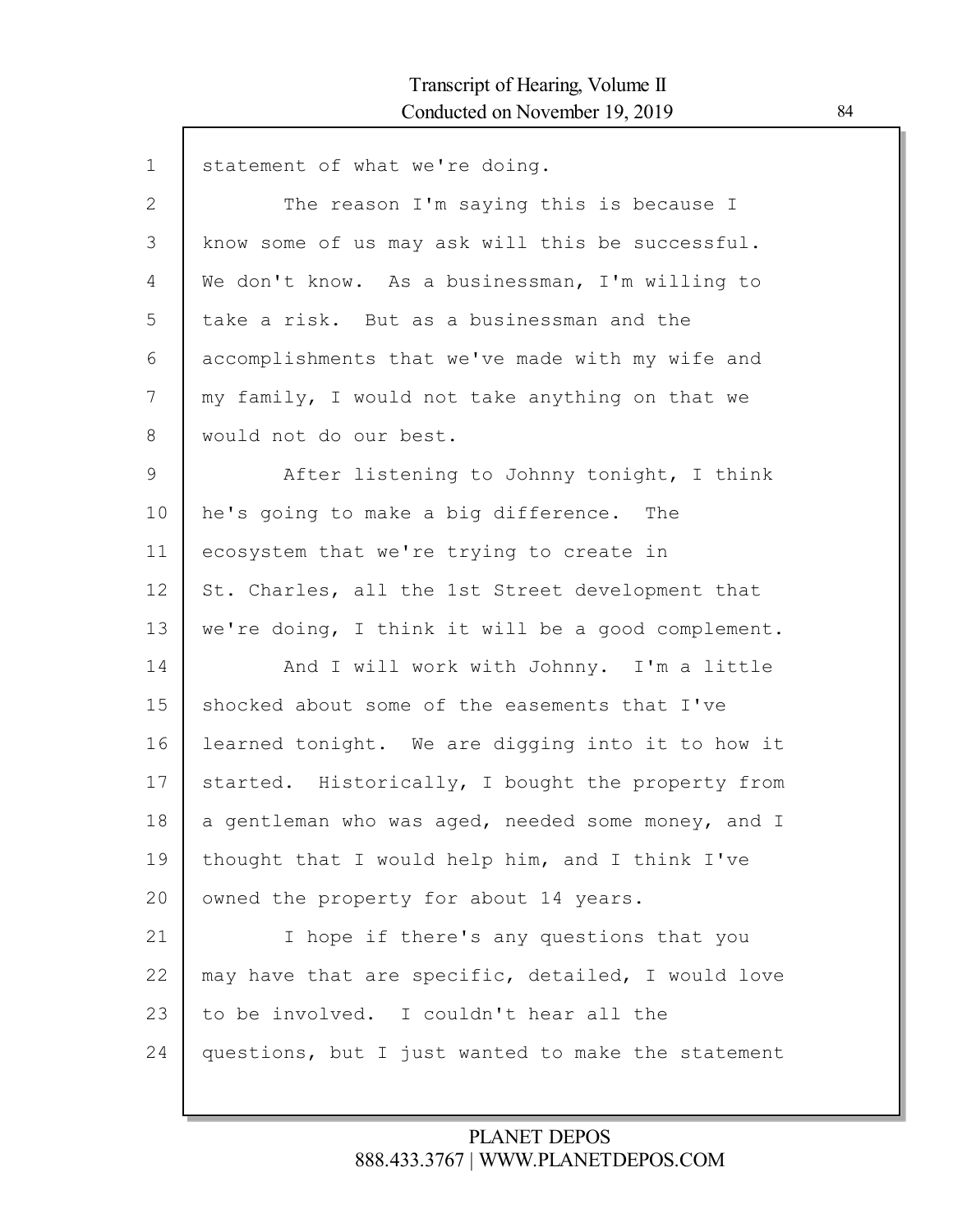| $\mathbf{1}$  | statement of what we're doing.                     |
|---------------|----------------------------------------------------|
| $\mathbf{2}$  | The reason I'm saying this is because I            |
| 3             | know some of us may ask will this be successful.   |
| 4             | We don't know. As a businessman, I'm willing to    |
| 5             | take a risk. But as a businessman and the          |
| 6             | accomplishments that we've made with my wife and   |
| 7             | my family, I would not take anything on that we    |
| 8             | would not do our best.                             |
| $\mathcal{G}$ | After listening to Johnny tonight, I think         |
| 10            | he's going to make a big difference. The           |
| 11            | ecosystem that we're trying to create in           |
| 12            | St. Charles, all the 1st Street development that   |
| 13            | we're doing, I think it will be a good complement. |
| 14            | And I will work with Johnny. I'm a little          |
| 15            | shocked about some of the easements that I've      |
| 16            | learned tonight. We are digging into it to how it  |
| 17            | started. Historically, I bought the property from  |
| 18            | a gentleman who was aged, needed some money, and I |
| 19            | thought that I would help him, and I think I've    |
| 20            | owned the property for about 14 years.             |
| 21            | I hope if there's any questions that you           |
| 22            | may have that are specific, detailed, I would love |
| 23            | to be involved. I couldn't hear all the            |
| 24            | questions, but I just wanted to make the statement |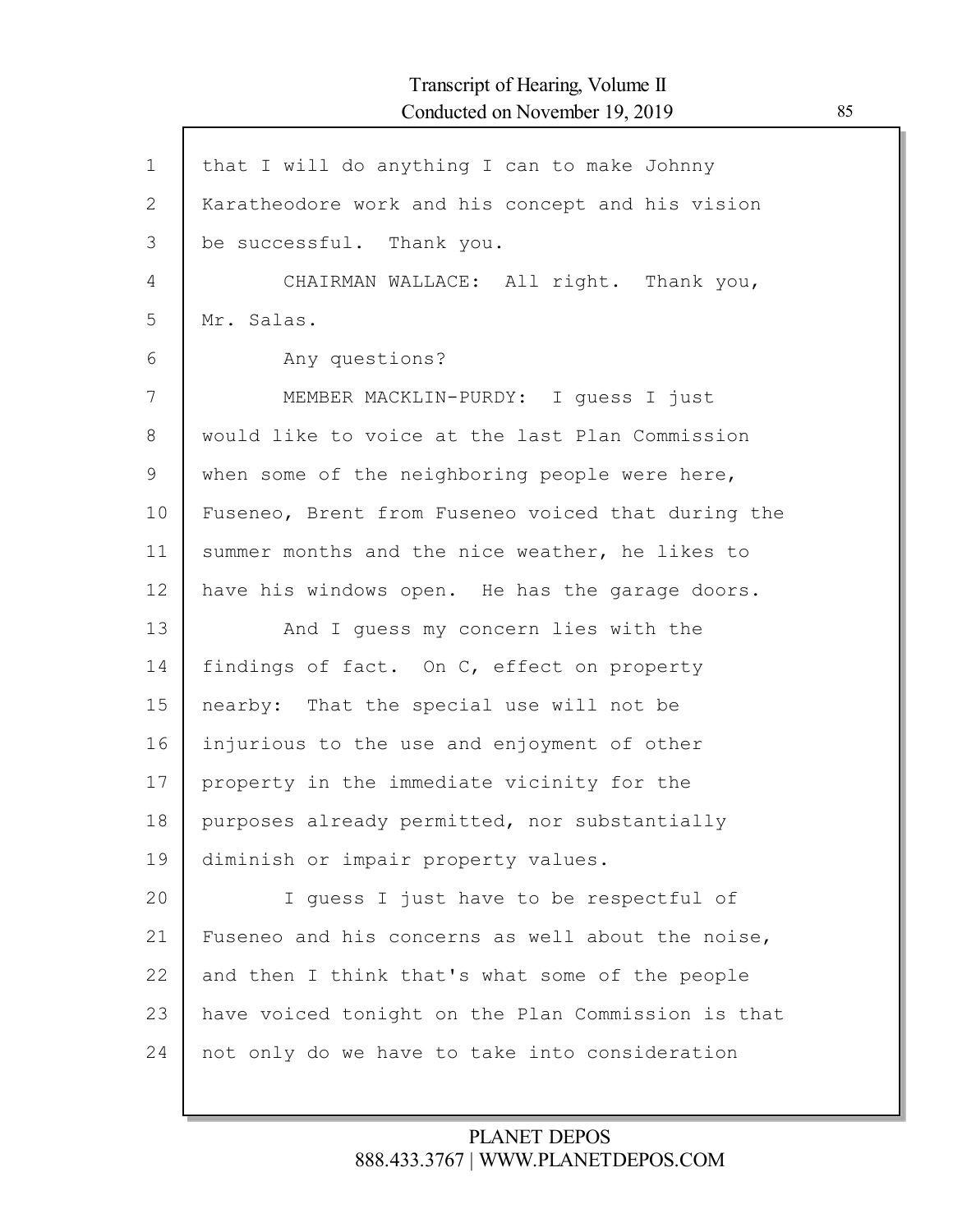| $\mathbf 1$    | that I will do anything I can to make Johnny       |
|----------------|----------------------------------------------------|
| $\overline{2}$ | Karatheodore work and his concept and his vision   |
| 3              | be successful. Thank you.                          |
| 4              | CHAIRMAN WALLACE: All right. Thank you,            |
| 5              | Mr. Salas.                                         |
| 6              | Any questions?                                     |
| 7              | MEMBER MACKLIN-PURDY: I quess I just               |
| 8              | would like to voice at the last Plan Commission    |
| 9              | when some of the neighboring people were here,     |
| 10             | Fuseneo, Brent from Fuseneo voiced that during the |
| 11             | summer months and the nice weather, he likes to    |
| 12             | have his windows open. He has the garage doors.    |
| 13             | And I quess my concern lies with the               |
| 14             | findings of fact. On C, effect on property         |
| 15             | nearby: That the special use will not be           |
| 16             | injurious to the use and enjoyment of other        |
| 17             | property in the immediate vicinity for the         |
| 18             | purposes already permitted, nor substantially      |
| 19             | diminish or impair property values.                |
| 20             | I guess I just have to be respectful of            |
| 21             | Fuseneo and his concerns as well about the noise,  |
| 22             | and then I think that's what some of the people    |
| 23             | have voiced tonight on the Plan Commission is that |
| 24             | not only do we have to take into consideration     |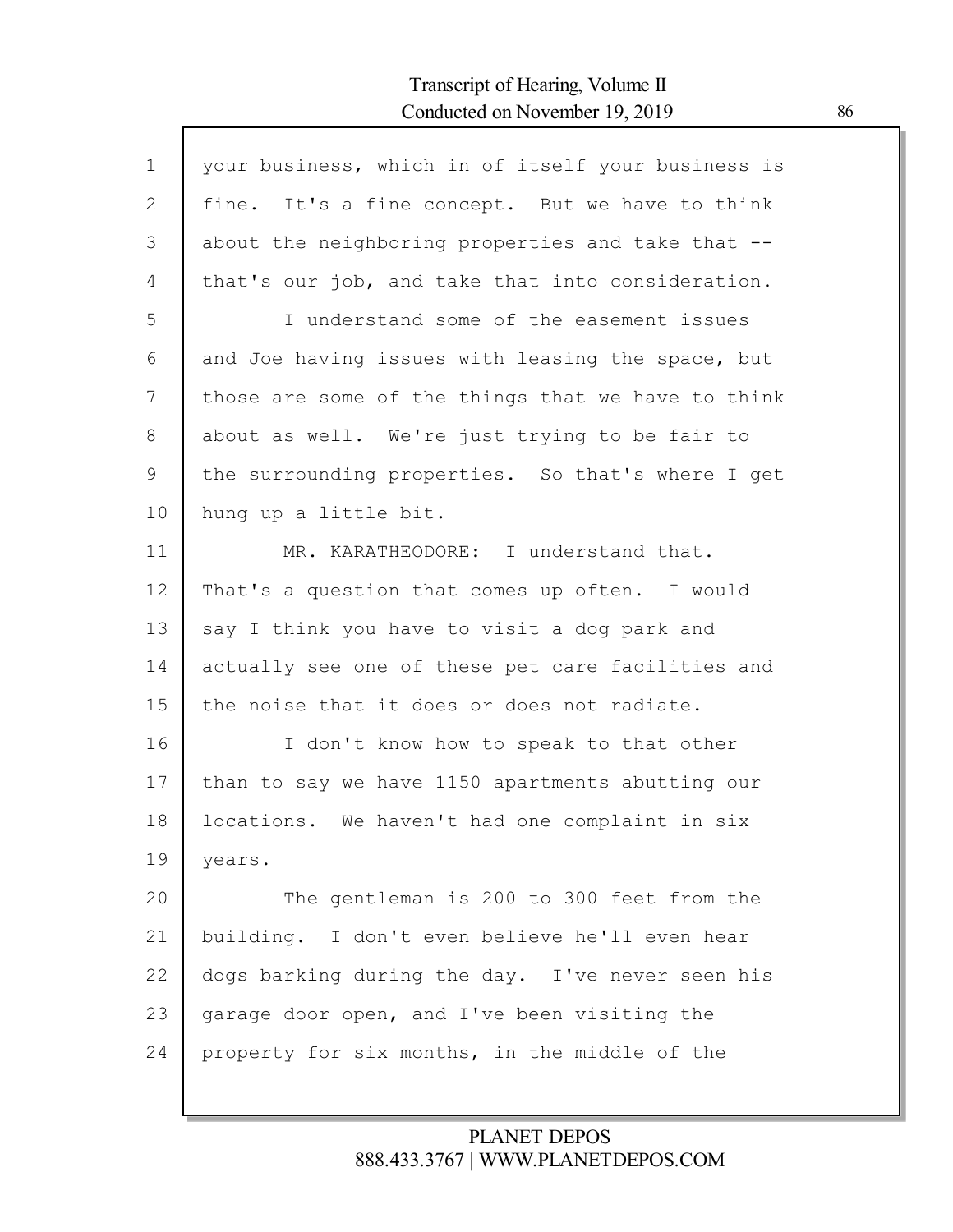Г

| $\mathbf 1$  | your business, which in of itself your business is |
|--------------|----------------------------------------------------|
| $\mathbf{2}$ | fine. It's a fine concept. But we have to think    |
| 3            | about the neighboring properties and take that --  |
| 4            | that's our job, and take that into consideration.  |
| 5            | I understand some of the easement issues           |
| 6            | and Joe having issues with leasing the space, but  |
| 7            | those are some of the things that we have to think |
| 8            | about as well. We're just trying to be fair to     |
| 9            | the surrounding properties. So that's where I get  |
| 10           | hung up a little bit.                              |
| 11           | MR. KARATHEODORE: I understand that.               |
| 12           | That's a question that comes up often. I would     |
| 13           | say I think you have to visit a dog park and       |
| 14           | actually see one of these pet care facilities and  |
| 15           | the noise that it does or does not radiate.        |
| 16           | I don't know how to speak to that other            |
| 17           | than to say we have 1150 apartments abutting our   |
| 18           | locations. We haven't had one complaint in six     |
| 19           | years.                                             |
| 20           | The gentleman is 200 to 300 feet from the          |
| 21           | building. I don't even believe he'll even hear     |
| 22           | dogs barking during the day. I've never seen his   |
| 23           | garage door open, and I've been visiting the       |
| 24           | property for six months, in the middle of the      |
|              |                                                    |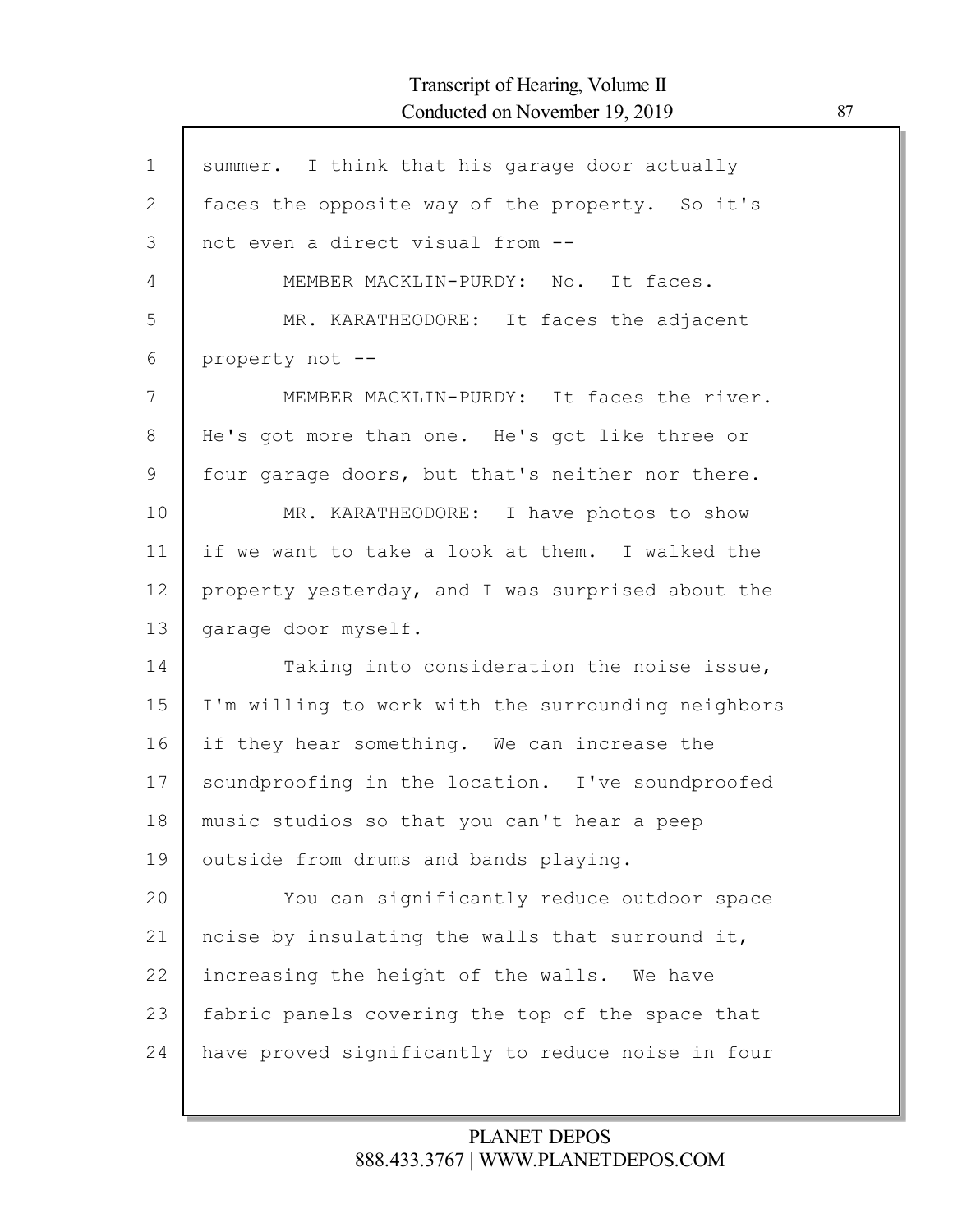| $\mathbf 1$  | summer. I think that his garage door actually      |
|--------------|----------------------------------------------------|
| $\mathbf{2}$ | faces the opposite way of the property. So it's    |
| 3            | not even a direct visual from --                   |
| 4            | MEMBER MACKLIN-PURDY: No. It faces.                |
| 5            | MR. KARATHEODORE: It faces the adjacent            |
| 6            | property not --                                    |
| 7            | MEMBER MACKLIN-PURDY: It faces the river.          |
| 8            | He's got more than one. He's got like three or     |
| 9            | four garage doors, but that's neither nor there.   |
| 10           | MR. KARATHEODORE: I have photos to show            |
| 11           | if we want to take a look at them. I walked the    |
| 12           | property yesterday, and I was surprised about the  |
| 13           | garage door myself.                                |
| 14           | Taking into consideration the noise issue,         |
| 15           | I'm willing to work with the surrounding neighbors |
| 16           | if they hear something. We can increase the        |
| 17           | soundproofing in the location. I've soundproofed   |
| 18           | music studios so that you can't hear a peep        |
| 19           | outside from drums and bands playing.              |
| 20           | You can significantly reduce outdoor space         |
| 21           | noise by insulating the walls that surround it,    |
| 22           | increasing the height of the walls. We have        |
| 23           | fabric panels covering the top of the space that   |
| 24           | have proved significantly to reduce noise in four  |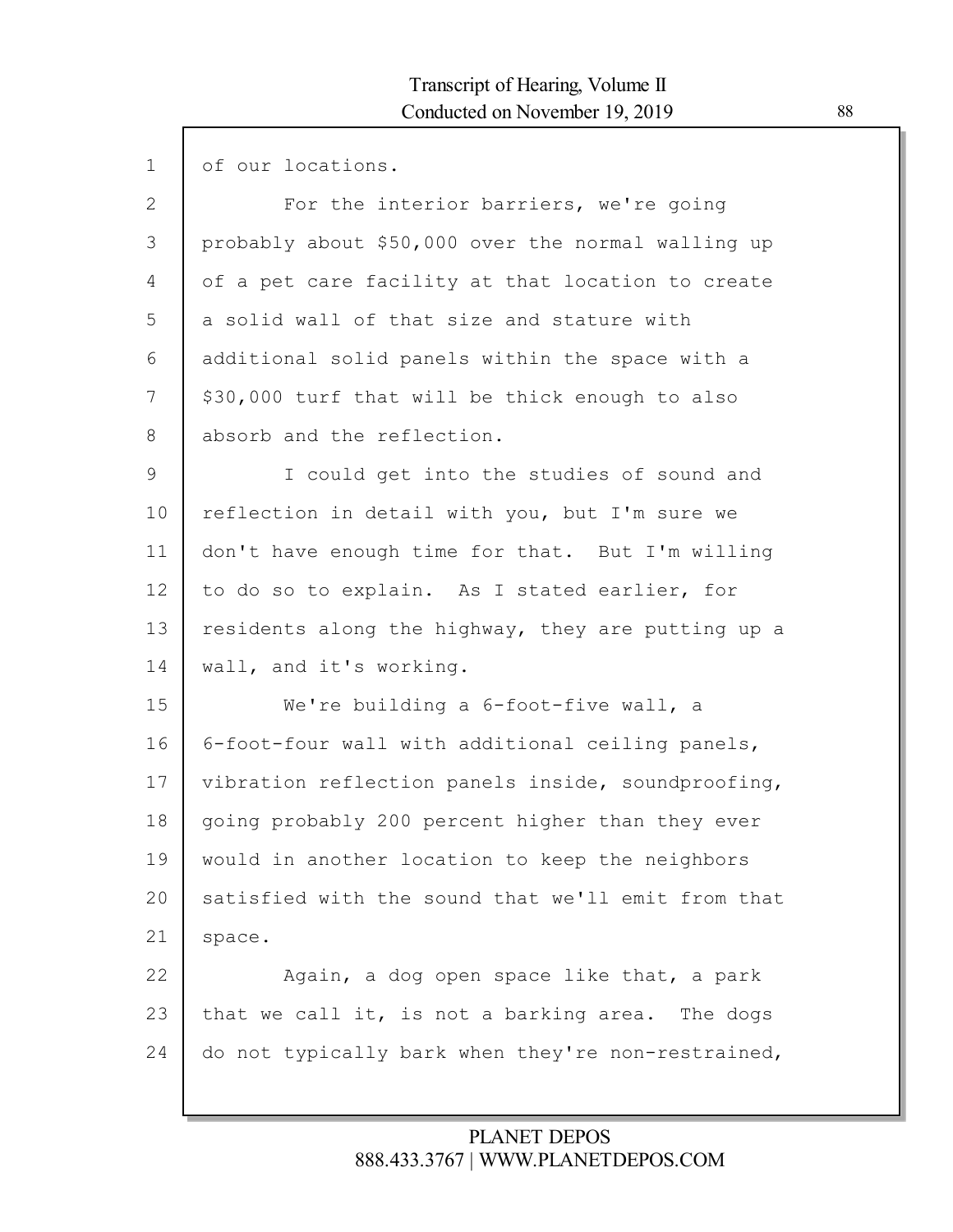| $\mathbf 1$     | of our locations.                                  |
|-----------------|----------------------------------------------------|
| $\mathbf{2}$    | For the interior barriers, we're going             |
| 3               | probably about \$50,000 over the normal walling up |
| 4               | of a pet care facility at that location to create  |
| 5               | a solid wall of that size and stature with         |
| 6               | additional solid panels within the space with a    |
| 7               | \$30,000 turf that will be thick enough to also    |
| 8               | absorb and the reflection.                         |
| 9               | I could get into the studies of sound and          |
| 10              | reflection in detail with you, but I'm sure we     |
| 11              | don't have enough time for that. But I'm willing   |
| 12 <sup>°</sup> | to do so to explain. As I stated earlier, for      |
| 13              | residents along the highway, they are putting up a |
| 14              | wall, and it's working.                            |
| 15              | We're building a 6-foot-five wall, a               |
| 16              | 6-foot-four wall with additional ceiling panels,   |
| 17              | vibration reflection panels inside, soundproofing, |
| 18              | going probably 200 percent higher than they ever   |
| 19              | would in another location to keep the neighbors    |
| 20              | satisfied with the sound that we'll emit from that |
| 21              | space.                                             |
| 22              | Again, a dog open space like that, a park          |
| 23              | that we call it, is not a barking area. The dogs   |
| 24              | do not typically bark when they're non-restrained, |
|                 |                                                    |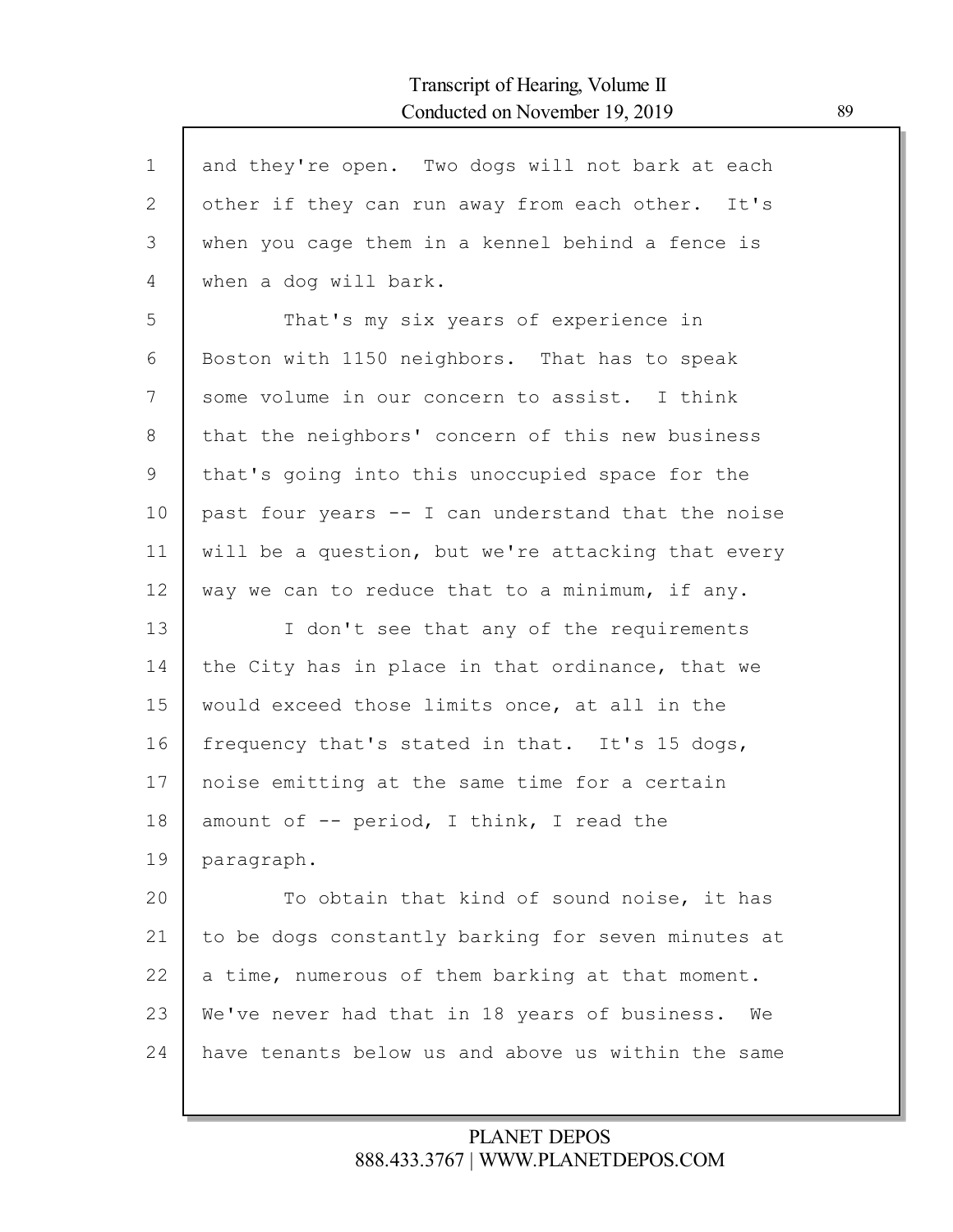| $\mathbf 1$ | and they're open. Two dogs will not bark at each    |
|-------------|-----------------------------------------------------|
| 2           | other if they can run away from each other. It's    |
| 3           | when you cage them in a kennel behind a fence is    |
| 4           | when a dog will bark.                               |
| 5           | That's my six years of experience in                |
| 6           | Boston with 1150 neighbors. That has to speak       |
| 7           | some volume in our concern to assist. I think       |
| 8           | that the neighbors' concern of this new business    |
| 9           | that's going into this unoccupied space for the     |
| 10          | past four years -- I can understand that the noise  |
| 11          | will be a question, but we're attacking that every  |
| 12          | way we can to reduce that to a minimum, if any.     |
| 13          | I don't see that any of the requirements            |
| 14          | the City has in place in that ordinance, that we    |
| 15          | would exceed those limits once, at all in the       |
| 16          | frequency that's stated in that. It's 15 dogs,      |
| 17          | noise emitting at the same time for a certain       |
| 18          | amount of -- period, I think, I read the            |
| 19          | paragraph.                                          |
| 20          | To obtain that kind of sound noise, it has          |
| 21          | to be dogs constantly barking for seven minutes at  |
| 22          | a time, numerous of them barking at that moment.    |
| 23          | We've never had that in 18 years of business.<br>We |
| 24          | have tenants below us and above us within the same  |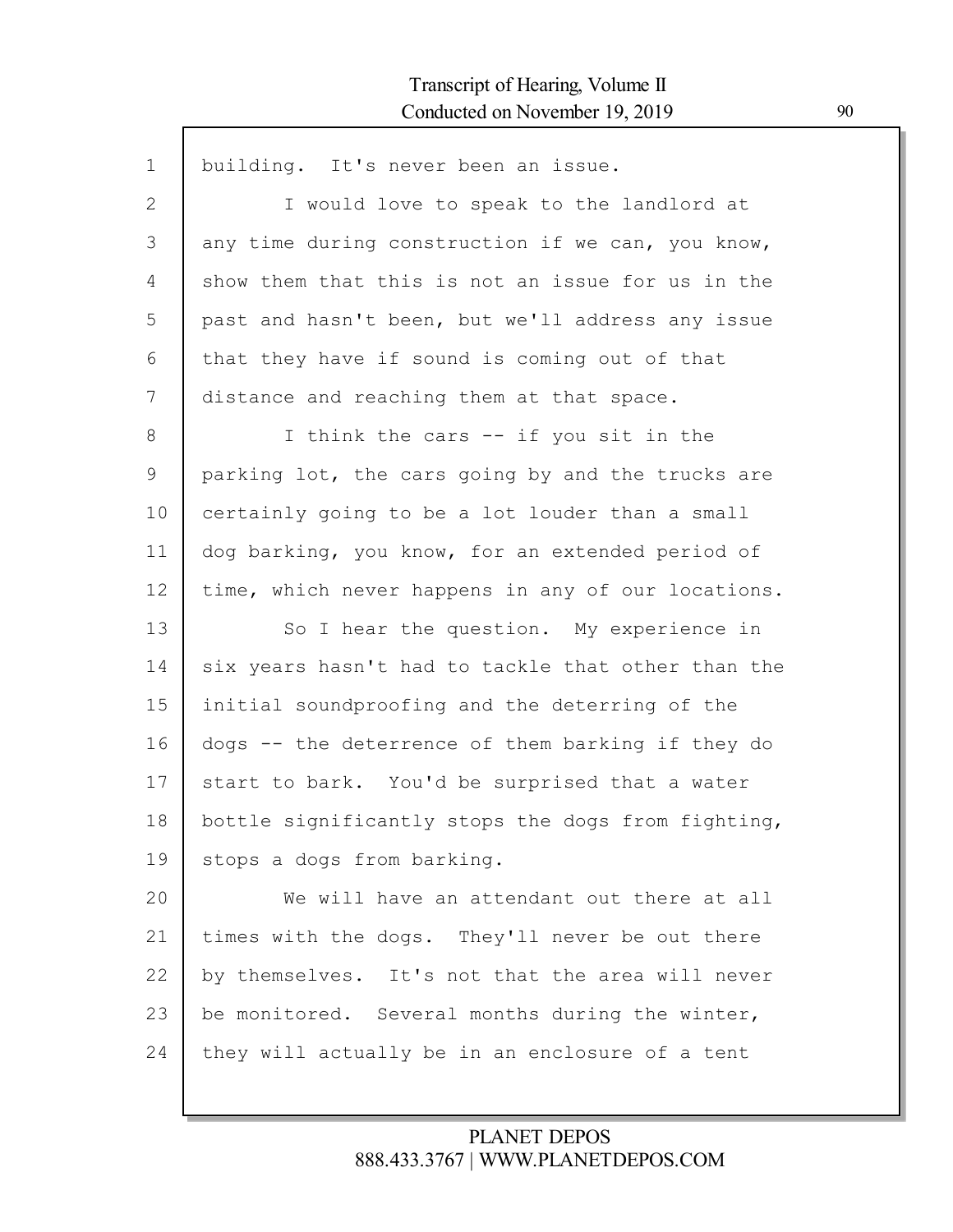| $\mathbf 1$ | building. It's never been an issue.                |
|-------------|----------------------------------------------------|
| 2           | I would love to speak to the landlord at           |
| 3           | any time during construction if we can, you know,  |
| 4           | show them that this is not an issue for us in the  |
| 5           | past and hasn't been, but we'll address any issue  |
| 6           | that they have if sound is coming out of that      |
| 7           | distance and reaching them at that space.          |
| 8           | I think the cars -- if you sit in the              |
| 9           | parking lot, the cars going by and the trucks are  |
| 10          | certainly going to be a lot louder than a small    |
| 11          | dog barking, you know, for an extended period of   |
| 12          | time, which never happens in any of our locations. |
| 13          | So I hear the question. My experience in           |
| 14          | six years hasn't had to tackle that other than the |
| 15          | initial soundproofing and the deterring of the     |
| 16          | dogs -- the deterrence of them barking if they do  |
| 17          | start to bark. You'd be surprised that a water     |
| 18          | bottle significantly stops the dogs from fighting, |
| 19          | stops a dogs from barking.                         |
| 20          | We will have an attendant out there at all         |
| 21          | times with the dogs. They'll never be out there    |
| 22          | by themselves. It's not that the area will never   |
| 23          | be monitored. Several months during the winter,    |
| 24          | they will actually be in an enclosure of a tent    |
|             |                                                    |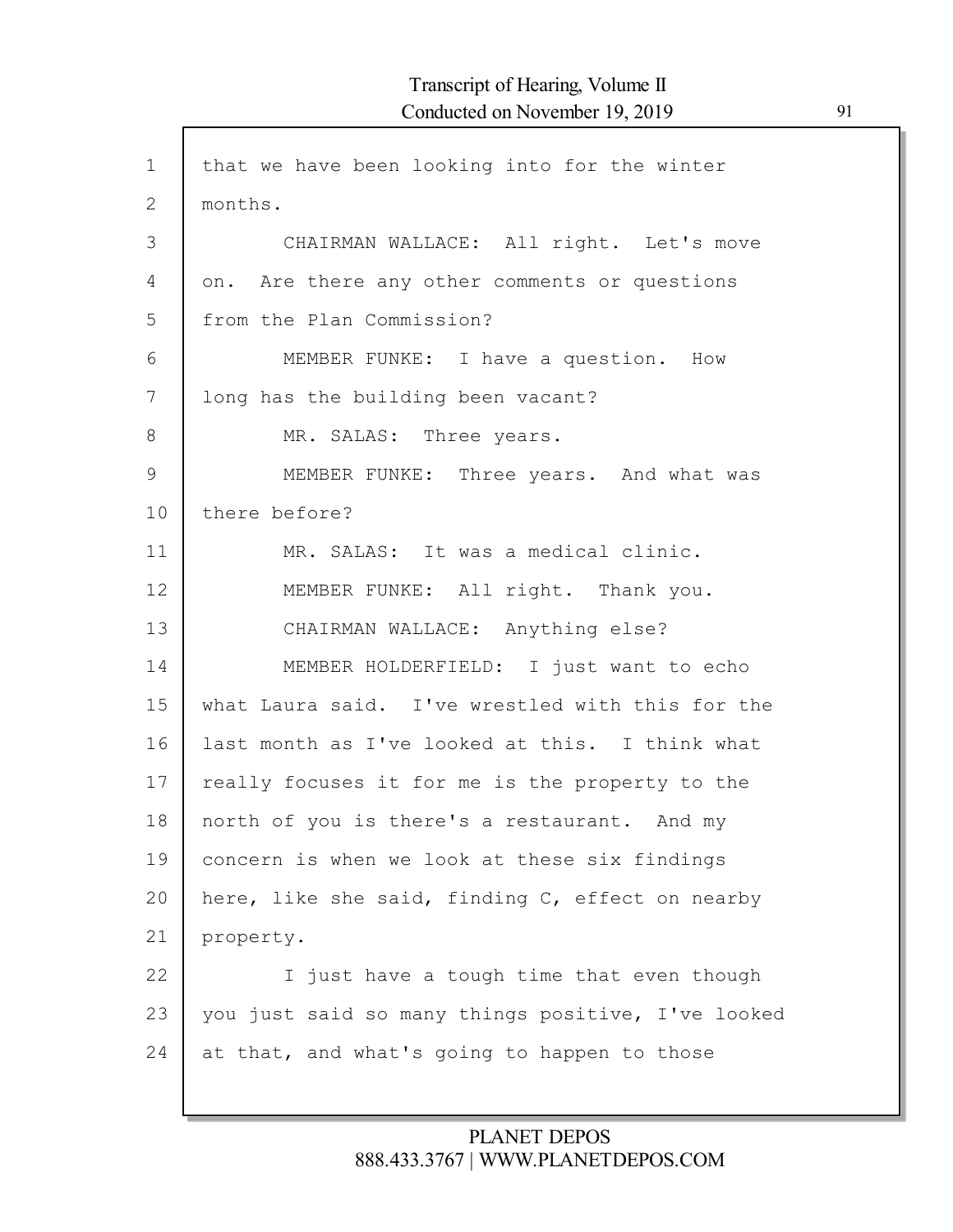| $\mathbf{1}$ | that we have been looking into for the winter      |
|--------------|----------------------------------------------------|
| 2            | months.                                            |
| 3            | CHAIRMAN WALLACE: All right. Let's move            |
| 4            | on. Are there any other comments or questions      |
| 5            | from the Plan Commission?                          |
| 6            | MEMBER FUNKE: I have a question. How               |
| 7            | long has the building been vacant?                 |
| 8            | MR. SALAS: Three years.                            |
| 9            | MEMBER FUNKE: Three years. And what was            |
| 10           | there before?                                      |
| 11           | MR. SALAS: It was a medical clinic.                |
| 12           | MEMBER FUNKE: All right. Thank you.                |
| 13           | CHAIRMAN WALLACE: Anything else?                   |
| 14           | MEMBER HOLDERFIELD: I just want to echo            |
| 15           | what Laura said. I've wrestled with this for the   |
| 16           | last month as I've looked at this. I think what    |
| 17           | really focuses it for me is the property to the    |
| 18           | north of you is there's a restaurant. And my       |
| 19           | concern is when we look at these six findings      |
| 20           | here, like she said, finding C, effect on nearby   |
| 21           | property.                                          |
| 22           | I just have a tough time that even though          |
| 23           | you just said so many things positive, I've looked |
| 24           | at that, and what's going to happen to those       |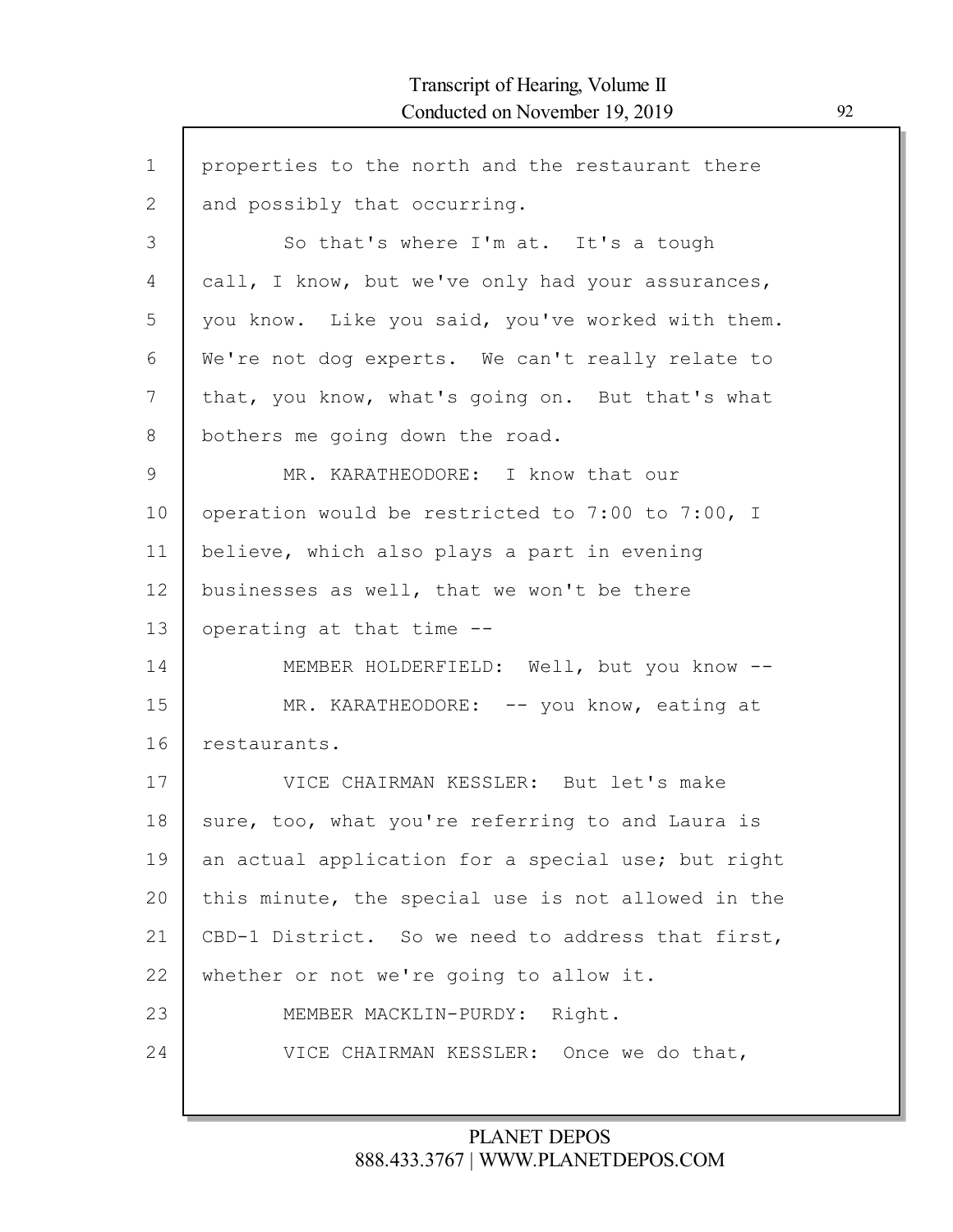| $\mathbf 1$  | properties to the north and the restaurant there   |
|--------------|----------------------------------------------------|
| $\mathbf{2}$ | and possibly that occurring.                       |
| 3            | So that's where I'm at. It's a tough               |
| 4            | call, I know, but we've only had your assurances,  |
| 5            | you know. Like you said, you've worked with them.  |
| 6            | We're not dog experts. We can't really relate to   |
| 7            | that, you know, what's going on. But that's what   |
| 8            | bothers me going down the road.                    |
| 9            | MR. KARATHEODORE: I know that our                  |
| 10           | operation would be restricted to 7:00 to 7:00, I   |
| 11           | believe, which also plays a part in evening        |
| 12           | businesses as well, that we won't be there         |
| 13           | operating at that time --                          |
| 14           | MEMBER HOLDERFIELD: Well, but you know --          |
| 15           | MR. KARATHEODORE: -- you know, eating at           |
| 16           | restaurants.                                       |
| 17           | VICE CHAIRMAN KESSLER: But let's make              |
| 18           | sure, too, what you're referring to and Laura is   |
| 19           | an actual application for a special use; but right |
| 20           | this minute, the special use is not allowed in the |
| 21           | CBD-1 District. So we need to address that first,  |
| 22           | whether or not we're going to allow it.            |
| 23           | MEMBER MACKLIN-PURDY: Right.                       |
| 24           | VICE CHAIRMAN KESSLER: Once we do that,            |
|              |                                                    |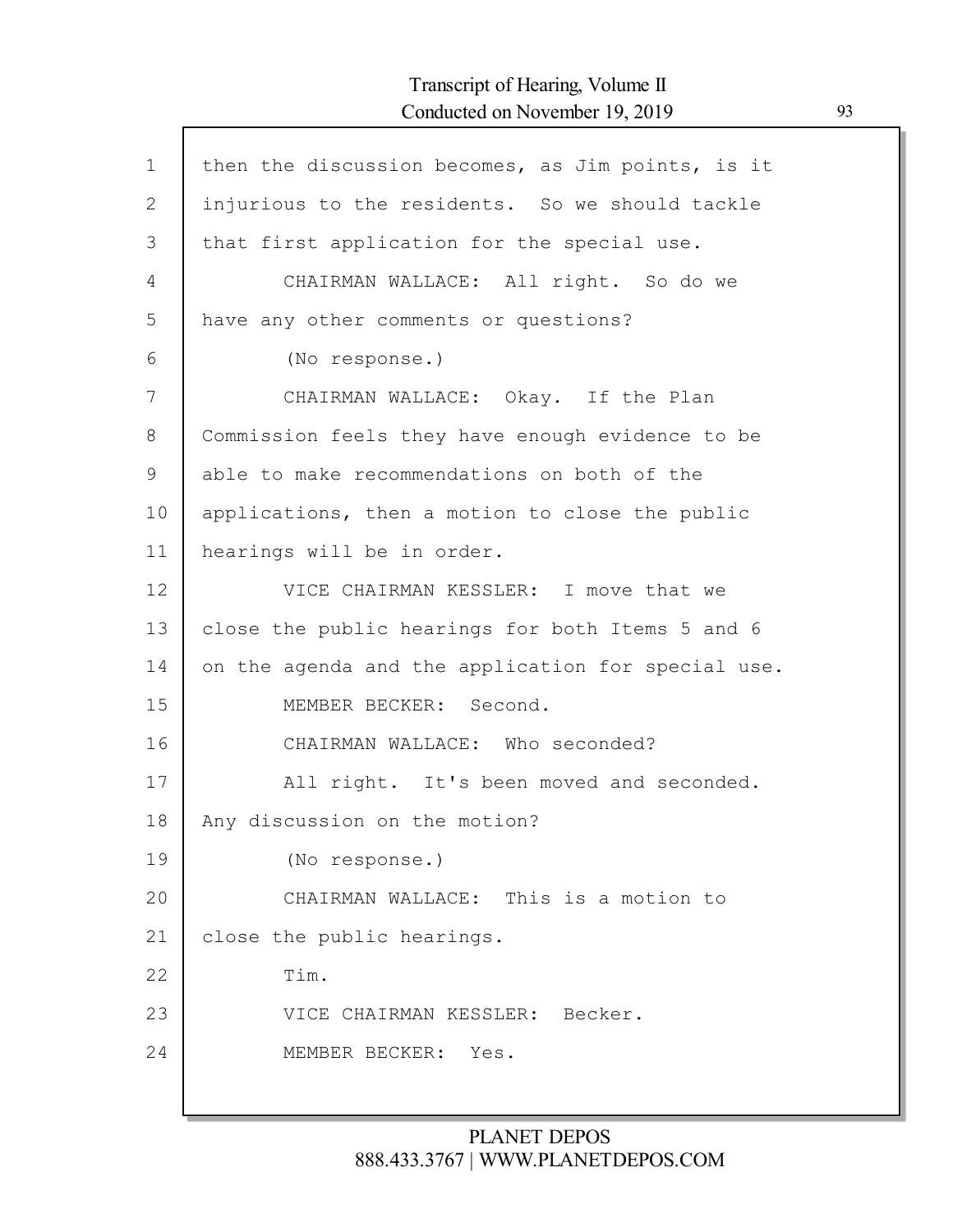| $\mathbf 1$ | then the discussion becomes, as Jim points, is it  |
|-------------|----------------------------------------------------|
| 2           | injurious to the residents. So we should tackle    |
| 3           | that first application for the special use.        |
| 4           | CHAIRMAN WALLACE: All right. So do we              |
| 5           | have any other comments or questions?              |
| 6           | (No response.)                                     |
| 7           | CHAIRMAN WALLACE: Okay. If the Plan                |
| 8           | Commission feels they have enough evidence to be   |
| 9           | able to make recommendations on both of the        |
| 10          | applications, then a motion to close the public    |
| 11          | hearings will be in order.                         |
| 12          | VICE CHAIRMAN KESSLER: I move that we              |
| 13          | close the public hearings for both Items 5 and 6   |
| 14          | on the agenda and the application for special use. |
| 15          | MEMBER BECKER: Second.                             |
| 16          | CHAIRMAN WALLACE: Who seconded?                    |
| 17          | All right. It's been moved and seconded.           |
| 18          | Any discussion on the motion?                      |
| 19          | (No response.)                                     |
| 20          | CHAIRMAN WALLACE: This is a motion to              |
| 21          | close the public hearings.                         |
| 22          | Tim.                                               |
| 23          | VICE CHAIRMAN KESSLER: Becker.                     |
| 24          | MEMBER BECKER: Yes.                                |
|             |                                                    |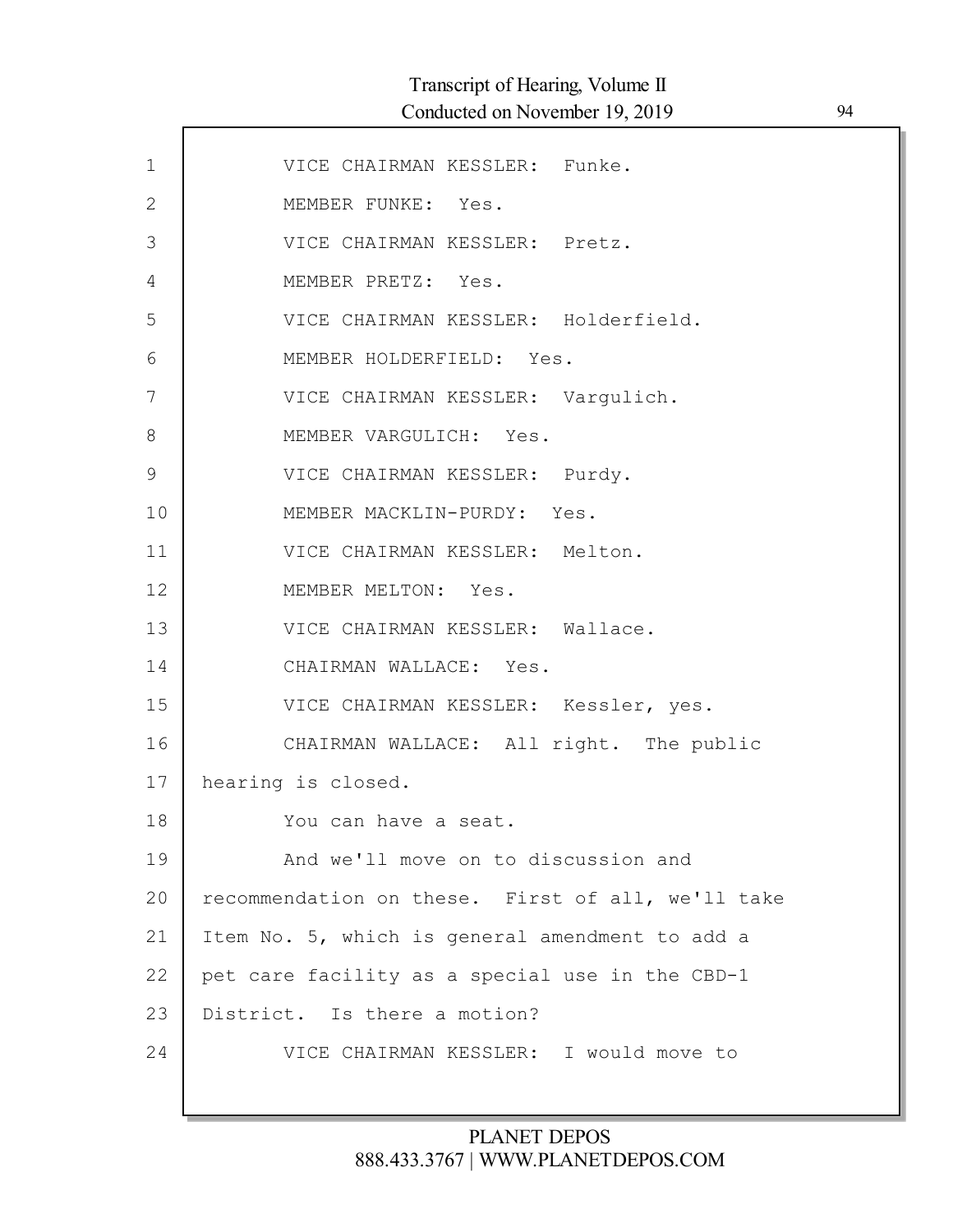| $\mathbf 1$   | VICE CHAIRMAN KESSLER: Funke.                     |
|---------------|---------------------------------------------------|
| $\mathbf{2}$  | MEMBER FUNKE: Yes.                                |
| 3             | VICE CHAIRMAN KESSLER: Pretz.                     |
| 4             | MEMBER PRETZ: Yes.                                |
| 5             | VICE CHAIRMAN KESSLER: Holderfield.               |
| 6             | MEMBER HOLDERFIELD: Yes.                          |
| 7             | VICE CHAIRMAN KESSLER: Vargulich.                 |
| $8\,$         | MEMBER VARGULICH: Yes.                            |
| $\mathcal{G}$ | VICE CHAIRMAN KESSLER: Purdy.                     |
| 10            | MEMBER MACKLIN-PURDY: Yes.                        |
| 11            | VICE CHAIRMAN KESSLER: Melton.                    |
| 12            | MEMBER MELTON: Yes.                               |
| 13            | VICE CHAIRMAN KESSLER: Wallace.                   |
| 14            | CHAIRMAN WALLACE: Yes.                            |
| 15            | VICE CHAIRMAN KESSLER: Kessler, yes.              |
| 16            | CHAIRMAN WALLACE: All right. The public           |
| 17            | hearing is closed.                                |
| 18            | You can have a seat.                              |
| 19            | And we'll move on to discussion and               |
| 20            | recommendation on these. First of all, we'll take |
| 21            | Item No. 5, which is general amendment to add a   |
| 22            | pet care facility as a special use in the CBD-1   |
| 23            | District. Is there a motion?                      |
| 24            | VICE CHAIRMAN KESSLER: I would move to            |
|               |                                                   |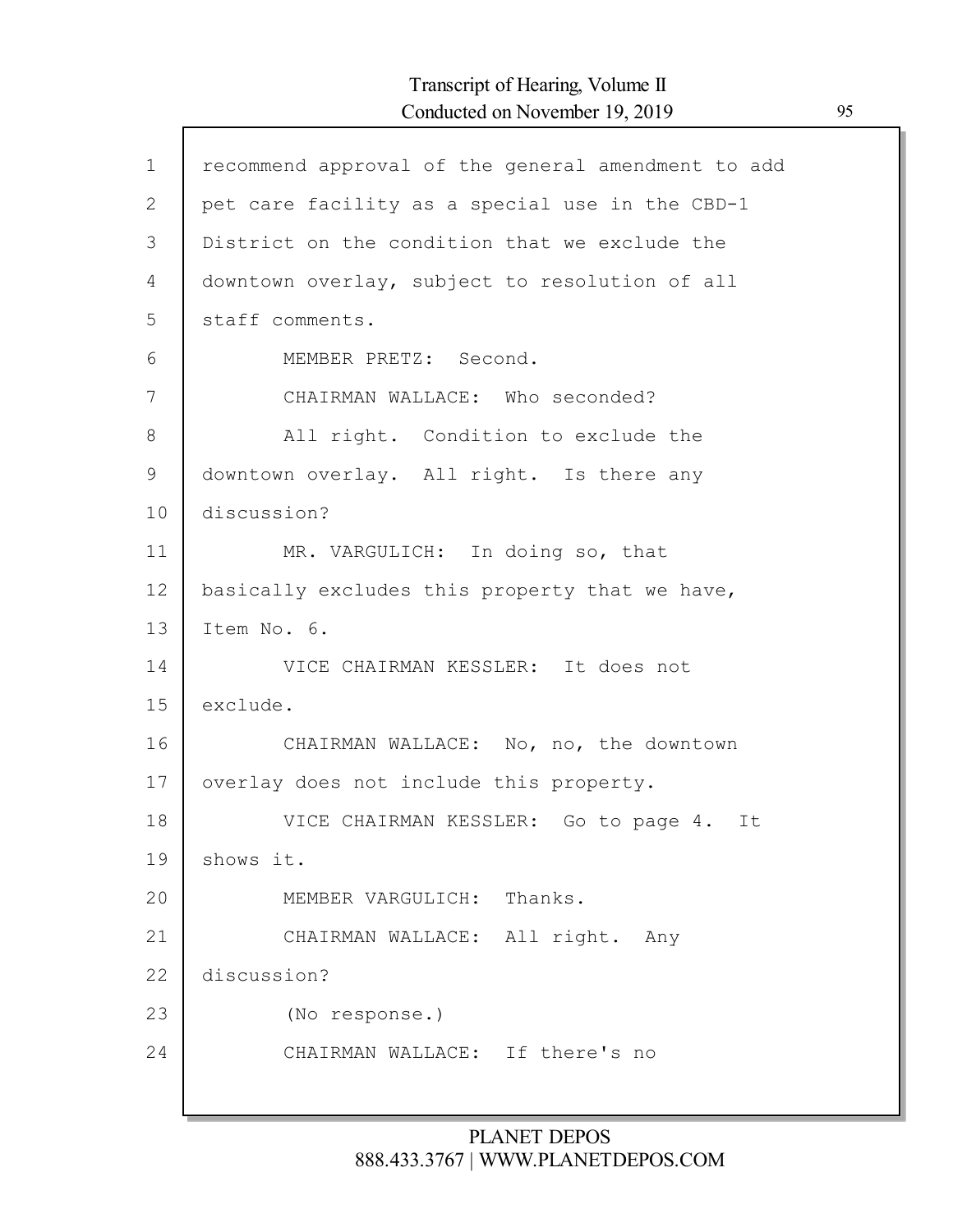| $\mathbf 1$  | recommend approval of the general amendment to add |
|--------------|----------------------------------------------------|
| $\mathbf{2}$ | pet care facility as a special use in the CBD-1    |
| 3            | District on the condition that we exclude the      |
| 4            | downtown overlay, subject to resolution of all     |
| 5            | staff comments.                                    |
| 6            | MEMBER PRETZ: Second.                              |
| 7            | CHAIRMAN WALLACE: Who seconded?                    |
| 8            | All right. Condition to exclude the                |
| $\mathsf 9$  | downtown overlay. All right. Is there any          |
| 10           | discussion?                                        |
| 11           | MR. VARGULICH: In doing so, that                   |
| 12           | basically excludes this property that we have,     |
| 13           | Item No. 6.                                        |
| 14           | VICE CHAIRMAN KESSLER: It does not                 |
| 15           | exclude.                                           |
| 16           | CHAIRMAN WALLACE: No, no, the downtown             |
| 17           | overlay does not include this property.            |
| 18           | VICE CHAIRMAN KESSLER: Go to page 4.<br>It         |
| 19           | shows it.                                          |
| 20           | MEMBER VARGULICH: Thanks.                          |
| 21           | CHAIRMAN WALLACE: All right. Any                   |
| 22           | discussion?                                        |
| 23           | (No response.)                                     |
| 24           | CHAIRMAN WALLACE: If there's no                    |
|              |                                                    |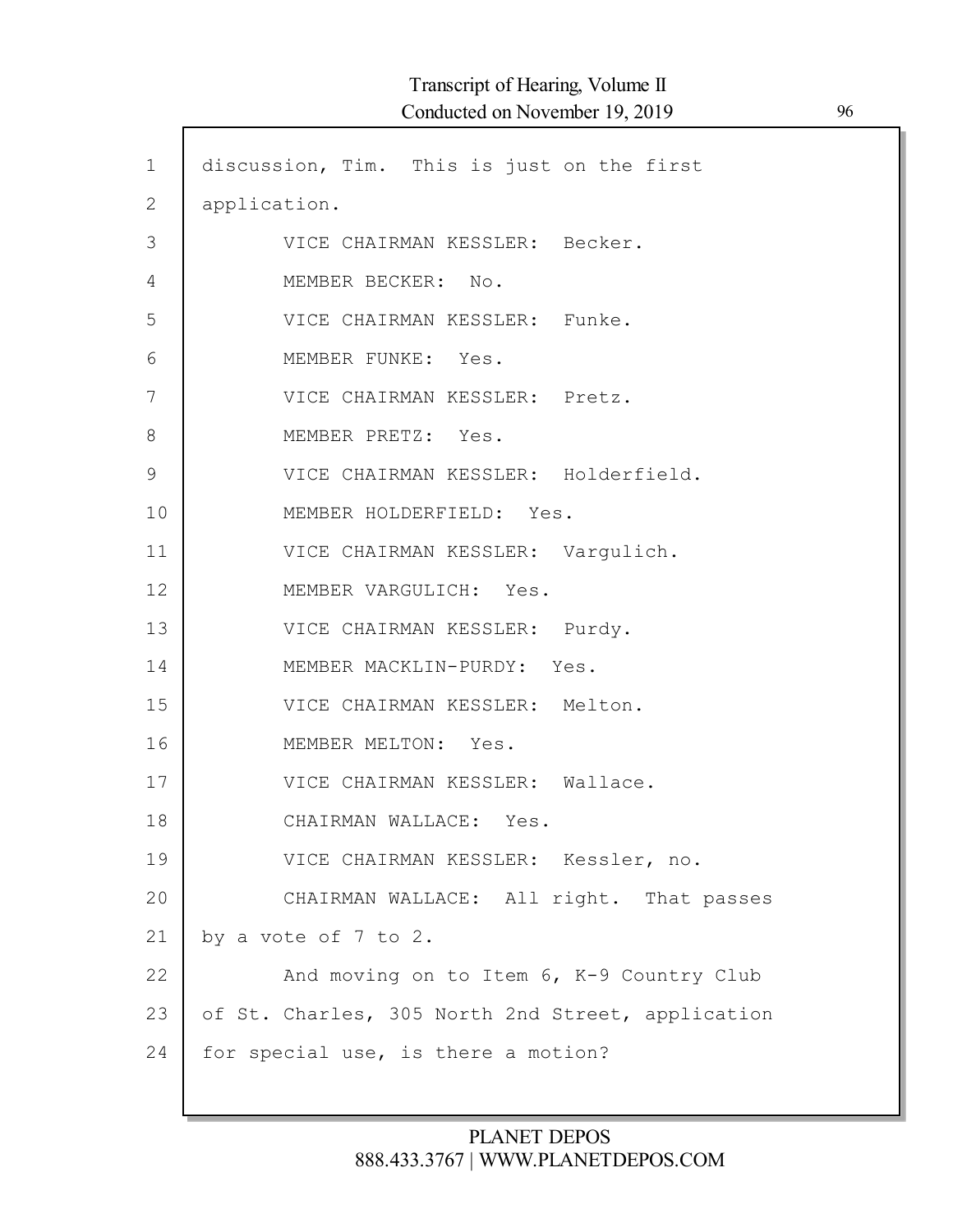| $\mathbf 1$    | discussion, Tim. This is just on the first        |
|----------------|---------------------------------------------------|
| $\overline{2}$ | application.                                      |
| 3              | VICE CHAIRMAN KESSLER: Becker.                    |
| 4              | MEMBER BECKER: No.                                |
| 5              | VICE CHAIRMAN KESSLER: Funke.                     |
| 6              | MEMBER FUNKE: Yes.                                |
| 7              | VICE CHAIRMAN KESSLER: Pretz.                     |
| 8              | MEMBER PRETZ: Yes.                                |
| 9              | VICE CHAIRMAN KESSLER: Holderfield.               |
| 10             | MEMBER HOLDERFIELD: Yes.                          |
| 11             | VICE CHAIRMAN KESSLER: Vargulich.                 |
| 12             | MEMBER VARGULICH: Yes.                            |
| 13             | VICE CHAIRMAN KESSLER: Purdy.                     |
| 14             | MEMBER MACKLIN-PURDY: Yes.                        |
| 15             | VICE CHAIRMAN KESSLER: Melton.                    |
| 16             | MEMBER MELTON: Yes.                               |
| 17             | VICE CHAIRMAN KESSLER: Wallace.                   |
| 18             | CHAIRMAN WALLACE: Yes.                            |
| 19             | VICE CHAIRMAN KESSLER: Kessler, no.               |
| 20             | CHAIRMAN WALLACE: All right. That passes          |
| 21             | by a vote of 7 to 2.                              |
| 22             | And moving on to Item 6, K-9 Country Club         |
| 23             | of St. Charles, 305 North 2nd Street, application |
| 24             | for special use, is there a motion?               |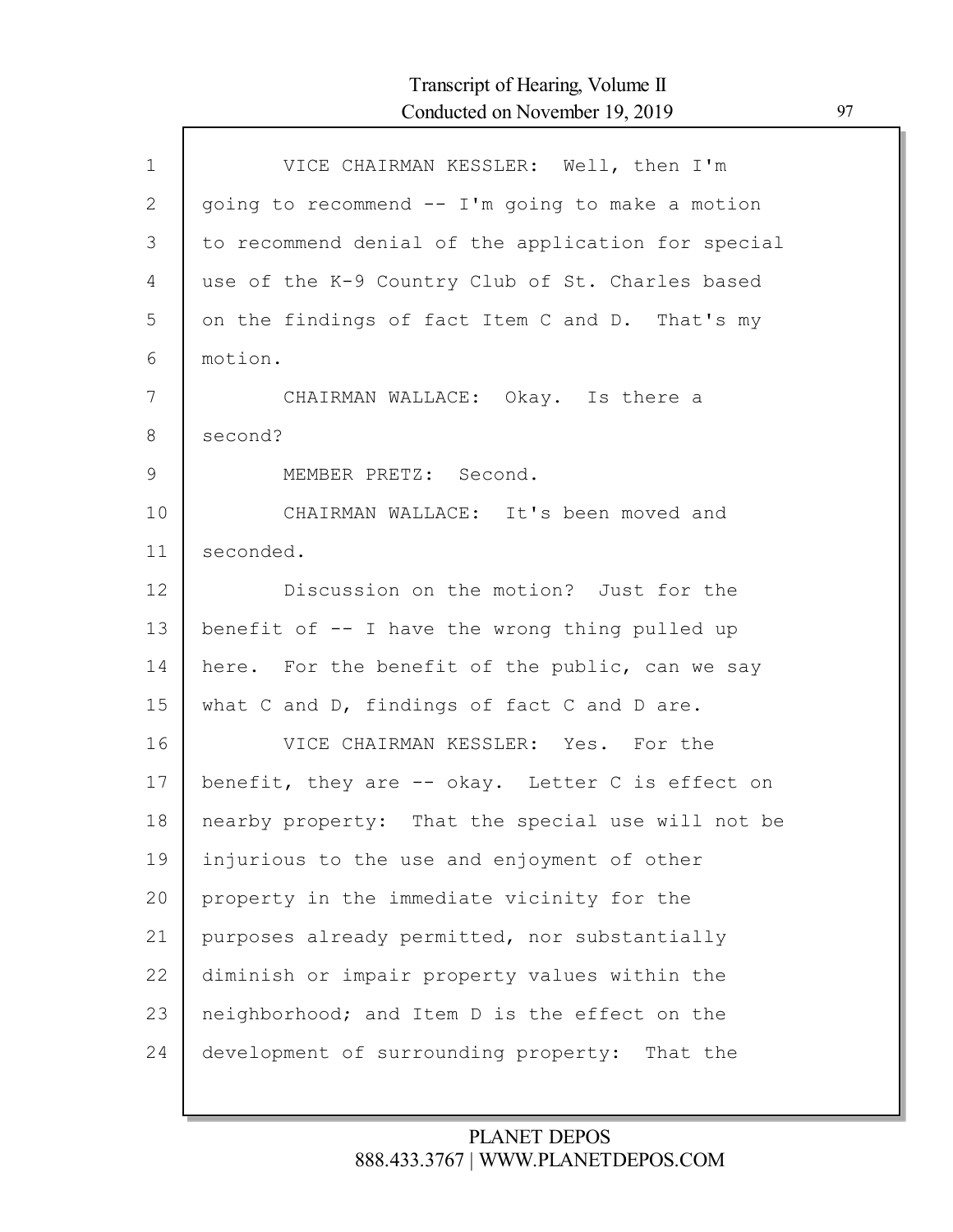| $\mathbf{1}$  | VICE CHAIRMAN KESSLER: Well, then I'm              |
|---------------|----------------------------------------------------|
| $\mathbf{2}$  | going to recommend -- I'm going to make a motion   |
| 3             | to recommend denial of the application for special |
| 4             | use of the K-9 Country Club of St. Charles based   |
| 5             | on the findings of fact Item C and D. That's my    |
| 6             | motion.                                            |
| 7             | CHAIRMAN WALLACE: Okay. Is there a                 |
| 8             | second?                                            |
| $\mathcal{G}$ | MEMBER PRETZ: Second.                              |
| 10            | CHAIRMAN WALLACE: It's been moved and              |
| 11            | seconded.                                          |
| 12            | Discussion on the motion? Just for the             |
| 13            | benefit of $-$ I have the wrong thing pulled up    |
| 14            | here. For the benefit of the public, can we say    |
| 15            | what C and D, findings of fact C and D are.        |
| 16            | VICE CHAIRMAN KESSLER: Yes. For the                |
| 17            | benefit, they are -- okay. Letter C is effect on   |
| 18            | nearby property: That the special use will not be  |
| 19            | injurious to the use and enjoyment of other        |
| 20            | property in the immediate vicinity for the         |
| 21            | purposes already permitted, nor substantially      |
| 22            | diminish or impair property values within the      |
| 23            | neighborhood; and Item D is the effect on the      |
| 24            | development of surrounding property: That the      |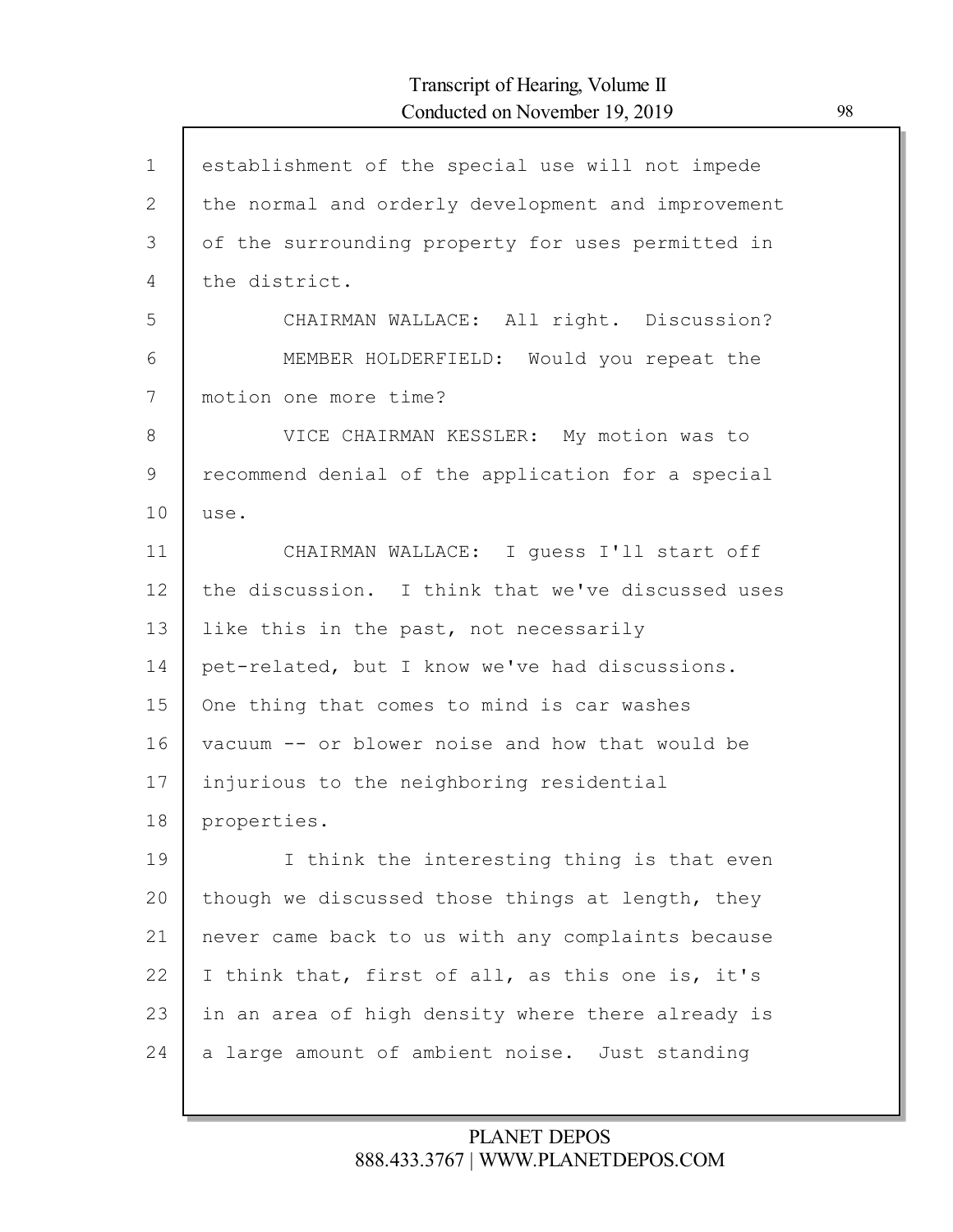| $\mathbf{1}$ | establishment of the special use will not impede   |
|--------------|----------------------------------------------------|
| $\mathbf{2}$ | the normal and orderly development and improvement |
| 3            | of the surrounding property for uses permitted in  |
| 4            | the district.                                      |
| 5            | CHAIRMAN WALLACE: All right. Discussion?           |
| 6            | MEMBER HOLDERFIELD: Would you repeat the           |
| 7            | motion one more time?                              |
| 8            | VICE CHAIRMAN KESSLER: My motion was to            |
| 9            | recommend denial of the application for a special  |
| 10           | use.                                               |
| 11           | CHAIRMAN WALLACE: I guess I'll start off           |
| 12           | the discussion. I think that we've discussed uses  |
| 13           | like this in the past, not necessarily             |
| 14           | pet-related, but I know we've had discussions.     |
| 15           | One thing that comes to mind is car washes         |
| 16           | vacuum -- or blower noise and how that would be    |
| 17           | injurious to the neighboring residential           |
| 18           | properties.                                        |
| 19           | I think the interesting thing is that even         |
| 20           | though we discussed those things at length, they   |
| 21           | never came back to us with any complaints because  |
| 22           | I think that, first of all, as this one is, it's   |
| 23           | in an area of high density where there already is  |
| 24           | a large amount of ambient noise. Just standing     |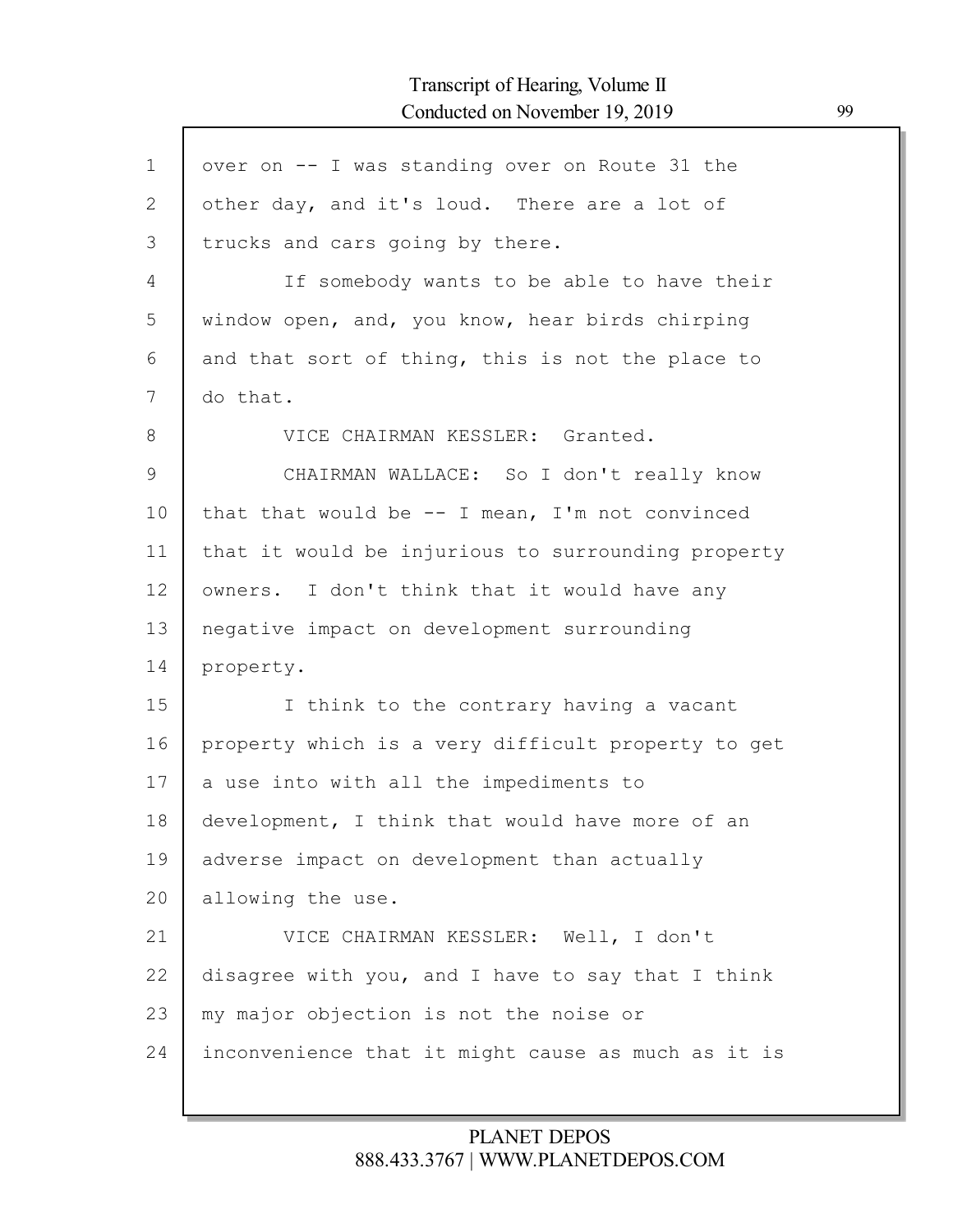$\mathsf{l}$ 

| $\mathbf 1$ | over on -- I was standing over on Route 31 the     |
|-------------|----------------------------------------------------|
| 2           | other day, and it's loud. There are a lot of       |
| 3           | trucks and cars going by there.                    |
| 4           | If somebody wants to be able to have their         |
| 5           | window open, and, you know, hear birds chirping    |
| 6           | and that sort of thing, this is not the place to   |
| 7           | do that.                                           |
| 8           | VICE CHAIRMAN KESSLER: Granted.                    |
| 9           | CHAIRMAN WALLACE: So I don't really know           |
| 10          | that that would be $--$ I mean, I'm not convinced  |
| 11          | that it would be injurious to surrounding property |
| 12          | owners. I don't think that it would have any       |
| 13          | negative impact on development surrounding         |
| 14          | property.                                          |
| 15          | I think to the contrary having a vacant            |
| 16          | property which is a very difficult property to get |
| 17          | a use into with all the impediments to             |
| 18          | development, I think that would have more of an    |
| 19          | adverse impact on development than actually        |
| 20          | allowing the use.                                  |
| 21          | VICE CHAIRMAN KESSLER: Well, I don't               |
| 22          | disagree with you, and I have to say that I think  |
| 23          | my major objection is not the noise or             |
| 24          | inconvenience that it might cause as much as it is |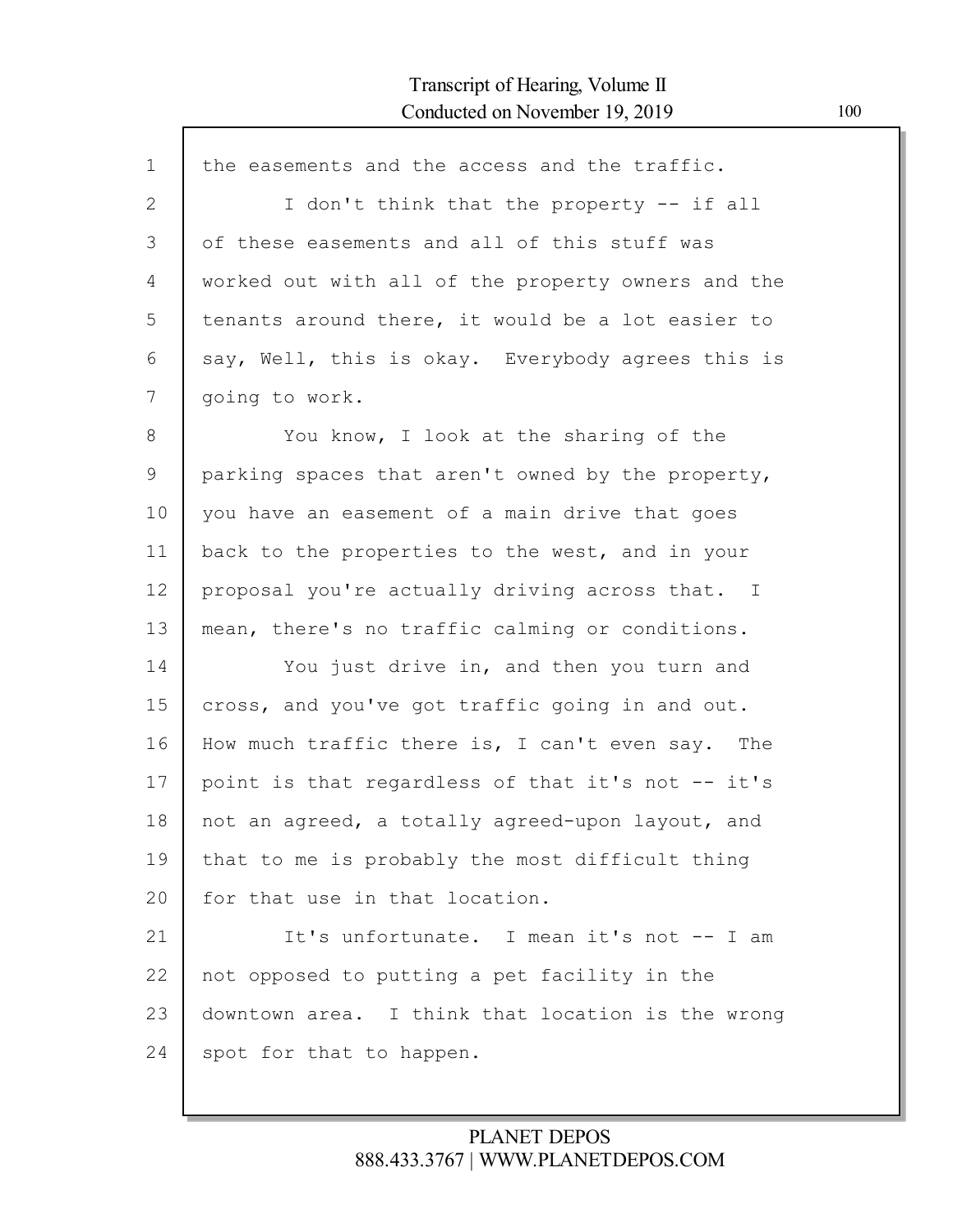| $\mathbf{1}$ | the easements and the access and the traffic.      |
|--------------|----------------------------------------------------|
| $\mathbf{2}$ | I don't think that the property -- if all          |
| 3            | of these easements and all of this stuff was       |
| 4            | worked out with all of the property owners and the |
| 5            | tenants around there, it would be a lot easier to  |
| 6            | say, Well, this is okay. Everybody agrees this is  |
| 7            | going to work.                                     |
| 8            | You know, I look at the sharing of the             |
| $\mathsf 9$  | parking spaces that aren't owned by the property,  |
| 10           | you have an easement of a main drive that goes     |
| 11           | back to the properties to the west, and in your    |
| 12           | proposal you're actually driving across that. I    |
| 13           | mean, there's no traffic calming or conditions.    |
| 14           | You just drive in, and then you turn and           |
| 15           | cross, and you've got traffic going in and out.    |
| 16           | How much traffic there is, I can't even say. The   |
| 17           | point is that regardless of that it's not -- it's  |
| 18           | not an agreed, a totally agreed-upon layout, and   |
| 19           | that to me is probably the most difficult thing    |
| 20           | for that use in that location.                     |
| 21           | It's unfortunate. I mean it's not -- I am          |
| 22           | not opposed to putting a pet facility in the       |
| 23           | downtown area. I think that location is the wrong  |
| 24           | spot for that to happen.                           |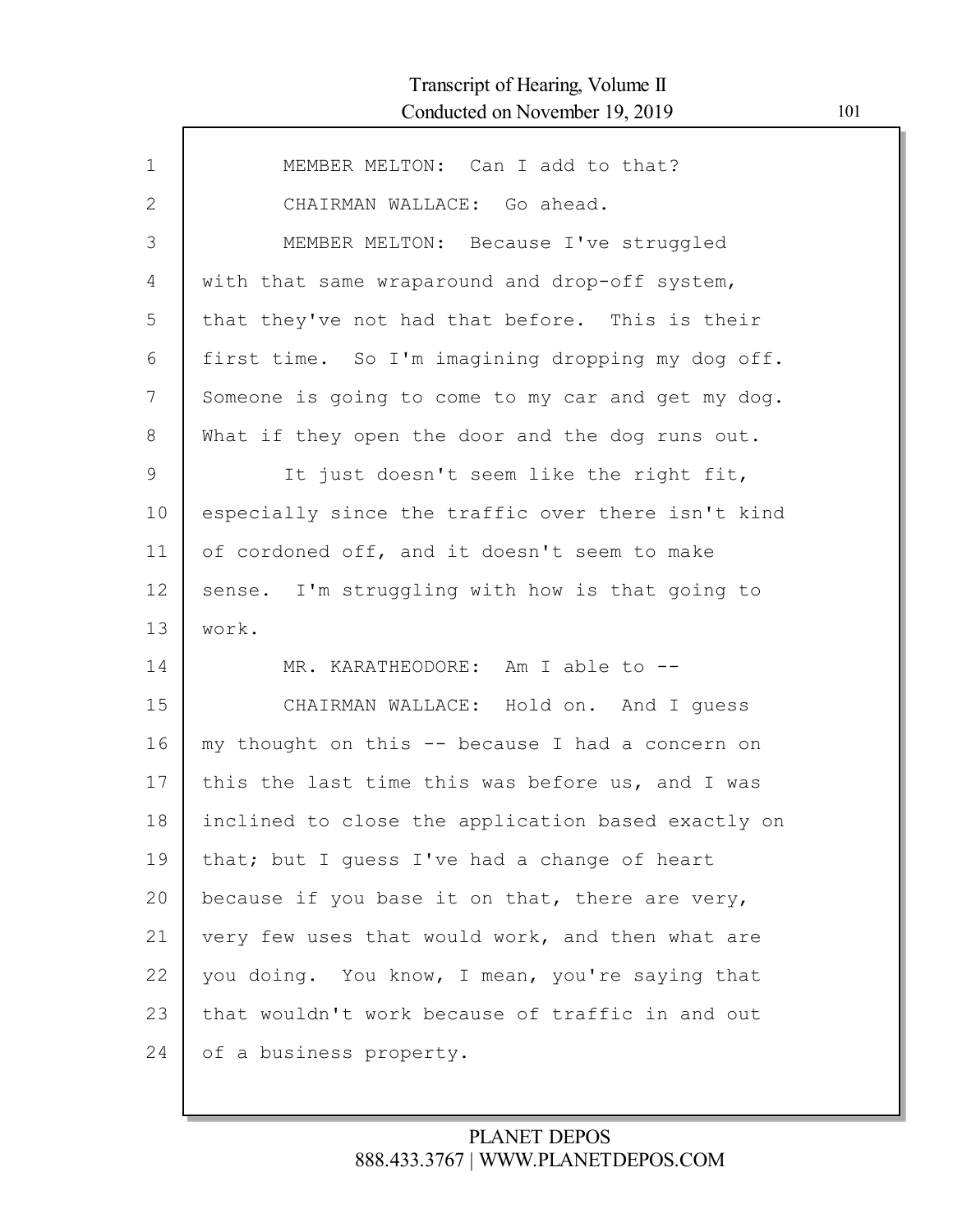| $\mathbf{1}$ | MEMBER MELTON: Can I add to that?                  |
|--------------|----------------------------------------------------|
| $\mathbf{2}$ | CHAIRMAN WALLACE: Go ahead.                        |
| 3            | MEMBER MELTON: Because I've struggled              |
| 4            | with that same wraparound and drop-off system,     |
| 5            | that they've not had that before. This is their    |
| 6            | first time. So I'm imagining dropping my dog off.  |
| 7            | Someone is going to come to my car and get my dog. |
| 8            | What if they open the door and the dog runs out.   |
| 9            | It just doesn't seem like the right fit,           |
| 10           | especially since the traffic over there isn't kind |
| 11           | of cordoned off, and it doesn't seem to make       |
| 12           | sense. I'm struggling with how is that going to    |
| 13           | work.                                              |
| 14           | MR. KARATHEODORE: Am I able to --                  |
| 15           | CHAIRMAN WALLACE: Hold on. And I guess             |
| 16           | my thought on this -- because I had a concern on   |
| 17           | this the last time this was before us, and I was   |
| 18           | inclined to close the application based exactly on |
| 19           | that; but I guess I've had a change of heart       |
| 20           | because if you base it on that, there are very,    |
| 21           | very few uses that would work, and then what are   |
| 22           | you doing. You know, I mean, you're saying that    |
| 23           | that wouldn't work because of traffic in and out   |
| 24           | of a business property.                            |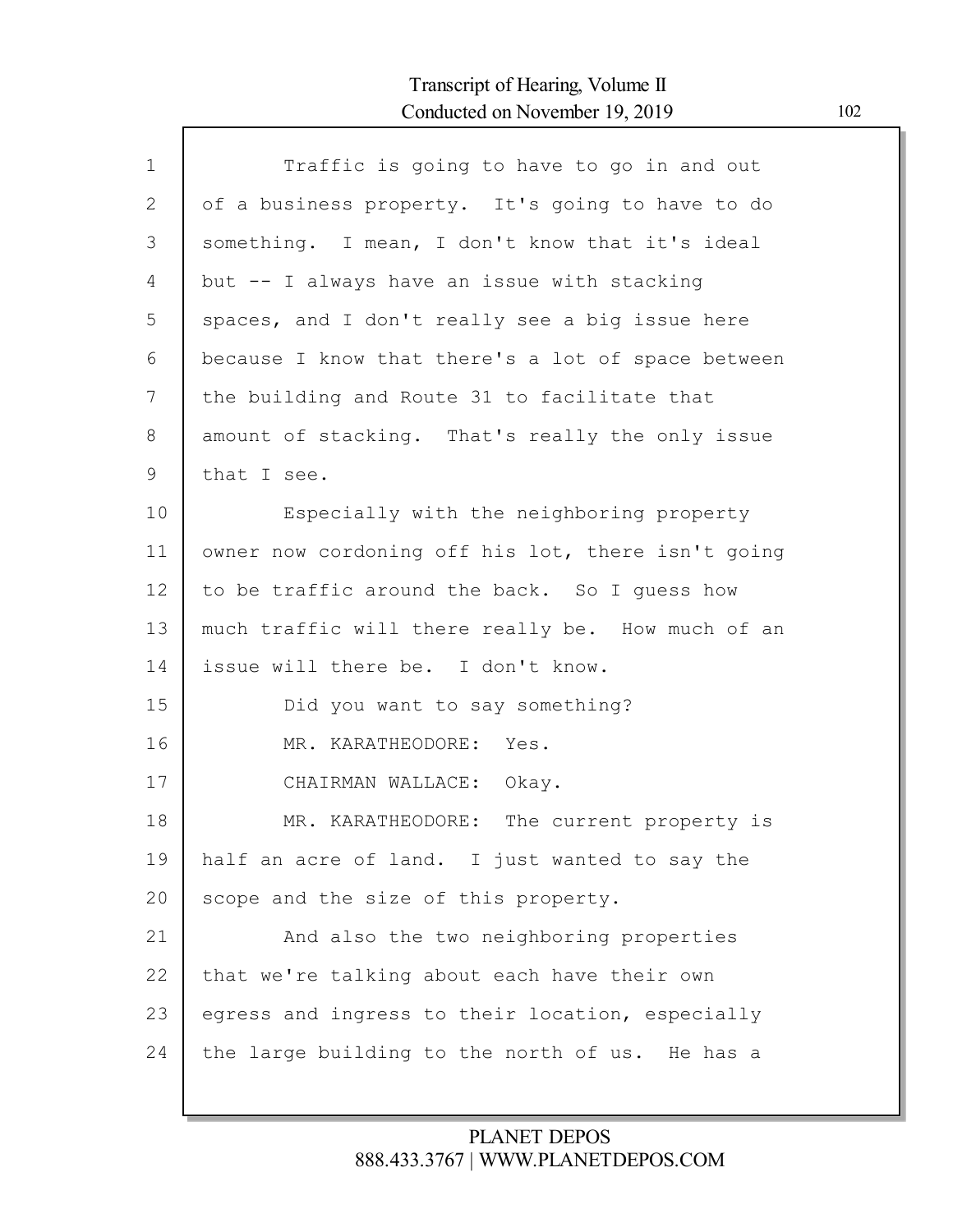Г

| $\mathbf 1$ | Traffic is going to have to go in and out          |
|-------------|----------------------------------------------------|
| 2           | of a business property. It's going to have to do   |
| 3           | something. I mean, I don't know that it's ideal    |
| 4           | but -- I always have an issue with stacking        |
| 5           | spaces, and I don't really see a big issue here    |
| 6           | because I know that there's a lot of space between |
| 7           | the building and Route 31 to facilitate that       |
| 8           | amount of stacking. That's really the only issue   |
| 9           | that I see.                                        |
| 10          | Especially with the neighboring property           |
| 11          | owner now cordoning off his lot, there isn't going |
| 12          | to be traffic around the back. So I quess how      |
| 13          | much traffic will there really be. How much of an  |
| 14          | issue will there be. I don't know.                 |
| 15          | Did you want to say something?                     |
| 16          | MR. KARATHEODORE: Yes.                             |
| 17          | CHAIRMAN WALLACE: Okay.                            |
| 18          | MR. KARATHEODORE: The current property is          |
| 19          | half an acre of land. I just wanted to say the     |
| 20          | scope and the size of this property.               |
| 21          | And also the two neighboring properties            |
| 22          | that we're talking about each have their own       |
| 23          | egress and ingress to their location, especially   |
| 24          | the large building to the north of us. He has a    |
|             |                                                    |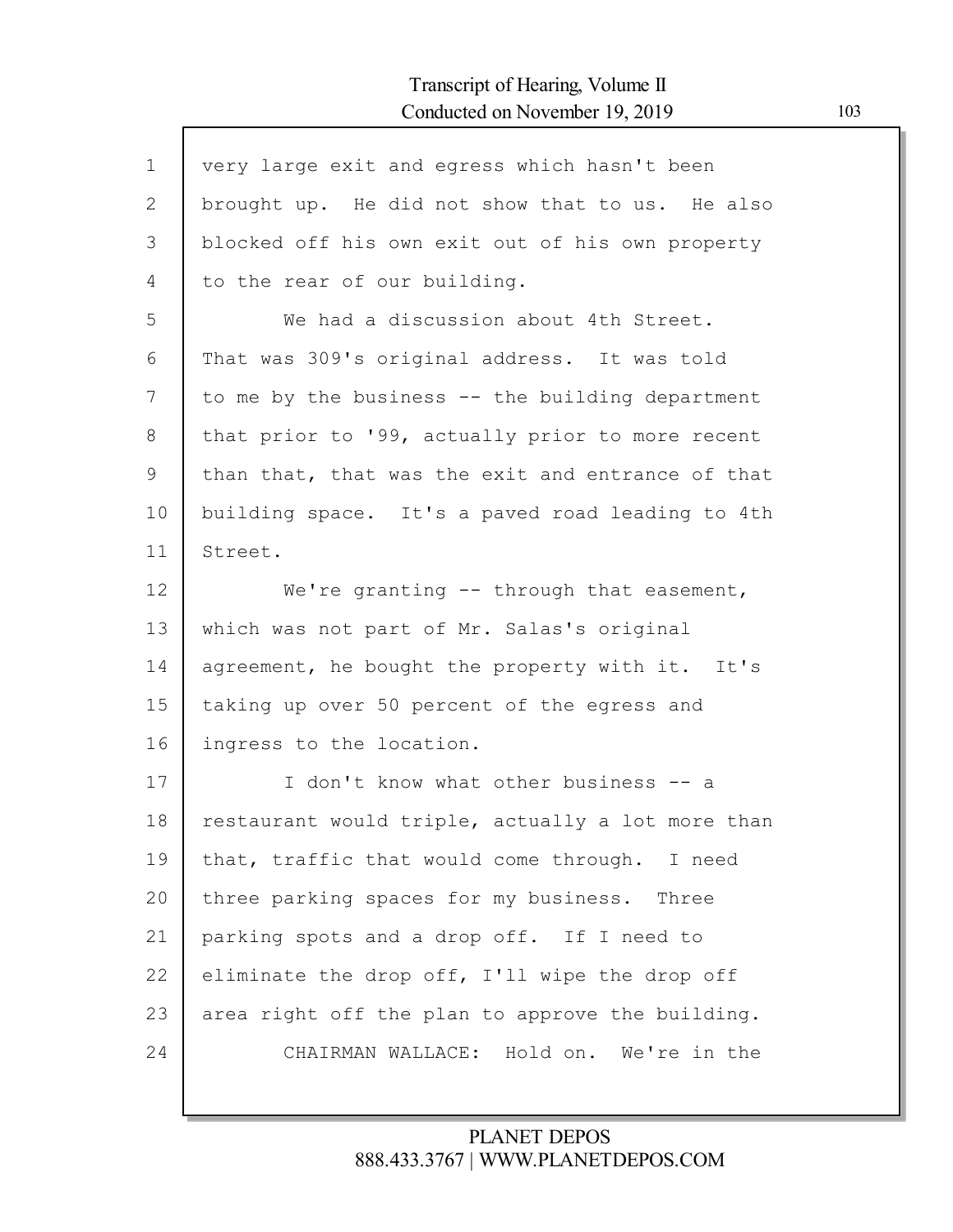| $\mathbf 1$ | very large exit and egress which hasn't been      |
|-------------|---------------------------------------------------|
| 2           | brought up. He did not show that to us. He also   |
| 3           | blocked off his own exit out of his own property  |
| 4           | to the rear of our building.                      |
| 5           | We had a discussion about 4th Street.             |
| 6           | That was 309's original address. It was told      |
| 7           | to me by the business -- the building department  |
| 8           | that prior to '99, actually prior to more recent  |
| 9           | than that, that was the exit and entrance of that |
| 10          | building space. It's a paved road leading to 4th  |
| 11          | Street.                                           |
| 12          | We're granting $--$ through that easement,        |
| 13          | which was not part of Mr. Salas's original        |
| 14          | agreement, he bought the property with it. It's   |
| 15          | taking up over 50 percent of the egress and       |
| 16          | ingress to the location.                          |
| 17          | I don't know what other business -- a             |
| 18          | restaurant would triple, actually a lot more than |
| 19          | that, traffic that would come through. I need     |
| 20          | three parking spaces for my business. Three       |
| 21          | parking spots and a drop off. If I need to        |
| 22          | eliminate the drop off, I'll wipe the drop off    |
| 23          | area right off the plan to approve the building.  |
| 24          | CHAIRMAN WALLACE: Hold on. We're in the           |
|             |                                                   |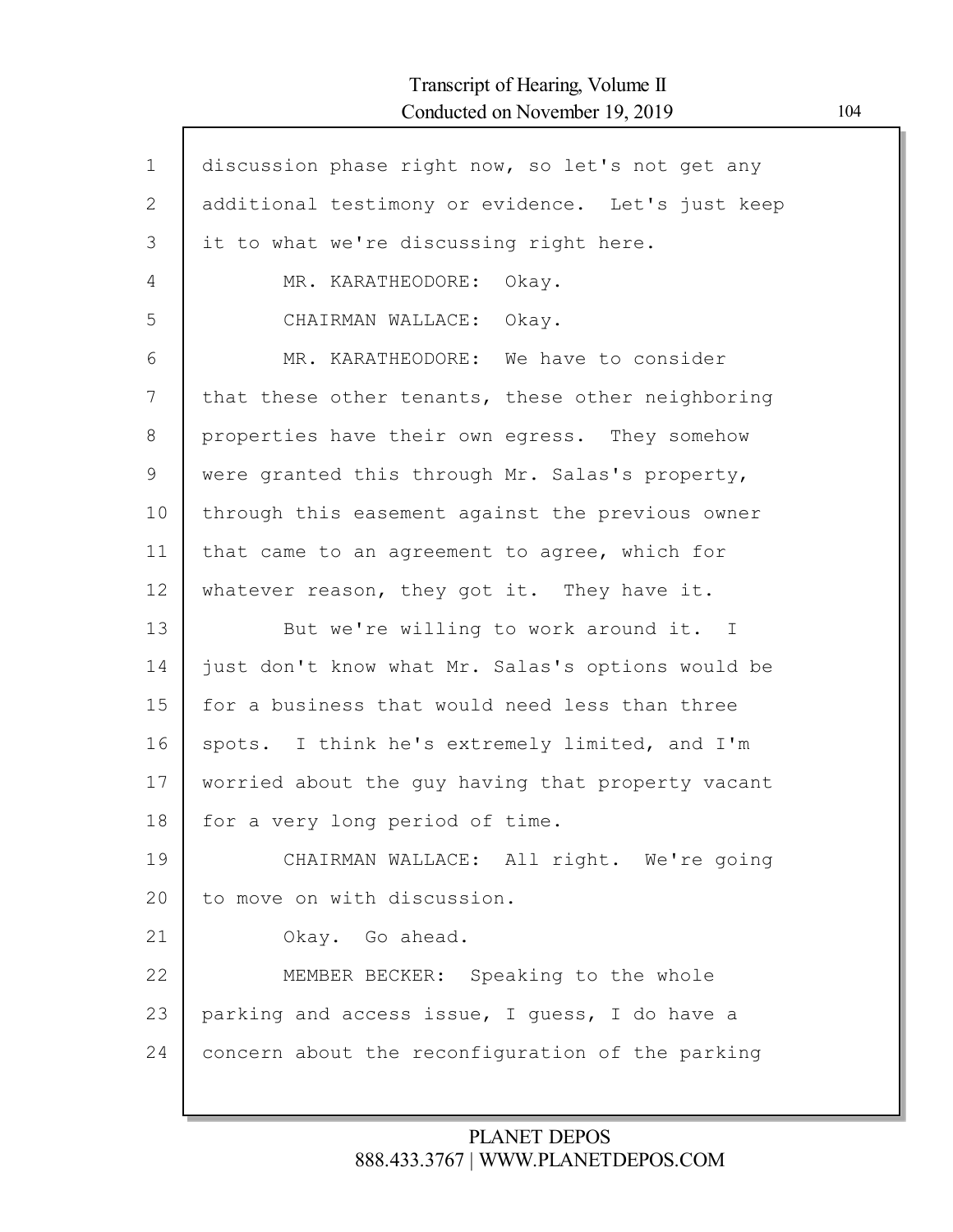| $\mathbf{1}$ | discussion phase right now, so let's not get any  |
|--------------|---------------------------------------------------|
| 2            | additional testimony or evidence. Let's just keep |
| 3            | it to what we're discussing right here.           |
| 4            | MR. KARATHEODORE: Okay.                           |
| 5            | CHAIRMAN WALLACE: Okay.                           |
|              |                                                   |
| 6            | MR. KARATHEODORE: We have to consider             |
| 7            | that these other tenants, these other neighboring |
| 8            | properties have their own egress. They somehow    |
| 9            | were granted this through Mr. Salas's property,   |
| 10           | through this easement against the previous owner  |
| 11           | that came to an agreement to agree, which for     |
| 12           | whatever reason, they got it. They have it.       |
| 13           | But we're willing to work around it. I            |
| 14           | just don't know what Mr. Salas's options would be |
| 15           | for a business that would need less than three    |
| 16           | spots. I think he's extremely limited, and I'm    |
| 17           | worried about the guy having that property vacant |
| 18           | for a very long period of time.                   |
| 19           | CHAIRMAN WALLACE: All right. We're going          |
| 20           | to move on with discussion.                       |
| 21           | Okay. Go ahead.                                   |
| 22           | MEMBER BECKER: Speaking to the whole              |
| 23           | parking and access issue, I guess, I do have a    |
| 24           | concern about the reconfiguration of the parking  |
|              |                                                   |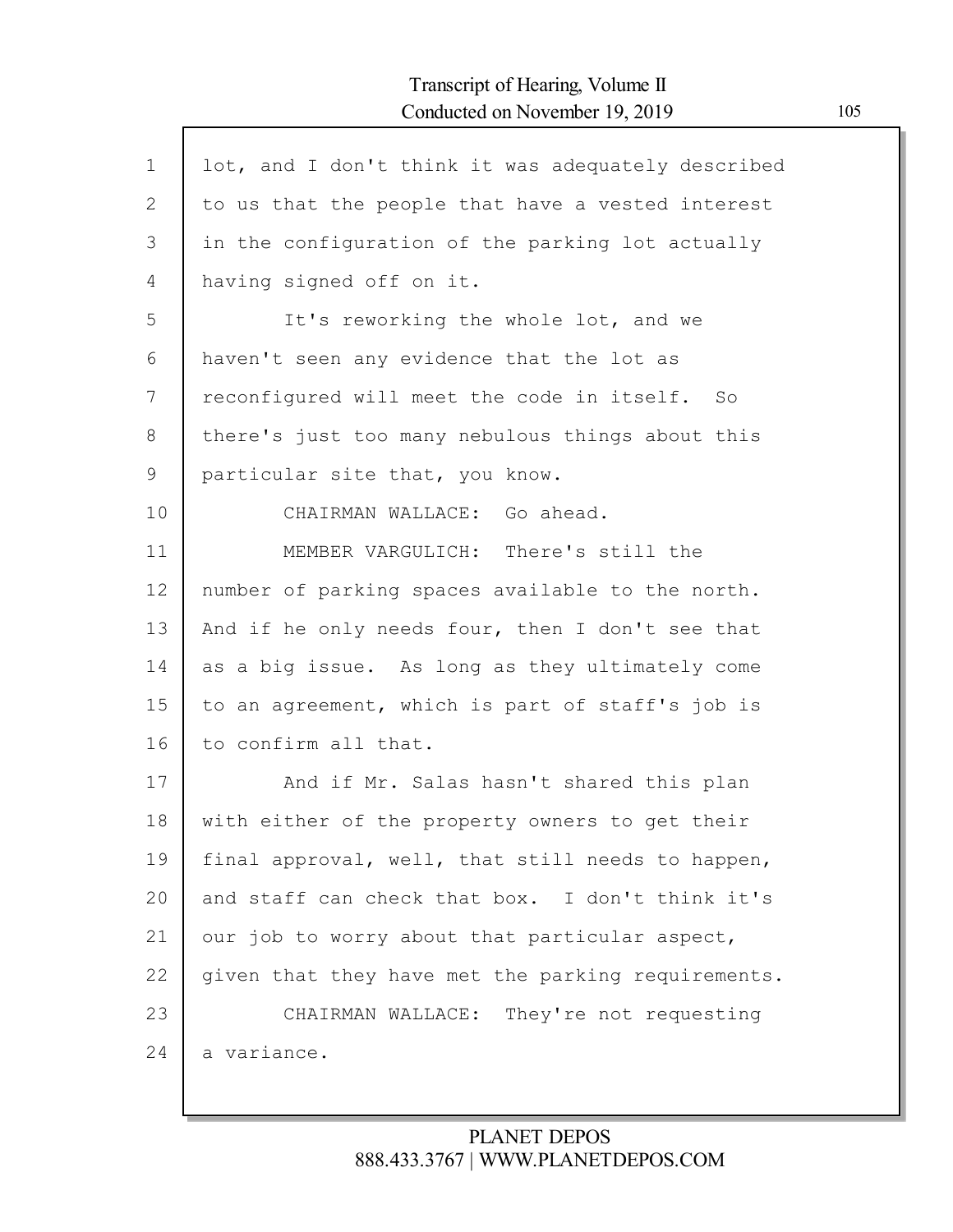$\mathsf{l}$ 

| $\mathbf 1$ | lot, and I don't think it was adequately described |
|-------------|----------------------------------------------------|
| 2           | to us that the people that have a vested interest  |
| 3           | in the configuration of the parking lot actually   |
| 4           | having signed off on it.                           |
| 5           | It's reworking the whole lot, and we               |
| 6           | haven't seen any evidence that the lot as          |
| 7           | reconfigured will meet the code in itself. So      |
| 8           | there's just too many nebulous things about this   |
| 9           | particular site that, you know.                    |
| 10          | CHAIRMAN WALLACE: Go ahead.                        |
| 11          | MEMBER VARGULICH: There's still the                |
| 12          | number of parking spaces available to the north.   |
| 13          | And if he only needs four, then I don't see that   |
| 14          | as a big issue. As long as they ultimately come    |
| 15          | to an agreement, which is part of staff's job is   |
| 16          | to confirm all that.                               |
| 17          | And if Mr. Salas hasn't shared this plan           |
| 18          | with either of the property owners to get their    |
| 19          | final approval, well, that still needs to happen,  |
| 20          | and staff can check that box. I don't think it's   |
| 21          | our job to worry about that particular aspect,     |
| 22          | given that they have met the parking requirements. |
| 23          | CHAIRMAN WALLACE: They're not requesting           |
| 24          | a variance.                                        |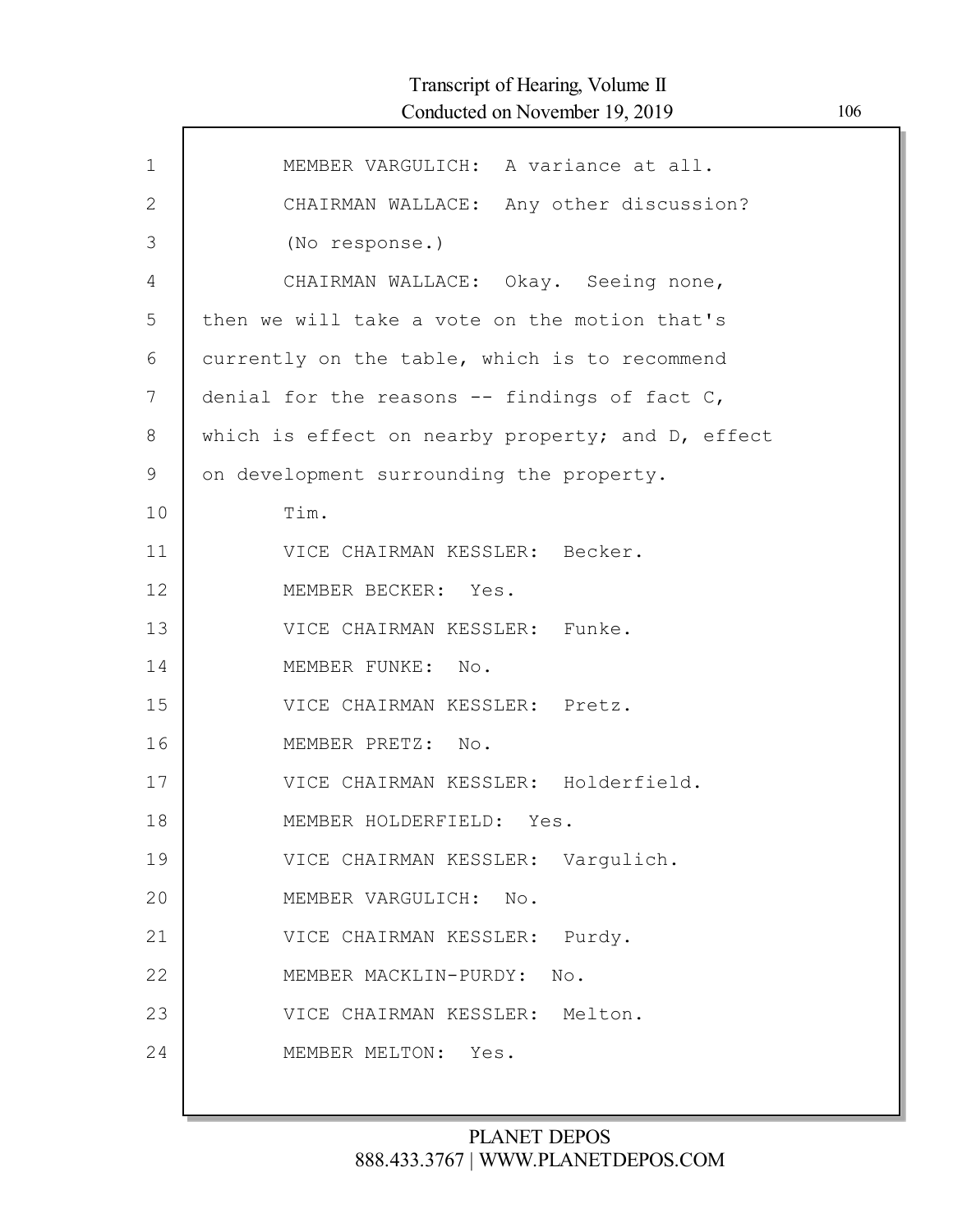| $\mathbf 1$  | MEMBER VARGULICH: A variance at all.              |
|--------------|---------------------------------------------------|
| $\mathbf{2}$ | CHAIRMAN WALLACE: Any other discussion?           |
| 3            | (No response.)                                    |
| 4            | CHAIRMAN WALLACE: Okay. Seeing none,              |
| 5            | then we will take a vote on the motion that's     |
| 6            | currently on the table, which is to recommend     |
| 7            | denial for the reasons $--$ findings of fact $C,$ |
| 8            | which is effect on nearby property; and D, effect |
| 9            | on development surrounding the property.          |
| 10           | Tim.                                              |
| 11           | VICE CHAIRMAN KESSLER: Becker.                    |
| 12           | MEMBER BECKER: Yes.                               |
| 13           | VICE CHAIRMAN KESSLER: Funke.                     |
| 14           | MEMBER FUNKE: No.                                 |
| 15           | VICE CHAIRMAN KESSLER: Pretz.                     |
| 16           | MEMBER PRETZ: No.                                 |
| 17           | VICE CHAIRMAN KESSLER: Holderfield.               |
| 18           | MEMBER HOLDERFIELD: Yes.                          |
| 19           | VICE CHAIRMAN KESSLER: Vargulich.                 |
| 20           | MEMBER VARGULICH:<br>No.                          |
| 21           | VICE CHAIRMAN KESSLER:<br>Purdy.                  |
| 22           | MEMBER MACKLIN-PURDY:<br>No.                      |
| 23           | VICE CHAIRMAN KESSLER: Melton.                    |
| 24           | Yes.<br>MEMBER MELTON:                            |
|              |                                                   |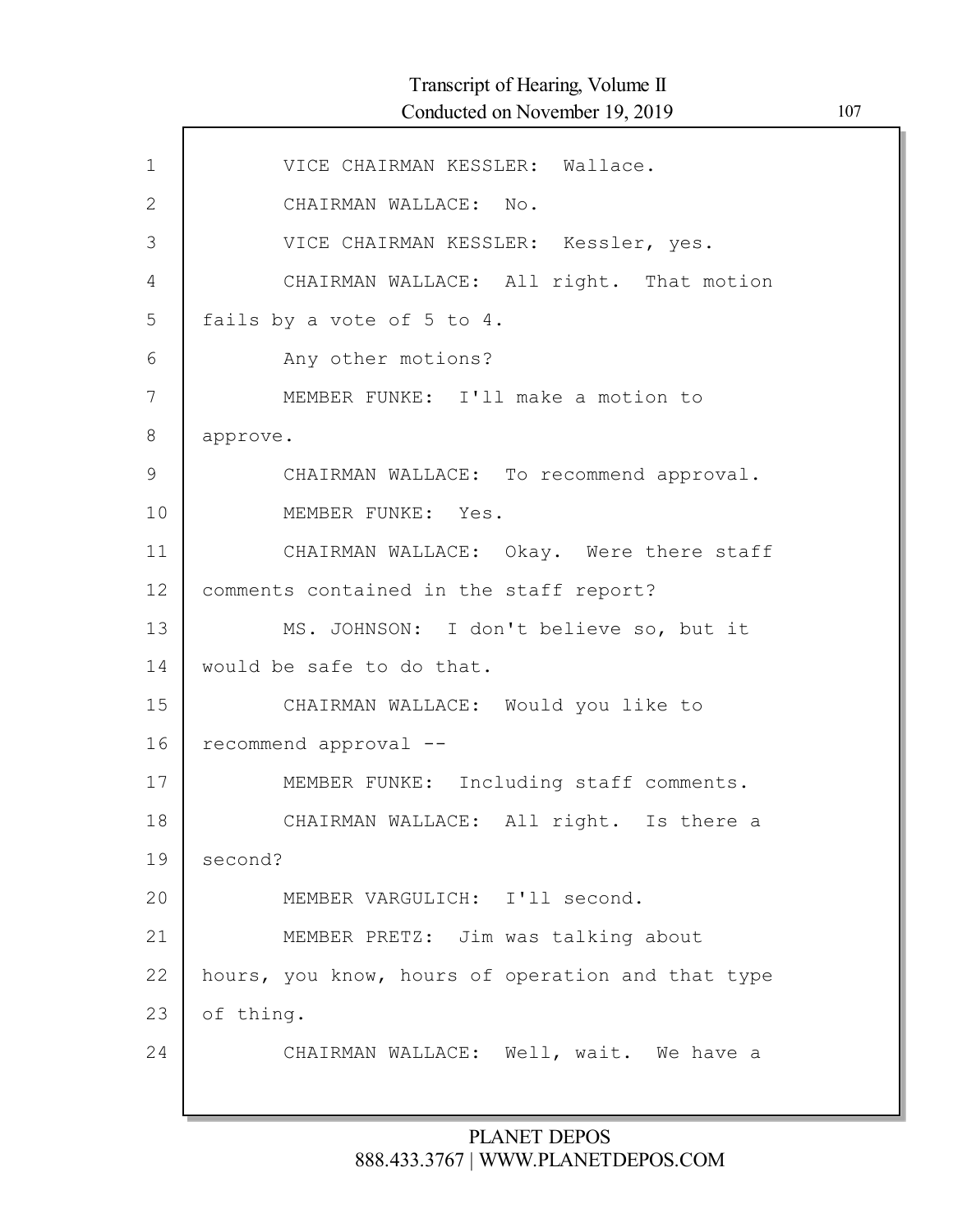| $\mathbf{1}$ | VICE CHAIRMAN KESSLER: Wallace.                   |
|--------------|---------------------------------------------------|
| $\mathbf{2}$ | CHAIRMAN WALLACE: No.                             |
| 3            | VICE CHAIRMAN KESSLER: Kessler, yes.              |
| 4            | CHAIRMAN WALLACE: All right. That motion          |
| 5            | fails by a vote of 5 to 4.                        |
| 6            | Any other motions?                                |
| 7            | MEMBER FUNKE: I'll make a motion to               |
| $8\,$        | approve.                                          |
| 9            | CHAIRMAN WALLACE: To recommend approval.          |
| 10           | MEMBER FUNKE: Yes.                                |
| 11           | CHAIRMAN WALLACE: Okay. Were there staff          |
| 12           | comments contained in the staff report?           |
| 13           | MS. JOHNSON: I don't believe so, but it           |
| 14           | would be safe to do that.                         |
| 15           | CHAIRMAN WALLACE: Would you like to               |
| 16           | recommend approval --                             |
| 17           | MEMBER FUNKE: Including staff comments.           |
| 18           | CHAIRMAN WALLACE: All right. Is there a           |
| 19           | second?                                           |
| 20           | MEMBER VARGULICH: I'll second.                    |
| 21           | MEMBER PRETZ: Jim was talking about               |
| 22           | hours, you know, hours of operation and that type |
| 23           | of thing.                                         |
| 24           | CHAIRMAN WALLACE: Well, wait. We have a           |
|              |                                                   |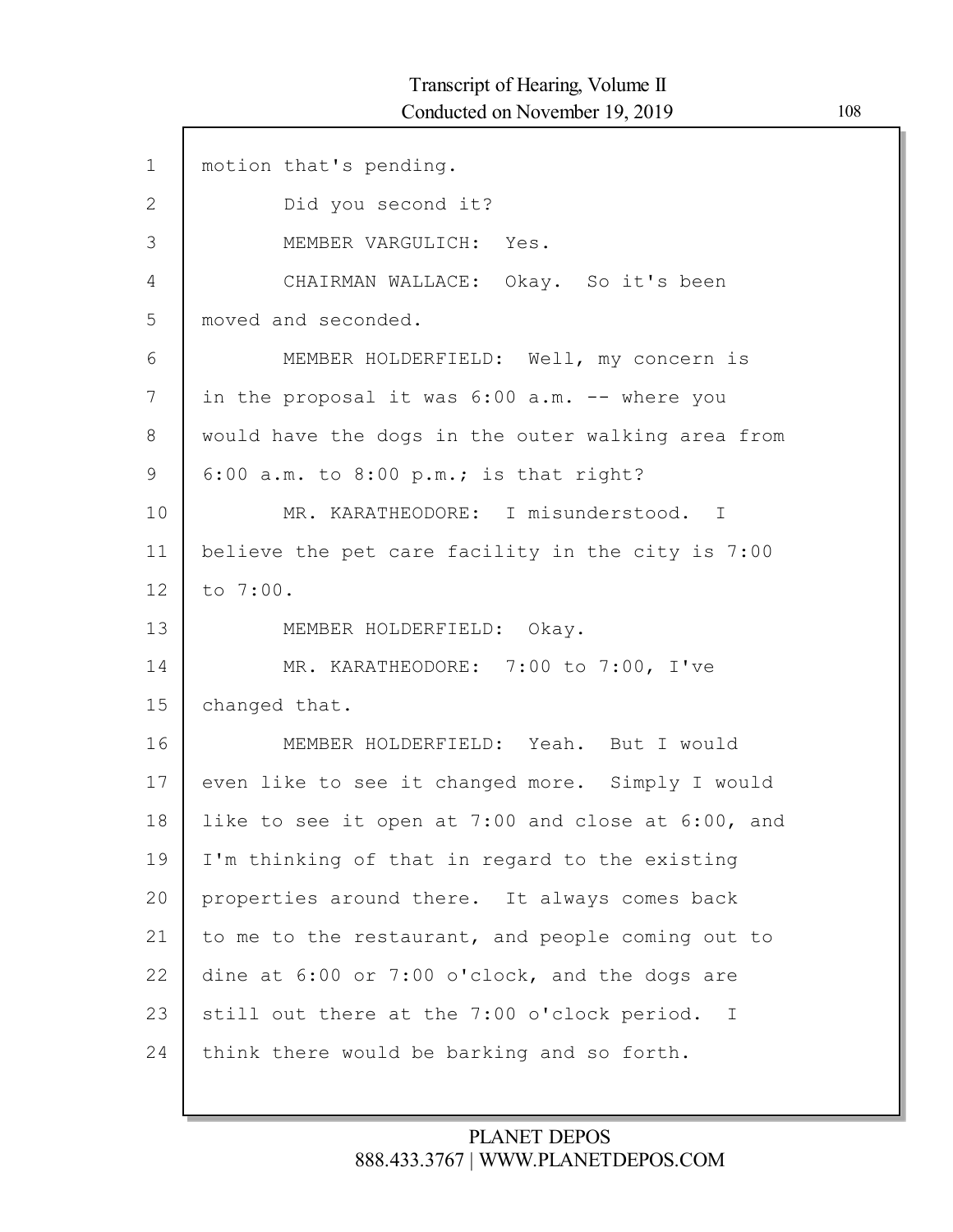$\Gamma$ 

| $\mathbf{1}$ | motion that's pending.                             |
|--------------|----------------------------------------------------|
| $\mathbf{2}$ | Did you second it?                                 |
| 3            | MEMBER VARGULICH: Yes.                             |
| 4            | CHAIRMAN WALLACE: Okay. So it's been               |
| 5            | moved and seconded.                                |
| 6            | MEMBER HOLDERFIELD: Well, my concern is            |
| 7            | in the proposal it was 6:00 a.m. -- where you      |
| 8            | would have the dogs in the outer walking area from |
| 9            | $6:00$ a.m. to $8:00$ p.m.; is that right?         |
| 10           | MR. KARATHEODORE: I misunderstood. I               |
| 11           | believe the pet care facility in the city is 7:00  |
| 12           | to 7:00.                                           |
| 13           | MEMBER HOLDERFIELD: Okay.                          |
| 14           | MR. KARATHEODORE: 7:00 to 7:00, I've               |
| 15           | changed that.                                      |
| 16           | MEMBER HOLDERFIELD: Yeah. But I would              |
| 17           | even like to see it changed more. Simply I would   |
| 18           | like to see it open at 7:00 and close at 6:00, and |
| 19           | I'm thinking of that in regard to the existing     |
| 20           | properties around there. It always comes back      |
| 21           | to me to the restaurant, and people coming out to  |
| 22           | dine at 6:00 or 7:00 o'clock, and the dogs are     |
| 23           | still out there at the 7:00 o'clock period. I      |
| 24           | think there would be barking and so forth.         |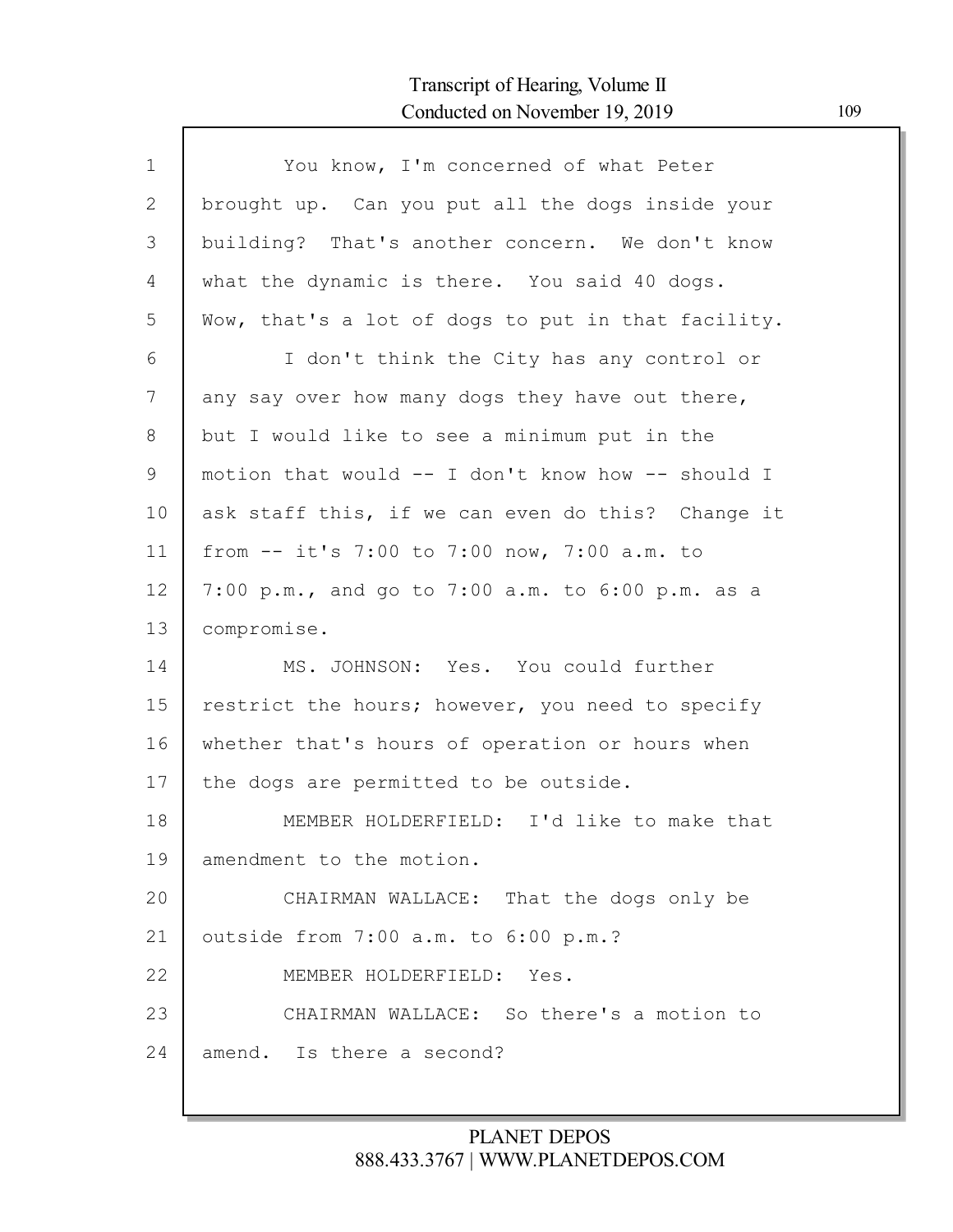| $\mathbf{1}$   | You know, I'm concerned of what Peter              |
|----------------|----------------------------------------------------|
| 2              | brought up. Can you put all the dogs inside your   |
| 3              | building? That's another concern. We don't know    |
| $\overline{4}$ | what the dynamic is there. You said 40 dogs.       |
| 5              | Wow, that's a lot of dogs to put in that facility. |
| 6              | I don't think the City has any control or          |
| 7              | any say over how many dogs they have out there,    |
| 8              | but I would like to see a minimum put in the       |
| 9              | motion that would -- I don't know how -- should I  |
| 10             | ask staff this, if we can even do this? Change it  |
| 11             | from -- it's 7:00 to 7:00 now, 7:00 a.m. to        |
| 12             | 7:00 p.m., and go to 7:00 a.m. to 6:00 p.m. as a   |
| 13             | compromise.                                        |
| 14             | MS. JOHNSON: Yes. You could further                |
| 15             | restrict the hours; however, you need to specify   |
| 16             | whether that's hours of operation or hours when    |
| 17             | the dogs are permitted to be outside.              |
| 18             | MEMBER HOLDERFIELD: I'd like to make that          |
| 19             | amendment to the motion.                           |
| 20             | CHAIRMAN WALLACE: That the dogs only be            |
| 21             | outside from 7:00 a.m. to 6:00 p.m.?               |
| 22             | MEMBER HOLDERFIELD: Yes.                           |
| 23             | CHAIRMAN WALLACE: So there's a motion to           |
| 24             | amend. Is there a second?                          |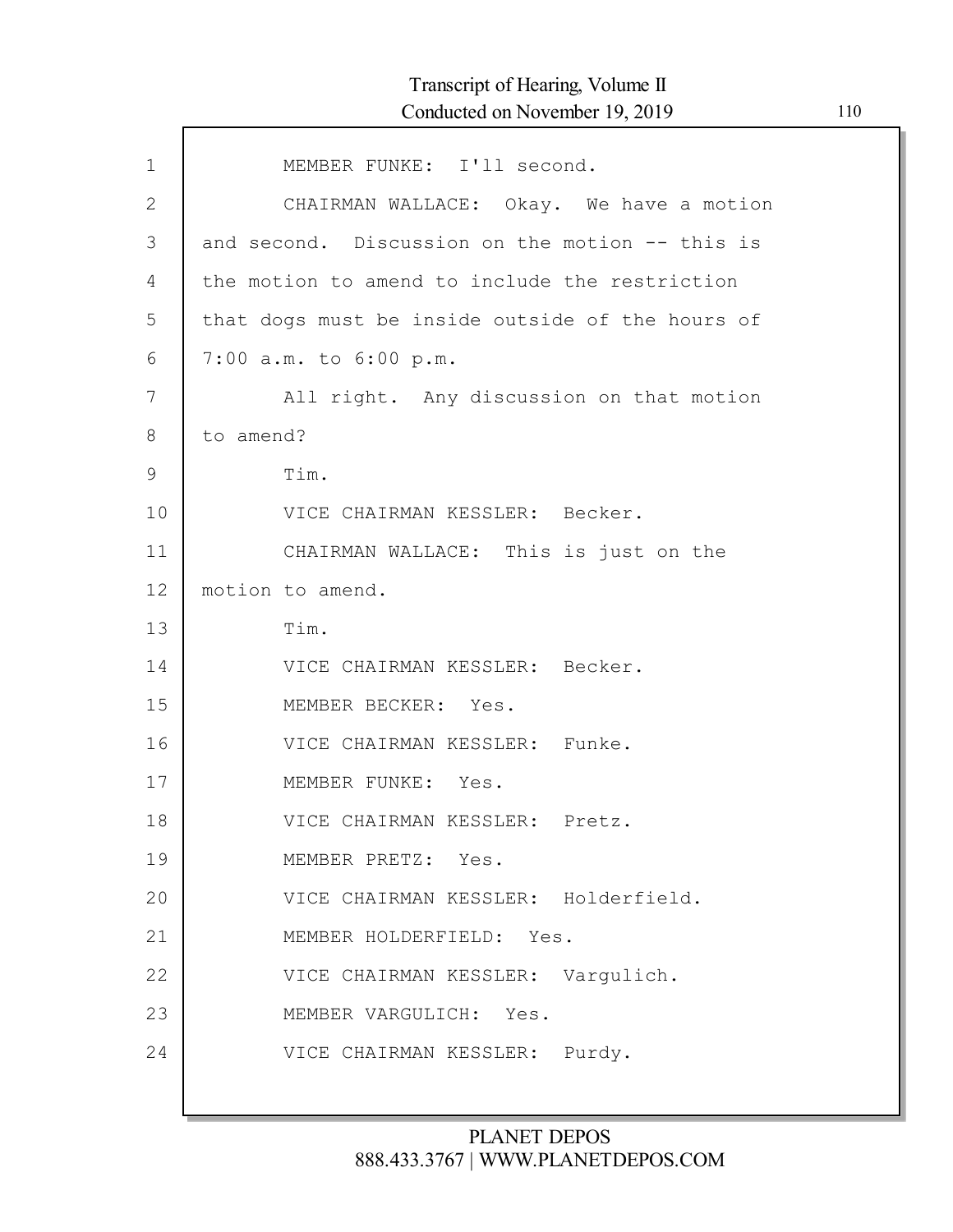| $\mathbf{1}$ | MEMBER FUNKE: I'll second.                       |
|--------------|--------------------------------------------------|
| $\mathbf{2}$ | CHAIRMAN WALLACE: Okay. We have a motion         |
| 3            | and second. Discussion on the motion -- this is  |
| 4            | the motion to amend to include the restriction   |
| 5            | that dogs must be inside outside of the hours of |
| 6            | 7:00 a.m. to 6:00 p.m.                           |
| 7            | All right. Any discussion on that motion         |
| 8            | to amend?                                        |
| 9            | Tim.                                             |
| 10           | VICE CHAIRMAN KESSLER: Becker.                   |
| 11           | CHAIRMAN WALLACE: This is just on the            |
| 12           | motion to amend.                                 |
| 13           | Tim.                                             |
| 14           | VICE CHAIRMAN KESSLER: Becker.                   |
| 15           | MEMBER BECKER: Yes.                              |
| 16           | VICE CHAIRMAN KESSLER: Funke.                    |
| 17           | MEMBER FUNKE: Yes.                               |
| 18           | VICE CHAIRMAN KESSLER: Pretz.                    |
| 19           | MEMBER PRETZ: Yes.                               |
| 20           | VICE CHAIRMAN KESSLER: Holderfield.              |
| 21           | MEMBER HOLDERFIELD: Yes.                         |
| 22           | VICE CHAIRMAN KESSLER: Varqulich.                |
| 23           | MEMBER VARGULICH: Yes.                           |
| 24           | VICE CHAIRMAN KESSLER: Purdy.                    |
|              |                                                  |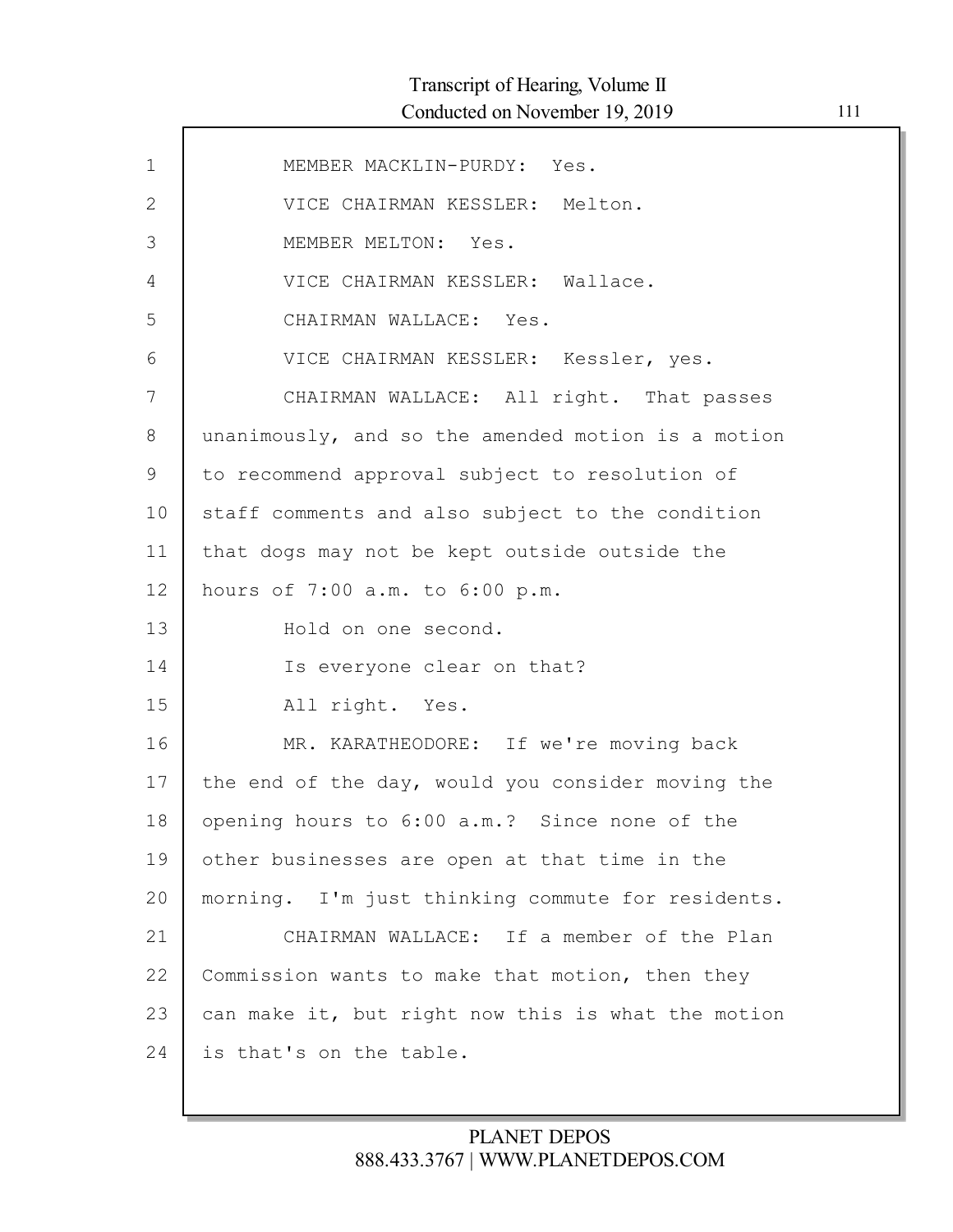| $\mathbf{1}$ | MEMBER MACKLIN-PURDY: Yes.                         |
|--------------|----------------------------------------------------|
| $\mathbf{2}$ | VICE CHAIRMAN KESSLER: Melton.                     |
| 3            | MEMBER MELTON: Yes.                                |
| 4            | VICE CHAIRMAN KESSLER: Wallace.                    |
| 5            | CHAIRMAN WALLACE: Yes.                             |
| 6            | VICE CHAIRMAN KESSLER: Kessler, yes.               |
| 7            | CHAIRMAN WALLACE: All right. That passes           |
| 8            | unanimously, and so the amended motion is a motion |
| 9            | to recommend approval subject to resolution of     |
| 10           | staff comments and also subject to the condition   |
| 11           | that dogs may not be kept outside outside the      |
| 12           | hours of 7:00 a.m. to 6:00 p.m.                    |
| 13           | Hold on one second.                                |
| 14           | Is everyone clear on that?                         |
| 15           | All right. Yes.                                    |
| 16           | MR. KARATHEODORE: If we're moving back             |
| 17           | the end of the day, would you consider moving the  |
| 18           | opening hours to 6:00 a.m.? Since none of the      |
| 19           | other businesses are open at that time in the      |
| 20           | morning. I'm just thinking commute for residents.  |
| 21           | CHAIRMAN WALLACE: If a member of the Plan          |
| 22           | Commission wants to make that motion, then they    |
| 23           | can make it, but right now this is what the motion |
| 24           | is that's on the table.                            |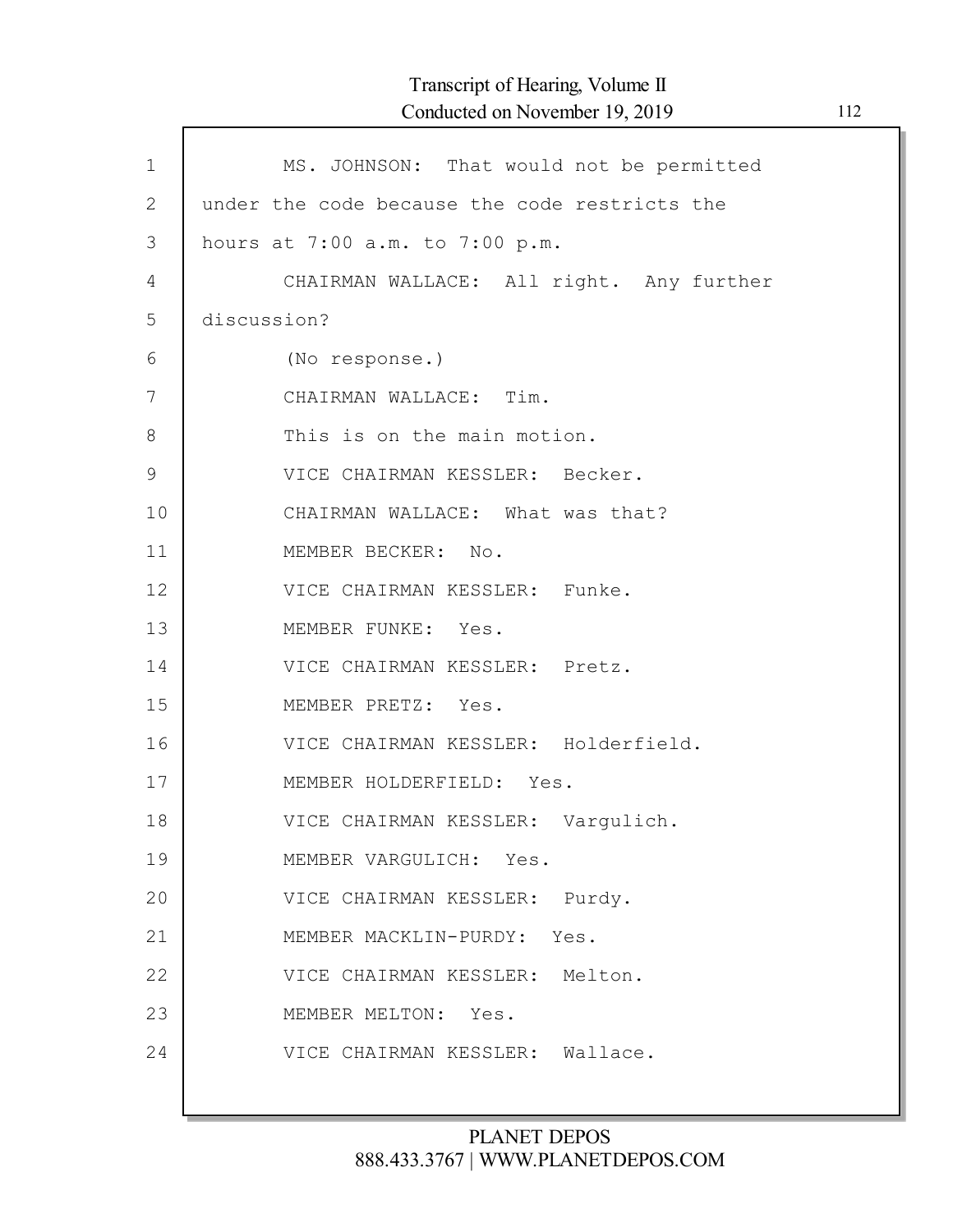| $\mathbf 1$    | MS. JOHNSON: That would not be permitted      |
|----------------|-----------------------------------------------|
| $\overline{2}$ | under the code because the code restricts the |
| 3              | hours at 7:00 a.m. to 7:00 p.m.               |
| 4              | CHAIRMAN WALLACE: All right. Any further      |
| 5              | discussion?                                   |
| 6              | (No response.)                                |
| 7              | CHAIRMAN WALLACE: Tim.                        |
| 8              | This is on the main motion.                   |
| $\mathcal{G}$  | VICE CHAIRMAN KESSLER: Becker.                |
| 10             | CHAIRMAN WALLACE: What was that?              |
| 11             | MEMBER BECKER: No.                            |
| 12             | VICE CHAIRMAN KESSLER: Funke.                 |
| 13             | MEMBER FUNKE: Yes.                            |
| 14             | VICE CHAIRMAN KESSLER: Pretz.                 |
| 15             | MEMBER PRETZ: Yes.                            |
| 16             | VICE CHAIRMAN KESSLER: Holderfield.           |
| 17             | MEMBER HOLDERFIELD: Yes.                      |
| 18             | VICE CHAIRMAN KESSLER: Vargulich.             |
| 19             | MEMBER VARGULICH: Yes.                        |
| 20             | VICE CHAIRMAN KESSLER: Purdy.                 |
| 21             | MEMBER MACKLIN-PURDY: Yes.                    |
| 22             | VICE CHAIRMAN KESSLER: Melton.                |
| 23             | MEMBER MELTON: Yes.                           |
| 24             | VICE CHAIRMAN KESSLER: Wallace.               |
|                |                                               |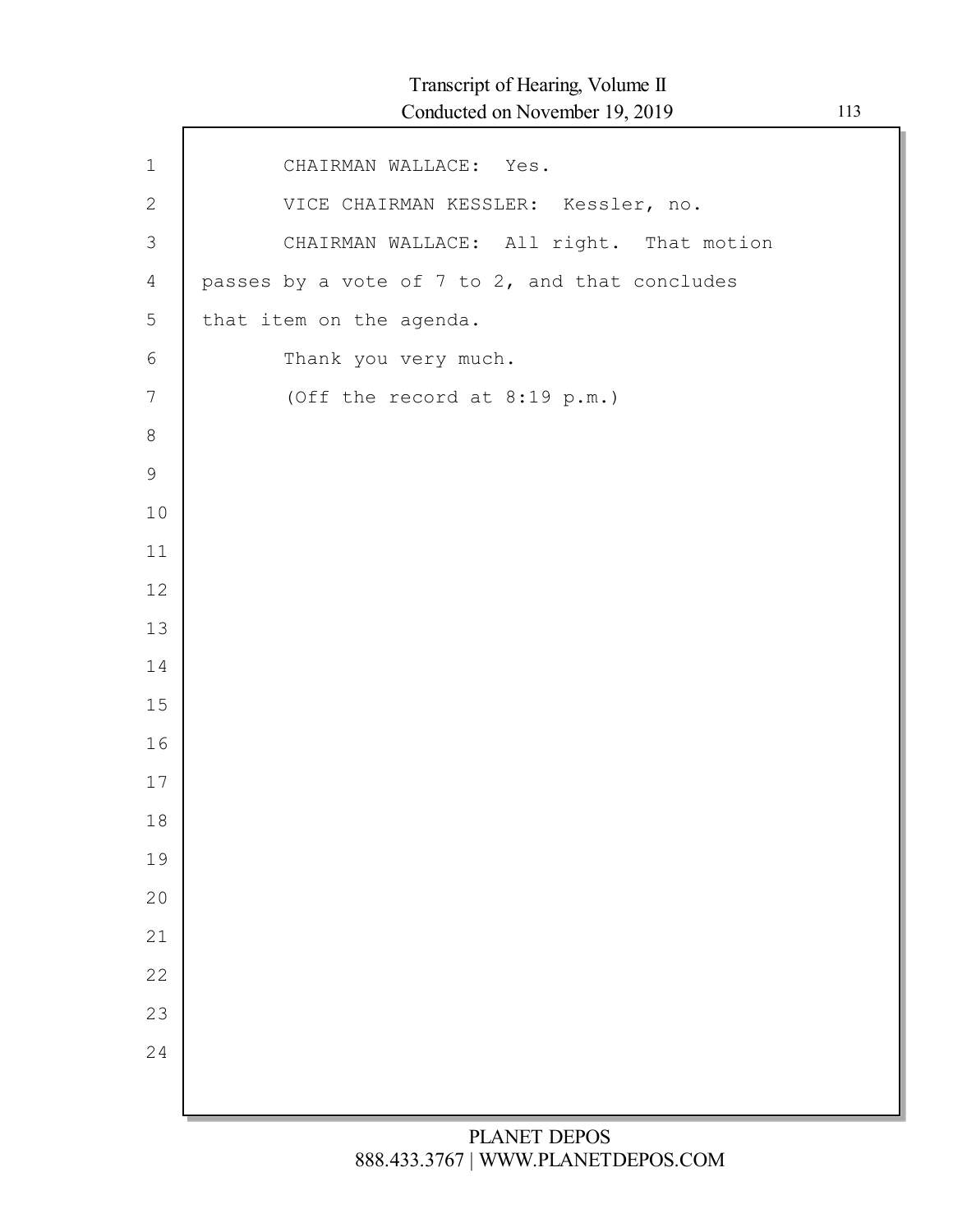| $1\,$          | CHAIRMAN WALLACE: Yes.                         |
|----------------|------------------------------------------------|
| $\mathbf{2}$   | VICE CHAIRMAN KESSLER: Kessler, no.            |
| 3              | CHAIRMAN WALLACE: All right. That motion       |
| $\overline{4}$ | passes by a vote of 7 to 2, and that concludes |
| 5              | that item on the agenda.                       |
| 6              | Thank you very much.                           |
| $\overline{7}$ | (Off the record at 8:19 p.m.)                  |
| $8\,$          |                                                |
| 9              |                                                |
| $10$           |                                                |
| 11             |                                                |
| 12             |                                                |
| 13             |                                                |
| 14             |                                                |
| 15             |                                                |
| 16             |                                                |
| 17             |                                                |
| 18             |                                                |
| 19             |                                                |
| 20             |                                                |
| 21             |                                                |
| 22             |                                                |
| 23             |                                                |
| 24             |                                                |
|                |                                                |
|                |                                                |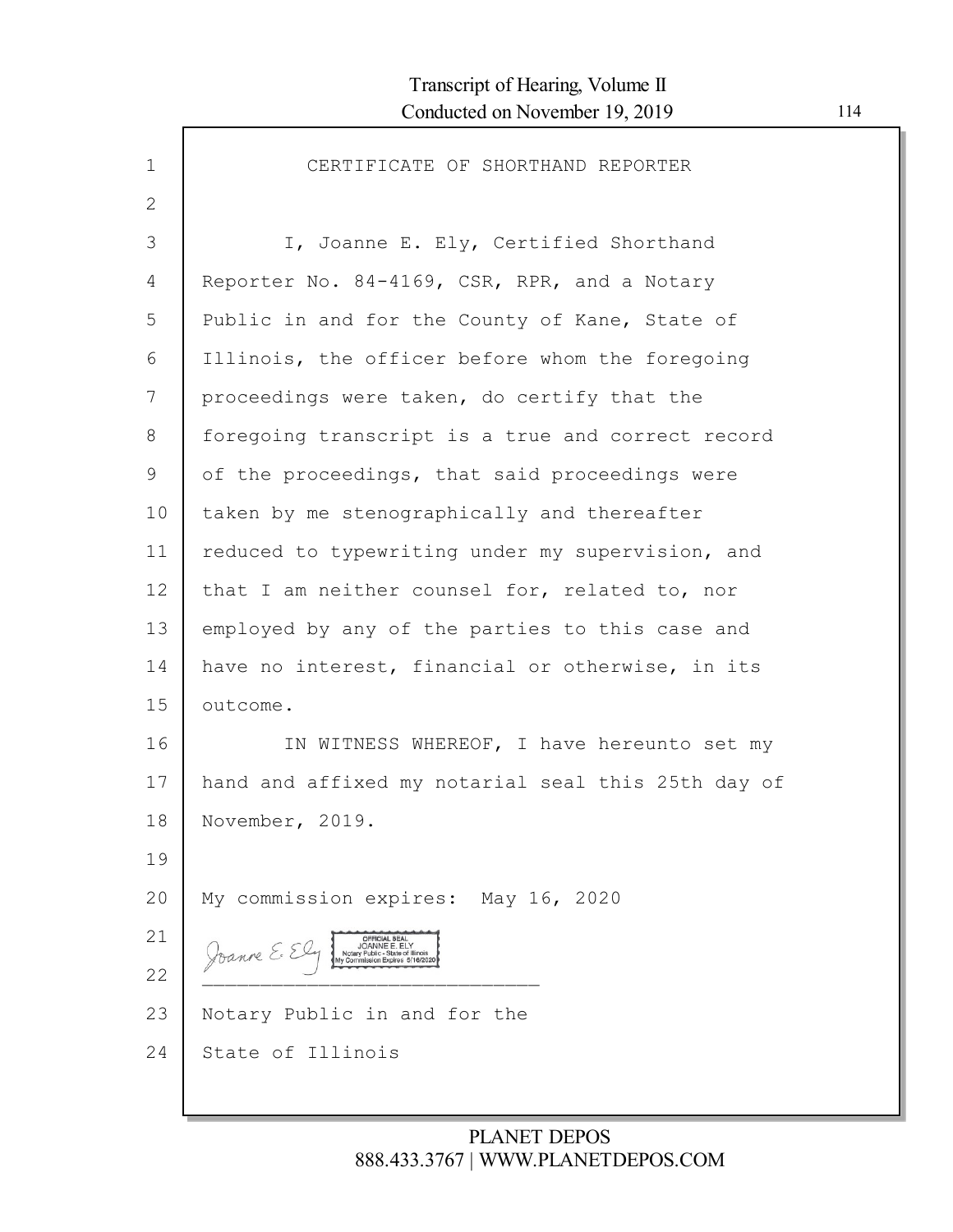| $\mathbf 1$ | CERTIFICATE OF SHORTHAND REPORTER                                                                                            |
|-------------|------------------------------------------------------------------------------------------------------------------------------|
| 2           |                                                                                                                              |
| 3           | I, Joanne E. Ely, Certified Shorthand                                                                                        |
| 4           | Reporter No. 84-4169, CSR, RPR, and a Notary                                                                                 |
| 5           | Public in and for the County of Kane, State of                                                                               |
| 6           | Illinois, the officer before whom the foregoing                                                                              |
| 7           | proceedings were taken, do certify that the                                                                                  |
| 8           | foregoing transcript is a true and correct record                                                                            |
| 9           | of the proceedings, that said proceedings were                                                                               |
| 10          | taken by me stenographically and thereafter                                                                                  |
| 11          | reduced to typewriting under my supervision, and                                                                             |
| 12          | that I am neither counsel for, related to, nor                                                                               |
| 13          | employed by any of the parties to this case and                                                                              |
| 14          | have no interest, financial or otherwise, in its                                                                             |
| 15          | outcome.                                                                                                                     |
| 16          | IN WITNESS WHEREOF, I have hereunto set my                                                                                   |
| 17          | hand and affixed my notarial seal this 25th day of                                                                           |
| 18          | November, 2019.                                                                                                              |
| 19          |                                                                                                                              |
| 20          | My commission expires: May 16, 2020                                                                                          |
| 21          | <b>OFFICIAL SEAL</b><br>JOANNE E. EL'<br>Joanne E. E<br>Notary Public - State of Illinois<br>My Commission Expires 5/16/2020 |
| 22          |                                                                                                                              |
| 23          | Notary Public in and for the                                                                                                 |
| 24          | State of Illinois                                                                                                            |
|             |                                                                                                                              |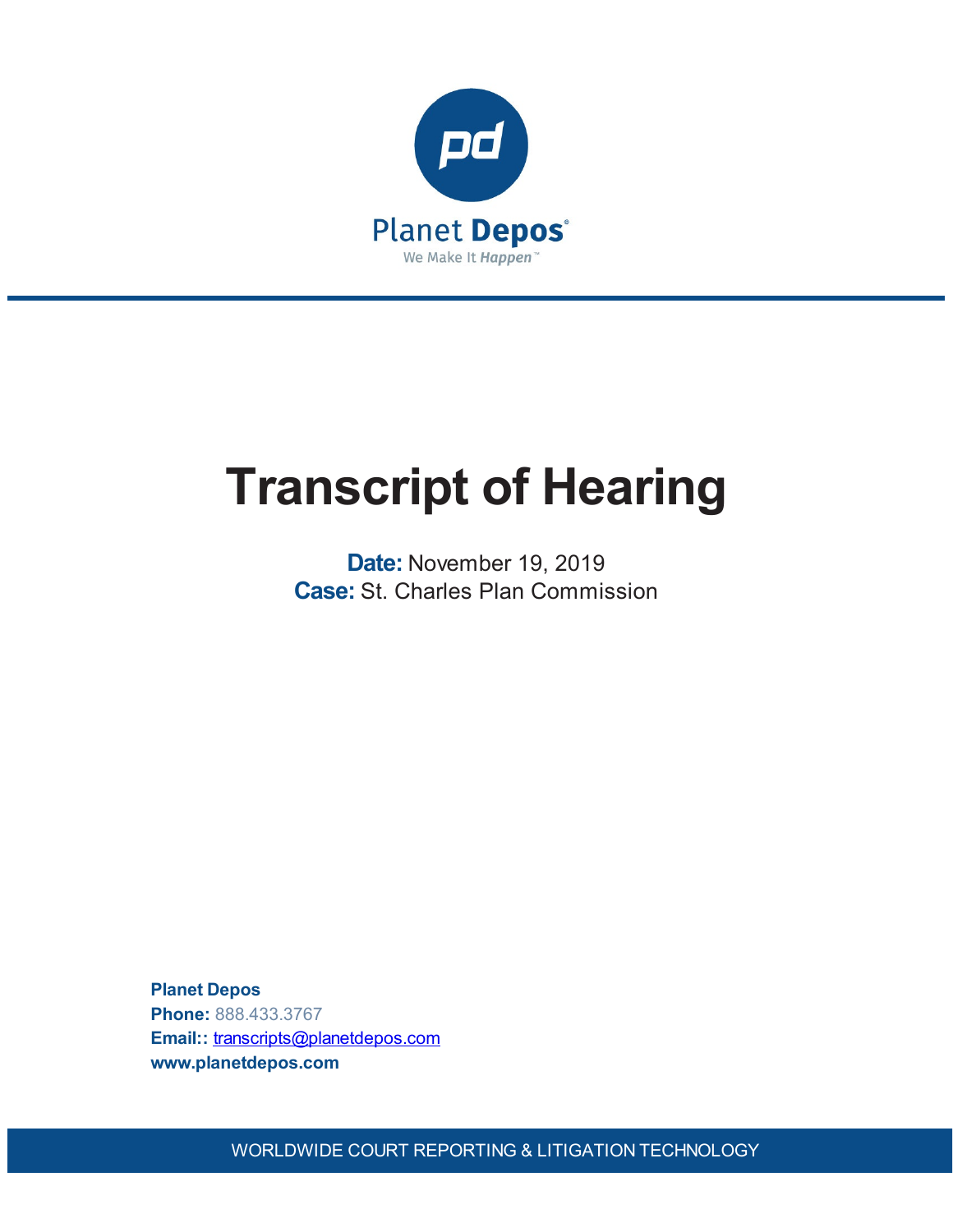

# **Transcript of Hearing**

**Date:** November 19, 2019 **Case:** St. Charles Plan Commission

**Planet Depos Phone:** 888.433.3767 **Email::** [transcripts@planetdepos.com](mailto:transcripts@planetdepos.com) **www.planetdepos.com**

WORLDWIDE COURT REPORTING & LITIGATION TECHNOLOGY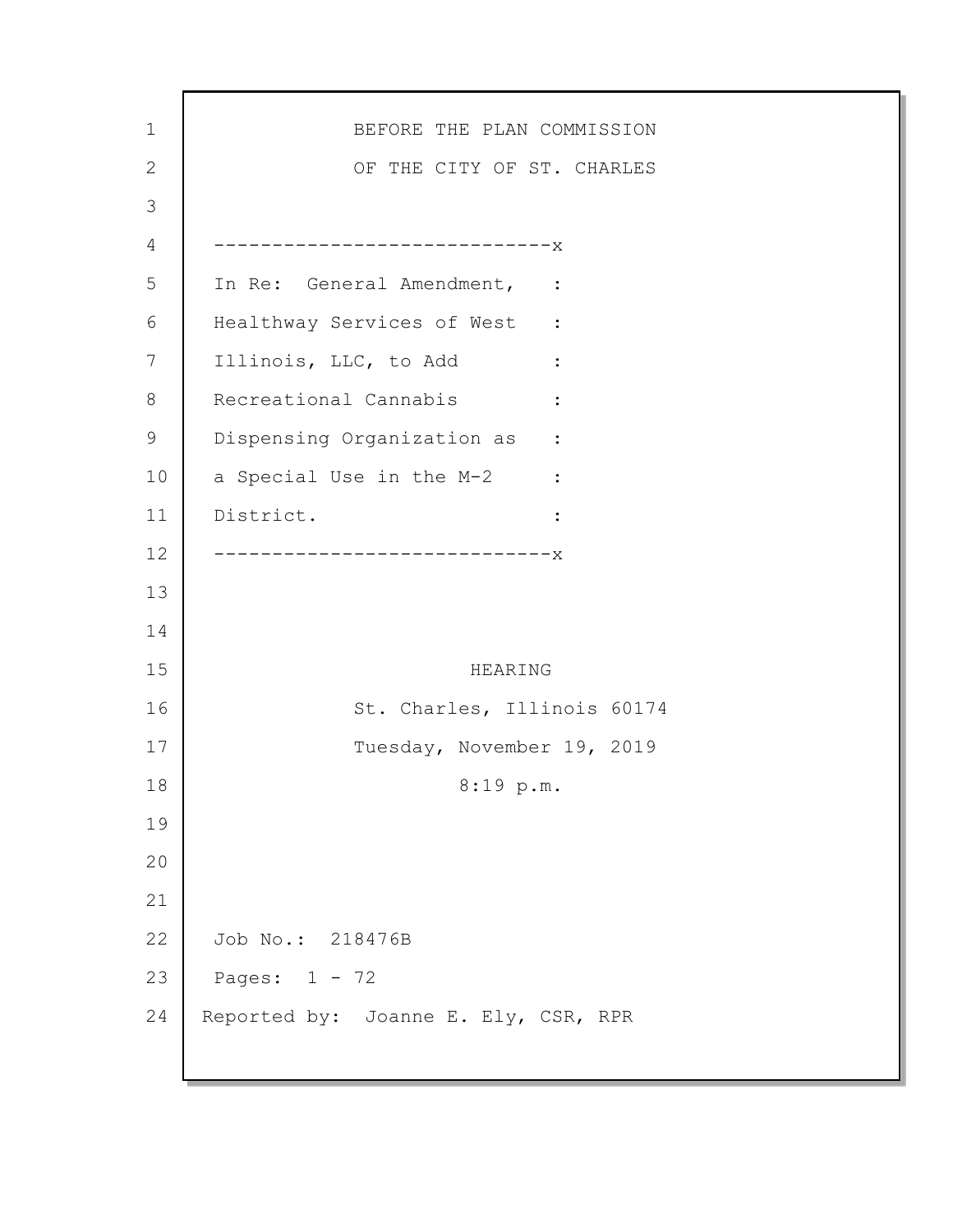| $\mathbf 1$ | BEFORE THE PLAN COMMISSION                               |
|-------------|----------------------------------------------------------|
| 2           | OF THE CITY OF ST. CHARLES                               |
| 3           |                                                          |
| 4           | ----------------------------X                            |
| 5           | In Re: General Amendment, :                              |
| 6           | Healthway Services of West :                             |
| 7           | Illinois, LLC, to Add<br><b><i>Property Services</i></b> |
| 8           | Recreational Cannabis<br>$\ddot{\cdot}$                  |
| 9           | Dispensing Organization as :                             |
| 10          | a Special Use in the M-2 :                               |
| 11          | District.<br>$\ddot{\cdot}$                              |
| 12          | --------------------------x                              |
| 13          |                                                          |
| 14          |                                                          |
| 15          | HEARING                                                  |
| 16          | St. Charles, Illinois 60174                              |
| 17          | Tuesday, November 19, 2019                               |
| 18          | 8:19 p.m.                                                |
| 19          |                                                          |
| 20          |                                                          |
| 21          |                                                          |
| 22          | Job No.: 218476B                                         |
| 23          | Pages: $1 - 72$                                          |
| 24          | Reported by: Joanne E. Ely, CSR, RPR                     |
|             |                                                          |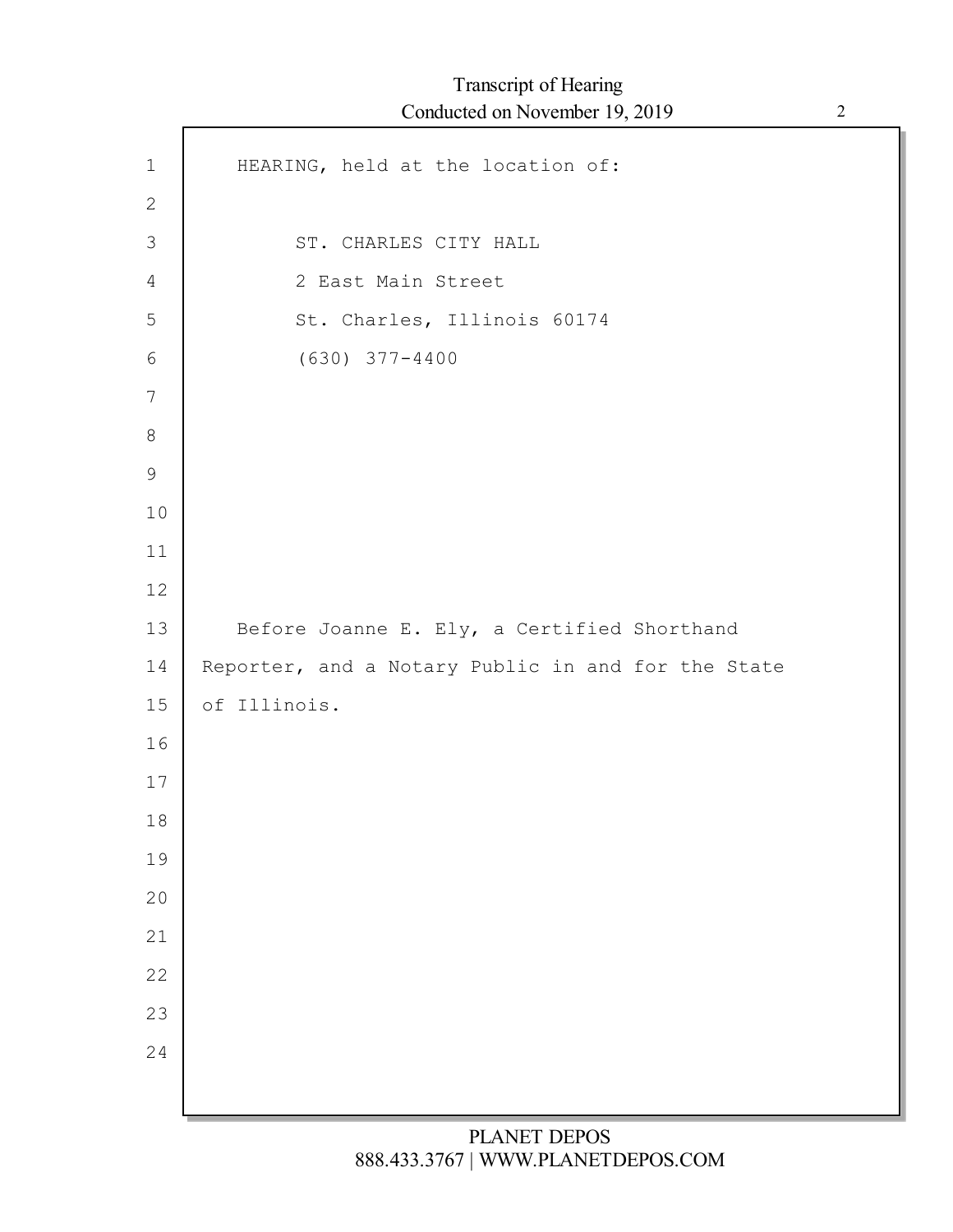$\mathsf{r}$ 

| $1\,$          | HEARING, held at the location of:                  |
|----------------|----------------------------------------------------|
| $\mathbf{2}$   |                                                    |
| $\mathfrak{Z}$ | ST. CHARLES CITY HALL                              |
| 4              | 2 East Main Street                                 |
| 5              | St. Charles, Illinois 60174                        |
| 6              | $(630)$ $377 - 4400$                               |
| $\overline{7}$ |                                                    |
| $\,8\,$        |                                                    |
| $\mathsf 9$    |                                                    |
| 10             |                                                    |
| 11             |                                                    |
| 12             |                                                    |
| 13             | Before Joanne E. Ely, a Certified Shorthand        |
| 14             | Reporter, and a Notary Public in and for the State |
| 15             | of Illinois.                                       |
| 16             |                                                    |
| 17             |                                                    |
| 18             |                                                    |
| 19             |                                                    |
| 20             |                                                    |
| 21             |                                                    |
| 22             |                                                    |
| 23             |                                                    |
| 24             |                                                    |
|                |                                                    |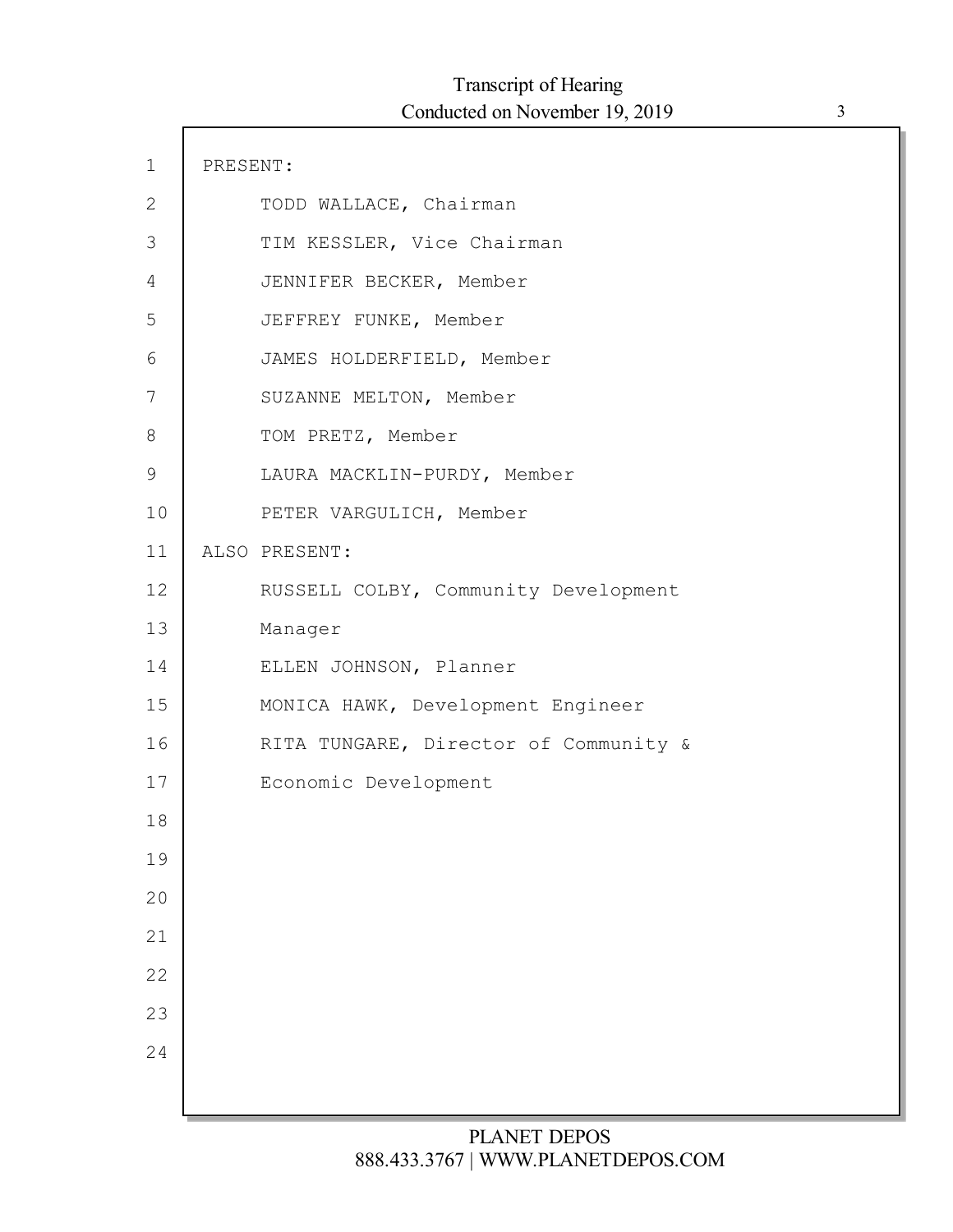| $\mathbf 1$ | PRESENT:                              |  |
|-------------|---------------------------------------|--|
| 2           | TODD WALLACE, Chairman                |  |
| 3           | TIM KESSLER, Vice Chairman            |  |
| 4           | JENNIFER BECKER, Member               |  |
| 5           | JEFFREY FUNKE, Member                 |  |
| 6           | JAMES HOLDERFIELD, Member             |  |
| 7           | SUZANNE MELTON, Member                |  |
| 8           | TOM PRETZ, Member                     |  |
| $\mathsf 9$ | LAURA MACKLIN-PURDY, Member           |  |
| 10          | PETER VARGULICH, Member               |  |
| 11          | ALSO PRESENT:                         |  |
| 12          | RUSSELL COLBY, Community Development  |  |
| 13          | Manager                               |  |
| 14          | ELLEN JOHNSON, Planner                |  |
| 15          | MONICA HAWK, Development Engineer     |  |
| 16          | RITA TUNGARE, Director of Community & |  |
| 17          | Economic Development                  |  |
| 18          |                                       |  |
| 19          |                                       |  |
| 20          |                                       |  |
| 21          |                                       |  |
| 22          |                                       |  |
| 23          |                                       |  |
| 24          |                                       |  |
|             |                                       |  |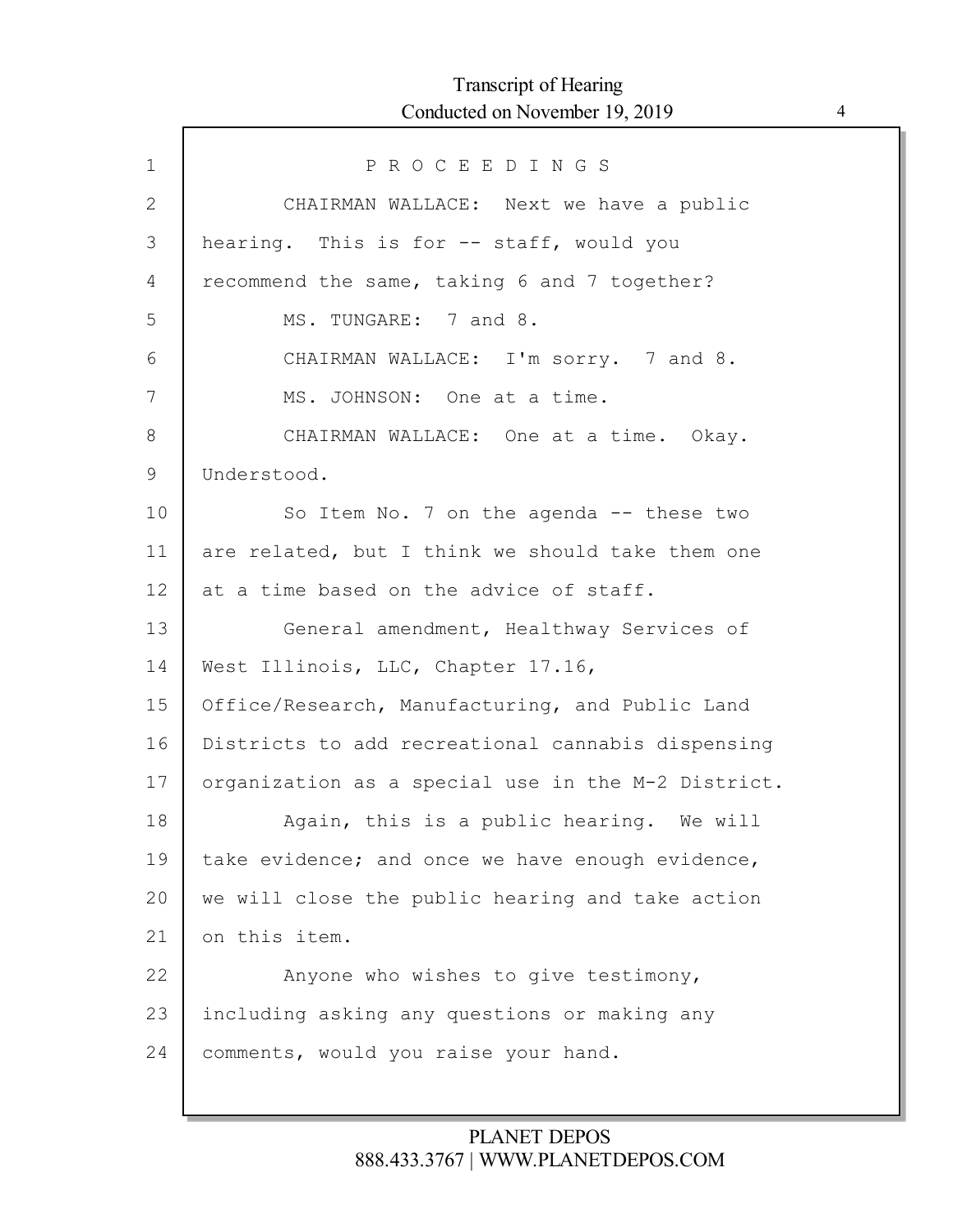| $\mathbf 1$  | PROCEEDINGS                                        |
|--------------|----------------------------------------------------|
| $\mathbf{2}$ | CHAIRMAN WALLACE: Next we have a public            |
| 3            | hearing. This is for -- staff, would you           |
| 4            | recommend the same, taking 6 and 7 together?       |
| 5            | MS. TUNGARE: 7 and 8.                              |
| 6            | CHAIRMAN WALLACE: I'm sorry. 7 and 8.              |
| 7            | MS. JOHNSON: One at a time.                        |
| 8            | CHAIRMAN WALLACE: One at a time. Okay.             |
| $\mathsf 9$  | Understood.                                        |
| 10           | So Item No. 7 on the agenda -- these two           |
| 11           | are related, but I think we should take them one   |
| 12           | at a time based on the advice of staff.            |
| 13           | General amendment, Healthway Services of           |
| 14           | West Illinois, LLC, Chapter 17.16,                 |
| 15           | Office/Research, Manufacturing, and Public Land    |
| 16           | Districts to add recreational cannabis dispensing  |
| 17           | organization as a special use in the M-2 District. |
| 18           | Again, this is a public hearing. We will           |
| 19           | take evidence; and once we have enough evidence,   |
| 20           | we will close the public hearing and take action   |
| 21           | on this item.                                      |
| 22           | Anyone who wishes to give testimony,               |
| 23           | including asking any questions or making any       |
| 24           | comments, would you raise your hand.               |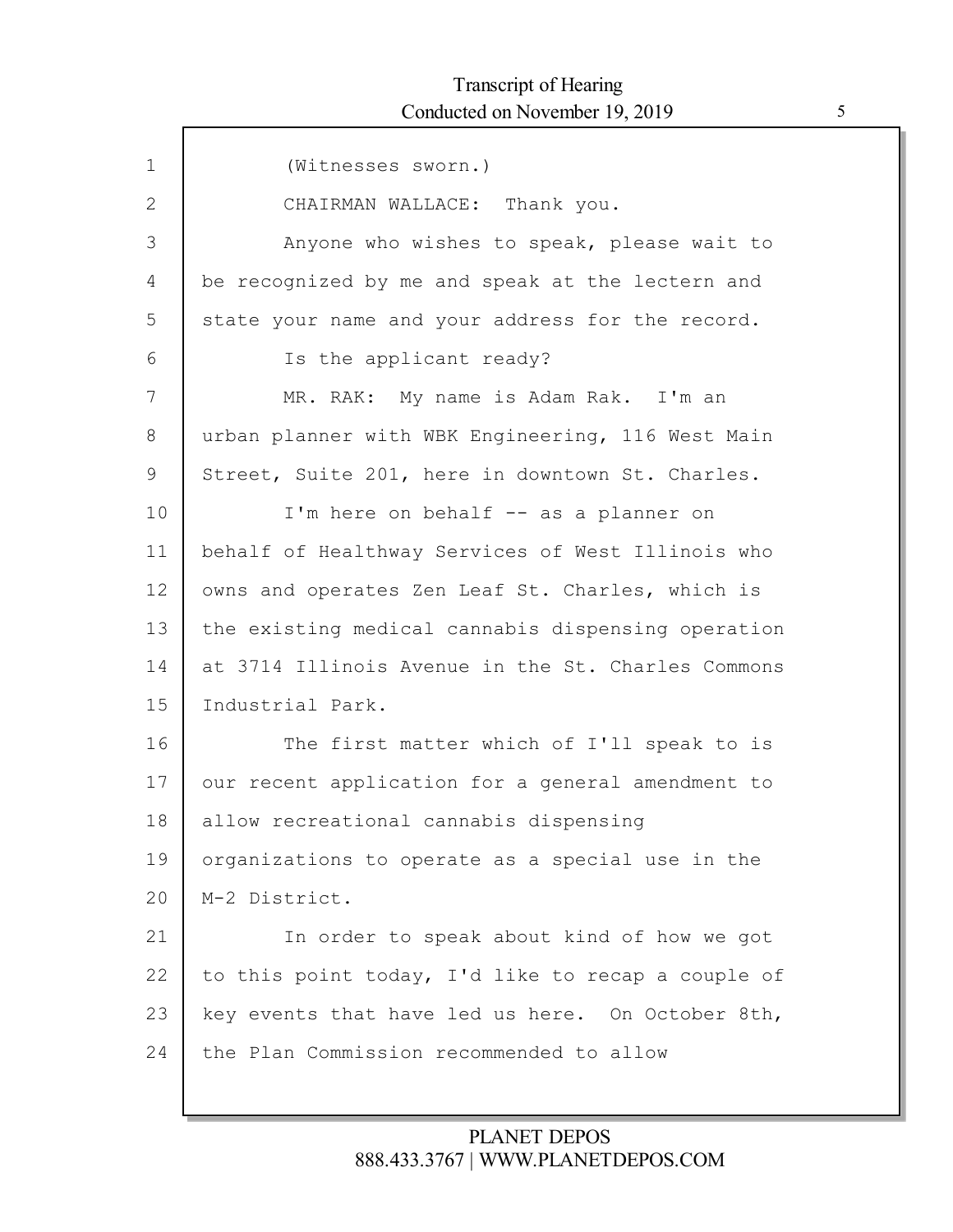ľ

| $\mathbf 1$ | (Witnesses sworn.)                                 |
|-------------|----------------------------------------------------|
| 2           | CHAIRMAN WALLACE: Thank you.                       |
| 3           | Anyone who wishes to speak, please wait to         |
| 4           | be recognized by me and speak at the lectern and   |
| 5           | state your name and your address for the record.   |
| 6           | Is the applicant ready?                            |
| 7           | MR. RAK: My name is Adam Rak. I'm an               |
| 8           | urban planner with WBK Engineering, 116 West Main  |
| 9           | Street, Suite 201, here in downtown St. Charles.   |
| 10          | I'm here on behalf -- as a planner on              |
| 11          | behalf of Healthway Services of West Illinois who  |
| 12          | owns and operates Zen Leaf St. Charles, which is   |
| 13          | the existing medical cannabis dispensing operation |
| 14          | at 3714 Illinois Avenue in the St. Charles Commons |
| 15          | Industrial Park.                                   |
| 16          | The first matter which of I'll speak to is         |
| 17          | our recent application for a general amendment to  |
| 18          | allow recreational cannabis dispensing             |
| 19          | organizations to operate as a special use in the   |
| 20          | M-2 District.                                      |
| 21          | In order to speak about kind of how we got         |
| 22          | to this point today, I'd like to recap a couple of |
| 23          | key events that have led us here. On October 8th,  |
| 24          | the Plan Commission recommended to allow           |
|             |                                                    |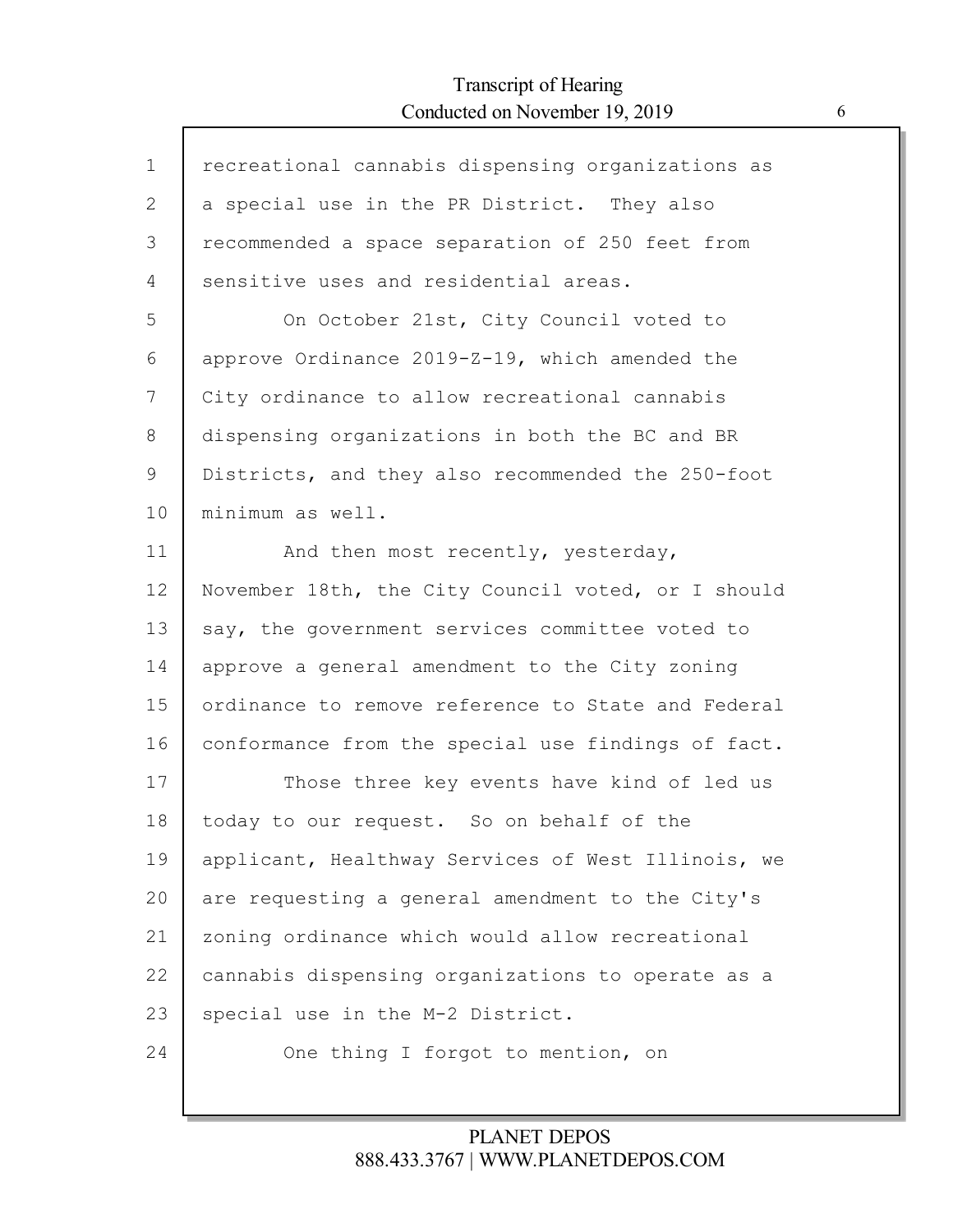| $\mathbf 1$  | recreational cannabis dispensing organizations as  |
|--------------|----------------------------------------------------|
| $\mathbf{2}$ | a special use in the PR District. They also        |
| 3            | recommended a space separation of 250 feet from    |
| 4            | sensitive uses and residential areas.              |
| 5            | On October 21st, City Council voted to             |
| 6            | approve Ordinance 2019-Z-19, which amended the     |
| 7            | City ordinance to allow recreational cannabis      |
| 8            | dispensing organizations in both the BC and BR     |
| 9            | Districts, and they also recommended the 250-foot  |
| 10           | minimum as well.                                   |
| 11           | And then most recently, yesterday,                 |
| 12           | November 18th, the City Council voted, or I should |
| 13           | say, the government services committee voted to    |
| 14           | approve a general amendment to the City zoning     |
| 15           | ordinance to remove reference to State and Federal |
| 16           | conformance from the special use findings of fact. |
| 17           | Those three key events have kind of led us         |
| 18           | today to our request. So on behalf of the          |
| 19           | applicant, Healthway Services of West Illinois, we |
| 20           | are requesting a general amendment to the City's   |
| 21           | zoning ordinance which would allow recreational    |
| 22           | cannabis dispensing organizations to operate as a  |
| 23           | special use in the M-2 District.                   |
| 24           | One thing I forgot to mention, on                  |
|              |                                                    |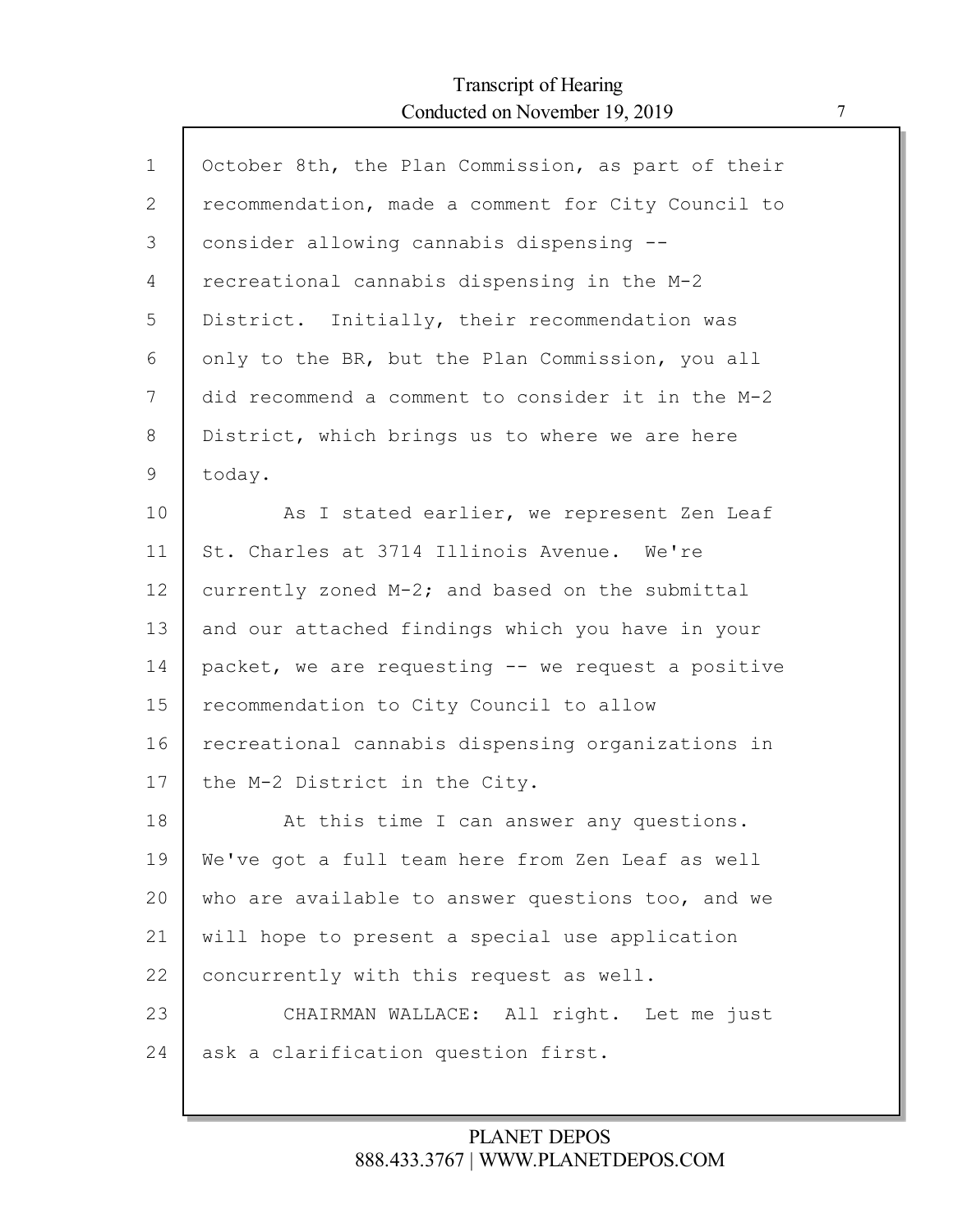$\mathsf{l}$ 

| $\mathbf{1}$ | October 8th, the Plan Commission, as part of their |
|--------------|----------------------------------------------------|
| 2            | recommendation, made a comment for City Council to |
| 3            | consider allowing cannabis dispensing --           |
| 4            | recreational cannabis dispensing in the M-2        |
| 5            | District. Initially, their recommendation was      |
| 6            | only to the BR, but the Plan Commission, you all   |
| 7            | did recommend a comment to consider it in the M-2  |
| 8            | District, which brings us to where we are here     |
| 9            | today.                                             |
| 10           | As I stated earlier, we represent Zen Leaf         |
| 11           | St. Charles at 3714 Illinois Avenue. We're         |
| 12           | currently zoned M-2; and based on the submittal    |
| 13           | and our attached findings which you have in your   |
| 14           | packet, we are requesting -- we request a positive |
| 15           | recommendation to City Council to allow            |
| 16           | recreational cannabis dispensing organizations in  |
| 17           | the M-2 District in the City.                      |
| 18           | At this time I can answer any questions.           |
| 19           | We've got a full team here from Zen Leaf as well   |
| 20           | who are available to answer questions too, and we  |
| 21           | will hope to present a special use application     |
| 22           | concurrently with this request as well.            |
| 23           | CHAIRMAN WALLACE: All right. Let me just           |
| 24           | ask a clarification question first.                |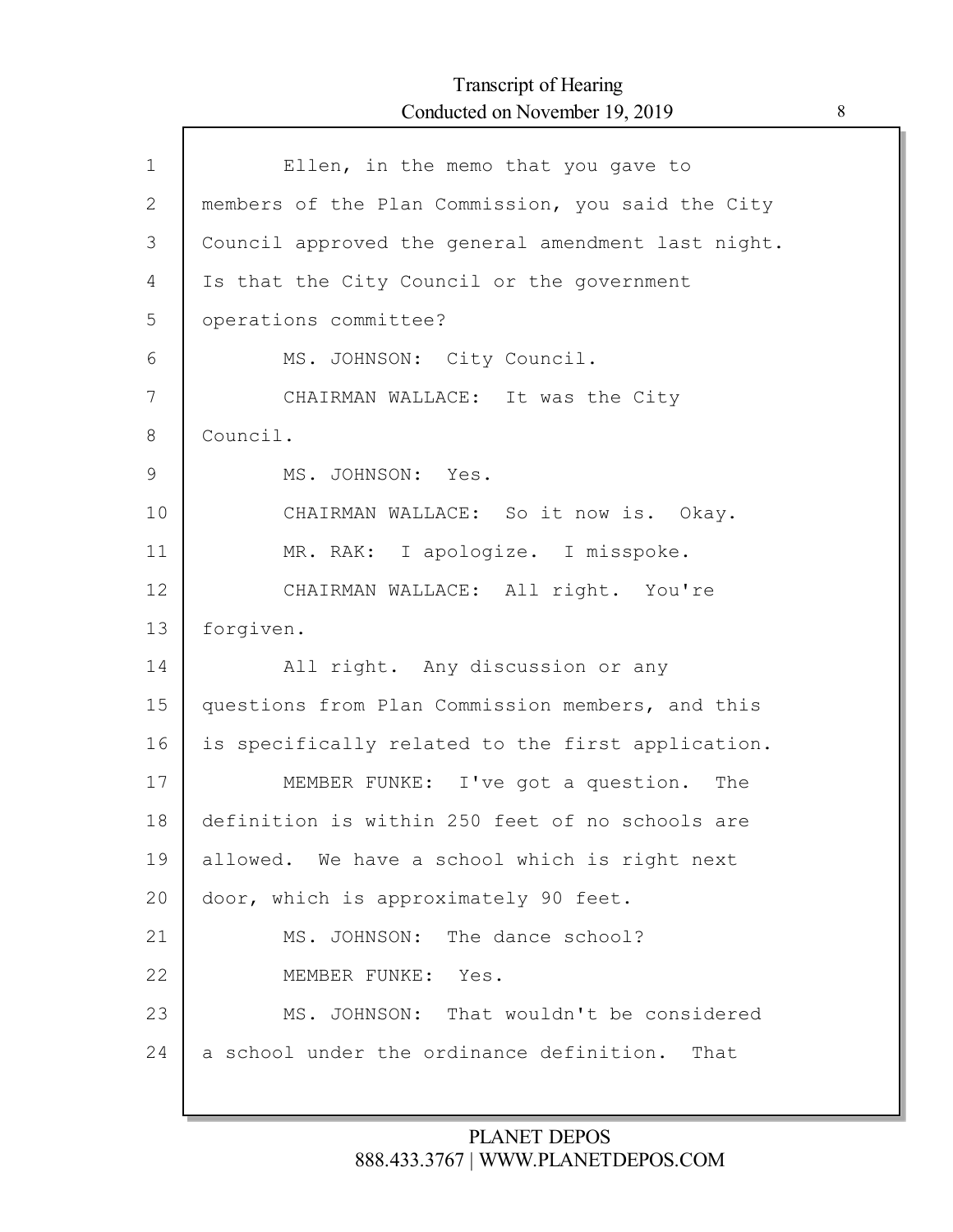$\Gamma$ 

| $\mathbf 1$  | Ellen, in the memo that you gave to                |
|--------------|----------------------------------------------------|
| $\mathbf{2}$ | members of the Plan Commission, you said the City  |
| 3            | Council approved the general amendment last night. |
| 4            | Is that the City Council or the government         |
| 5            | operations committee?                              |
| 6            | MS. JOHNSON: City Council.                         |
| 7            | CHAIRMAN WALLACE: It was the City                  |
| 8            | Council.                                           |
| 9            | MS. JOHNSON: Yes.                                  |
| 10           | CHAIRMAN WALLACE: So it now is. Okay.              |
| 11           | MR. RAK: I apologize. I misspoke.                  |
| 12           | CHAIRMAN WALLACE: All right. You're                |
| 13           | forgiven.                                          |
| 14           | All right. Any discussion or any                   |
| 15           | questions from Plan Commission members, and this   |
| 16           | is specifically related to the first application.  |
| 17           | MEMBER FUNKE: I've got a question. The             |
| 18           | definition is within 250 feet of no schools are    |
| 19           | allowed. We have a school which is right next      |
| 20           | door, which is approximately 90 feet.              |
| 21           | MS. JOHNSON: The dance school?                     |
| 22           | MEMBER FUNKE: Yes.                                 |
| 23           | MS. JOHNSON: That wouldn't be considered           |
| 24           | a school under the ordinance definition.<br>That   |
|              |                                                    |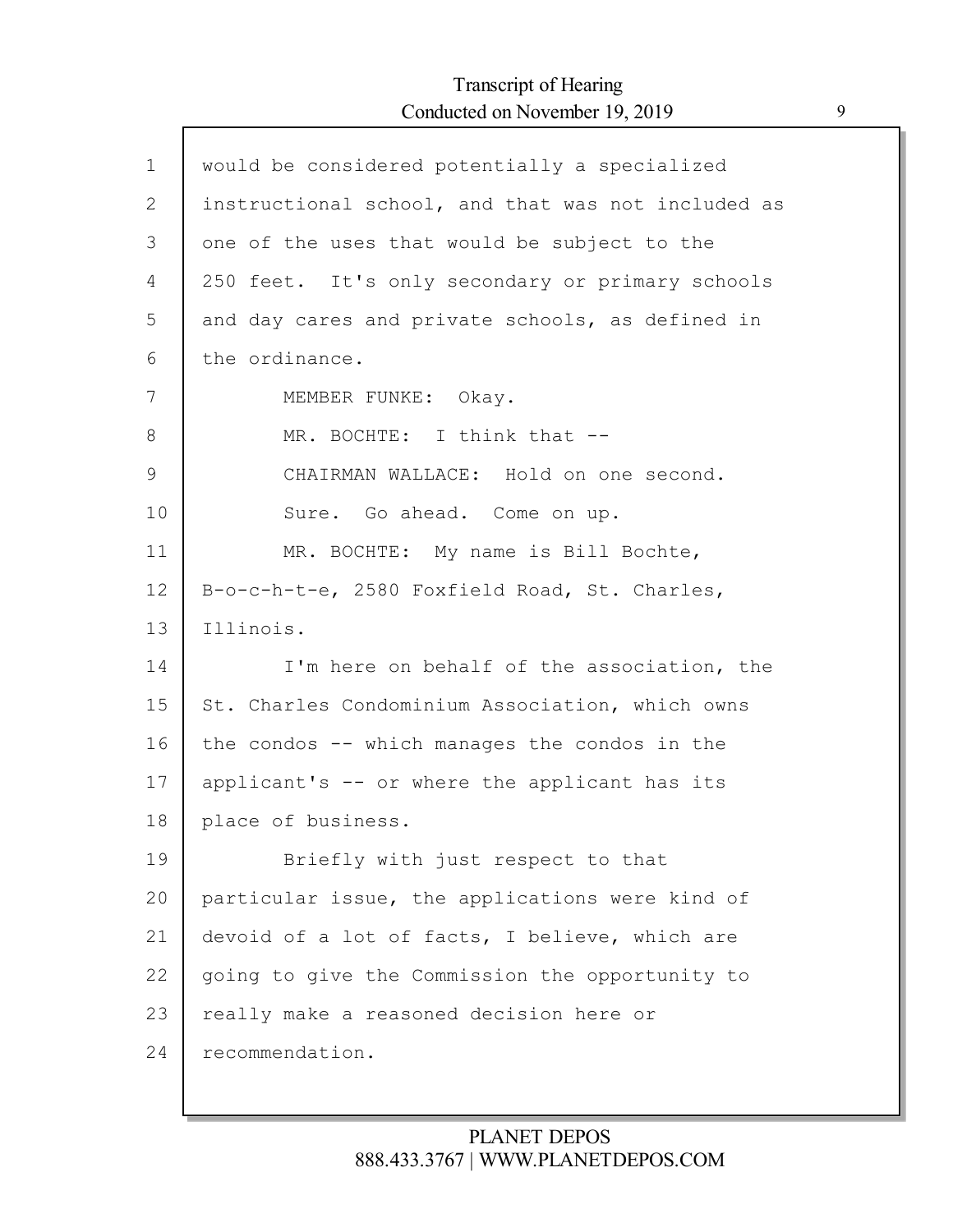| $\mathbf 1$  | would be considered potentially a specialized      |
|--------------|----------------------------------------------------|
| $\mathbf{2}$ | instructional school, and that was not included as |
| 3            | one of the uses that would be subject to the       |
| 4            | 250 feet. It's only secondary or primary schools   |
| 5            | and day cares and private schools, as defined in   |
| 6            | the ordinance.                                     |
| 7            | MEMBER FUNKE: Okay.                                |
| 8            | MR. BOCHTE: I think that --                        |
| $\mathsf 9$  | CHAIRMAN WALLACE: Hold on one second.              |
| 10           | Sure. Go ahead. Come on up.                        |
| 11           | MR. BOCHTE: My name is Bill Bochte,                |
| 12           | B-o-c-h-t-e, 2580 Foxfield Road, St. Charles,      |
| 13           | Illinois.                                          |
| 14           | I'm here on behalf of the association, the         |
| 15           | St. Charles Condominium Association, which owns    |
| 16           | the condos -- which manages the condos in the      |
| 17           | applicant's -- or where the applicant has its      |
| 18           | place of business.                                 |
| 19           | Briefly with just respect to that                  |
| 20           | particular issue, the applications were kind of    |
| 21           | devoid of a lot of facts, I believe, which are     |
| 22           | going to give the Commission the opportunity to    |
| 23           | really make a reasoned decision here or            |
| 24           | recommendation.                                    |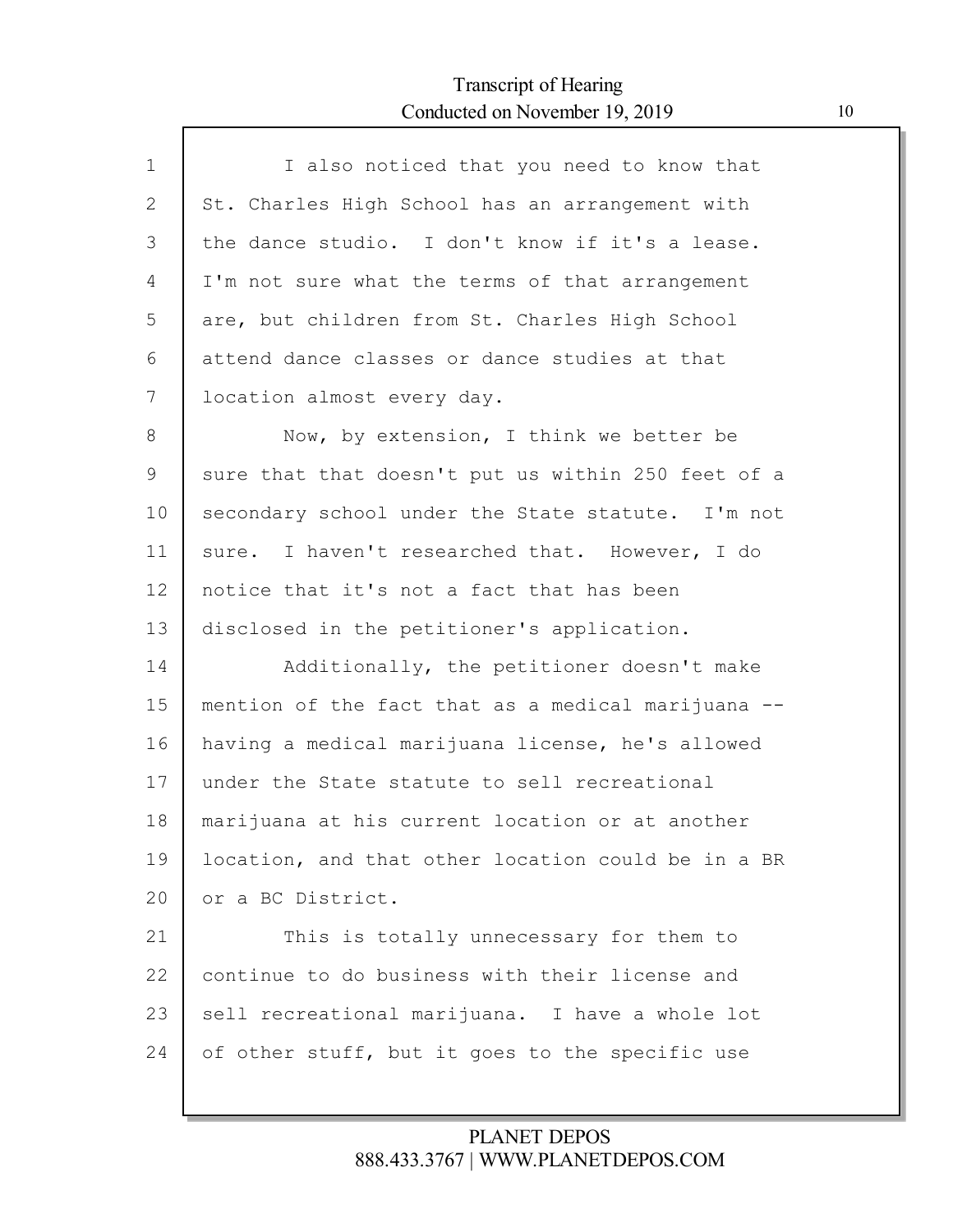Г

| $\mathbf{1}$ | I also noticed that you need to know that          |
|--------------|----------------------------------------------------|
| 2            | St. Charles High School has an arrangement with    |
| 3            | the dance studio. I don't know if it's a lease.    |
| 4            | I'm not sure what the terms of that arrangement    |
| 5            | are, but children from St. Charles High School     |
| 6            | attend dance classes or dance studies at that      |
| 7            | location almost every day.                         |
| 8            | Now, by extension, I think we better be            |
| 9            | sure that that doesn't put us within 250 feet of a |
| 10           | secondary school under the State statute. I'm not  |
| 11           | I haven't researched that. However, I do<br>sure.  |
| 12           | notice that it's not a fact that has been          |
| 13           | disclosed in the petitioner's application.         |
| 14           | Additionally, the petitioner doesn't make          |
| 15           | mention of the fact that as a medical marijuana -- |
| 16           | having a medical marijuana license, he's allowed   |
| 17           | under the State statute to sell recreational       |
| 18           | marijuana at his current location or at another    |
| 19           | location, and that other location could be in a BR |
| 20           | or a BC District.                                  |
| 21           | This is totally unnecessary for them to            |
| 22           | continue to do business with their license and     |
| 23           | sell recreational marijuana. I have a whole lot    |
| 24           | of other stuff, but it goes to the specific use    |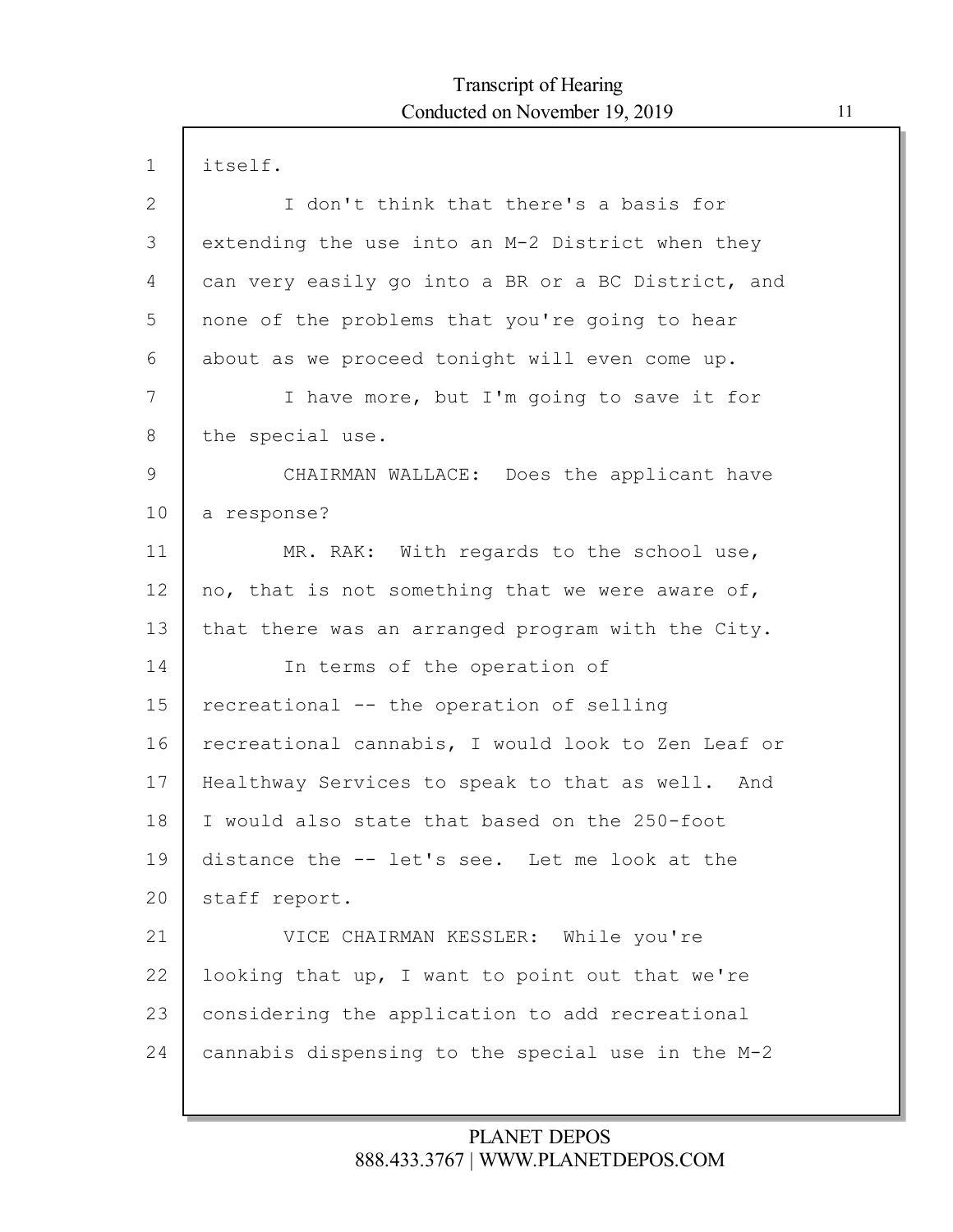| $\mathbf 1$  | itself.                                            |
|--------------|----------------------------------------------------|
| $\mathbf{2}$ | I don't think that there's a basis for             |
| 3            | extending the use into an M-2 District when they   |
| 4            | can very easily go into a BR or a BC District, and |
| 5            | none of the problems that you're going to hear     |
| 6            | about as we proceed tonight will even come up.     |
| 7            | I have more, but I'm going to save it for          |
| 8            | the special use.                                   |
| 9            | CHAIRMAN WALLACE: Does the applicant have          |
| 10           | a response?                                        |
| 11           | MR. RAK: With regards to the school use,           |
| 12           | no, that is not something that we were aware of,   |
| 13           | that there was an arranged program with the City.  |
| 14           | In terms of the operation of                       |
| 15           | recreational -- the operation of selling           |
| 16           | recreational cannabis, I would look to Zen Leaf or |
| 17           | Healthway Services to speak to that as well. And   |
| 18           | I would also state that based on the 250-foot      |
| 19           | distance the -- let's see. Let me look at the      |
| 20           | staff report.                                      |
| 21           | VICE CHAIRMAN KESSLER: While you're                |
| 22           | looking that up, I want to point out that we're    |
| 23           | considering the application to add recreational    |
| 24           | cannabis dispensing to the special use in the M-2  |
|              |                                                    |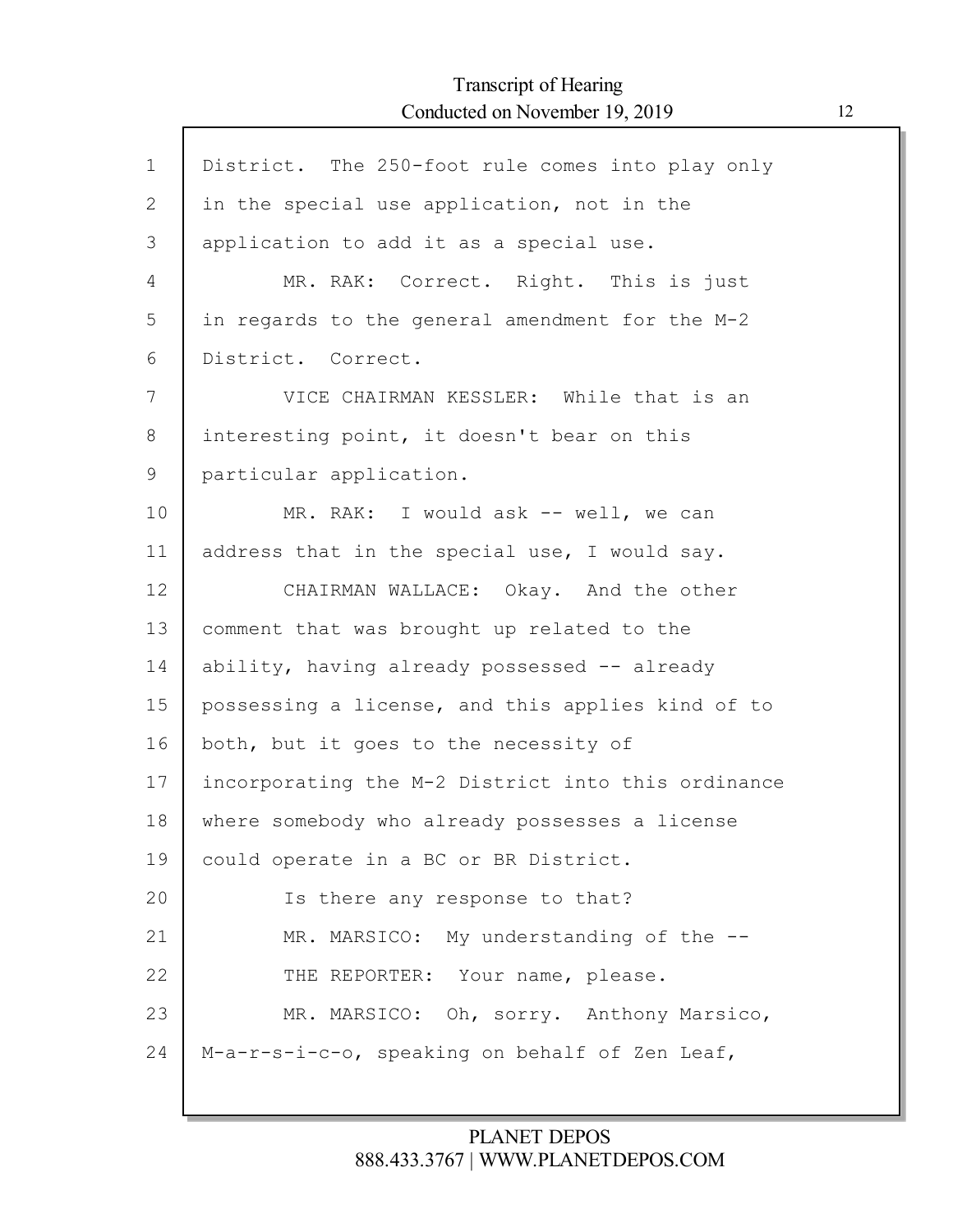Г

| $\mathbf{1}$ | District. The 250-foot rule comes into play only   |
|--------------|----------------------------------------------------|
| 2            | in the special use application, not in the         |
| 3            | application to add it as a special use.            |
|              |                                                    |
| 4            | MR. RAK: Correct. Right. This is just              |
| 5            | in regards to the general amendment for the M-2    |
| 6            | District. Correct.                                 |
| 7            | VICE CHAIRMAN KESSLER: While that is an            |
| 8            | interesting point, it doesn't bear on this         |
| 9            | particular application.                            |
| 10           | MR. RAK: I would ask -- well, we can               |
| 11           | address that in the special use, I would say.      |
| 12           | CHAIRMAN WALLACE: Okay. And the other              |
| 13           | comment that was brought up related to the         |
| 14           | ability, having already possessed -- already       |
| 15           | possessing a license, and this applies kind of to  |
| 16           | both, but it goes to the necessity of              |
| 17           | incorporating the M-2 District into this ordinance |
| 18           | where somebody who already possesses a license     |
| 19           | could operate in a BC or BR District.              |
| 20           | Is there any response to that?                     |
| 21           | MR. MARSICO: My understanding of the --            |
| 22           | THE REPORTER: Your name, please.                   |
| 23           | MR. MARSICO: Oh, sorry. Anthony Marsico,           |
| 24           | M-a-r-s-i-c-o, speaking on behalf of Zen Leaf,     |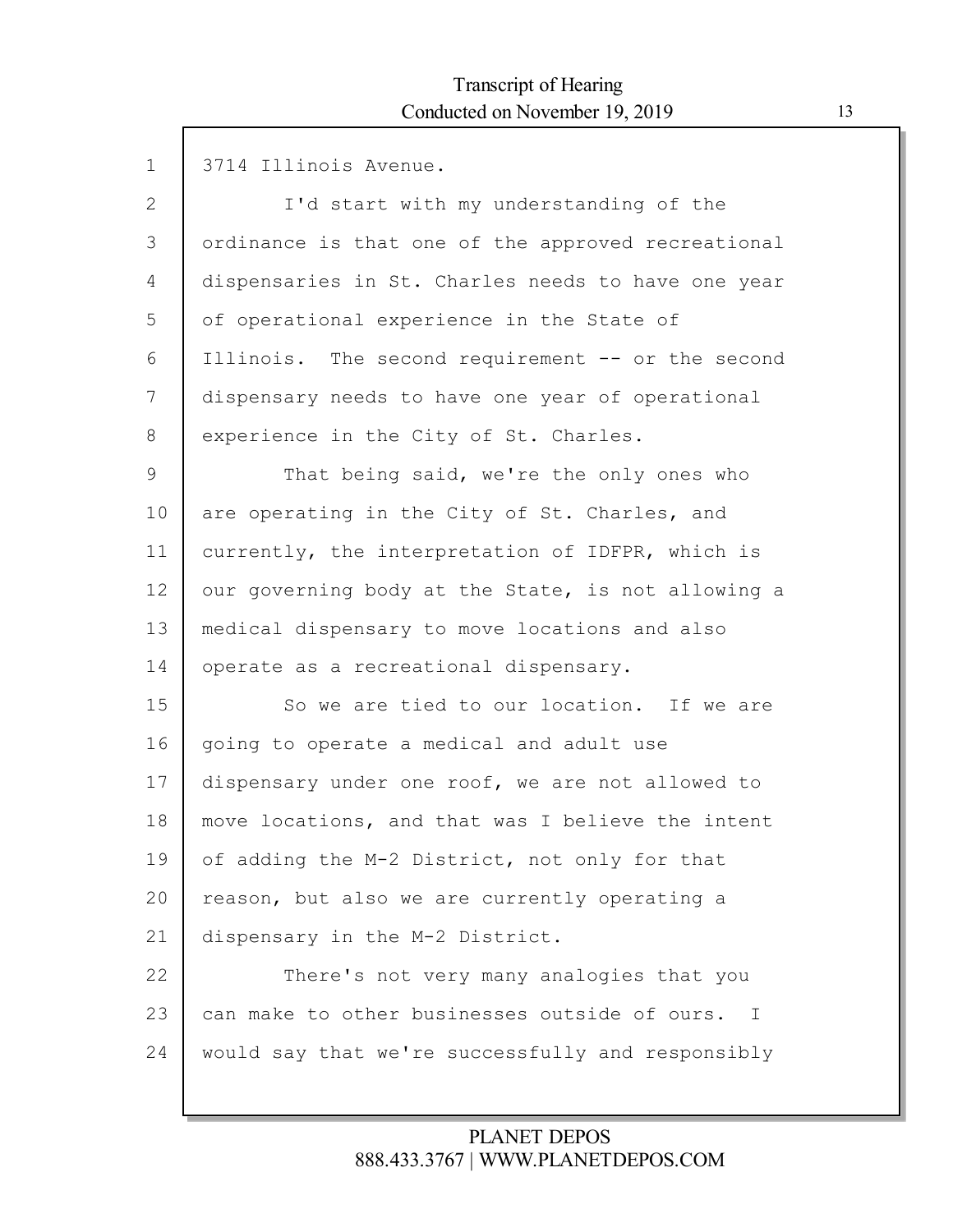| $\mathbf 1$  | 3714 Illinois Avenue.                              |
|--------------|----------------------------------------------------|
| $\mathbf{2}$ | I'd start with my understanding of the             |
| 3            | ordinance is that one of the approved recreational |
| 4            | dispensaries in St. Charles needs to have one year |
| 5            | of operational experience in the State of          |
| 6            | Illinois. The second requirement -- or the second  |
| 7            | dispensary needs to have one year of operational   |
| 8            | experience in the City of St. Charles.             |
| 9            | That being said, we're the only ones who           |
| 10           | are operating in the City of St. Charles, and      |
| 11           | currently, the interpretation of IDFPR, which is   |
| 12           | our governing body at the State, is not allowing a |
| 13           | medical dispensary to move locations and also      |
| 14           | operate as a recreational dispensary.              |
| 15           | So we are tied to our location. If we are          |
| 16           | going to operate a medical and adult use           |
| 17           | dispensary under one roof, we are not allowed to   |
| 18           | move locations, and that was I believe the intent  |
| 19           | of adding the M-2 District, not only for that      |
| 20           | reason, but also we are currently operating a      |
| 21           | dispensary in the M-2 District.                    |
| 22           | There's not very many analogies that you           |
| 23           | can make to other businesses outside of ours. I    |
| 24           | would say that we're successfully and responsibly  |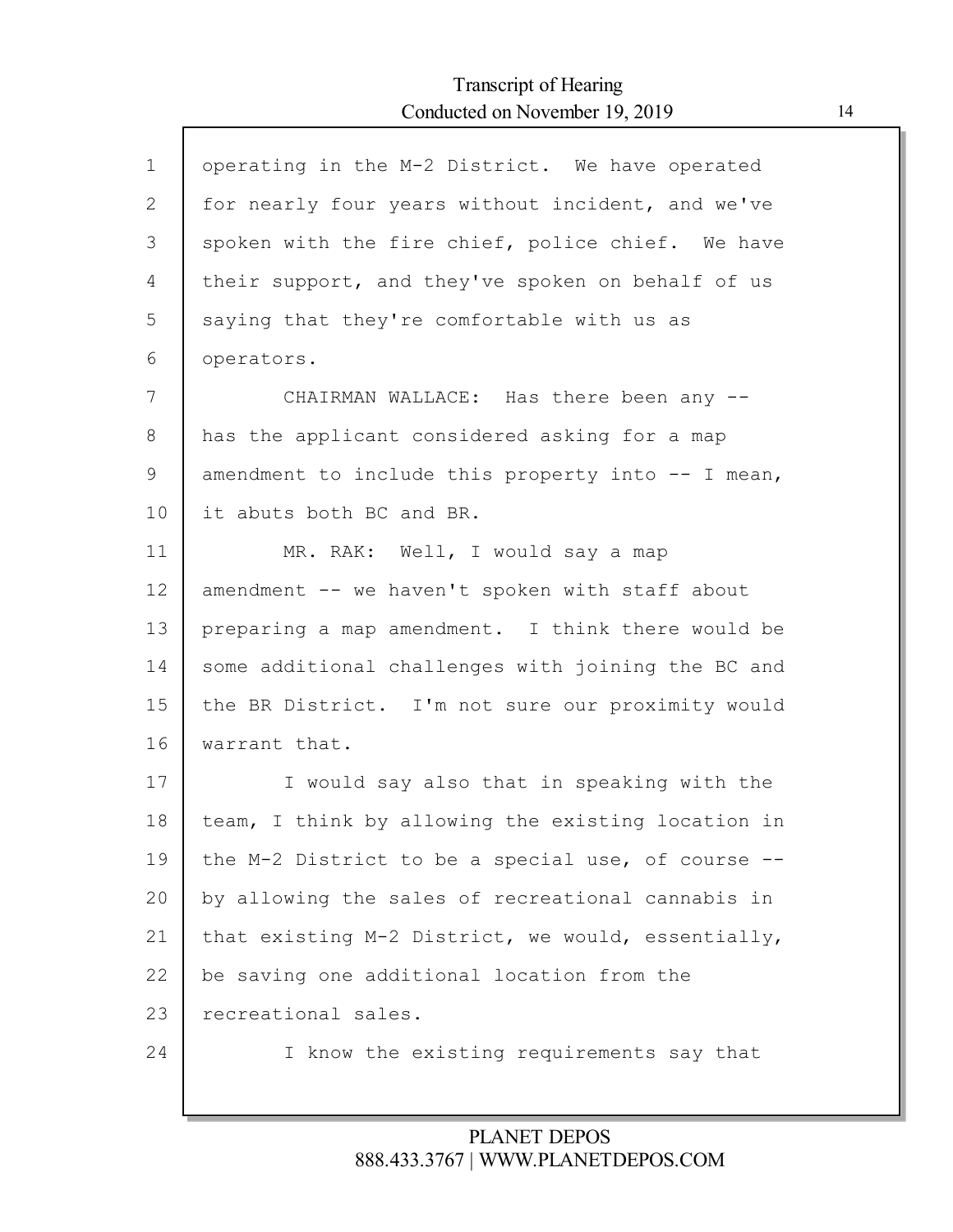| $\mathbf 1$ | operating in the M-2 District. We have operated    |
|-------------|----------------------------------------------------|
| 2           | for nearly four years without incident, and we've  |
| 3           | spoken with the fire chief, police chief. We have  |
| 4           | their support, and they've spoken on behalf of us  |
| 5           | saying that they're comfortable with us as         |
| 6           | operators.                                         |
| 7           | CHAIRMAN WALLACE: Has there been any --            |
| 8           | has the applicant considered asking for a map      |
| 9           | amendment to include this property into -- I mean, |
| 10          | it abuts both BC and BR.                           |
| 11          | MR. RAK: Well, I would say a map                   |
| 12          | amendment -- we haven't spoken with staff about    |
| 13          | preparing a map amendment. I think there would be  |
| 14          | some additional challenges with joining the BC and |
| 15          | the BR District. I'm not sure our proximity would  |
| 16          | warrant that.                                      |
| 17          | I would say also that in speaking with the         |
| 18          | team, I think by allowing the existing location in |
| 19          | the M-2 District to be a special use, of course -- |
| 20          | by allowing the sales of recreational cannabis in  |
| 21          | that existing M-2 District, we would, essentially, |
| 22          | be saving one additional location from the         |
| 23          | recreational sales.                                |
| 24          | I know the existing requirements say that          |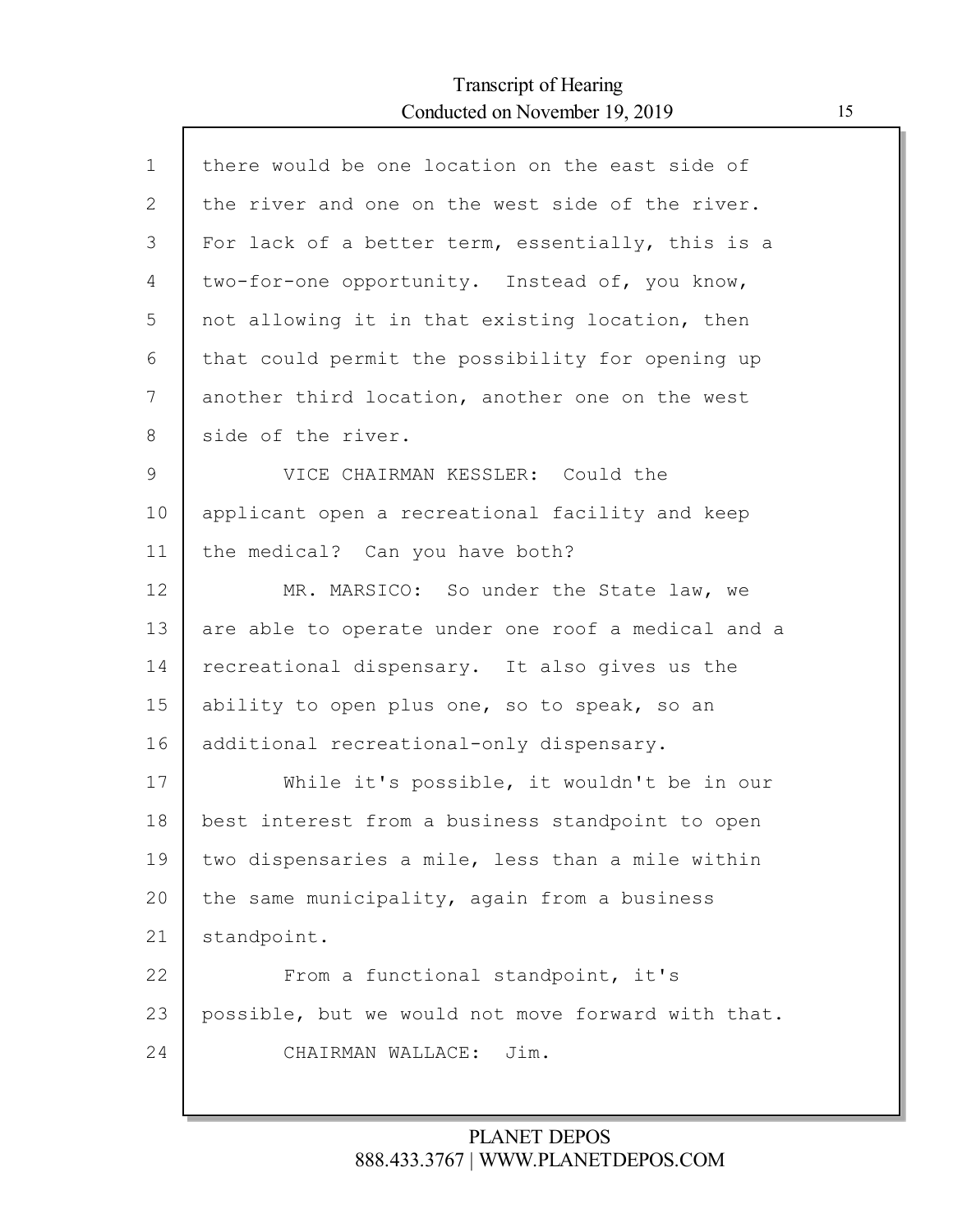| $\mathbf{1}$ | there would be one location on the east side of    |
|--------------|----------------------------------------------------|
| $\mathbf{2}$ | the river and one on the west side of the river.   |
| 3            | For lack of a better term, essentially, this is a  |
| 4            | two-for-one opportunity. Instead of, you know,     |
| 5            | not allowing it in that existing location, then    |
| 6            | that could permit the possibility for opening up   |
| 7            | another third location, another one on the west    |
| 8            | side of the river.                                 |
| 9            | VICE CHAIRMAN KESSLER: Could the                   |
| 10           | applicant open a recreational facility and keep    |
| 11           | the medical? Can you have both?                    |
| 12           | MR. MARSICO: So under the State law, we            |
| 13           | are able to operate under one roof a medical and a |
| 14           | recreational dispensary. It also gives us the      |
| 15           | ability to open plus one, so to speak, so an       |
| 16           | additional recreational-only dispensary.           |
| 17           | While it's possible, it wouldn't be in our         |
| 18           | best interest from a business standpoint to open   |
| 19           | two dispensaries a mile, less than a mile within   |
| 20           | the same municipality, again from a business       |
| 21           | standpoint.                                        |
| 22           | From a functional standpoint, it's                 |
| 23           | possible, but we would not move forward with that. |
| 24           | CHAIRMAN WALLACE:<br>Jim.                          |
|              |                                                    |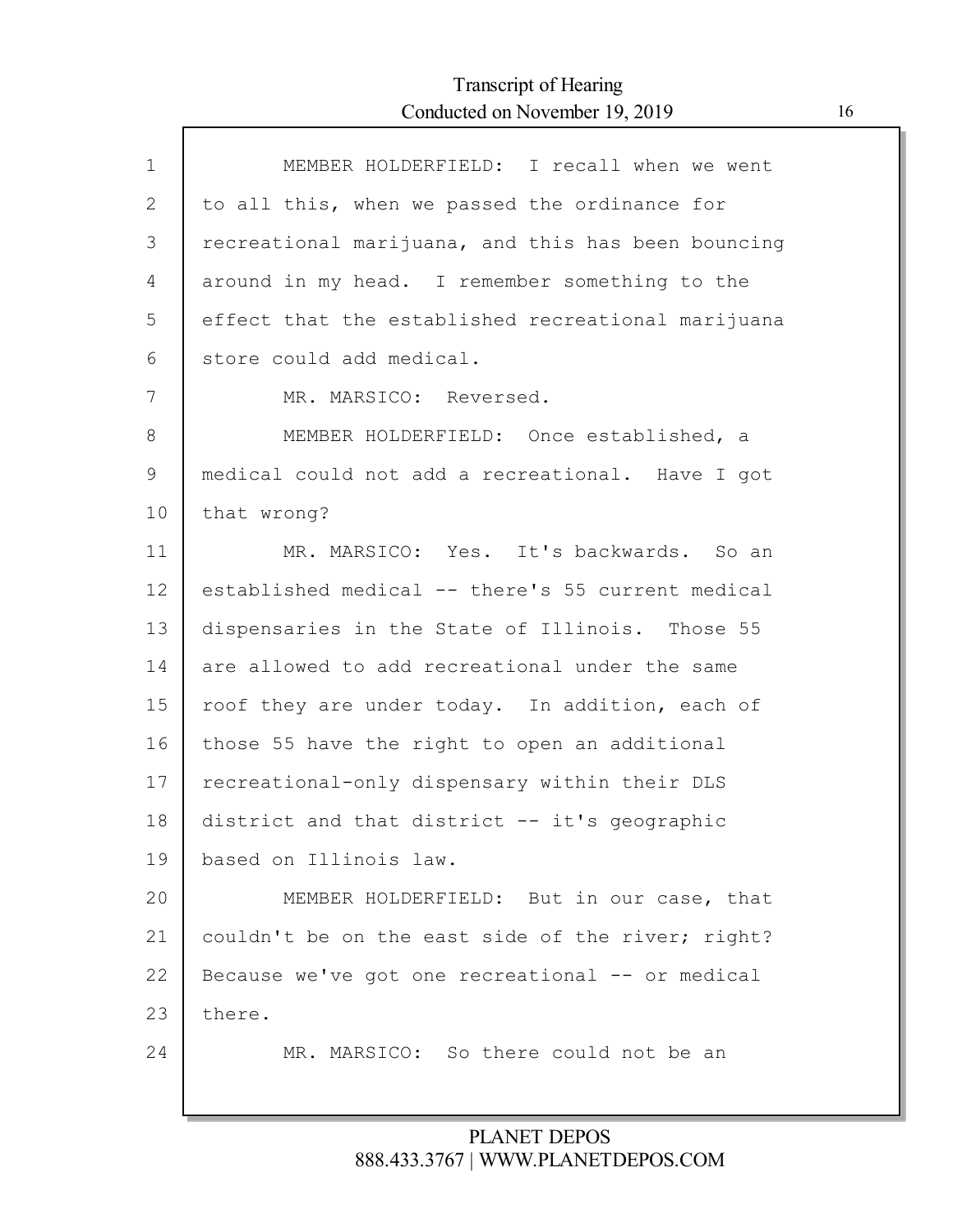| $\mathbf{1}$ | MEMBER HOLDERFIELD: I recall when we went          |
|--------------|----------------------------------------------------|
| 2            | to all this, when we passed the ordinance for      |
| 3            | recreational marijuana, and this has been bouncing |
| 4            | around in my head. I remember something to the     |
| 5            | effect that the established recreational marijuana |
| 6            | store could add medical.                           |
| 7            | MR. MARSICO: Reversed.                             |
| 8            | MEMBER HOLDERFIELD: Once established, a            |
| 9            | medical could not add a recreational. Have I got   |
| 10           | that wrong?                                        |
| 11           | MR. MARSICO: Yes. It's backwards. So an            |
| 12           | established medical -- there's 55 current medical  |
| 13           | dispensaries in the State of Illinois. Those 55    |
| 14           | are allowed to add recreational under the same     |
| 15           | roof they are under today. In addition, each of    |
| 16           | those 55 have the right to open an additional      |
| 17           | recreational-only dispensary within their DLS      |
| 18           | district and that district -- it's geographic      |
| 19           | based on Illinois law.                             |
| 20           | MEMBER HOLDERFIELD: But in our case, that          |
| 21           | couldn't be on the east side of the river; right?  |
| 22           | Because we've got one recreational -- or medical   |
| 23           | there.                                             |
| 24           | MR. MARSICO: So there could not be an              |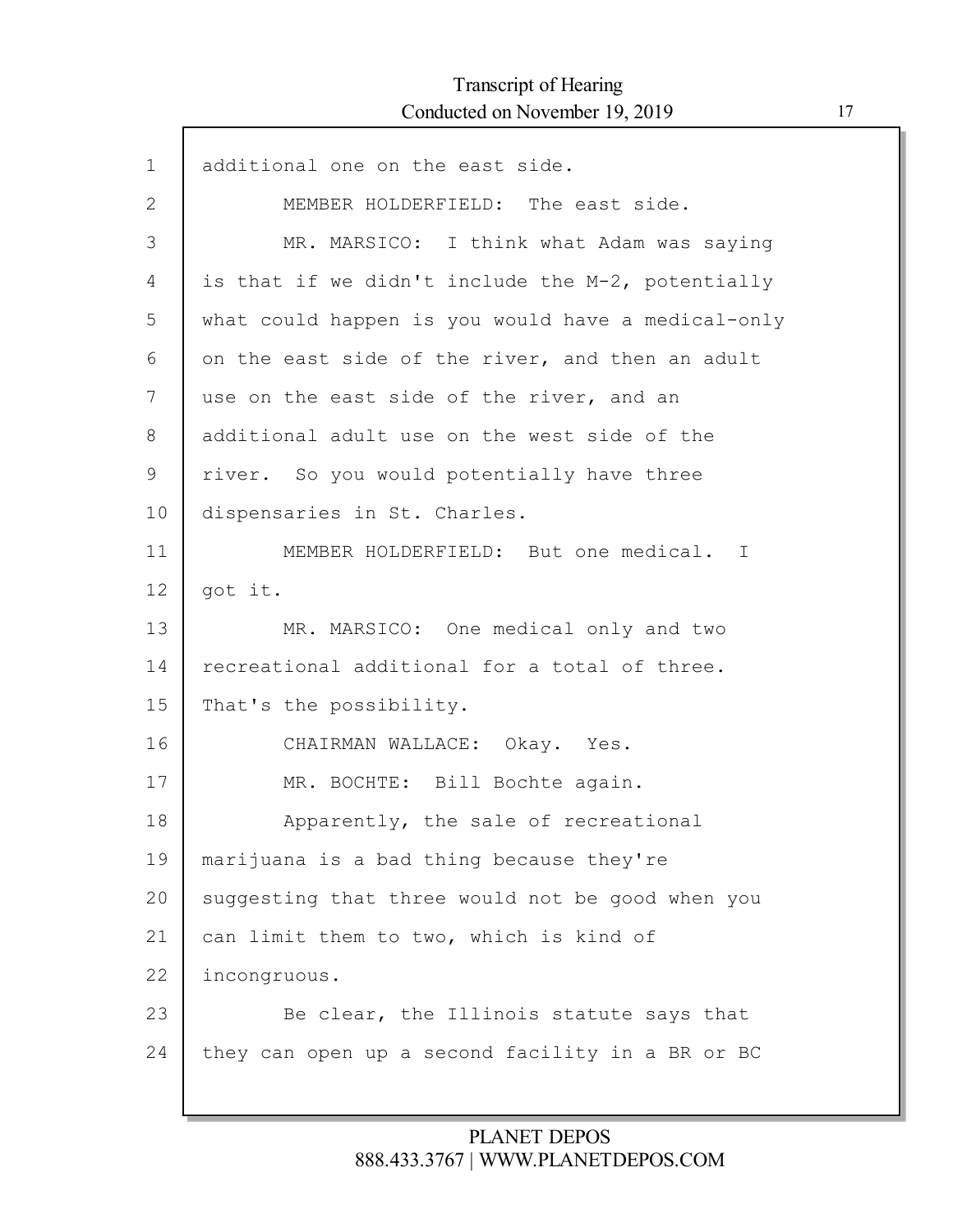Г

| additional one on the east side.                   |
|----------------------------------------------------|
| MEMBER HOLDERFIELD: The east side.                 |
| MR. MARSICO: I think what Adam was saying          |
| is that if we didn't include the M-2, potentially  |
| what could happen is you would have a medical-only |
| on the east side of the river, and then an adult   |
| use on the east side of the river, and an          |
| additional adult use on the west side of the       |
| river. So you would potentially have three         |
| dispensaries in St. Charles.                       |
| MEMBER HOLDERFIELD: But one medical. I             |
| got it.                                            |
| MR. MARSICO: One medical only and two              |
| recreational additional for a total of three.      |
| That's the possibility.                            |
| CHAIRMAN WALLACE: Okay. Yes.                       |
| MR. BOCHTE: Bill Bochte again.                     |
| Apparently, the sale of recreational               |
| marijuana is a bad thing because they're           |
| suggesting that three would not be good when you   |
| can limit them to two, which is kind of            |
| incongruous.                                       |
| Be clear, the Illinois statute says that           |
| they can open up a second facility in a BR or BC   |
|                                                    |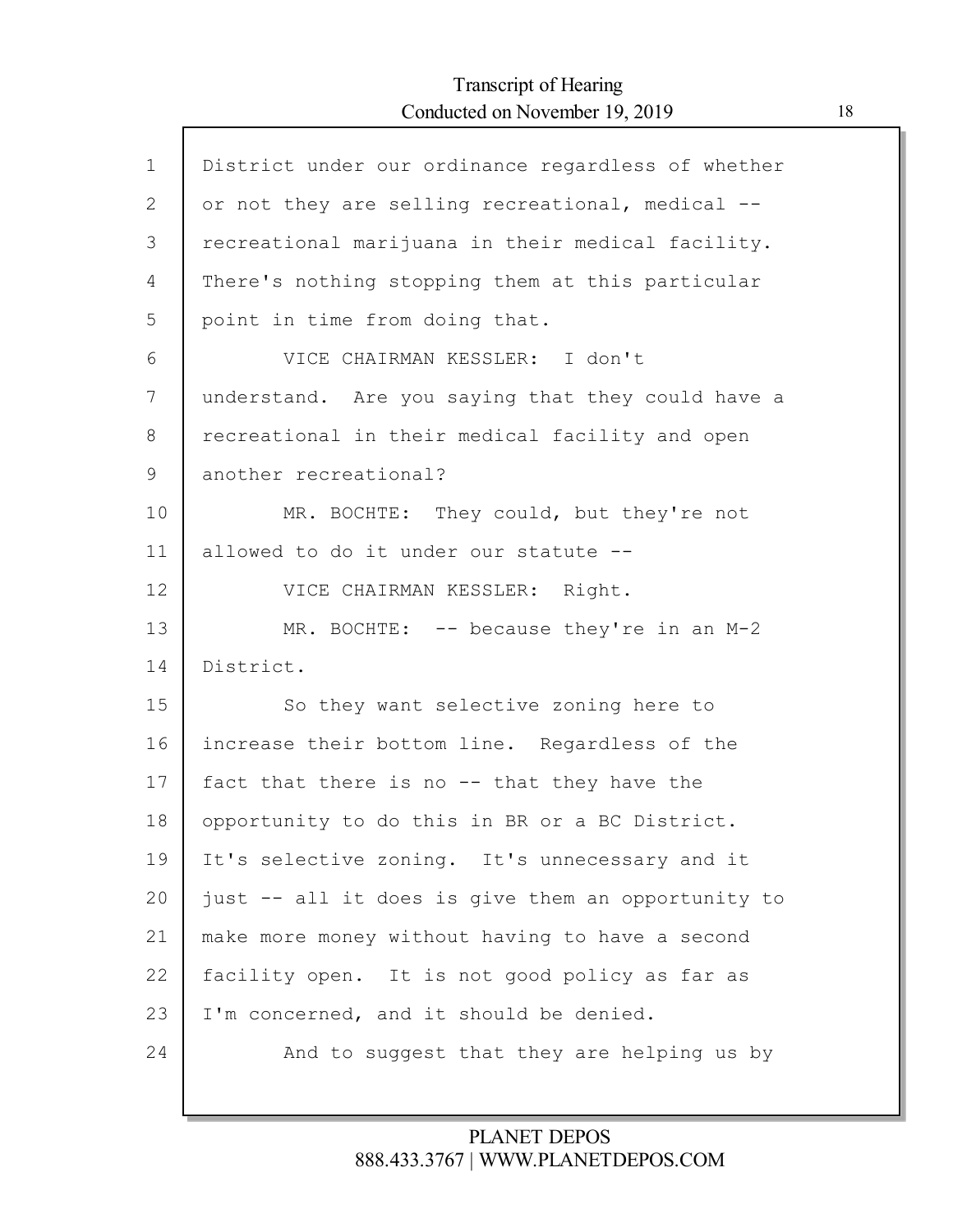Г

| $\mathbf{1}$ | District under our ordinance regardless of whether |
|--------------|----------------------------------------------------|
| $\mathbf{2}$ | or not they are selling recreational, medical --   |
| 3            | recreational marijuana in their medical facility.  |
| 4            | There's nothing stopping them at this particular   |
| 5            | point in time from doing that.                     |
| 6            | VICE CHAIRMAN KESSLER: I don't                     |
| 7            | understand. Are you saying that they could have a  |
| 8            | recreational in their medical facility and open    |
| 9            | another recreational?                              |
| 10           | MR. BOCHTE: They could, but they're not            |
| 11           | allowed to do it under our statute --              |
| 12           | VICE CHAIRMAN KESSLER: Right.                      |
| 13           | MR. BOCHTE: $--$ because they're in an M-2         |
| 14           | District.                                          |
| 15           | So they want selective zoning here to              |
| 16           | increase their bottom line. Regardless of the      |
| 17           | fact that there is no -- that they have the        |
| 18           | opportunity to do this in BR or a BC District.     |
| 19           | It's selective zoning. It's unnecessary and it     |
| 20           | just -- all it does is give them an opportunity to |
| 21           | make more money without having to have a second    |
| 22           | facility open. It is not good policy as far as     |
| 23           | I'm concerned, and it should be denied.            |
| 24           | And to suggest that they are helping us by         |
|              |                                                    |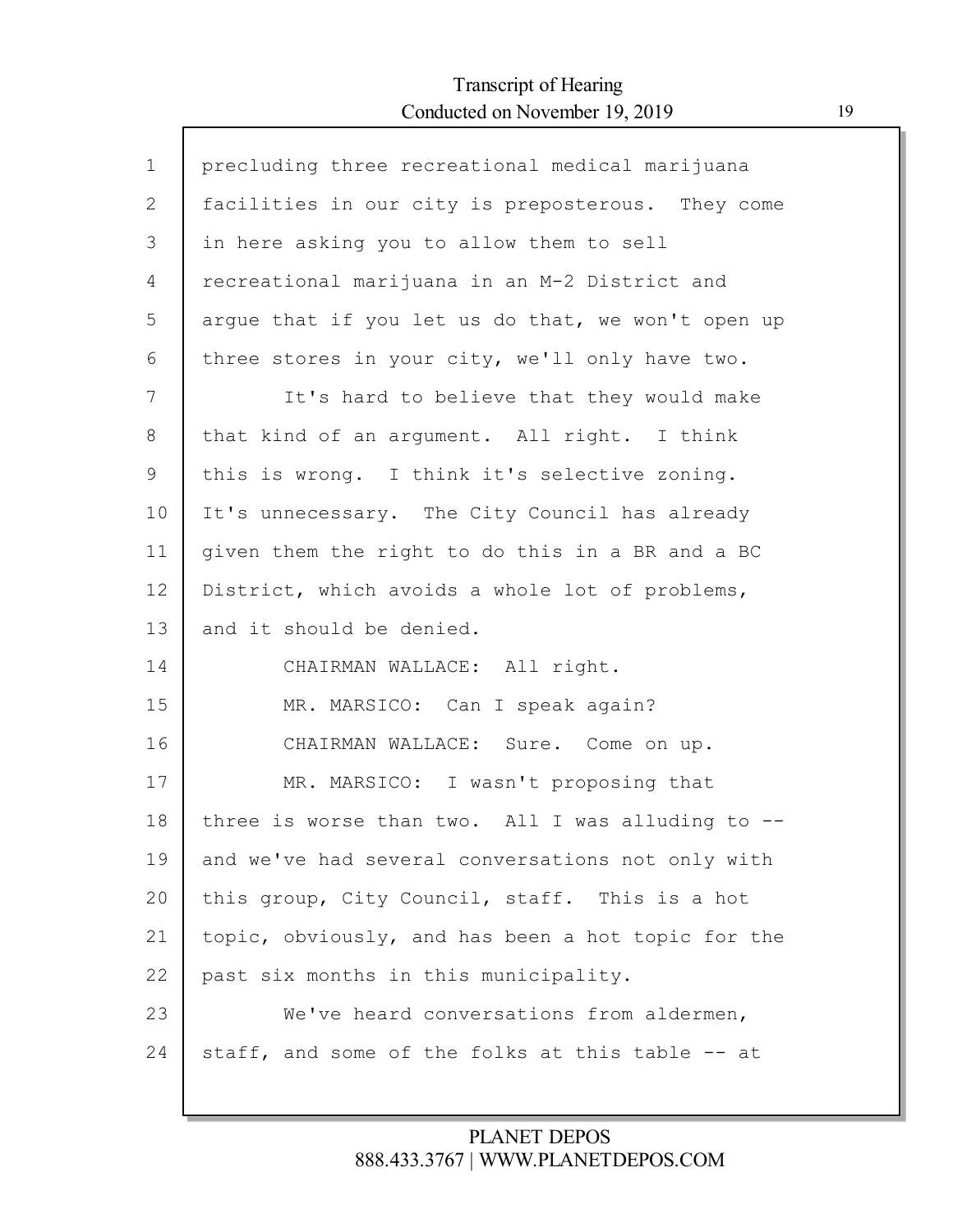Г

| $\mathbf 1$  | precluding three recreational medical marijuana      |
|--------------|------------------------------------------------------|
| $\mathbf{2}$ | facilities in our city is preposterous. They come    |
| 3            | in here asking you to allow them to sell             |
| 4            | recreational marijuana in an M-2 District and        |
| 5            | argue that if you let us do that, we won't open up   |
| 6            | three stores in your city, we'll only have two.      |
| 7            | It's hard to believe that they would make            |
| 8            | that kind of an argument. All right. I think         |
| 9            | this is wrong. I think it's selective zoning.        |
| 10           | It's unnecessary. The City Council has already       |
| 11           | given them the right to do this in a BR and a BC     |
| 12           | District, which avoids a whole lot of problems,      |
| 13           | and it should be denied.                             |
| 14           | CHAIRMAN WALLACE: All right.                         |
| 15           | MR. MARSICO: Can I speak again?                      |
| 16           | CHAIRMAN WALLACE: Sure. Come on up.                  |
| 17           | MR. MARSICO: I wasn't proposing that                 |
| 18           | three is worse than two. All I was alluding to $-$ - |
| 19           | and we've had several conversations not only with    |
| 20           | this group, City Council, staff. This is a hot       |
| 21           | topic, obviously, and has been a hot topic for the   |
| 22           | past six months in this municipality.                |
| 23           | We've heard conversations from aldermen,             |
| 24           | staff, and some of the folks at this table -- at     |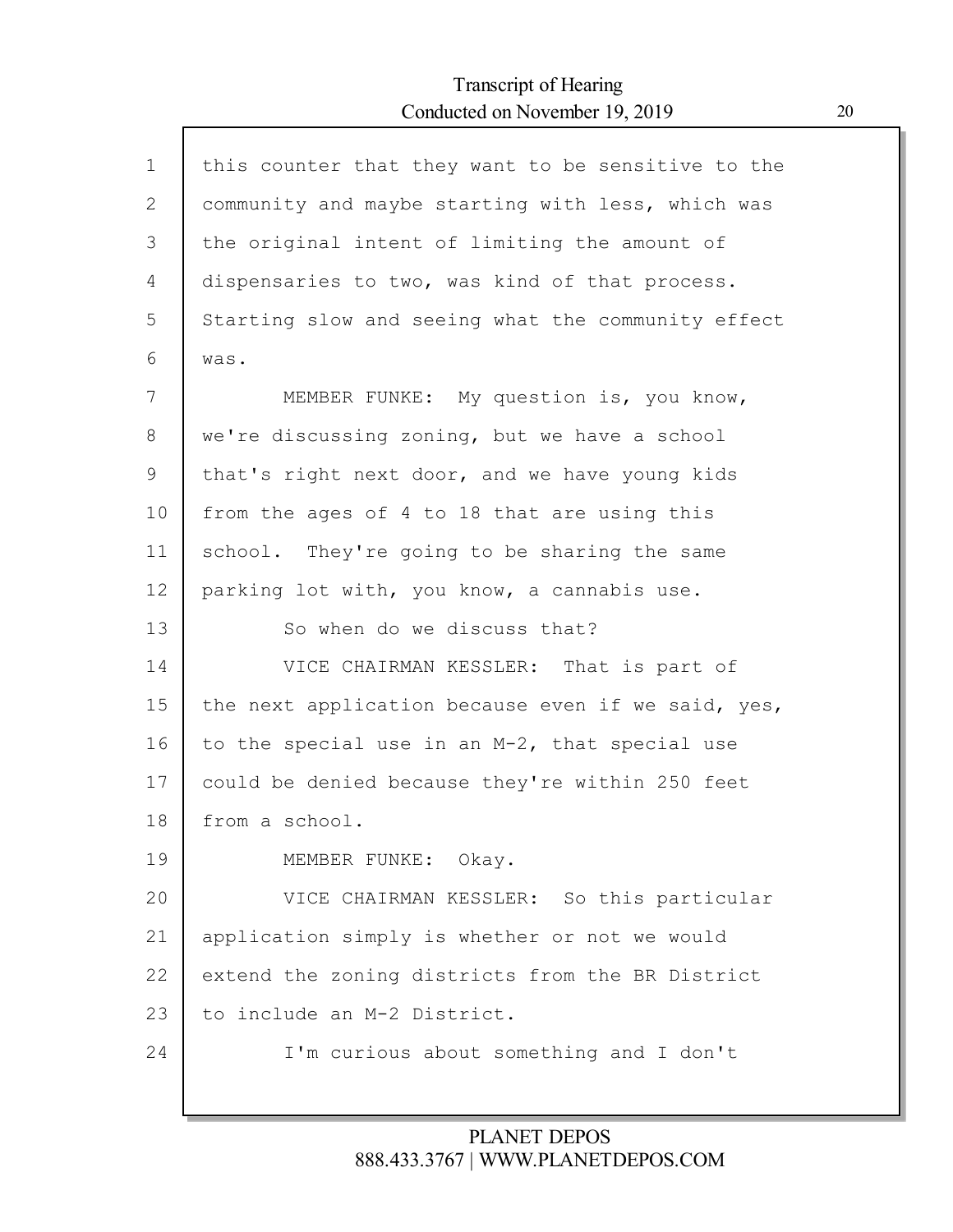| $\mathbf{1}$ | this counter that they want to be sensitive to the |
|--------------|----------------------------------------------------|
| 2            | community and maybe starting with less, which was  |
| 3            | the original intent of limiting the amount of      |
| 4            | dispensaries to two, was kind of that process.     |
| 5            | Starting slow and seeing what the community effect |
| 6            | was.                                               |
| 7            | MEMBER FUNKE: My question is, you know,            |
| 8            | we're discussing zoning, but we have a school      |
| $\mathsf 9$  | that's right next door, and we have young kids     |
| 10           | from the ages of 4 to 18 that are using this       |
| 11           | school. They're going to be sharing the same       |
| 12           | parking lot with, you know, a cannabis use.        |
| 13           | So when do we discuss that?                        |
| 14           | VICE CHAIRMAN KESSLER: That is part of             |
| 15           | the next application because even if we said, yes, |
| 16           | to the special use in an M-2, that special use     |
| 17           | could be denied because they're within 250 feet    |
| 18           | from a school.                                     |
| 19           | MEMBER FUNKE: Okay.                                |
| 20           | VICE CHAIRMAN KESSLER: So this particular          |
| 21           | application simply is whether or not we would      |
| 22           | extend the zoning districts from the BR District   |
| 23           | to include an M-2 District.                        |
| 24           | I'm curious about something and I don't            |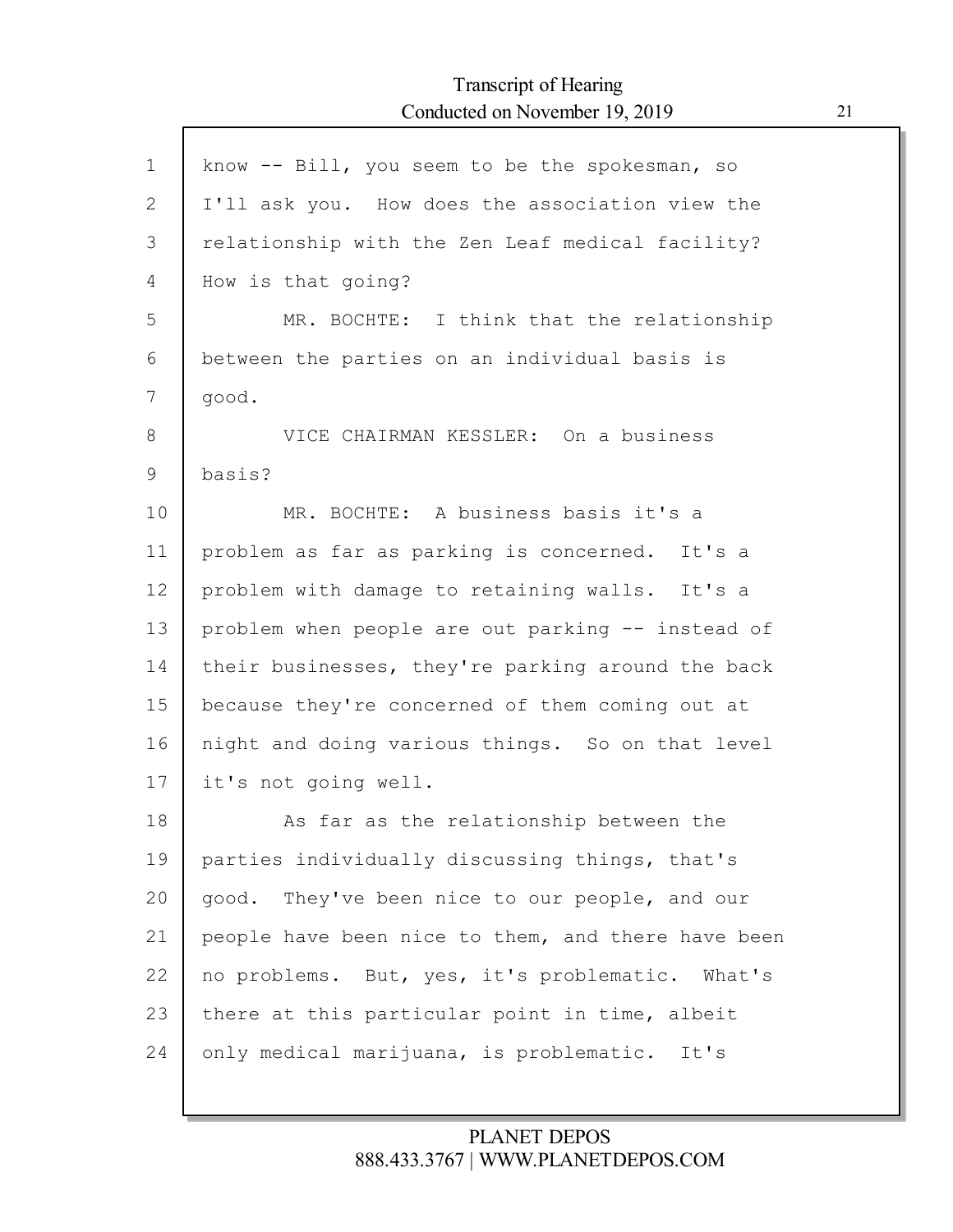| $\mathbf{1}$ | know -- Bill, you seem to be the spokesman, so     |
|--------------|----------------------------------------------------|
| 2            | I'll ask you. How does the association view the    |
| 3            | relationship with the Zen Leaf medical facility?   |
| 4            | How is that going?                                 |
| 5            | MR. BOCHTE: I think that the relationship          |
| 6            | between the parties on an individual basis is      |
| 7            | good.                                              |
| 8            | VICE CHAIRMAN KESSLER: On a business               |
| 9            | basis?                                             |
| 10           | MR. BOCHTE: A business basis it's a                |
| 11           | problem as far as parking is concerned. It's a     |
| 12           | problem with damage to retaining walls. It's a     |
| 13           | problem when people are out parking -- instead of  |
| 14           | their businesses, they're parking around the back  |
| 15           | because they're concerned of them coming out at    |
| 16           | night and doing various things. So on that level   |
| 17           | it's not going well.                               |
| 18           | As far as the relationship between the             |
| 19           | parties individually discussing things, that's     |
| 20           | They've been nice to our people, and our<br>good.  |
| 21           | people have been nice to them, and there have been |
| 22           | no problems. But, yes, it's problematic. What's    |
| 23           | there at this particular point in time, albeit     |
| 24           | only medical marijuana, is problematic.<br>It's    |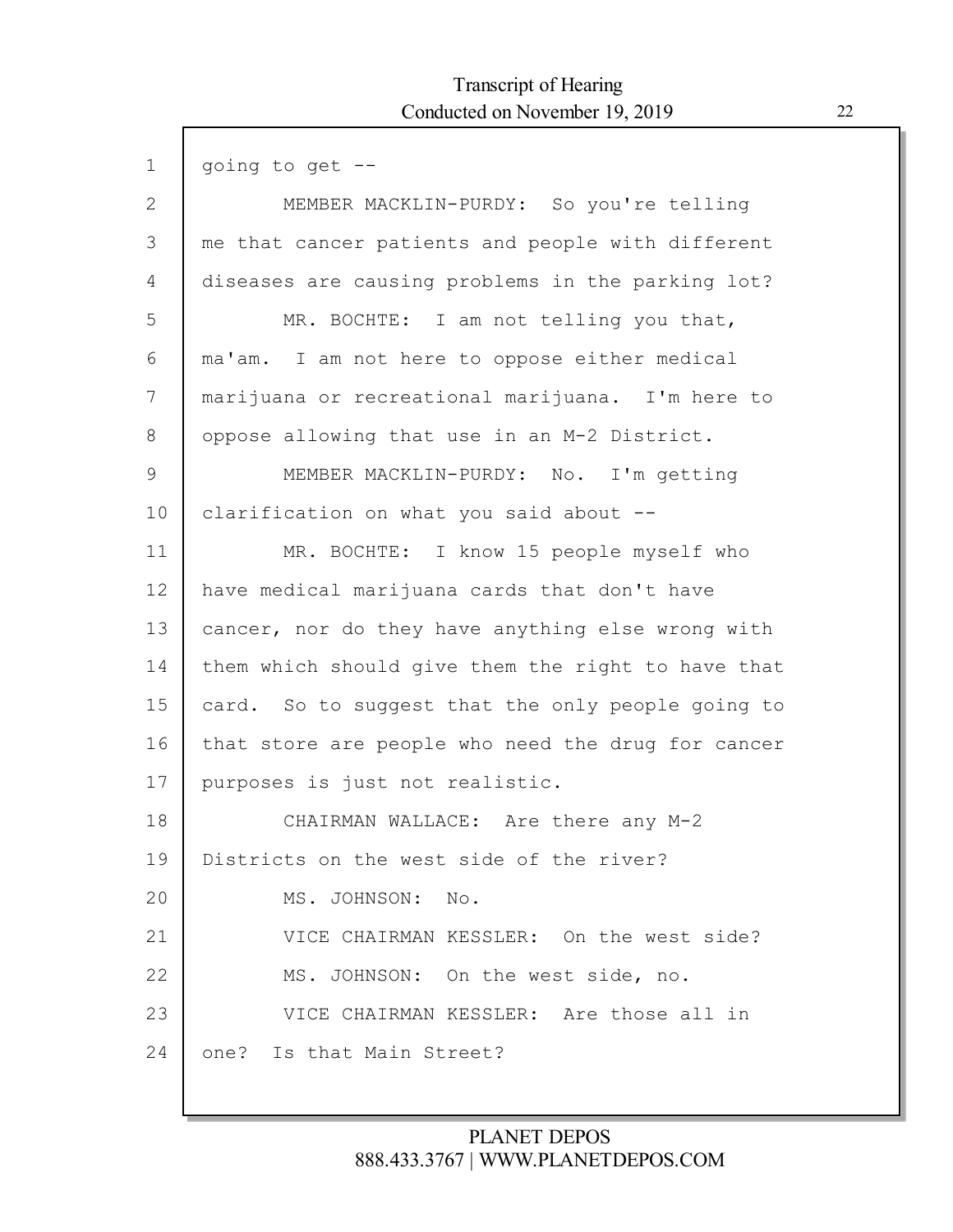| $\mathbf 1$    | going to get --                                    |
|----------------|----------------------------------------------------|
| $\mathbf{2}$   | MEMBER MACKLIN-PURDY: So you're telling            |
| 3              | me that cancer patients and people with different  |
| $\overline{4}$ | diseases are causing problems in the parking lot?  |
| 5              | MR. BOCHTE: I am not telling you that,             |
| 6              | ma'am. I am not here to oppose either medical      |
| 7              | marijuana or recreational marijuana. I'm here to   |
| 8              | oppose allowing that use in an M-2 District.       |
| 9              | MEMBER MACKLIN-PURDY: No. I'm getting              |
| 10             | clarification on what you said about --            |
| 11             | MR. BOCHTE: I know 15 people myself who            |
| 12             | have medical marijuana cards that don't have       |
| 13             | cancer, nor do they have anything else wrong with  |
| 14             | them which should give them the right to have that |
| 15             | card. So to suggest that the only people going to  |
| 16             | that store are people who need the drug for cancer |
| 17             | purposes is just not realistic.                    |
| 18             | CHAIRMAN WALLACE: Are there any M-2                |
| 19             | Districts on the west side of the river?           |
| 20             | MS. JOHNSON: No.                                   |
| 21             | VICE CHAIRMAN KESSLER: On the west side?           |
| 22             | MS. JOHNSON: On the west side, no.                 |
| 23             | VICE CHAIRMAN KESSLER: Are those all in            |
| 24             | Is that Main Street?<br>one?                       |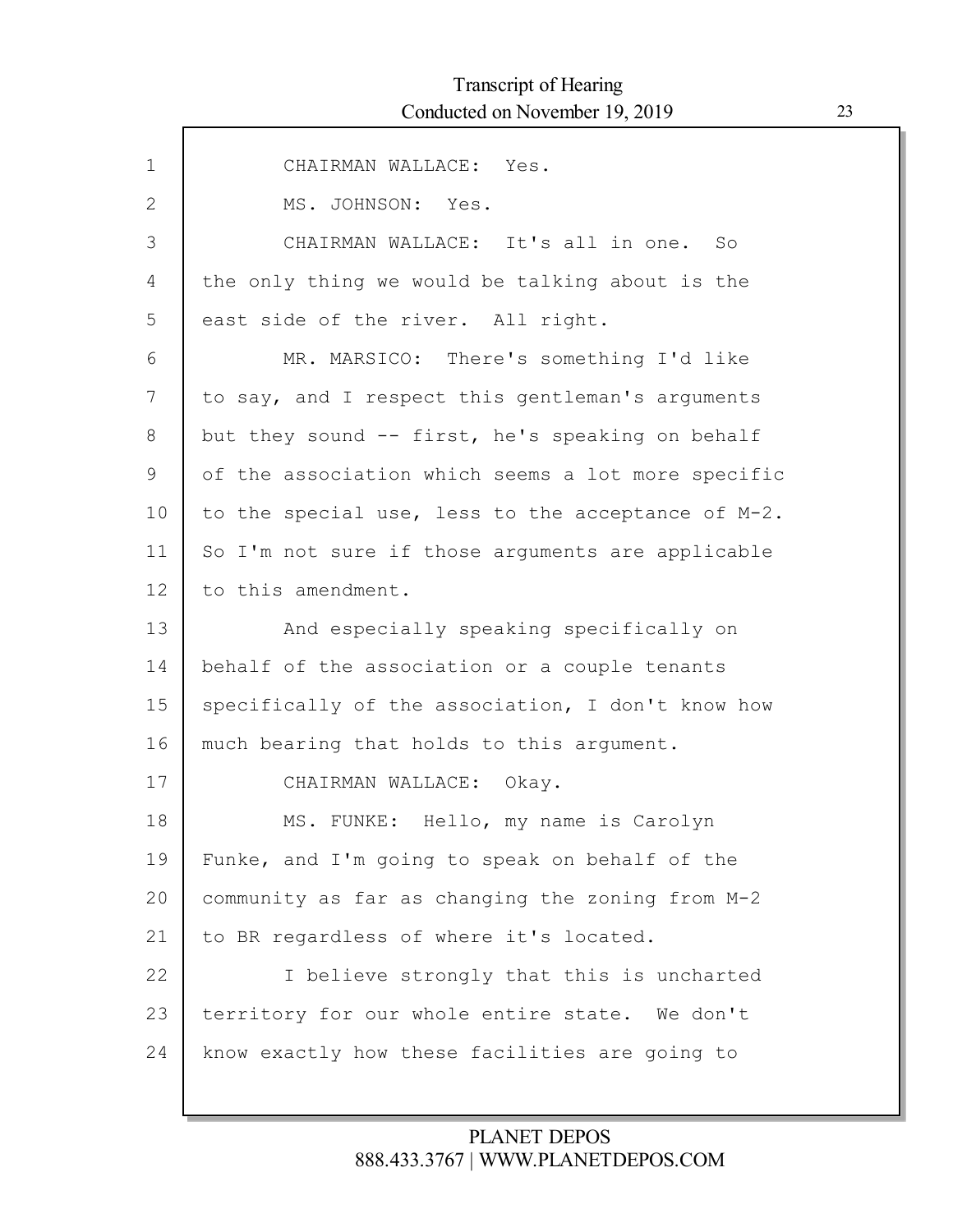| $\mathbf 1$   | CHAIRMAN WALLACE: Yes.                             |
|---------------|----------------------------------------------------|
| 2             | MS. JOHNSON: Yes.                                  |
| 3             | CHAIRMAN WALLACE: It's all in one. So              |
| 4             | the only thing we would be talking about is the    |
| 5             | east side of the river. All right.                 |
| 6             | MR. MARSICO: There's something I'd like            |
| 7             | to say, and I respect this gentleman's arguments   |
| 8             | but they sound -- first, he's speaking on behalf   |
| $\mathcal{G}$ | of the association which seems a lot more specific |
| 10            | to the special use, less to the acceptance of M-2. |
| 11            | So I'm not sure if those arguments are applicable  |
| 12            | to this amendment.                                 |
| 13            | And especially speaking specifically on            |
| 14            | behalf of the association or a couple tenants      |
| 15            | specifically of the association, I don't know how  |
| 16            | much bearing that holds to this argument.          |
| 17            | CHAIRMAN WALLACE: Okay.                            |
| 18            | Hello, my name is Carolyn<br>MS. FUNKE:            |
| 19            | Funke, and I'm going to speak on behalf of the     |
| 20            | community as far as changing the zoning from M-2   |
| 21            | to BR regardless of where it's located.            |
| 22            | I believe strongly that this is uncharted          |
| 23            | territory for our whole entire state. We don't     |
| 24            | know exactly how these facilities are going to     |
|               |                                                    |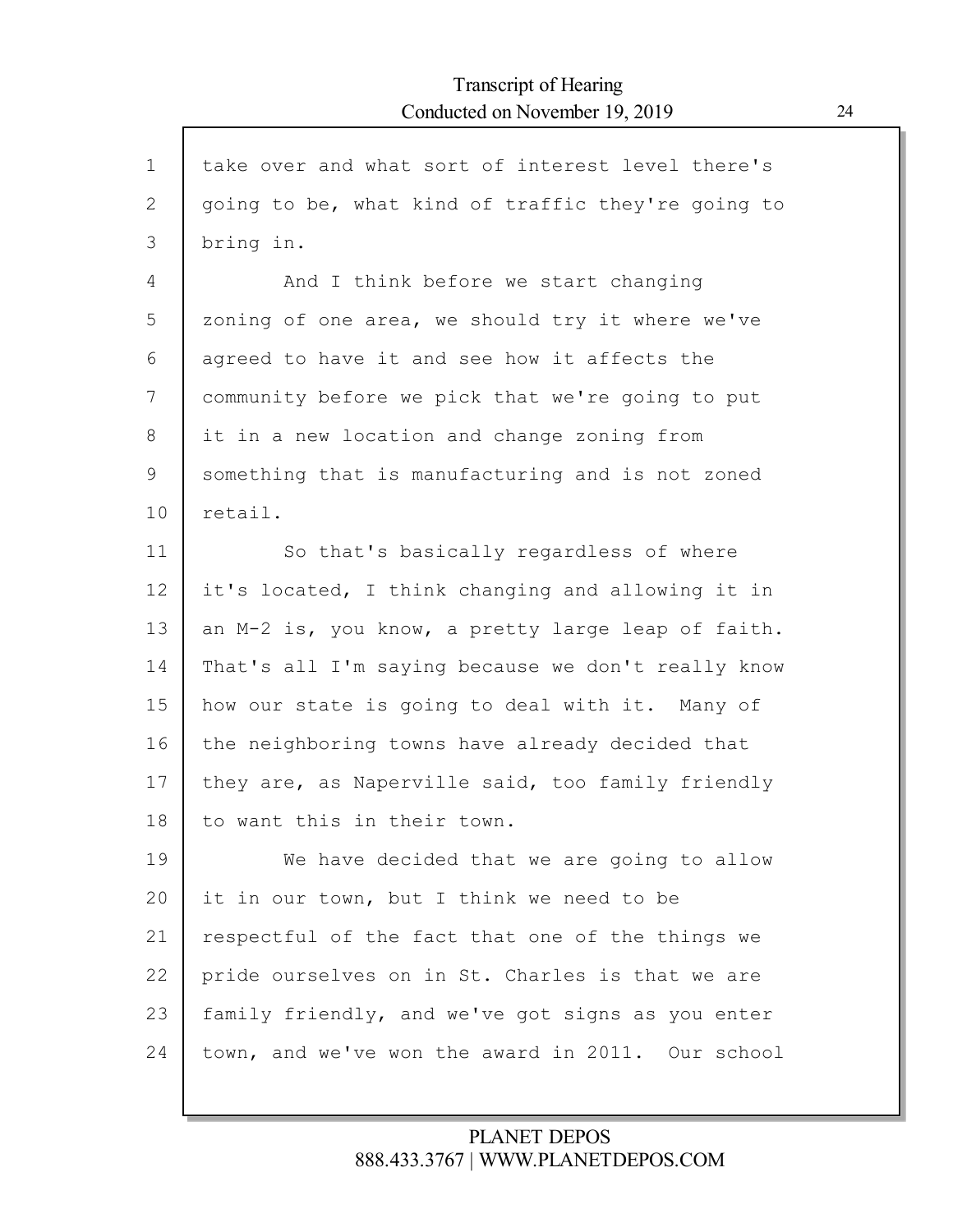| $\mathbf{1}$ | take over and what sort of interest level there's  |
|--------------|----------------------------------------------------|
| 2            | going to be, what kind of traffic they're going to |
| 3            | bring in.                                          |
| 4            | And I think before we start changing               |
| 5            | zoning of one area, we should try it where we've   |
| 6            | agreed to have it and see how it affects the       |
| 7            | community before we pick that we're going to put   |
| 8            | it in a new location and change zoning from        |
| 9            | something that is manufacturing and is not zoned   |
| 10           | retail.                                            |
| 11           | So that's basically regardless of where            |
| 12           | it's located, I think changing and allowing it in  |
| 13           | an M-2 is, you know, a pretty large leap of faith. |
| 14           | That's all I'm saying because we don't really know |
| 15           | how our state is going to deal with it. Many of    |
| 16           | the neighboring towns have already decided that    |
| 17           | they are, as Naperville said, too family friendly  |
| 18           | to want this in their town.                        |
| 19           | We have decided that we are going to allow         |
| 20           | it in our town, but I think we need to be          |
| 21           | respectful of the fact that one of the things we   |
| 22           | pride ourselves on in St. Charles is that we are   |
| 23           | family friendly, and we've got signs as you enter  |
| 24           | town, and we've won the award in 2011. Our school  |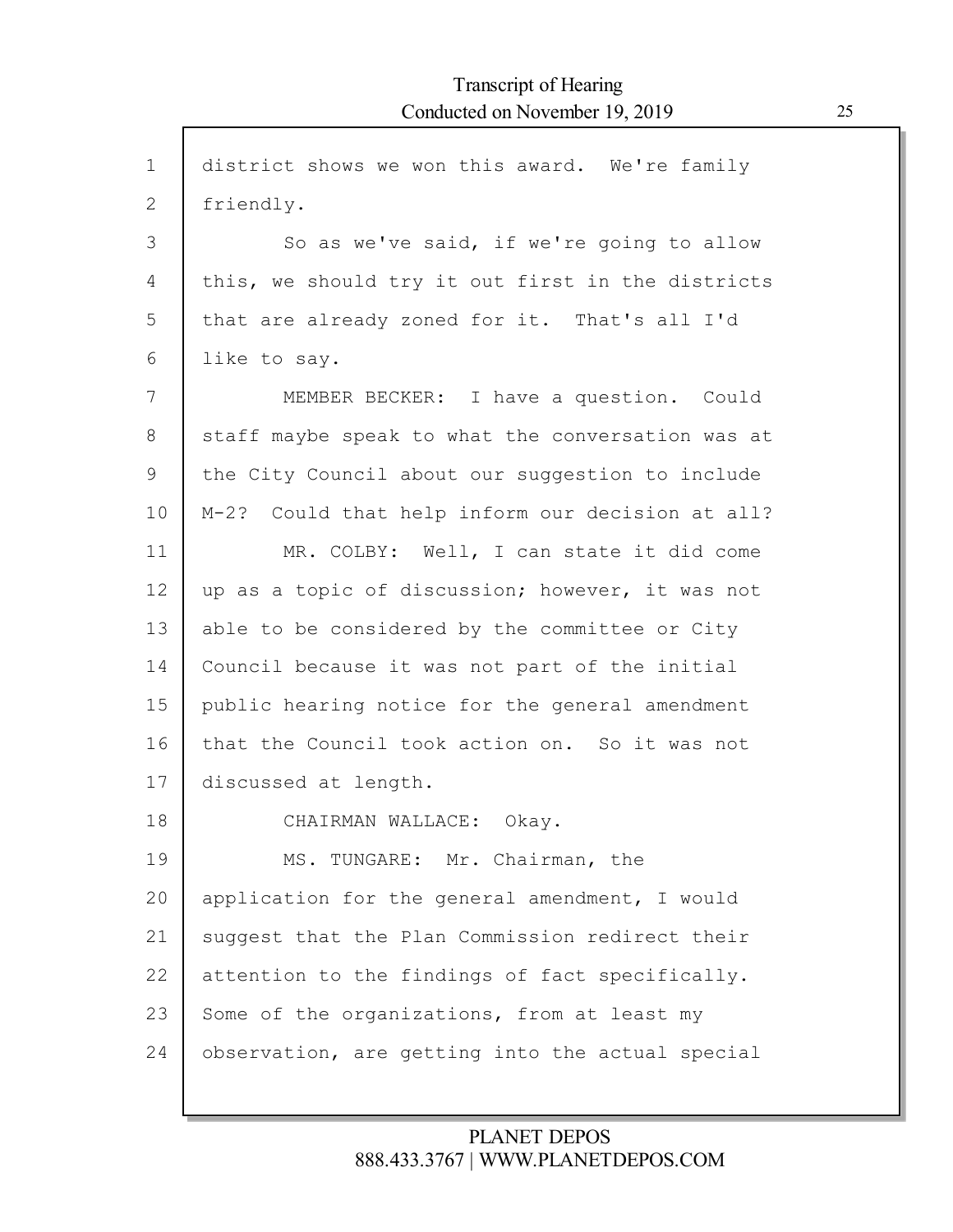| $\mathbf 1$ | district shows we won this award. We're family    |
|-------------|---------------------------------------------------|
| 2           | friendly.                                         |
| 3           | So as we've said, if we're going to allow         |
| 4           | this, we should try it out first in the districts |
| 5           | that are already zoned for it. That's all I'd     |
| 6           | like to say.                                      |
| 7           | MEMBER BECKER: I have a question. Could           |
| 8           | staff maybe speak to what the conversation was at |
| 9           | the City Council about our suggestion to include  |
| 10          | M-2? Could that help inform our decision at all?  |
| 11          | MR. COLBY: Well, I can state it did come          |
| 12          | up as a topic of discussion; however, it was not  |
| 13          | able to be considered by the committee or City    |
| 14          | Council because it was not part of the initial    |
| 15          | public hearing notice for the general amendment   |
| 16          | that the Council took action on. So it was not    |
| 17          | discussed at length.                              |
| 18          | CHAIRMAN WALLACE: Okay.                           |
| 19          | MS. TUNGARE: Mr. Chairman, the                    |
| 20          | application for the general amendment, I would    |
| 21          | suggest that the Plan Commission redirect their   |
| 22          | attention to the findings of fact specifically.   |
| 23          | Some of the organizations, from at least my       |
| 24          | observation, are getting into the actual special  |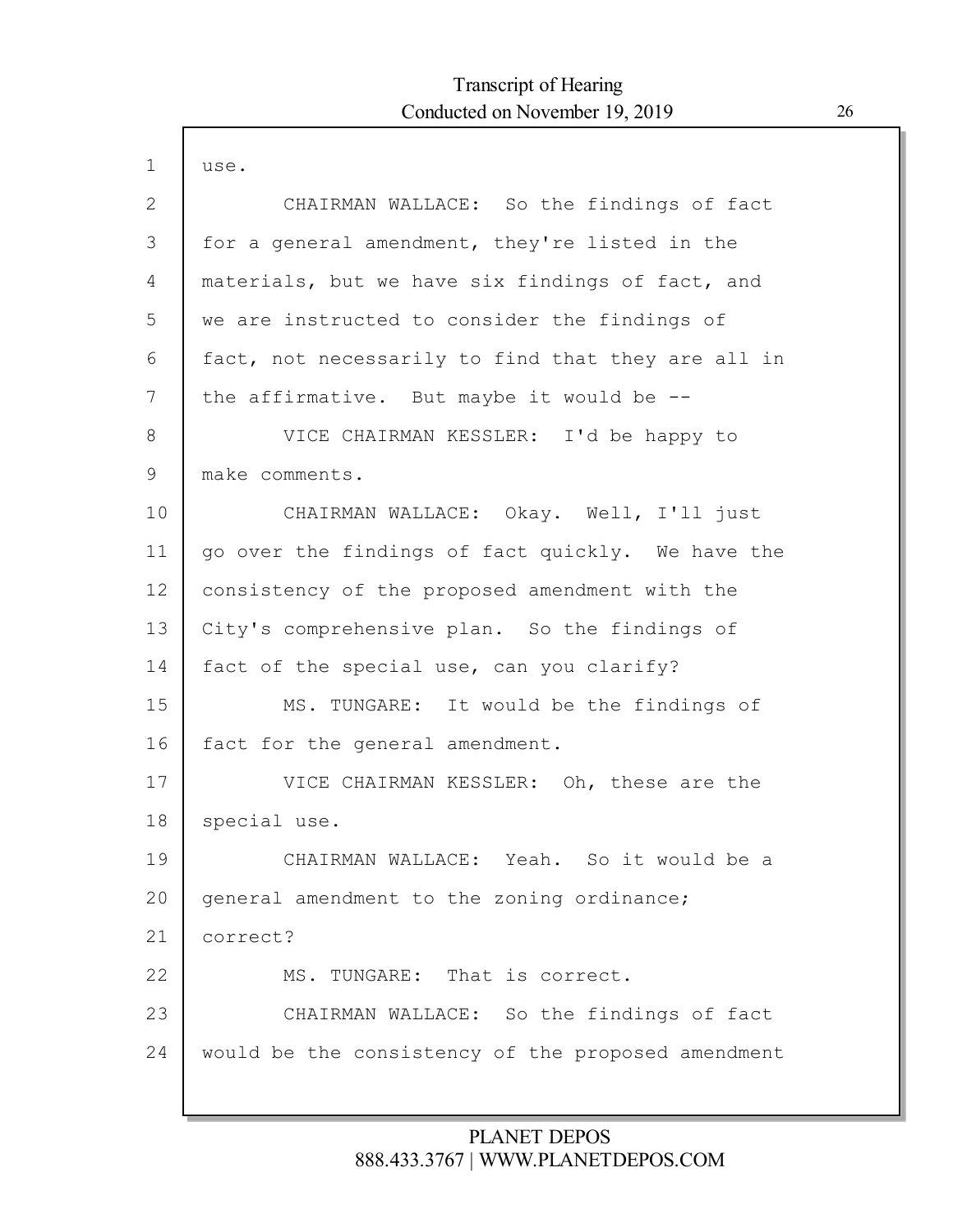$\mathsf{l}$ 

| $\mathbf{1}$ | use.                                               |
|--------------|----------------------------------------------------|
| 2            | CHAIRMAN WALLACE: So the findings of fact          |
| 3            | for a general amendment, they're listed in the     |
| 4            | materials, but we have six findings of fact, and   |
| 5            | we are instructed to consider the findings of      |
| 6            | fact, not necessarily to find that they are all in |
| 7            | the affirmative. But maybe it would be $-$ -       |
| 8            | VICE CHAIRMAN KESSLER: I'd be happy to             |
| 9            | make comments.                                     |
| 10           | CHAIRMAN WALLACE: Okay. Well, I'll just            |
| 11           | go over the findings of fact quickly. We have the  |
| 12           | consistency of the proposed amendment with the     |
| 13           | City's comprehensive plan. So the findings of      |
| 14           | fact of the special use, can you clarify?          |
| 15           | MS. TUNGARE: It would be the findings of           |
| 16           | fact for the general amendment.                    |
| 17           | VICE CHAIRMAN KESSLER: Oh, these are the           |
| 18           | special use.                                       |
| 19           | CHAIRMAN WALLACE: Yeah. So it would be a           |
| 20           | general amendment to the zoning ordinance;         |
| 21           | correct?                                           |
| 22           | MS. TUNGARE: That is correct.                      |
| 23           | CHAIRMAN WALLACE: So the findings of fact          |
| 24           | would be the consistency of the proposed amendment |
|              |                                                    |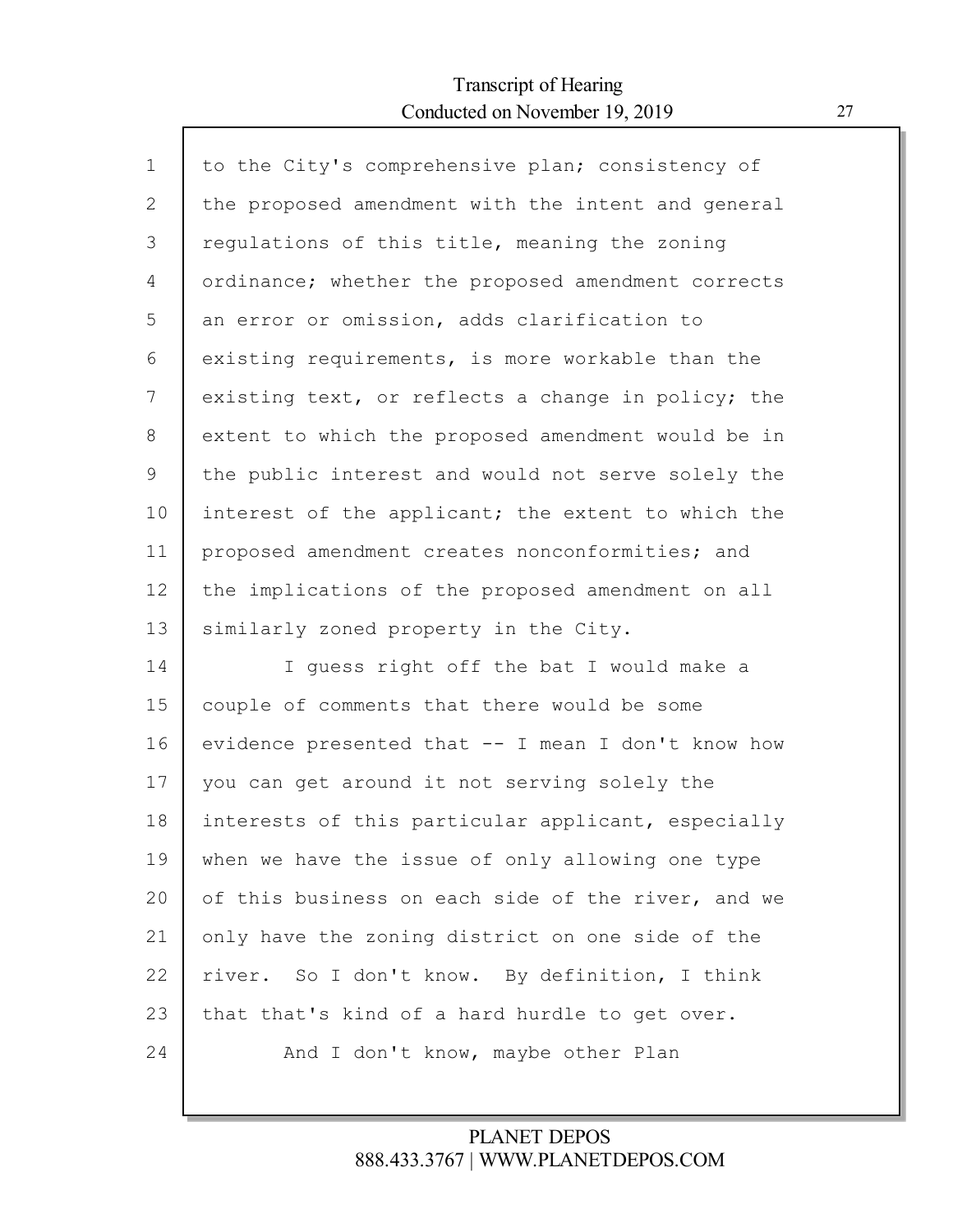Г

| $\mathbf{1}$ | to the City's comprehensive plan; consistency of   |
|--------------|----------------------------------------------------|
| 2            | the proposed amendment with the intent and general |
| 3            | regulations of this title, meaning the zoning      |
| 4            | ordinance; whether the proposed amendment corrects |
| 5            | an error or omission, adds clarification to        |
| 6            | existing requirements, is more workable than the   |
| 7            | existing text, or reflects a change in policy; the |
| 8            | extent to which the proposed amendment would be in |
| 9            | the public interest and would not serve solely the |
| 10           | interest of the applicant; the extent to which the |
| 11           | proposed amendment creates nonconformities; and    |
| 12           | the implications of the proposed amendment on all  |
| 13           | similarly zoned property in the City.              |
| 14           | I quess right off the bat I would make a           |
| 15           | couple of comments that there would be some        |
| 16           |                                                    |
|              | evidence presented that -- I mean I don't know how |
| 17           | you can get around it not serving solely the       |
| 18           | interests of this particular applicant, especially |
| 19           | when we have the issue of only allowing one type   |
| 20           | of this business on each side of the river, and we |
| 21           | only have the zoning district on one side of the   |
| 22           | river. So I don't know. By definition, I think     |
| 23           | that that's kind of a hard hurdle to get over.     |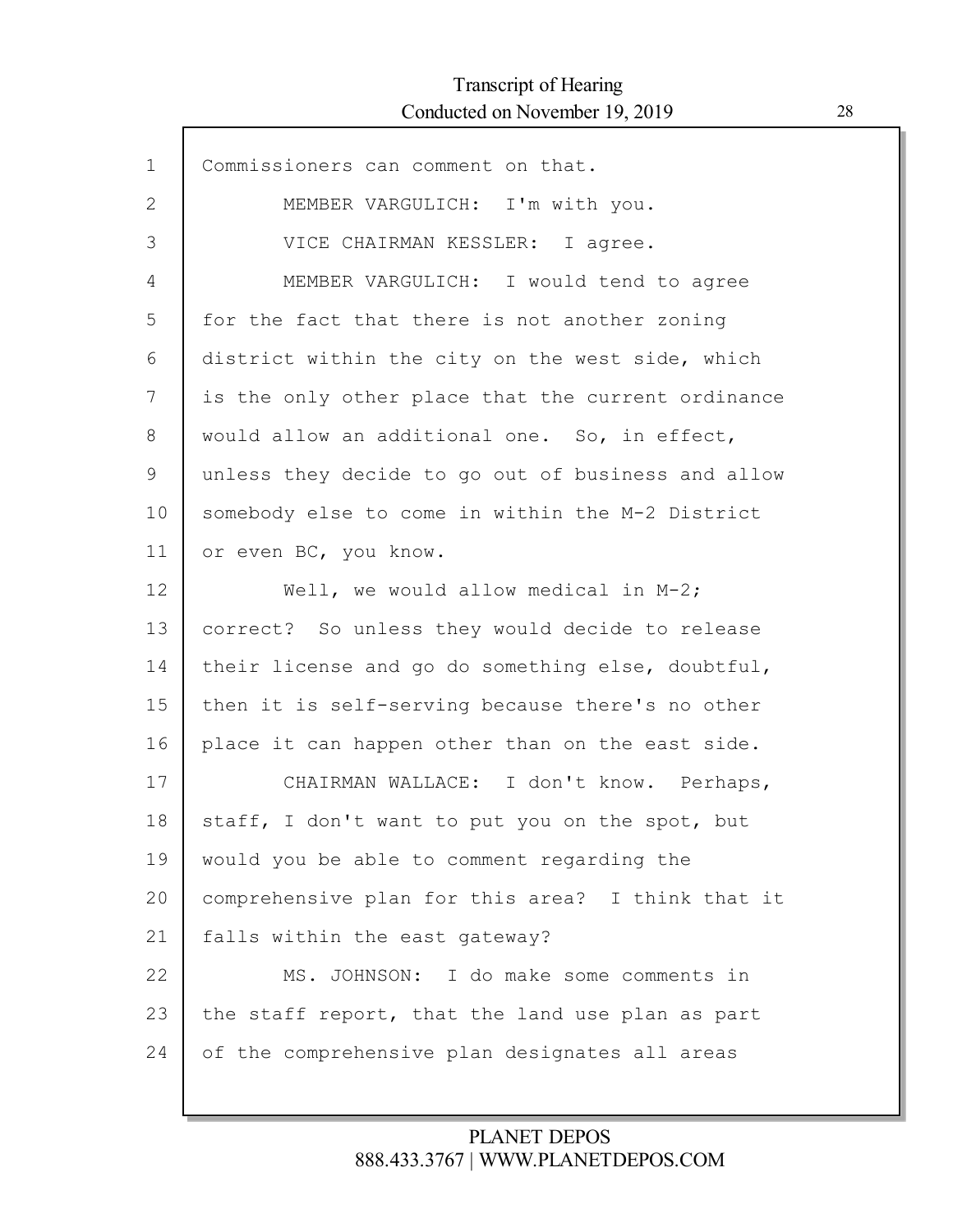Г

| $\mathbf{1}$ | Commissioners can comment on that.                 |
|--------------|----------------------------------------------------|
| 2            | MEMBER VARGULICH: I'm with you.                    |
| 3            | VICE CHAIRMAN KESSLER: I agree.                    |
| 4            | MEMBER VARGULICH: I would tend to agree            |
| 5            | for the fact that there is not another zoning      |
| 6            | district within the city on the west side, which   |
| 7            | is the only other place that the current ordinance |
| 8            | would allow an additional one. So, in effect,      |
| 9            | unless they decide to go out of business and allow |
| 10           | somebody else to come in within the M-2 District   |
| 11           | or even BC, you know.                              |
| 12           | Well, we would allow medical in M-2;               |
| 13           | correct? So unless they would decide to release    |
| 14           | their license and go do something else, doubtful,  |
| 15           | then it is self-serving because there's no other   |
| 16           | place it can happen other than on the east side.   |
| 17           | CHAIRMAN WALLACE: I don't know. Perhaps,           |
| 18           | staff, I don't want to put you on the spot, but    |
| 19           | would you be able to comment regarding the         |
| 20           | comprehensive plan for this area? I think that it  |
| 21           | falls within the east gateway?                     |
| 22           | MS. JOHNSON: I do make some comments in            |
| 23           | the staff report, that the land use plan as part   |
| 24           | of the comprehensive plan designates all areas     |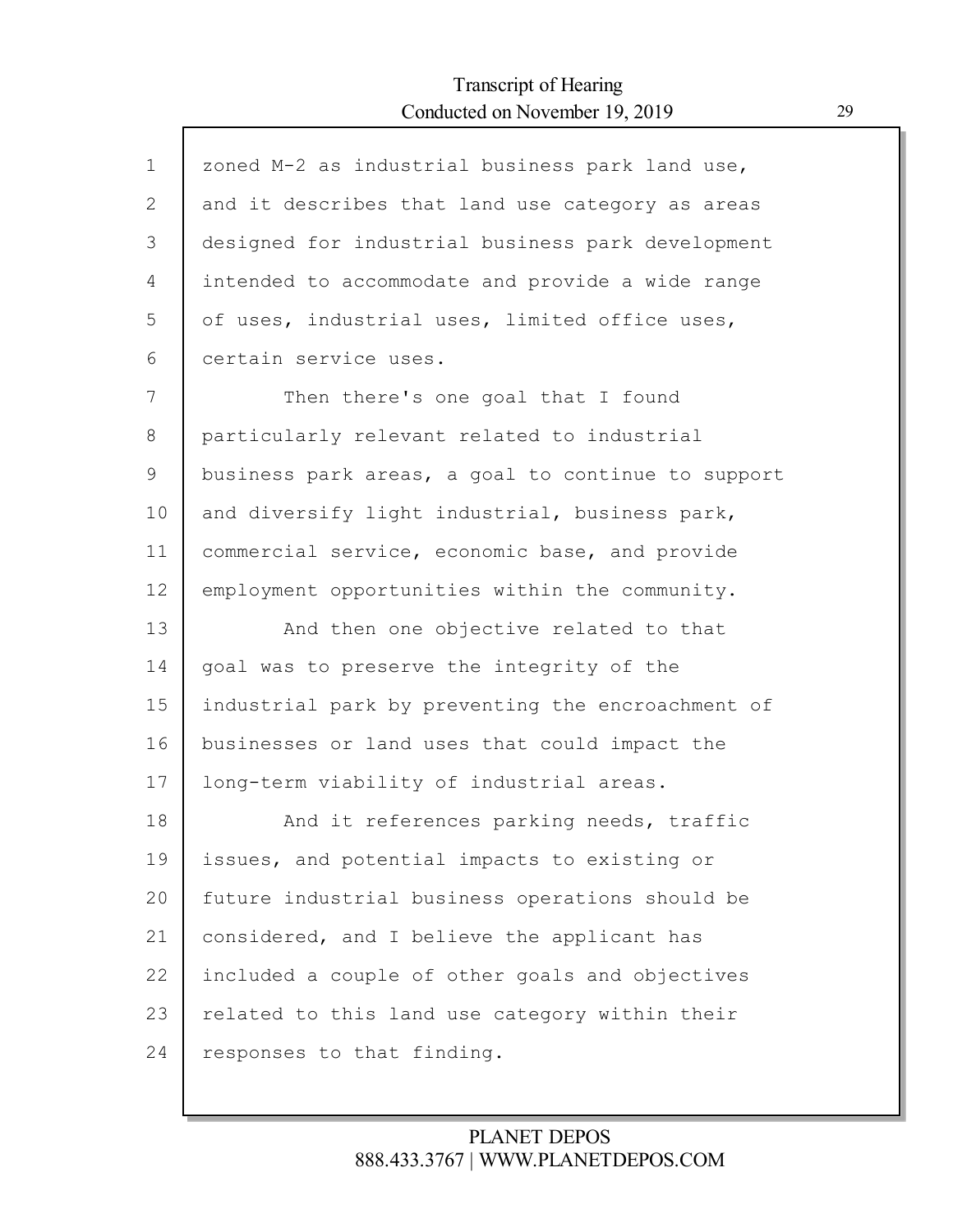| $\mathbf{1}$ | zoned M-2 as industrial business park land use,    |
|--------------|----------------------------------------------------|
| $\mathbf{2}$ | and it describes that land use category as areas   |
| 3            | designed for industrial business park development  |
| 4            | intended to accommodate and provide a wide range   |
| 5            | of uses, industrial uses, limited office uses,     |
| 6            | certain service uses.                              |
| 7            | Then there's one goal that I found                 |
| 8            | particularly relevant related to industrial        |
| 9            | business park areas, a goal to continue to support |
| 10           | and diversify light industrial, business park,     |
| 11           | commercial service, economic base, and provide     |
| 12           | employment opportunities within the community.     |
| 13           | And then one objective related to that             |
| 14           | goal was to preserve the integrity of the          |
| 15           | industrial park by preventing the encroachment of  |
| 16           | businesses or land uses that could impact the      |
| 17           | long-term viability of industrial areas.           |
| 18           | And it references parking needs, traffic           |
| 19           | issues, and potential impacts to existing or       |
| 20           | future industrial business operations should be    |
| 21           | considered, and I believe the applicant has        |
| 22           | included a couple of other goals and objectives    |
| 23           | related to this land use category within their     |
| 24           | responses to that finding.                         |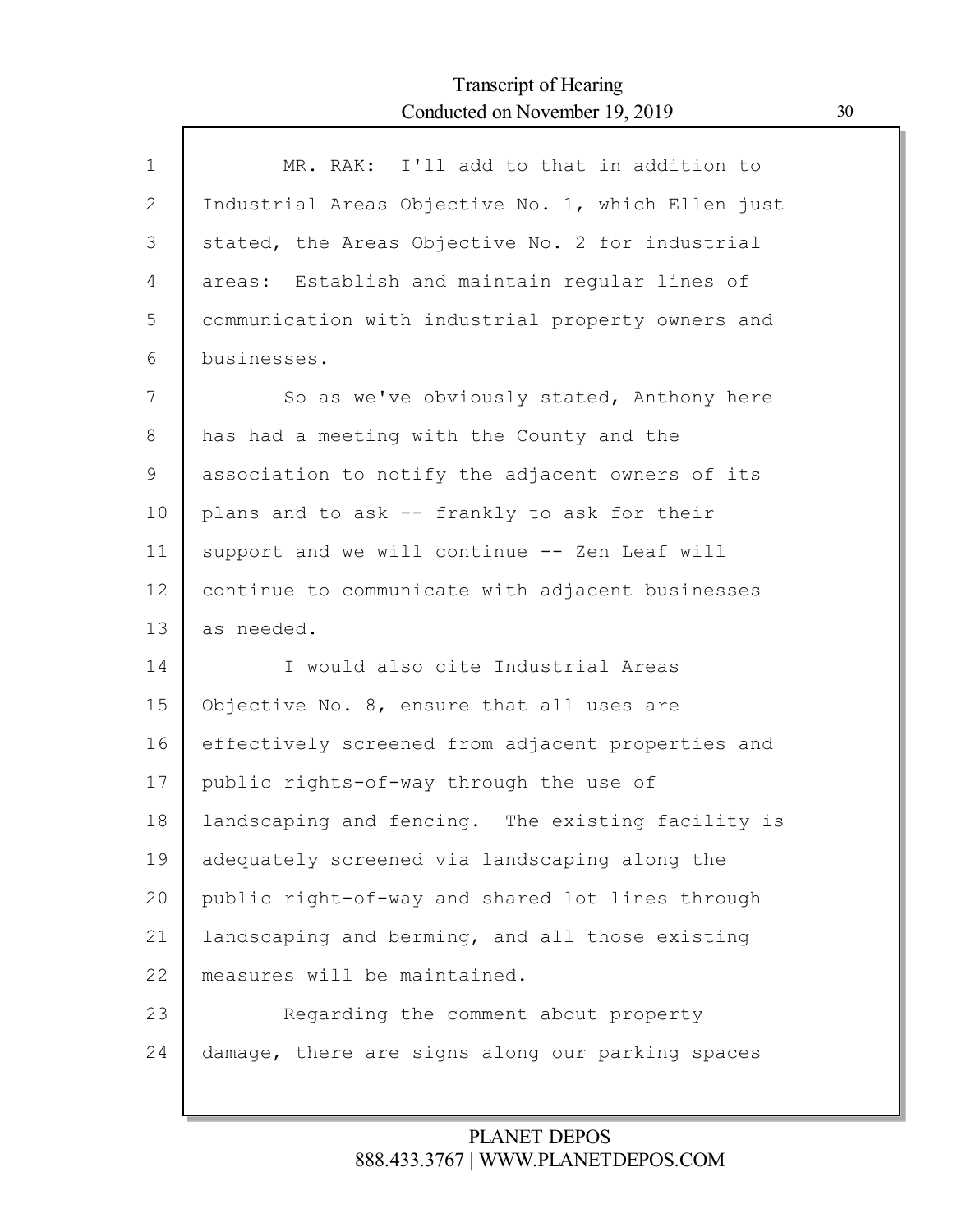Г

| $\mathbf{1}$ | MR. RAK: I'll add to that in addition to           |
|--------------|----------------------------------------------------|
| 2            | Industrial Areas Objective No. 1, which Ellen just |
| 3            | stated, the Areas Objective No. 2 for industrial   |
| 4            | areas: Establish and maintain regular lines of     |
| 5            | communication with industrial property owners and  |
| 6            | businesses.                                        |
| 7            | So as we've obviously stated, Anthony here         |
| 8            | has had a meeting with the County and the          |
| 9            | association to notify the adjacent owners of its   |
| 10           | plans and to ask -- frankly to ask for their       |
| 11           | support and we will continue -- Zen Leaf will      |
| 12           | continue to communicate with adjacent businesses   |
| 13           | as needed.                                         |
| 14           | I would also cite Industrial Areas                 |
| 15           | Objective No. 8, ensure that all uses are          |
| 16           | effectively screened from adjacent properties and  |
| 17           | public rights-of-way through the use of            |
| 18           | landscaping and fencing. The existing facility is  |
| 19           | adequately screened via landscaping along the      |
| 20           | public right-of-way and shared lot lines through   |
| 21           | landscaping and berming, and all those existing    |
| 22           | measures will be maintained.                       |
| 23           | Regarding the comment about property               |
| 24           | damage, there are signs along our parking spaces   |
|              |                                                    |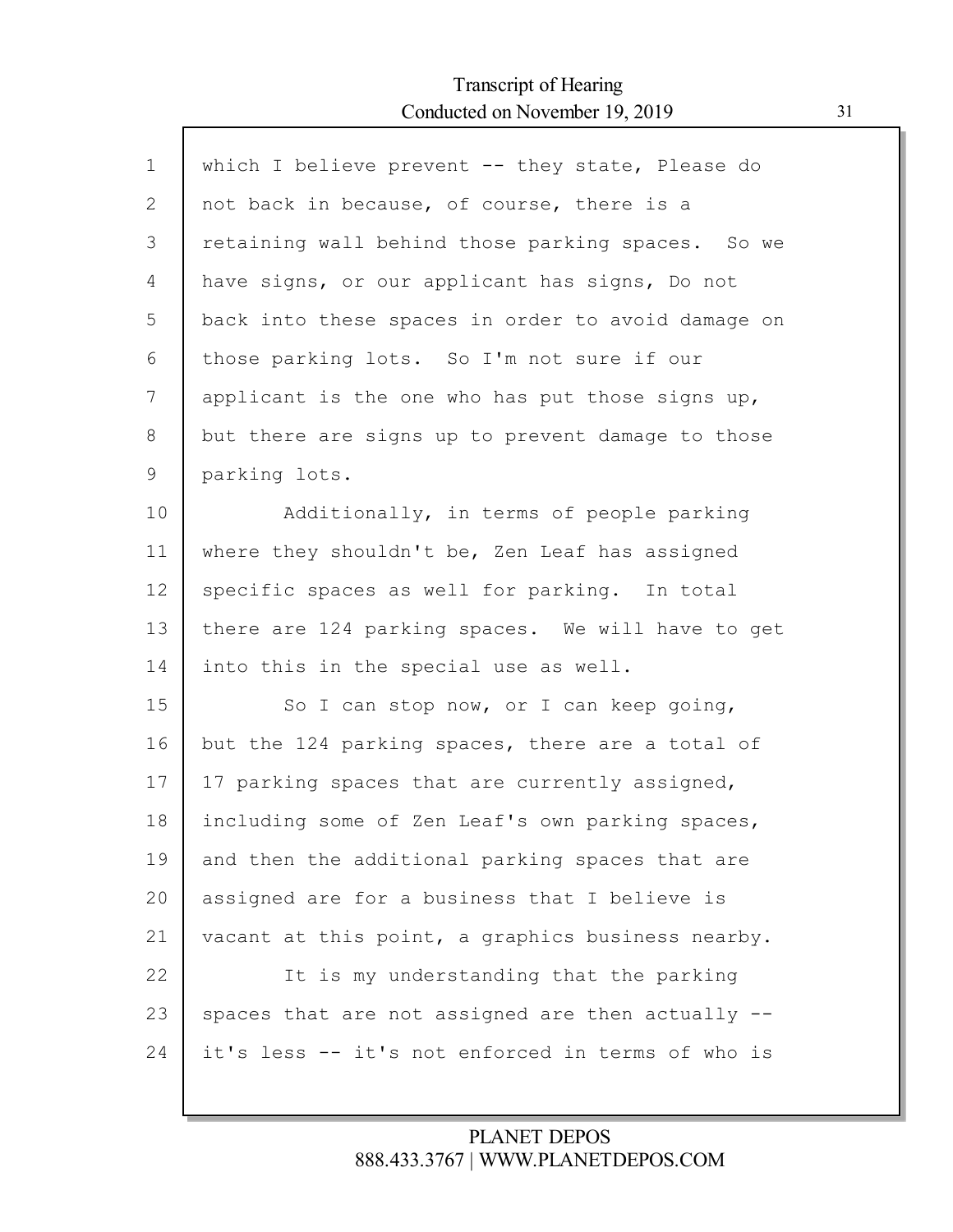Г

| $\mathbf{1}$ | which I believe prevent -- they state, Please do   |
|--------------|----------------------------------------------------|
| 2            | not back in because, of course, there is a         |
| 3            | retaining wall behind those parking spaces. So we  |
| 4            | have signs, or our applicant has signs, Do not     |
| 5            | back into these spaces in order to avoid damage on |
| 6            | those parking lots. So I'm not sure if our         |
| 7            | applicant is the one who has put those signs up,   |
| 8            | but there are signs up to prevent damage to those  |
| 9            | parking lots.                                      |
| 10           | Additionally, in terms of people parking           |
| 11           | where they shouldn't be, Zen Leaf has assigned     |
| 12           | specific spaces as well for parking. In total      |
| 13           | there are 124 parking spaces. We will have to get  |
| 14           | into this in the special use as well.              |
| 15           | So I can stop now, or I can keep going,            |
| 16           | but the 124 parking spaces, there are a total of   |
| 17           | 17 parking spaces that are currently assigned,     |
| 18           | including some of Zen Leaf's own parking spaces,   |
| 19           | and then the additional parking spaces that are    |
| 20           | assigned are for a business that I believe is      |
| 21           | vacant at this point, a graphics business nearby.  |
| 22           | It is my understanding that the parking            |
| 23           | spaces that are not assigned are then actually --  |
| 24           | it's less -- it's not enforced in terms of who is  |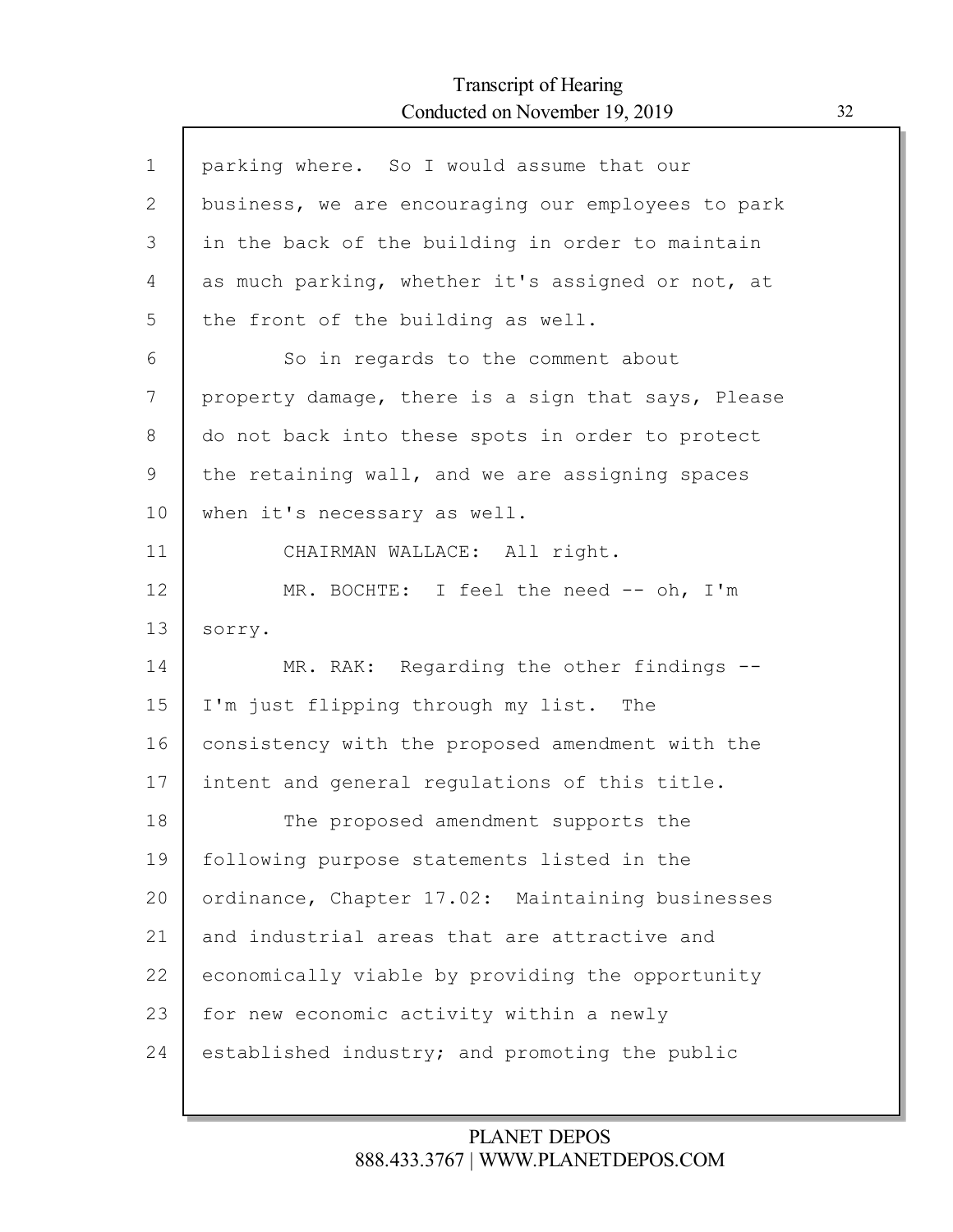Г

| $\mathbf 1$ | parking where. So I would assume that our          |
|-------------|----------------------------------------------------|
| 2           | business, we are encouraging our employees to park |
| 3           | in the back of the building in order to maintain   |
| 4           | as much parking, whether it's assigned or not, at  |
| 5           | the front of the building as well.                 |
| 6           | So in regards to the comment about                 |
| 7           | property damage, there is a sign that says, Please |
| 8           | do not back into these spots in order to protect   |
| 9           | the retaining wall, and we are assigning spaces    |
| 10          | when it's necessary as well.                       |
| 11          | CHAIRMAN WALLACE: All right.                       |
| 12          | MR. BOCHTE: I feel the need -- oh, I'm             |
| 13          | sorry.                                             |
| 14          | MR. RAK: Regarding the other findings --           |
| 15          | I'm just flipping through my list. The             |
| 16          | consistency with the proposed amendment with the   |
| 17          | intent and general regulations of this title.      |
| 18          | The proposed amendment supports the                |
| 19          | following purpose statements listed in the         |
| 20          | ordinance, Chapter 17.02: Maintaining businesses   |
| 21          | and industrial areas that are attractive and       |
| 22          | economically viable by providing the opportunity   |
| 23          | for new economic activity within a newly           |
| 24          | established industry; and promoting the public     |
|             |                                                    |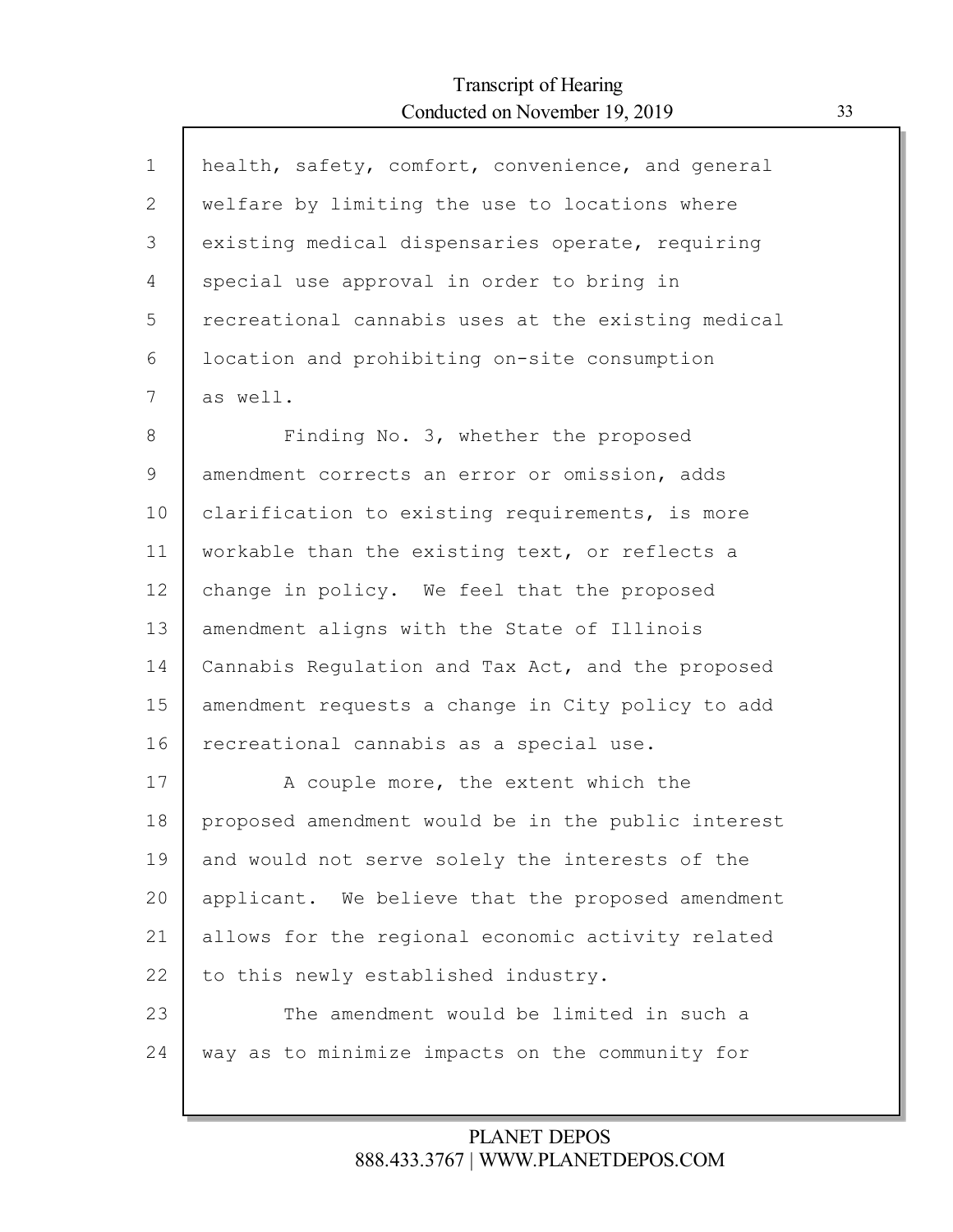Г

| $\mathbf 1$  | health, safety, comfort, convenience, and general  |
|--------------|----------------------------------------------------|
| $\mathbf{2}$ | welfare by limiting the use to locations where     |
| 3            | existing medical dispensaries operate, requiring   |
| 4            | special use approval in order to bring in          |
| 5            | recreational cannabis uses at the existing medical |
| 6            | location and prohibiting on-site consumption       |
| 7            | as well.                                           |
| 8            | Finding No. 3, whether the proposed                |
| 9            | amendment corrects an error or omission, adds      |
| 10           | clarification to existing requirements, is more    |
| 11           | workable than the existing text, or reflects a     |
| 12           | change in policy. We feel that the proposed        |
| 13           | amendment aligns with the State of Illinois        |
| 14           | Cannabis Regulation and Tax Act, and the proposed  |
| 15           | amendment requests a change in City policy to add  |
| 16           | recreational cannabis as a special use.            |
| 17           | A couple more, the extent which the                |
| 18           | proposed amendment would be in the public interest |
| 19           | and would not serve solely the interests of the    |
| 20           | applicant. We believe that the proposed amendment  |
| 21           | allows for the regional economic activity related  |
| 22           | to this newly established industry.                |
| 23           | The amendment would be limited in such a           |
| 24           | way as to minimize impacts on the community for    |
|              |                                                    |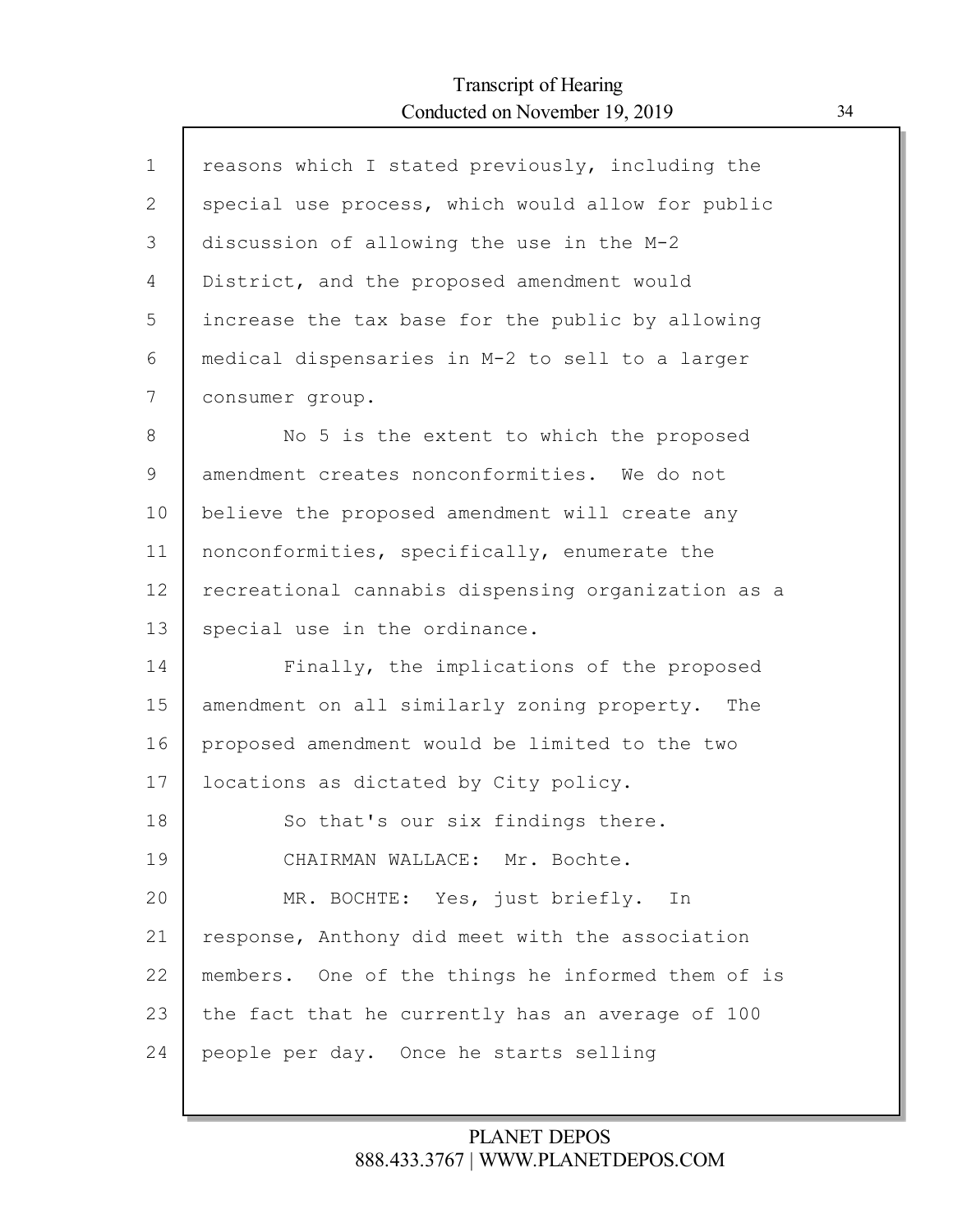| $\mathbf 1$ | reasons which I stated previously, including the   |
|-------------|----------------------------------------------------|
| 2           | special use process, which would allow for public  |
| 3           | discussion of allowing the use in the M-2          |
| 4           | District, and the proposed amendment would         |
| 5           | increase the tax base for the public by allowing   |
| 6           | medical dispensaries in M-2 to sell to a larger    |
| 7           | consumer group.                                    |
| $8\,$       | No 5 is the extent to which the proposed           |
| 9           | amendment creates nonconformities. We do not       |
| 10          | believe the proposed amendment will create any     |
| 11          | nonconformities, specifically, enumerate the       |
| 12          | recreational cannabis dispensing organization as a |
| 13          | special use in the ordinance.                      |
| 14          | Finally, the implications of the proposed          |
| 15          | amendment on all similarly zoning property. The    |
| 16          | proposed amendment would be limited to the two     |
| 17          | locations as dictated by City policy.              |
| 18          | So that's our six findings there.                  |
| 19          | CHAIRMAN WALLACE: Mr. Bochte.                      |
| 20          | MR. BOCHTE: Yes, just briefly. In                  |
| 21          | response, Anthony did meet with the association    |
| 22          | members. One of the things he informed them of is  |
| 23          | the fact that he currently has an average of 100   |
| 24          | people per day. Once he starts selling             |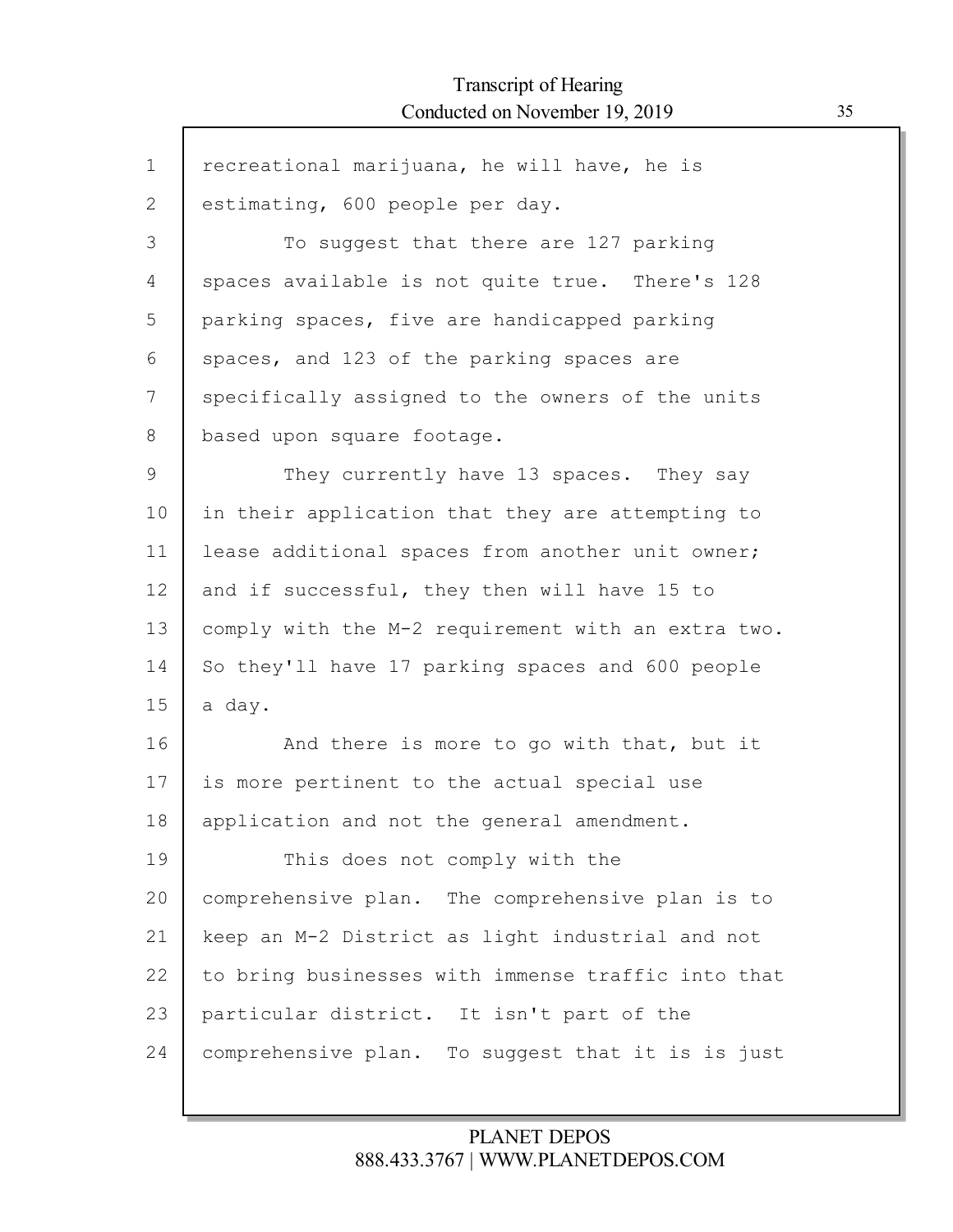$\mathsf{r}$ 

| $\mathbf 1$ | recreational marijuana, he will have, he is        |
|-------------|----------------------------------------------------|
| 2           | estimating, 600 people per day.                    |
| 3           | To suggest that there are 127 parking              |
| 4           | spaces available is not quite true. There's 128    |
| 5           | parking spaces, five are handicapped parking       |
| 6           | spaces, and 123 of the parking spaces are          |
| 7           | specifically assigned to the owners of the units   |
| 8           | based upon square footage.                         |
| 9           | They currently have 13 spaces. They say            |
| 10          | in their application that they are attempting to   |
| 11          | lease additional spaces from another unit owner;   |
| 12          | and if successful, they then will have 15 to       |
| 13          | comply with the M-2 requirement with an extra two. |
| 14          | So they'll have 17 parking spaces and 600 people   |
| 15          | a day.                                             |
| 16          | And there is more to go with that, but it          |
| 17          | is more pertinent to the actual special use        |
| 18          | application and not the general amendment.         |
| 19          | This does not comply with the                      |
| 20          | comprehensive plan. The comprehensive plan is to   |
| 21          | keep an M-2 District as light industrial and not   |
| 22          | to bring businesses with immense traffic into that |
| 23          | particular district. It isn't part of the          |
| 24          | comprehensive plan. To suggest that it is is just  |
|             |                                                    |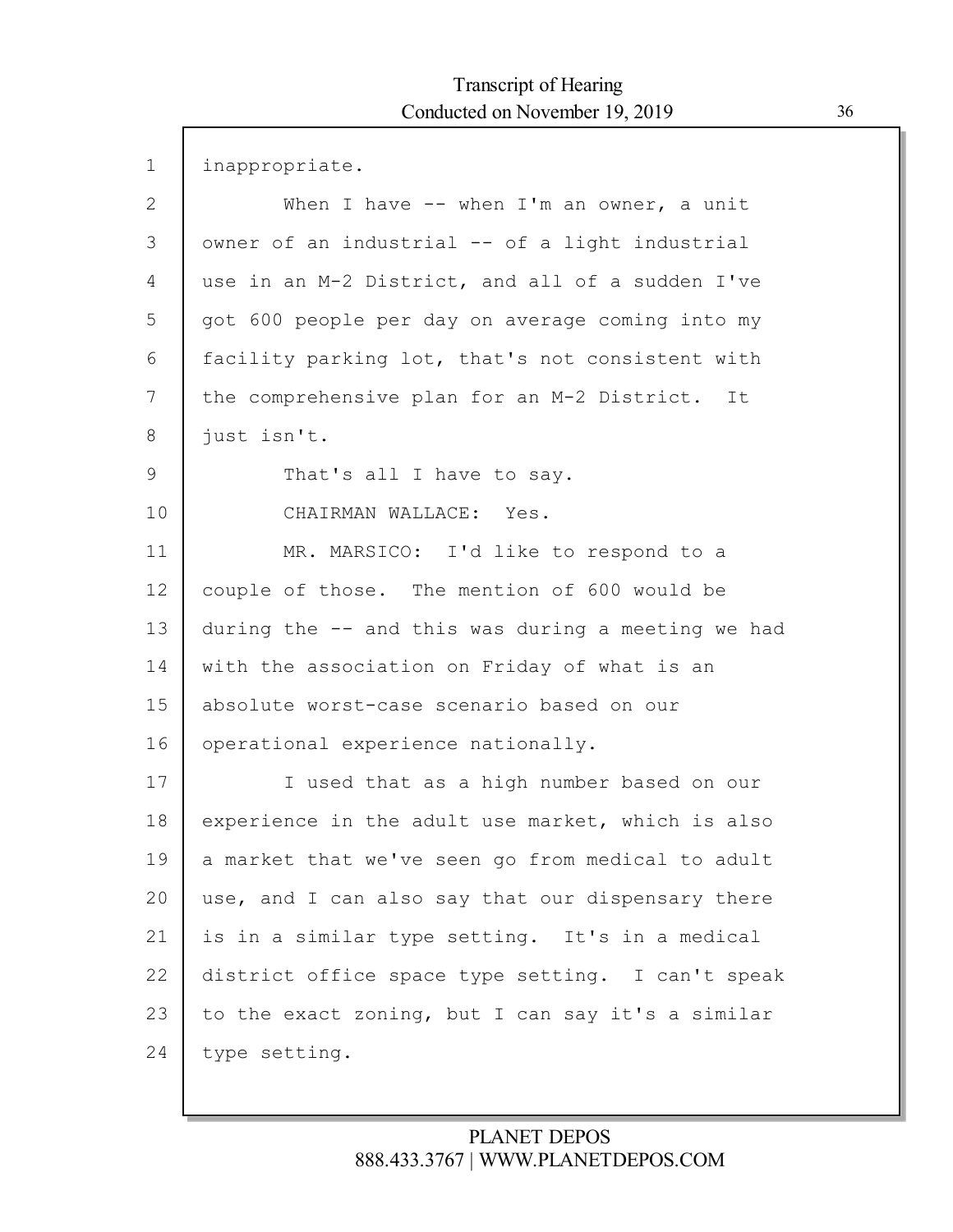$\Gamma$ 

| $\mathbf 1$ | inappropriate.                                     |
|-------------|----------------------------------------------------|
| 2           | When I have $--$ when I'm an owner, a unit         |
| 3           | owner of an industrial -- of a light industrial    |
| 4           | use in an M-2 District, and all of a sudden I've   |
| 5           | got 600 people per day on average coming into my   |
| 6           | facility parking lot, that's not consistent with   |
| 7           | the comprehensive plan for an M-2 District. It     |
| 8           | just isn't.                                        |
| 9           | That's all I have to say.                          |
| 10          | CHAIRMAN WALLACE: Yes.                             |
| 11          | MR. MARSICO: I'd like to respond to a              |
| 12          | couple of those. The mention of 600 would be       |
| 13          | during the -- and this was during a meeting we had |
| 14          | with the association on Friday of what is an       |
| 15          | absolute worst-case scenario based on our          |
| 16          | operational experience nationally.                 |
| 17          | I used that as a high number based on our          |
| 18          | experience in the adult use market, which is also  |
| 19          | a market that we've seen go from medical to adult  |
| 20          | use, and I can also say that our dispensary there  |
| 21          | is in a similar type setting. It's in a medical    |
| 22          | district office space type setting. I can't speak  |
| 23          | to the exact zoning, but I can say it's a similar  |
| 24          | type setting.                                      |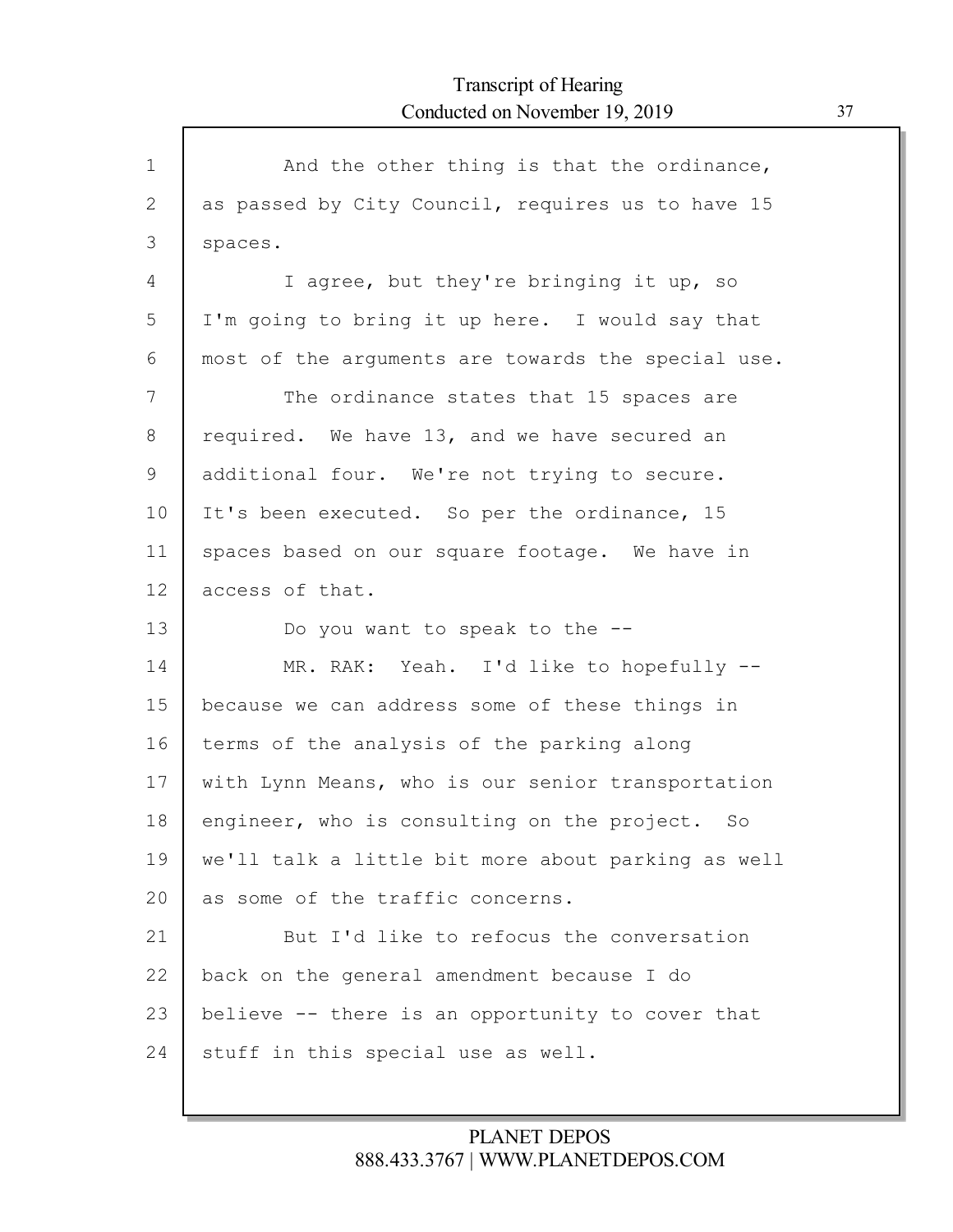| $\mathbf 1$ | And the other thing is that the ordinance,         |
|-------------|----------------------------------------------------|
| 2           | as passed by City Council, requires us to have 15  |
| 3           | spaces.                                            |
| 4           | I agree, but they're bringing it up, so            |
| 5           | I'm going to bring it up here. I would say that    |
| 6           | most of the arguments are towards the special use. |
| 7           | The ordinance states that 15 spaces are            |
| 8           | required. We have 13, and we have secured an       |
| 9           | additional four. We're not trying to secure.       |
| 10          | It's been executed. So per the ordinance, 15       |
| 11          | spaces based on our square footage. We have in     |
| 12          | access of that.                                    |
| 13          | Do you want to speak to the --                     |
| 14          | MR. RAK: Yeah. I'd like to hopefully --            |
| 15          | because we can address some of these things in     |
| 16          | terms of the analysis of the parking along         |
| 17          | with Lynn Means, who is our senior transportation  |
| 18          | engineer, who is consulting on the project. So     |
| 19          | we'll talk a little bit more about parking as well |
| 20          | as some of the traffic concerns.                   |
| 21          | But I'd like to refocus the conversation           |
| 22          | back on the general amendment because I do         |
| 23          | believe -- there is an opportunity to cover that   |
| 24          |                                                    |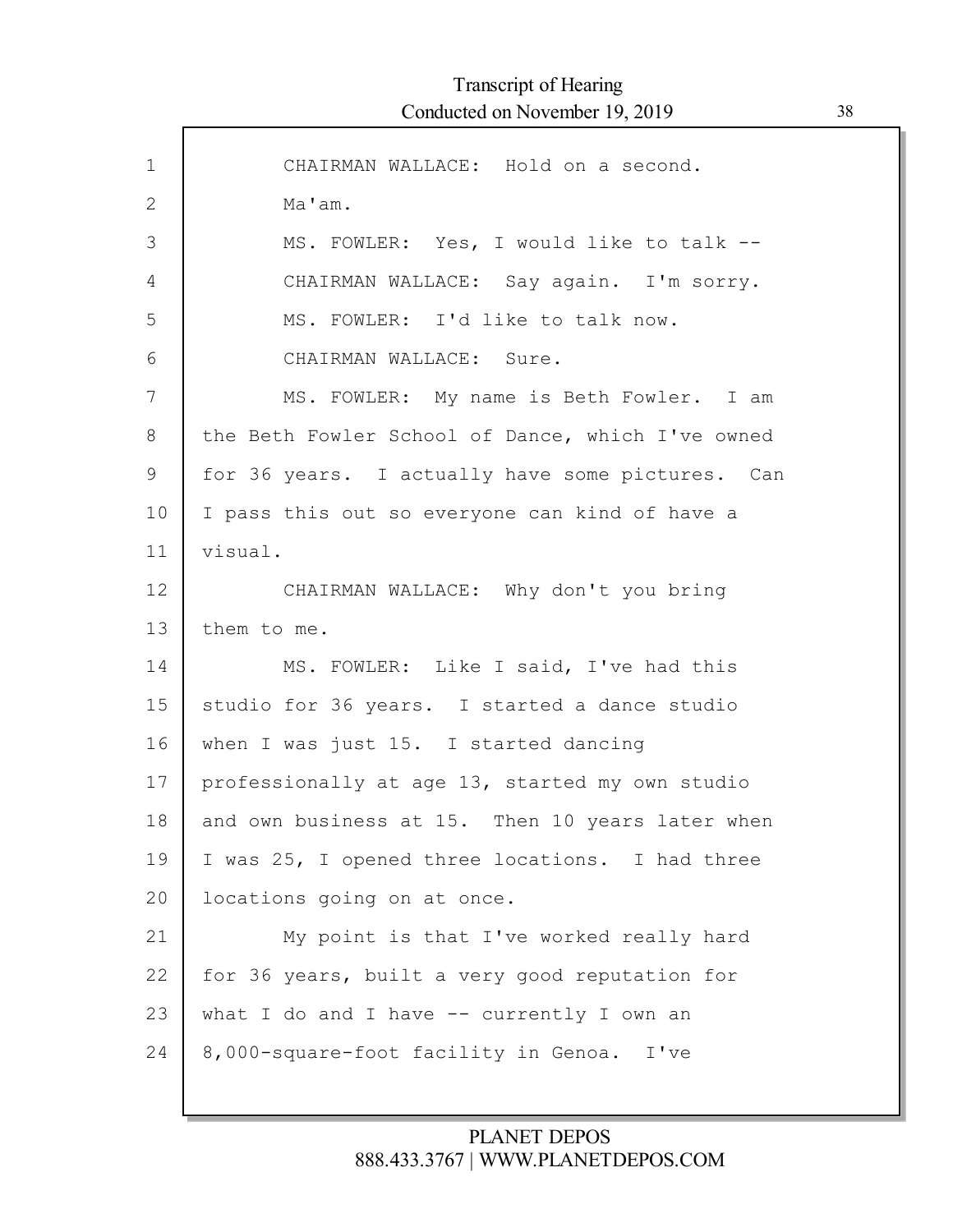| $\mathbf{1}$ | CHAIRMAN WALLACE: Hold on a second.               |
|--------------|---------------------------------------------------|
| $\mathbf{2}$ | Ma'am.                                            |
| 3            | MS. FOWLER: Yes, I would like to talk --          |
| 4            | CHAIRMAN WALLACE: Say again. I'm sorry.           |
| 5            | MS. FOWLER: I'd like to talk now.                 |
| 6            | CHAIRMAN WALLACE: Sure.                           |
| 7            | MS. FOWLER: My name is Beth Fowler. I am          |
| 8            | the Beth Fowler School of Dance, which I've owned |
| 9            | for 36 years. I actually have some pictures. Can  |
| 10           | I pass this out so everyone can kind of have a    |
| 11           | visual.                                           |
| 12           | CHAIRMAN WALLACE: Why don't you bring             |
| 13           | them to me.                                       |
| 14           | MS. FOWLER: Like I said, I've had this            |
| 15           | studio for 36 years. I started a dance studio     |
| 16           | when I was just 15. I started dancing             |
| 17           | professionally at age 13, started my own studio   |
| 18           | and own business at 15. Then 10 years later when  |
| 19           | I was 25, I opened three locations. I had three   |
| 20           | locations going on at once.                       |
| 21           | My point is that I've worked really hard          |
| 22           | for 36 years, built a very good reputation for    |
| 23           | what I do and I have -- currently I own an        |
| 24           | 8,000-square-foot facility in Genoa. I've         |
|              |                                                   |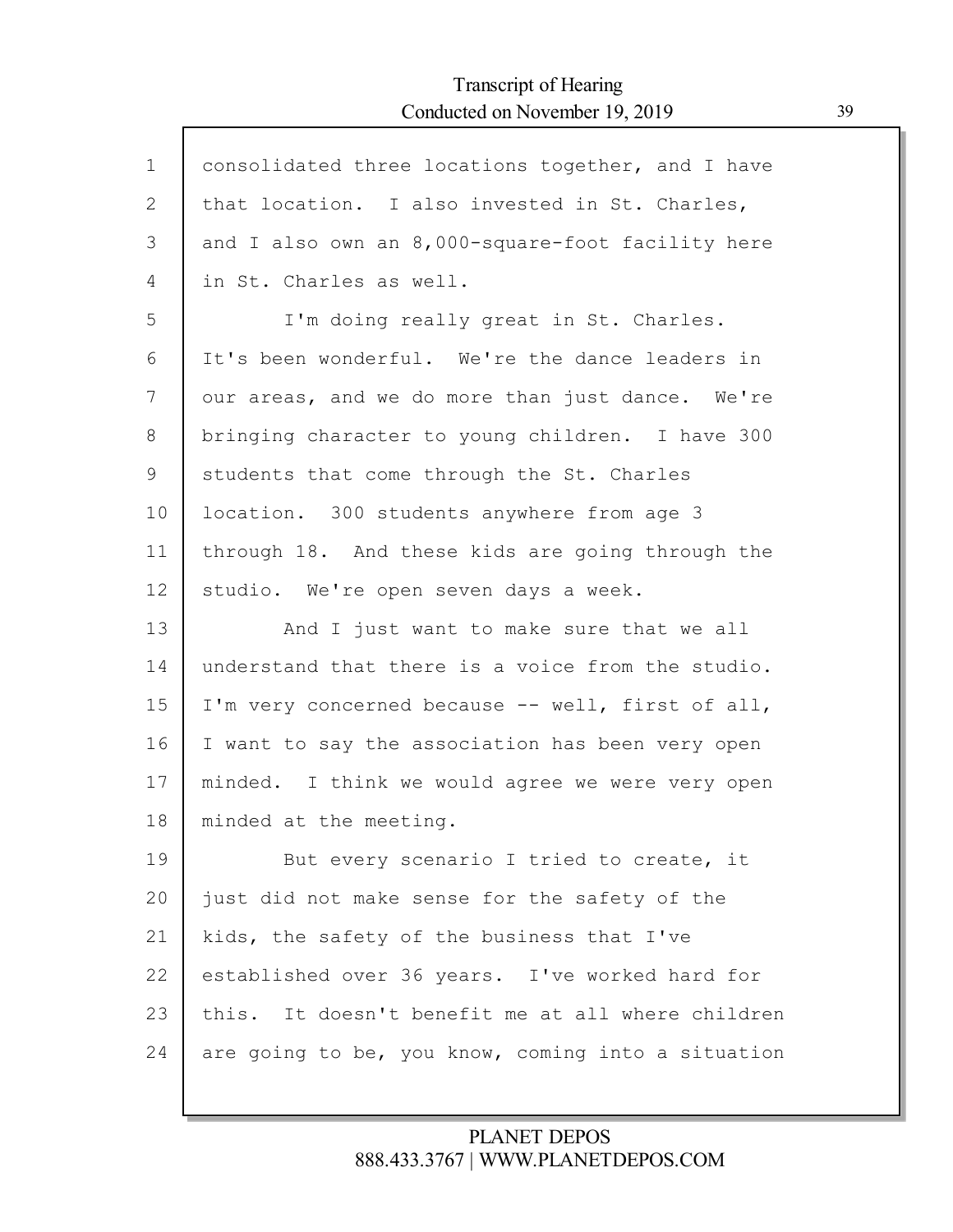Г

| $\mathbf 1$ | consolidated three locations together, and I have  |
|-------------|----------------------------------------------------|
| 2           | that location. I also invested in St. Charles,     |
| 3           | and I also own an 8,000-square-foot facility here  |
| 4           | in St. Charles as well.                            |
| 5           | I'm doing really great in St. Charles.             |
| 6           | It's been wonderful. We're the dance leaders in    |
| 7           | our areas, and we do more than just dance. We're   |
| 8           | bringing character to young children. I have 300   |
| 9           | students that come through the St. Charles         |
| 10          | location. 300 students anywhere from age 3         |
| 11          | through 18. And these kids are going through the   |
| 12          | studio. We're open seven days a week.              |
| 13          | And I just want to make sure that we all           |
| 14          | understand that there is a voice from the studio.  |
| 15          | I'm very concerned because -- well, first of all,  |
| 16          | I want to say the association has been very open   |
| 17          | minded. I think we would agree we were very open   |
| 18          | minded at the meeting.                             |
| 19          | But every scenario I tried to create, it           |
| 20          | just did not make sense for the safety of the      |
| 21          | kids, the safety of the business that I've         |
| 22          | established over 36 years. I've worked hard for    |
| 23          | this. It doesn't benefit me at all where children  |
| 24          | are going to be, you know, coming into a situation |
|             |                                                    |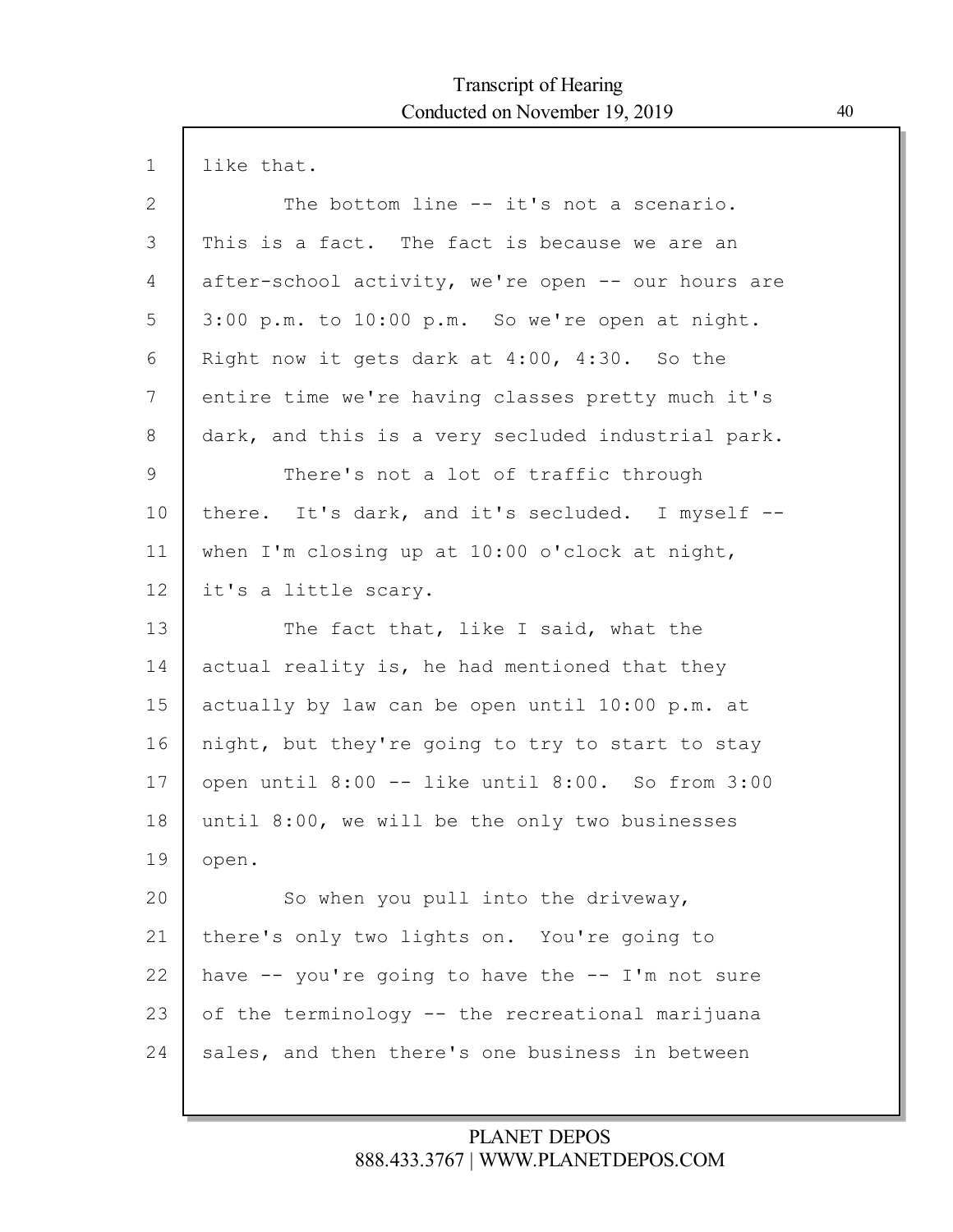| $\mathbf 1$ | like that.                                         |
|-------------|----------------------------------------------------|
| 2           | The bottom line -- it's not a scenario.            |
| 3           | This is a fact. The fact is because we are an      |
| 4           | after-school activity, we're open -- our hours are |
| 5           | 3:00 p.m. to 10:00 p.m. So we're open at night.    |
| 6           | Right now it gets dark at 4:00, 4:30. So the       |
| 7           | entire time we're having classes pretty much it's  |
| 8           | dark, and this is a very secluded industrial park. |
| 9           | There's not a lot of traffic through               |
| 10          | there. It's dark, and it's secluded. I myself --   |
| 11          | when I'm closing up at 10:00 o'clock at night,     |
| 12          | it's a little scary.                               |
| 13          | The fact that, like I said, what the               |
| 14          | actual reality is, he had mentioned that they      |
| 15          | actually by law can be open until 10:00 p.m. at    |
| 16          | night, but they're going to try to start to stay   |
| 17          | open until 8:00 -- like until 8:00. So from 3:00   |
| 18          | until 8:00, we will be the only two businesses     |
| 19          | open.                                              |
| 20          | So when you pull into the driveway,                |
| 21          | there's only two lights on. You're going to        |
| 22          | have $-$ you're going to have the $-$ I'm not sure |
| 23          | of the terminology -- the recreational marijuana   |
| 24          | sales, and then there's one business in between    |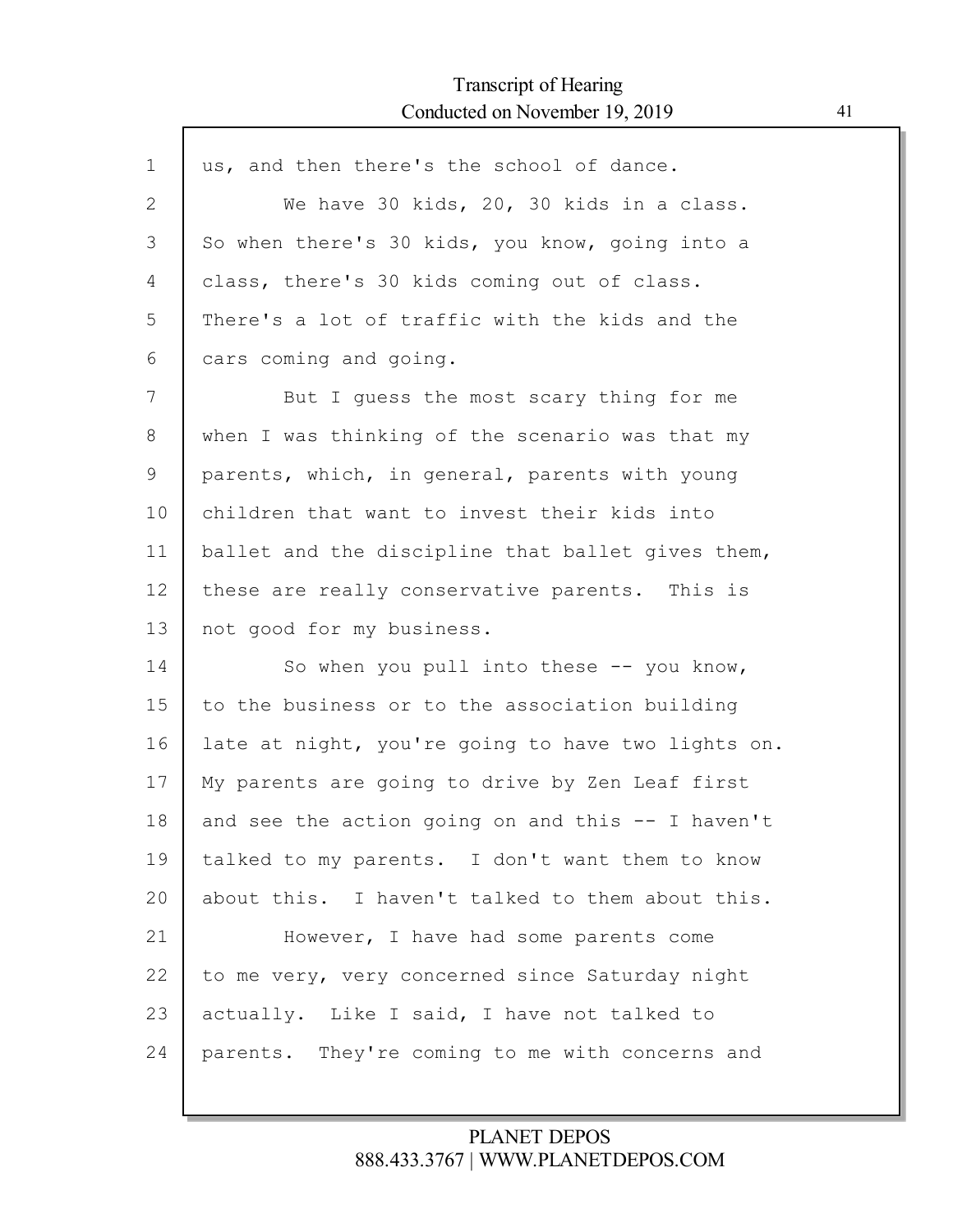$\mathsf{l}$ 

| $\mathbf 1$  | us, and then there's the school of dance.          |
|--------------|----------------------------------------------------|
| $\mathbf{2}$ | We have 30 kids, 20, 30 kids in a class.           |
| 3            | So when there's 30 kids, you know, going into a    |
| 4            | class, there's 30 kids coming out of class.        |
| 5            | There's a lot of traffic with the kids and the     |
| 6            | cars coming and going.                             |
| 7            | But I guess the most scary thing for me            |
| 8            | when I was thinking of the scenario was that my    |
| 9            | parents, which, in general, parents with young     |
| 10           | children that want to invest their kids into       |
| 11           | ballet and the discipline that ballet gives them,  |
| 12           | these are really conservative parents. This is     |
| 13           | not good for my business.                          |
| 14           | So when you pull into these $-$ - you know,        |
| 15           | to the business or to the association building     |
| 16           | late at night, you're going to have two lights on. |
| 17           | My parents are going to drive by Zen Leaf first    |
| 18           | and see the action going on and this -- I haven't  |
| 19           | talked to my parents. I don't want them to know    |
| 20           | about this. I haven't talked to them about this.   |
| 21           | However, I have had some parents come              |
| 22           | to me very, very concerned since Saturday night    |
| 23           | actually. Like I said, I have not talked to        |
| 24           | parents.<br>They're coming to me with concerns and |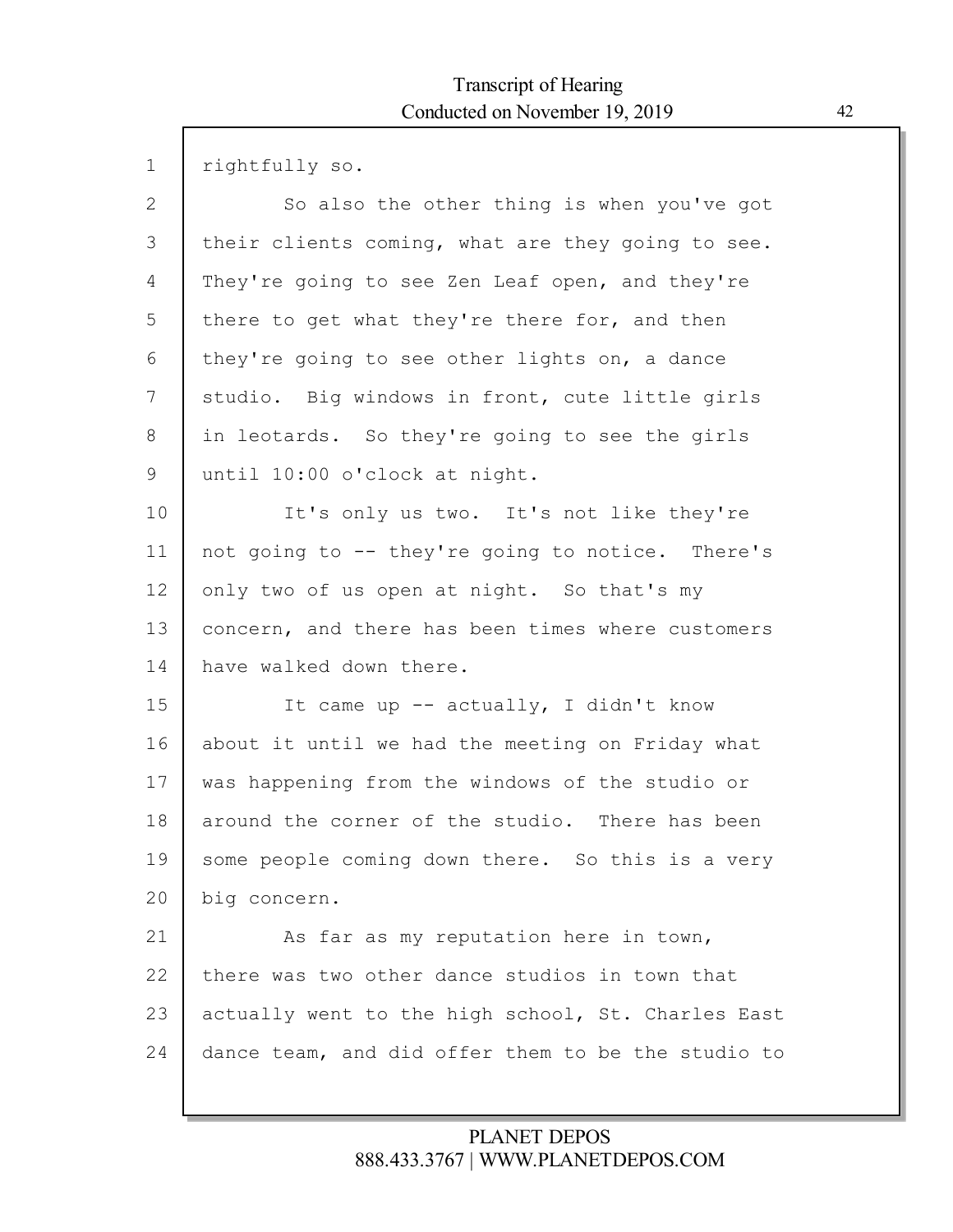| $\mathbf 1$    | rightfully so.                                     |
|----------------|----------------------------------------------------|
| $\overline{2}$ | So also the other thing is when you've got         |
| 3              | their clients coming, what are they going to see.  |
| 4              | They're going to see Zen Leaf open, and they're    |
| 5              | there to get what they're there for, and then      |
| 6              | they're going to see other lights on, a dance      |
| 7              | studio. Big windows in front, cute little girls    |
| 8              | in leotards. So they're going to see the girls     |
| 9              | until 10:00 o'clock at night.                      |
| 10             | It's only us two. It's not like they're            |
| 11             | not going to -- they're going to notice. There's   |
| 12             | only two of us open at night. So that's my         |
| 13             | concern, and there has been times where customers  |
| 14             | have walked down there.                            |
| 15             | It came up -- actually, I didn't know              |
| 16             | about it until we had the meeting on Friday what   |
| 17             | was happening from the windows of the studio or    |
| 18             | around the corner of the studio. There has been    |
| 19             | some people coming down there. So this is a very   |
| 20             | big concern.                                       |
| 21             | As far as my reputation here in town,              |
| 22             | there was two other dance studios in town that     |
| 23             | actually went to the high school, St. Charles East |
| 24             | dance team, and did offer them to be the studio to |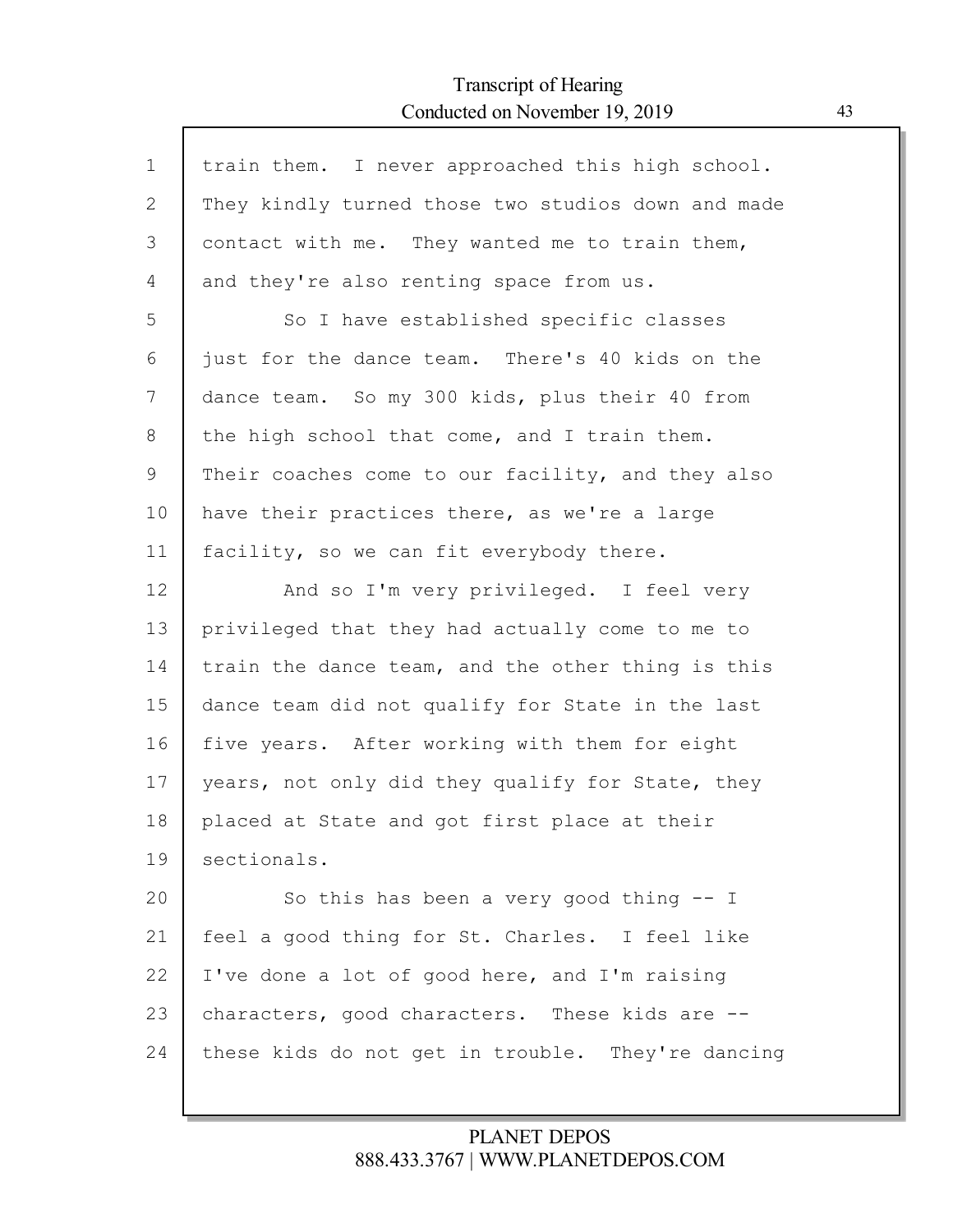Г

| $\mathbf 1$ | train them. I never approached this high school.   |
|-------------|----------------------------------------------------|
| 2           | They kindly turned those two studios down and made |
| 3           | contact with me. They wanted me to train them,     |
| 4           | and they're also renting space from us.            |
| 5           | So I have established specific classes             |
| 6           | just for the dance team. There's 40 kids on the    |
| 7           | dance team. So my 300 kids, plus their 40 from     |
| 8           | the high school that come, and I train them.       |
| 9           | Their coaches come to our facility, and they also  |
| 10          | have their practices there, as we're a large       |
| 11          | facility, so we can fit everybody there.           |
| 12          | And so I'm very privileged. I feel very            |
| 13          | privileged that they had actually come to me to    |
| 14          | train the dance team, and the other thing is this  |
| 15          | dance team did not qualify for State in the last   |
| 16          | five years. After working with them for eight      |
| 17          | years, not only did they qualify for State, they   |
| 18          | placed at State and got first place at their       |
| 19          | sectionals.                                        |
| 20          | So this has been a very good thing $-$ I           |
| 21          | feel a good thing for St. Charles. I feel like     |
| 22          | I've done a lot of good here, and I'm raising      |
| 23          | characters, good characters. These kids are --     |
| 24          | these kids do not get in trouble. They're dancing  |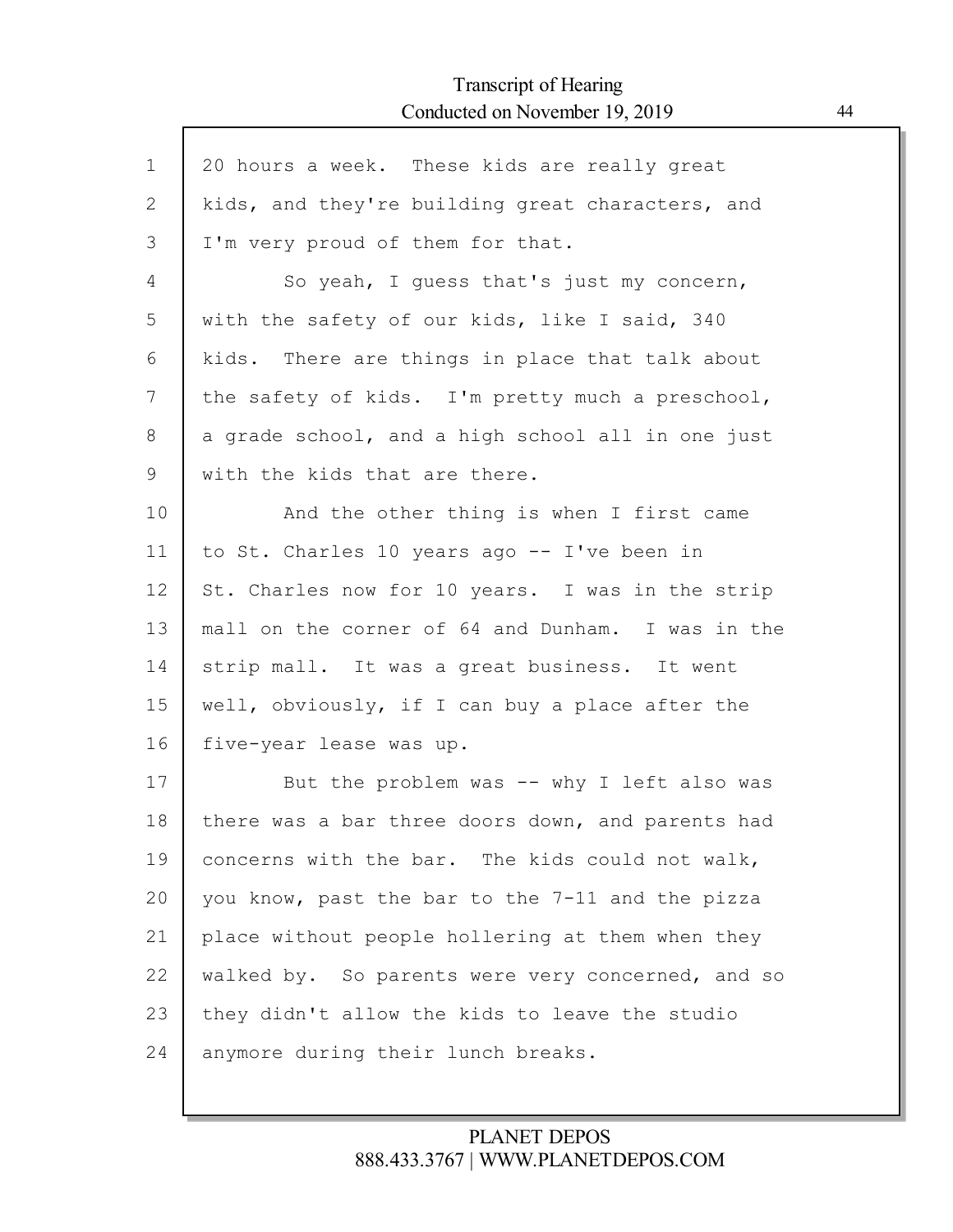ľ

| $\mathbf 1$ | 20 hours a week. These kids are really great      |
|-------------|---------------------------------------------------|
| 2           | kids, and they're building great characters, and  |
| 3           | I'm very proud of them for that.                  |
| 4           | So yeah, I guess that's just my concern,          |
| 5           | with the safety of our kids, like I said, 340     |
| 6           | kids. There are things in place that talk about   |
| 7           | the safety of kids. I'm pretty much a preschool,  |
| 8           | a grade school, and a high school all in one just |
| 9           | with the kids that are there.                     |
| 10          | And the other thing is when I first came          |
| 11          | to St. Charles 10 years ago -- I've been in       |
| 12          | St. Charles now for 10 years. I was in the strip  |
| 13          | mall on the corner of 64 and Dunham. I was in the |
| 14          | strip mall. It was a great business. It went      |
| 15          | well, obviously, if I can buy a place after the   |
| 16          | five-year lease was up.                           |
| 17          | But the problem was -- why I left also was        |
| 18          | there was a bar three doors down, and parents had |
| 19          | concerns with the bar. The kids could not walk,   |
| 20          | you know, past the bar to the 7-11 and the pizza  |
| 21          | place without people hollering at them when they  |
| 22          | walked by. So parents were very concerned, and so |
| 23          | they didn't allow the kids to leave the studio    |
| 24          | anymore during their lunch breaks.                |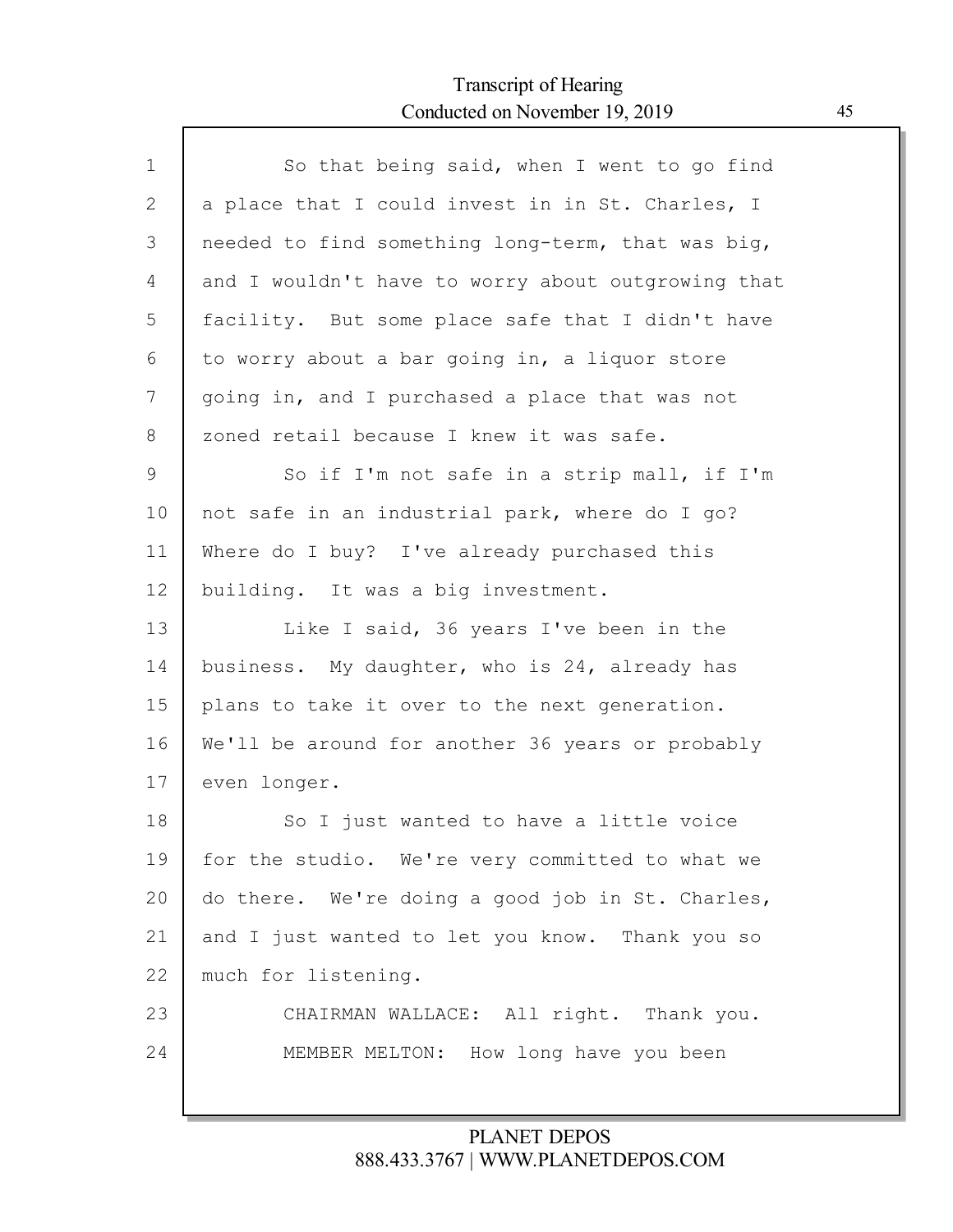Г

| $\mathbf{1}$ | So that being said, when I went to go find         |
|--------------|----------------------------------------------------|
| 2            | a place that I could invest in in St. Charles, I   |
| 3            | needed to find something long-term, that was big,  |
| 4            | and I wouldn't have to worry about outgrowing that |
| 5            | facility. But some place safe that I didn't have   |
| 6            | to worry about a bar going in, a liquor store      |
| 7            | going in, and I purchased a place that was not     |
| 8            | zoned retail because I knew it was safe.           |
| $\mathsf 9$  | So if I'm not safe in a strip mall, if I'm         |
| 10           | not safe in an industrial park, where do I go?     |
| 11           | Where do I buy? I've already purchased this        |
| 12           | building. It was a big investment.                 |
| 13           | Like I said, 36 years I've been in the             |
| 14           | business. My daughter, who is 24, already has      |
| 15           | plans to take it over to the next generation.      |
| 16           | We'll be around for another 36 years or probably   |
| 17           | even longer.                                       |
| 18           | So I just wanted to have a little voice            |
| 19           | for the studio. We're very committed to what we    |
| 20           | do there. We're doing a good job in St. Charles,   |
| 21           | and I just wanted to let you know. Thank you so    |
| 22           | much for listening.                                |
| 23           | CHAIRMAN WALLACE: All right. Thank you.            |
| 24           | MEMBER MELTON: How long have you been              |
|              |                                                    |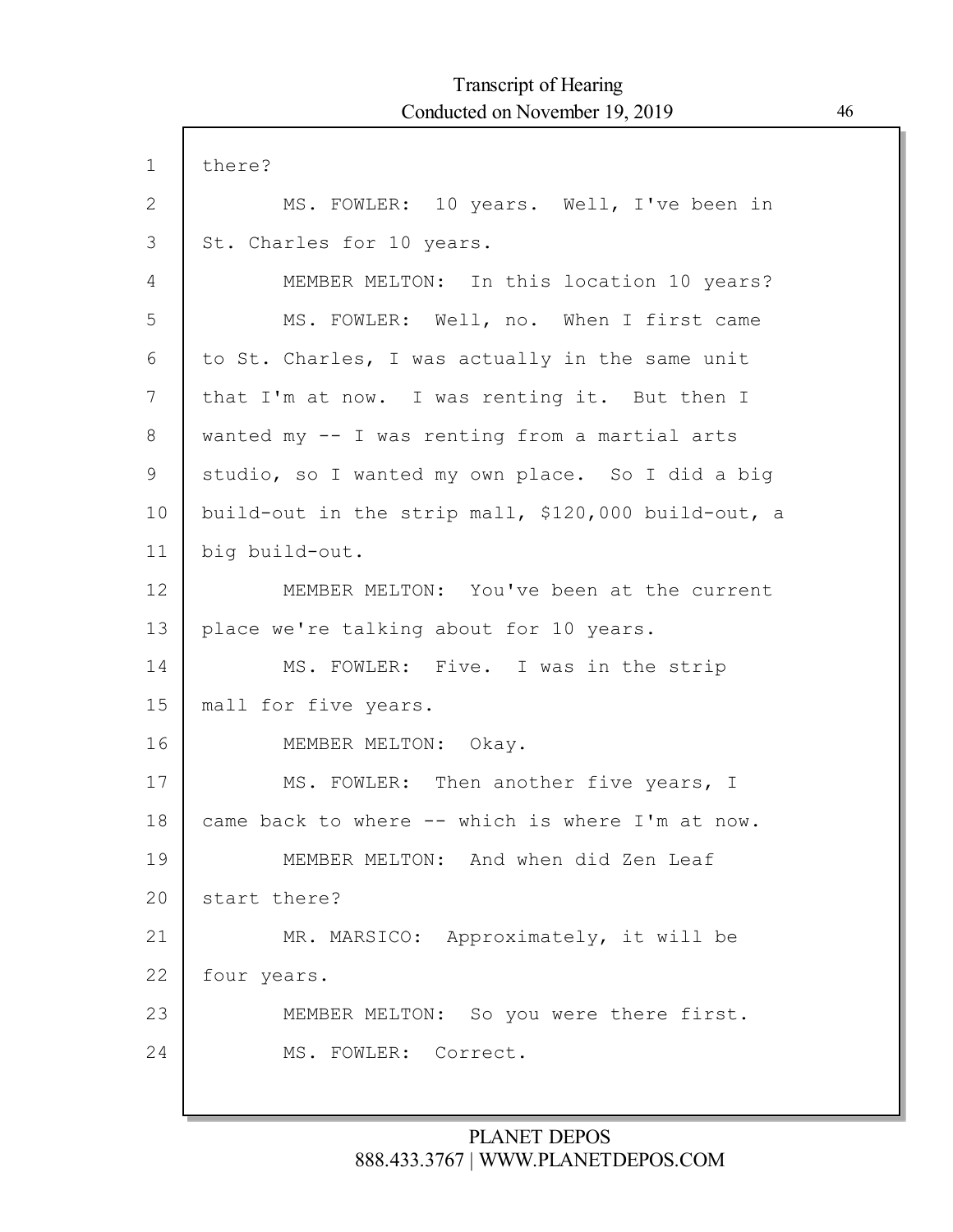$\Gamma$ 

| $\mathbf 1$ | there?                                              |
|-------------|-----------------------------------------------------|
| 2           | MS. FOWLER: 10 years. Well, I've been in            |
| 3           | St. Charles for 10 years.                           |
| 4           | MEMBER MELTON: In this location 10 years?           |
| 5           | MS. FOWLER: Well, no. When I first came             |
| 6           | to St. Charles, I was actually in the same unit     |
| 7           | that I'm at now. I was renting it. But then I       |
| 8           | wanted my -- I was renting from a martial arts      |
| 9           | studio, so I wanted my own place. So I did a big    |
| 10          | build-out in the strip mall, \$120,000 build-out, a |
| 11          | big build-out.                                      |
| 12          | MEMBER MELTON: You've been at the current           |
| 13          | place we're talking about for 10 years.             |
| 14          | MS. FOWLER: Five. I was in the strip                |
| 15          | mall for five years.                                |
| 16          | MEMBER MELTON: Okay.                                |
| 17          | MS. FOWLER: Then another five years, I              |
| 18          | came back to where -- which is where I'm at now.    |
| 19          | MEMBER MELTON: And when did Zen Leaf                |
| 20          | start there?                                        |
| 21          | MR. MARSICO: Approximately, it will be              |
| 22          | four years.                                         |
| 23          | MEMBER MELTON: So you were there first.             |
| 24          | MS. FOWLER: Correct.                                |
|             |                                                     |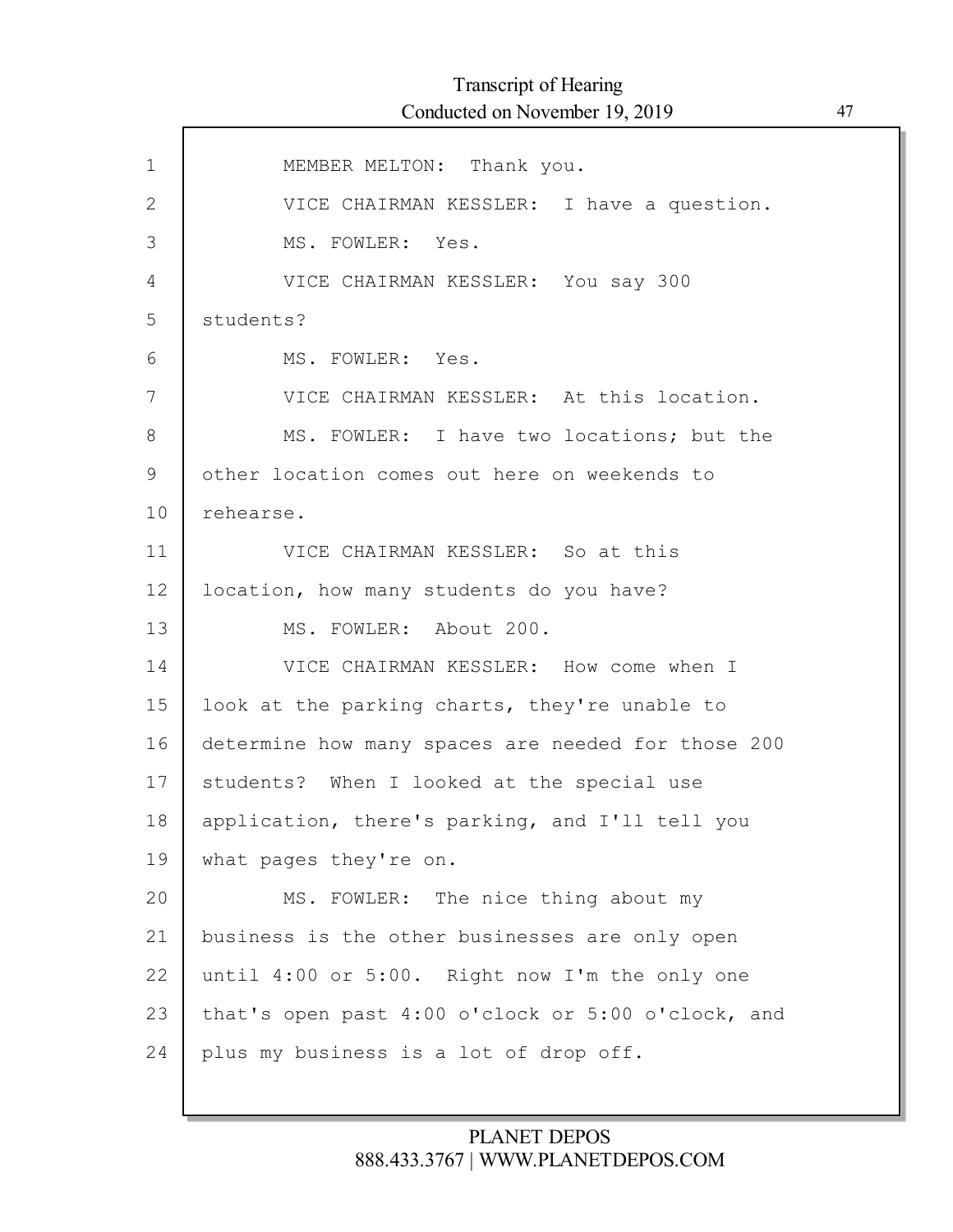| $\mathbf 1$  | MEMBER MELTON: Thank you.                          |
|--------------|----------------------------------------------------|
| $\mathbf{2}$ | VICE CHAIRMAN KESSLER: I have a question.          |
| 3            | MS. FOWLER: Yes.                                   |
| 4            | VICE CHAIRMAN KESSLER: You say 300                 |
| 5            | students?                                          |
| 6            | MS. FOWLER: Yes.                                   |
| 7            | VICE CHAIRMAN KESSLER: At this location.           |
| 8            | MS. FOWLER: I have two locations; but the          |
| 9            | other location comes out here on weekends to       |
| 10           | rehearse.                                          |
| 11           | VICE CHAIRMAN KESSLER: So at this                  |
| 12           | location, how many students do you have?           |
| 13           | MS. FOWLER: About 200.                             |
| 14           | VICE CHAIRMAN KESSLER: How come when I             |
| 15           | look at the parking charts, they're unable to      |
| 16           | determine how many spaces are needed for those 200 |
| 17           | students? When I looked at the special use         |
| 18           | application, there's parking, and I'll tell you    |
| 19           | what pages they're on.                             |
| 20           | MS. FOWLER: The nice thing about my                |
| 21           | business is the other businesses are only open     |
| 22           | until 4:00 or 5:00. Right now I'm the only one     |
| 23           | that's open past 4:00 o'clock or 5:00 o'clock, and |
| 24           | plus my business is a lot of drop off.             |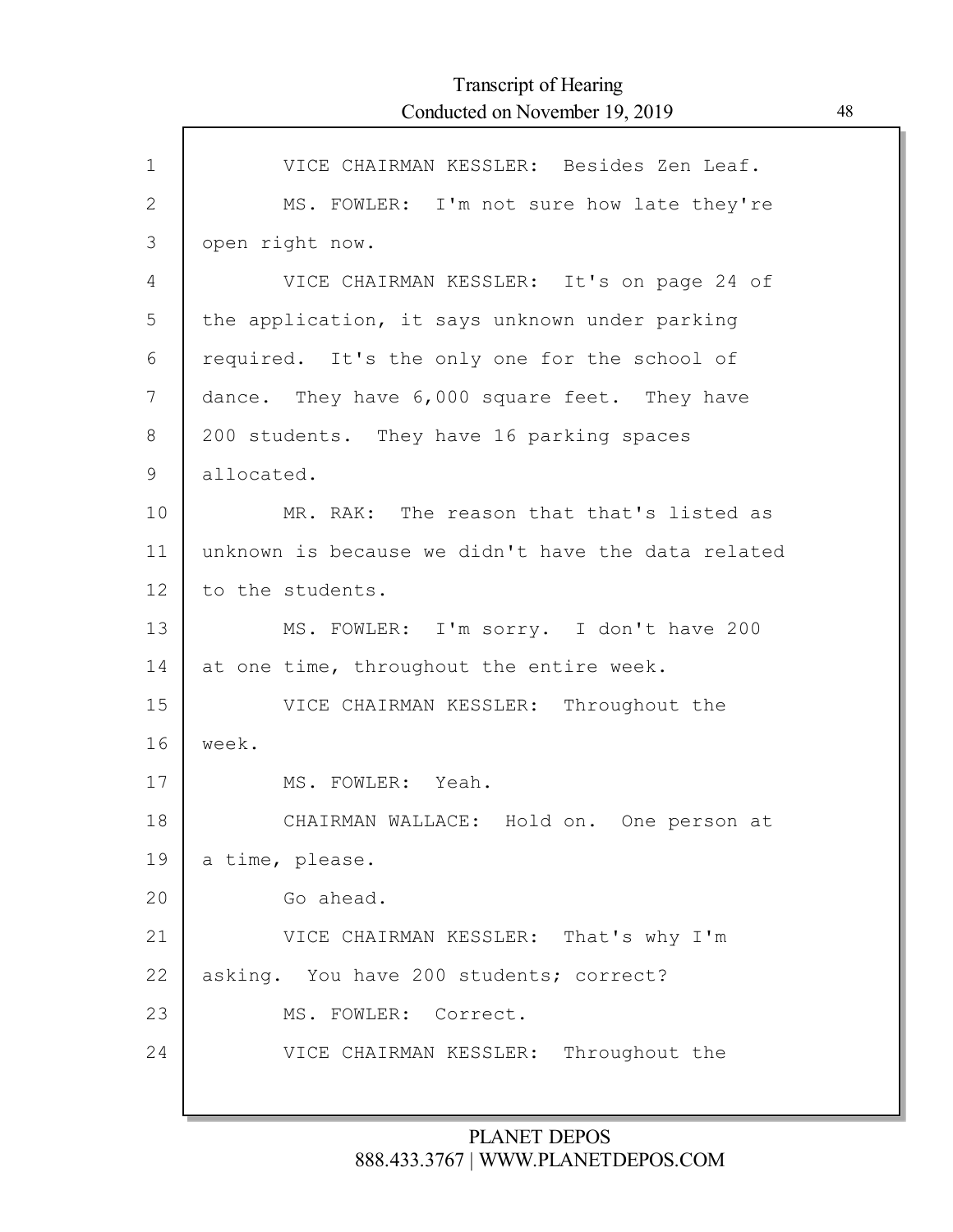| $\mathbf 1$  | VICE CHAIRMAN KESSLER: Besides Zen Leaf.           |
|--------------|----------------------------------------------------|
| $\mathbf{2}$ | MS. FOWLER: I'm not sure how late they're          |
| 3            | open right now.                                    |
| 4            | VICE CHAIRMAN KESSLER: It's on page 24 of          |
| 5            | the application, it says unknown under parking     |
| 6            | required. It's the only one for the school of      |
| 7            | dance. They have 6,000 square feet. They have      |
| 8            | 200 students. They have 16 parking spaces          |
| 9            | allocated.                                         |
| 10           | MR. RAK: The reason that that's listed as          |
| 11           | unknown is because we didn't have the data related |
| 12           | to the students.                                   |
| 13           | MS. FOWLER: I'm sorry. I don't have 200            |
| 14           | at one time, throughout the entire week.           |
| 15           | VICE CHAIRMAN KESSLER: Throughout the              |
| 16           | week.                                              |
| 17           | MS. FOWLER: Yeah.                                  |
| 18           | CHAIRMAN WALLACE: Hold on. One person at           |
| 19           | a time, please.                                    |
| 20           | Go ahead.                                          |
| 21           | VICE CHAIRMAN KESSLER: That's why I'm              |
| 22           | asking. You have 200 students; correct?            |
| 23           | MS. FOWLER: Correct.                               |
| 24           | Throughout the<br>VICE CHAIRMAN KESSLER:           |
|              |                                                    |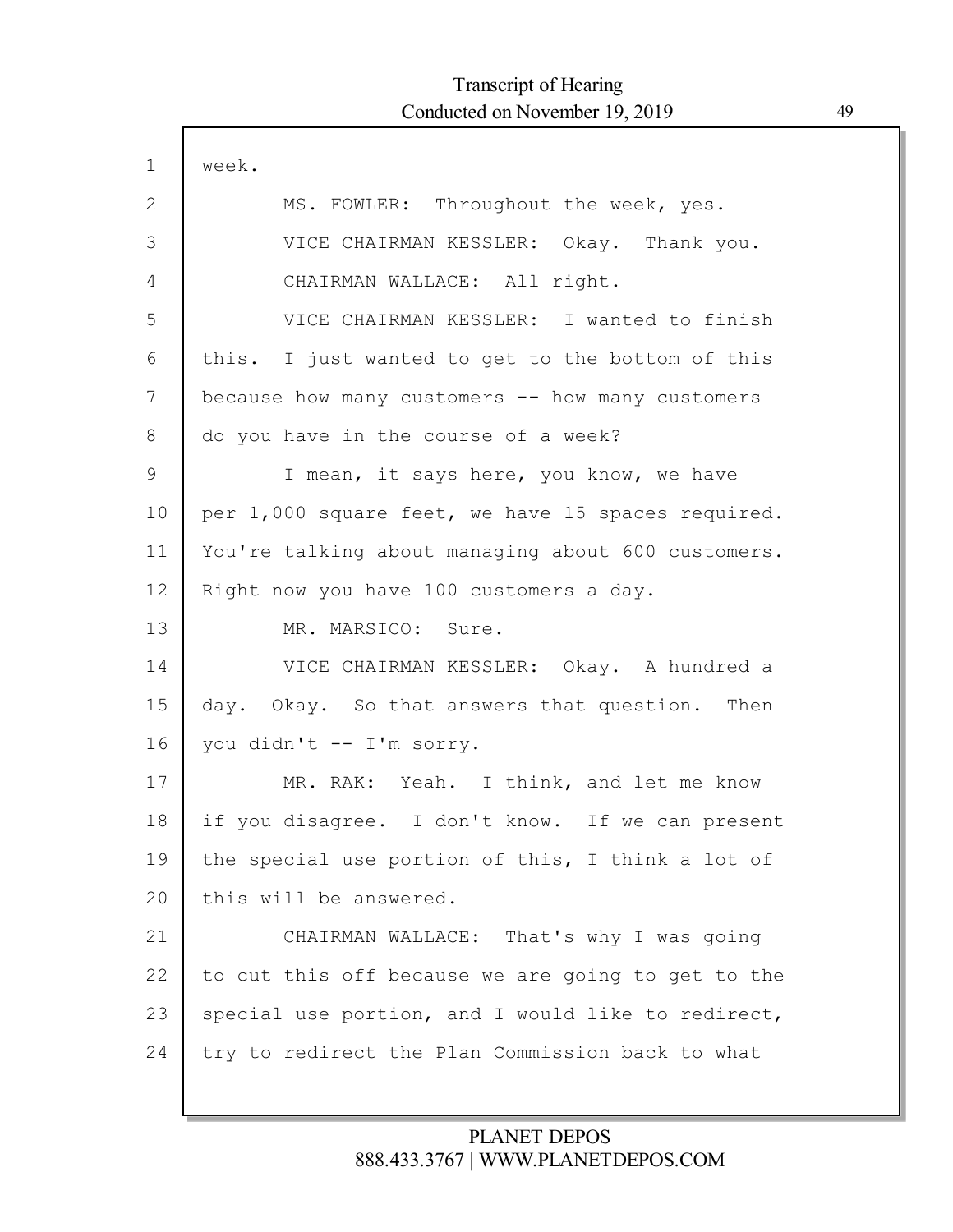| $\mathbf 1$  | week.                                              |
|--------------|----------------------------------------------------|
| $\mathbf{2}$ | MS. FOWLER: Throughout the week, yes.              |
| 3            | VICE CHAIRMAN KESSLER: Okay. Thank you.            |
| 4            | CHAIRMAN WALLACE: All right.                       |
| 5            | VICE CHAIRMAN KESSLER: I wanted to finish          |
| 6            | this. I just wanted to get to the bottom of this   |
| 7            | because how many customers -- how many customers   |
| 8            | do you have in the course of a week?               |
| 9            | I mean, it says here, you know, we have            |
| 10           | per 1,000 square feet, we have 15 spaces required. |
| 11           | You're talking about managing about 600 customers. |
| 12           | Right now you have 100 customers a day.            |
| 13           | MR. MARSICO: Sure.                                 |
| 14           | VICE CHAIRMAN KESSLER: Okay. A hundred a           |
| 15           | day. Okay. So that answers that question. Then     |
| 16           | you didn't -- I'm sorry.                           |
| 17           | MR. RAK: Yeah. I think, and let me know            |
| 18           | if you disagree. I don't know. If we can present   |
| 19           | the special use portion of this, I think a lot of  |
| 20           | this will be answered.                             |
| 21           | CHAIRMAN WALLACE: That's why I was going           |
| 22           | to cut this off because we are going to get to the |
| 23           | special use portion, and I would like to redirect, |
| 24           | try to redirect the Plan Commission back to what   |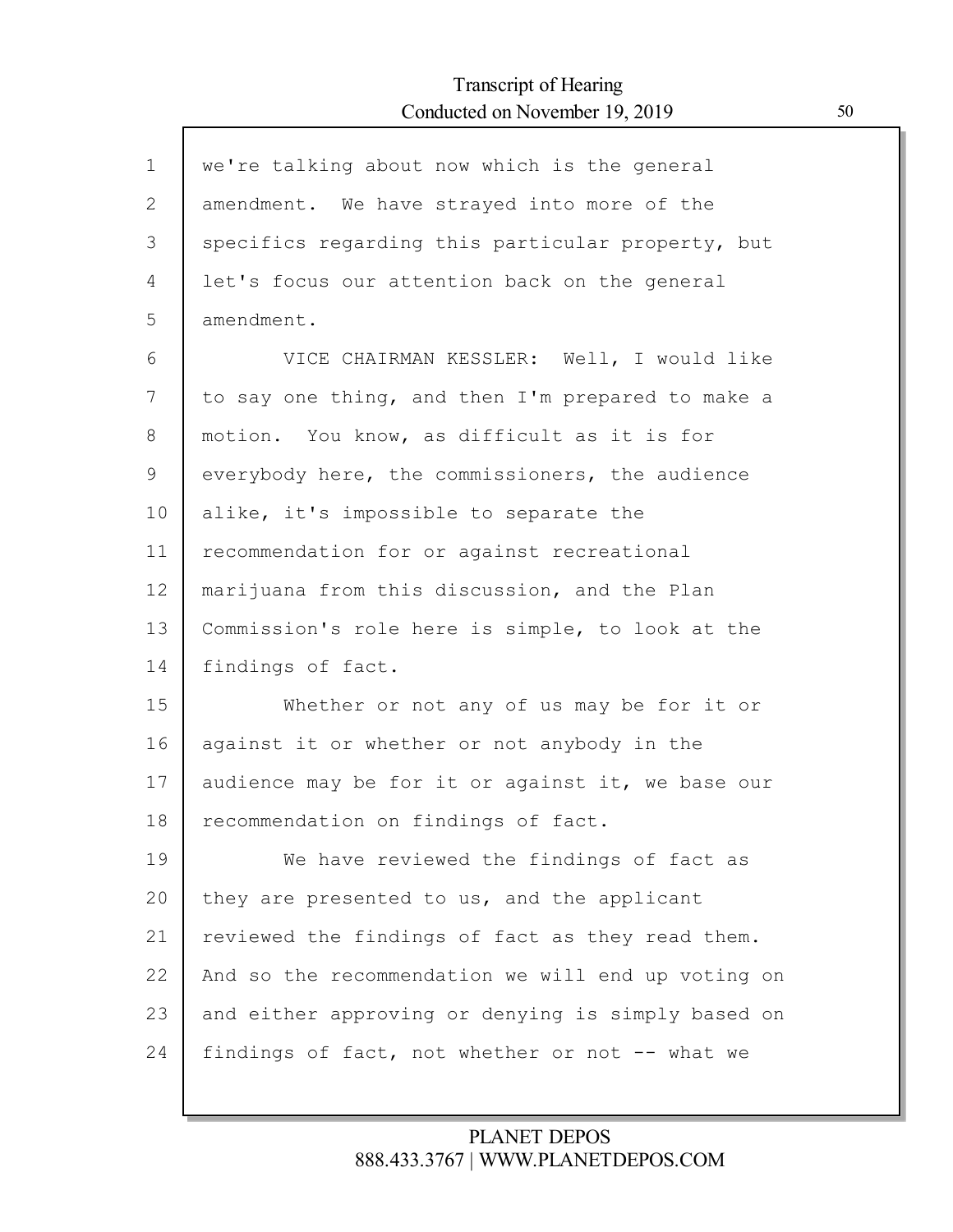| $\mathbf{1}$ | we're talking about now which is the general       |
|--------------|----------------------------------------------------|
| 2            | amendment. We have strayed into more of the        |
| 3            | specifics regarding this particular property, but  |
| 4            | let's focus our attention back on the general      |
| 5            | amendment.                                         |
| 6            | VICE CHAIRMAN KESSLER: Well, I would like          |
| 7            | to say one thing, and then I'm prepared to make a  |
| 8            | motion. You know, as difficult as it is for        |
| 9            | everybody here, the commissioners, the audience    |
| 10           | alike, it's impossible to separate the             |
| 11           | recommendation for or against recreational         |
| 12           | marijuana from this discussion, and the Plan       |
| 13           | Commission's role here is simple, to look at the   |
| 14           | findings of fact.                                  |
| 15           | Whether or not any of us may be for it or          |
| 16           | against it or whether or not anybody in the        |
| 17           | audience may be for it or against it, we base our  |
| 18           | recommendation on findings of fact.                |
| 19           | We have reviewed the findings of fact as           |
| 20           | they are presented to us, and the applicant        |
| 21           | reviewed the findings of fact as they read them.   |
| 22           | And so the recommendation we will end up voting on |
| 23           | and either approving or denying is simply based on |
| 24           | findings of fact, not whether or not -- what we    |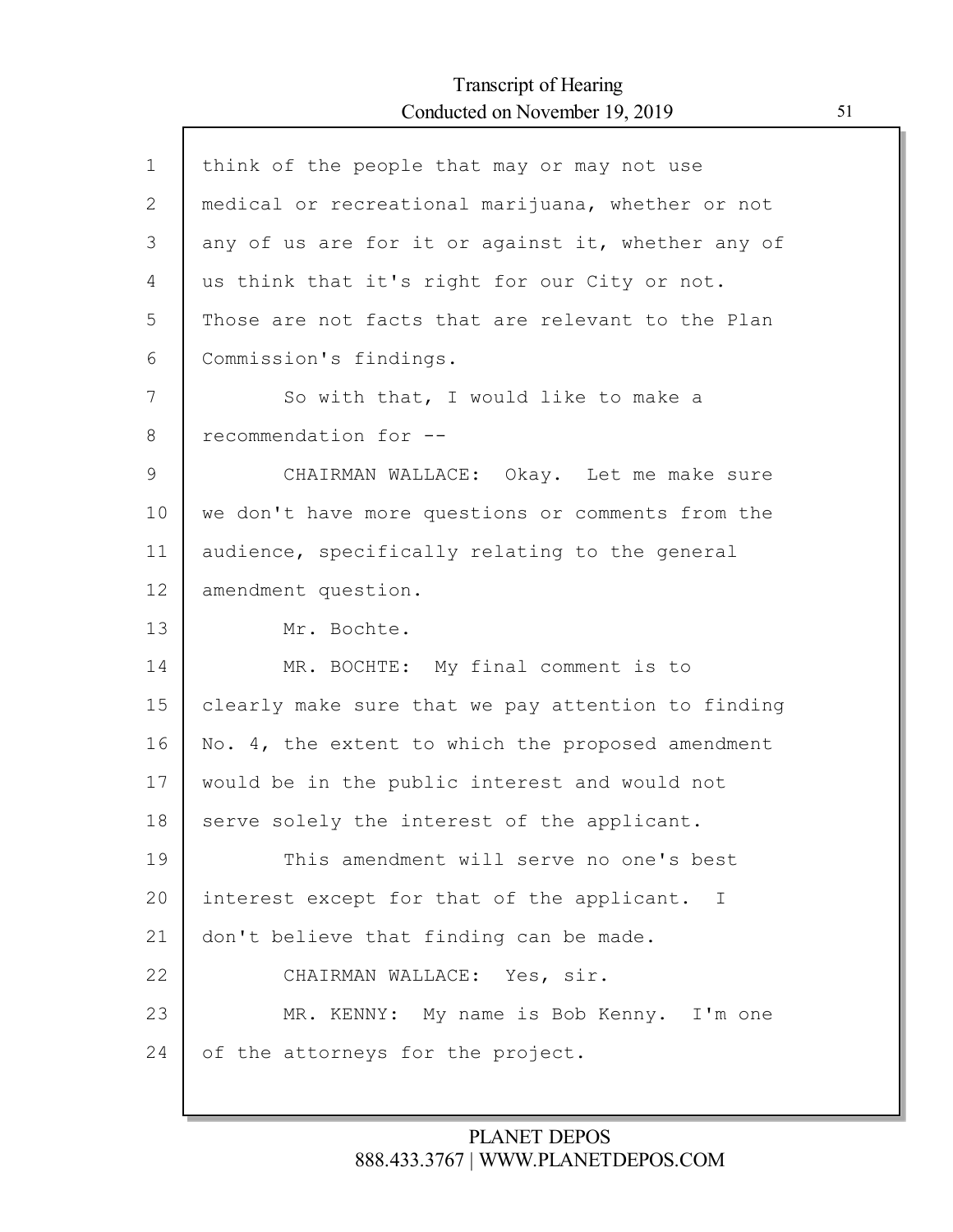Г

| $\mathbf{1}$ | think of the people that may or may not use        |
|--------------|----------------------------------------------------|
| $\mathbf{2}$ | medical or recreational marijuana, whether or not  |
| 3            | any of us are for it or against it, whether any of |
| 4            | us think that it's right for our City or not.      |
| 5            | Those are not facts that are relevant to the Plan  |
| 6            | Commission's findings.                             |
| 7            | So with that, I would like to make a               |
| 8            | recommendation for --                              |
| $\mathsf 9$  | CHAIRMAN WALLACE: Okay. Let me make sure           |
| 10           | we don't have more questions or comments from the  |
| 11           | audience, specifically relating to the general     |
| 12           | amendment question.                                |
| 13           | Mr. Bochte.                                        |
| 14           | MR. BOCHTE: My final comment is to                 |
| 15           | clearly make sure that we pay attention to finding |
| 16           | No. 4, the extent to which the proposed amendment  |
| 17           | would be in the public interest and would not      |
| 18           | serve solely the interest of the applicant.        |
| 19           | This amendment will serve no one's best            |
| 20           | interest except for that of the applicant. I       |
| 21           | don't believe that finding can be made.            |
| 22           | CHAIRMAN WALLACE: Yes, sir.                        |
| 23           | MR. KENNY: My name is Bob Kenny. I'm one           |
|              |                                                    |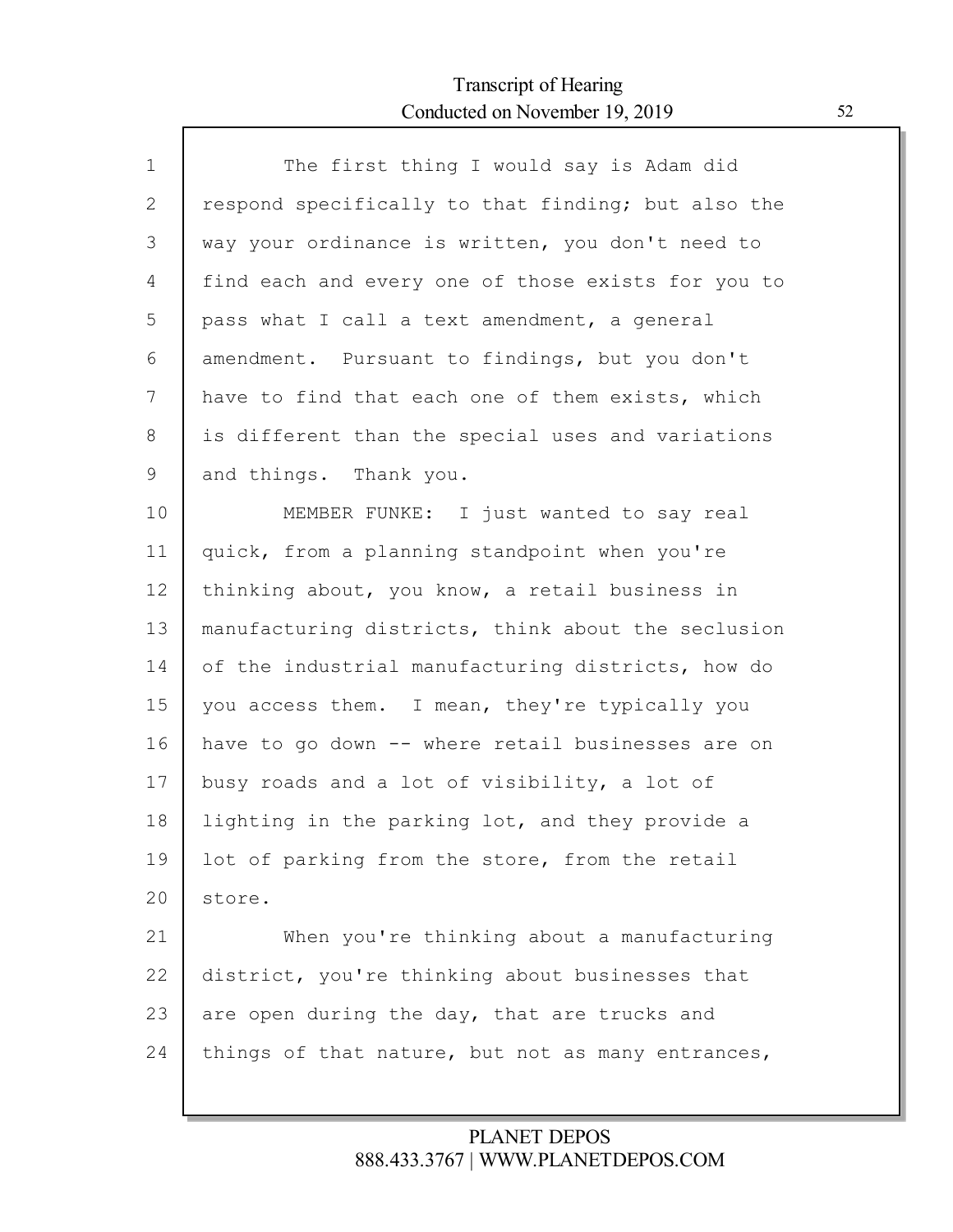Г

| $\mathbf 1$ | The first thing I would say is Adam did            |
|-------------|----------------------------------------------------|
| 2           | respond specifically to that finding; but also the |
| 3           | way your ordinance is written, you don't need to   |
| 4           | find each and every one of those exists for you to |
| 5           | pass what I call a text amendment, a general       |
| 6           | amendment. Pursuant to findings, but you don't     |
| 7           | have to find that each one of them exists, which   |
| 8           | is different than the special uses and variations  |
| 9           | and things. Thank you.                             |
| 10          | MEMBER FUNKE: I just wanted to say real            |
| 11          | quick, from a planning standpoint when you're      |
| 12          | thinking about, you know, a retail business in     |
| 13          | manufacturing districts, think about the seclusion |
| 14          | of the industrial manufacturing districts, how do  |
| 15          | you access them. I mean, they're typically you     |
| 16          | have to go down -- where retail businesses are on  |
| 17          | busy roads and a lot of visibility, a lot of       |
| 18          | lighting in the parking lot, and they provide a    |
| 19          | lot of parking from the store, from the retail     |
| 20          | store.                                             |
| 21          | When you're thinking about a manufacturing         |
| 22          | district, you're thinking about businesses that    |
| 23          | are open during the day, that are trucks and       |
| 24          | things of that nature, but not as many entrances,  |
|             |                                                    |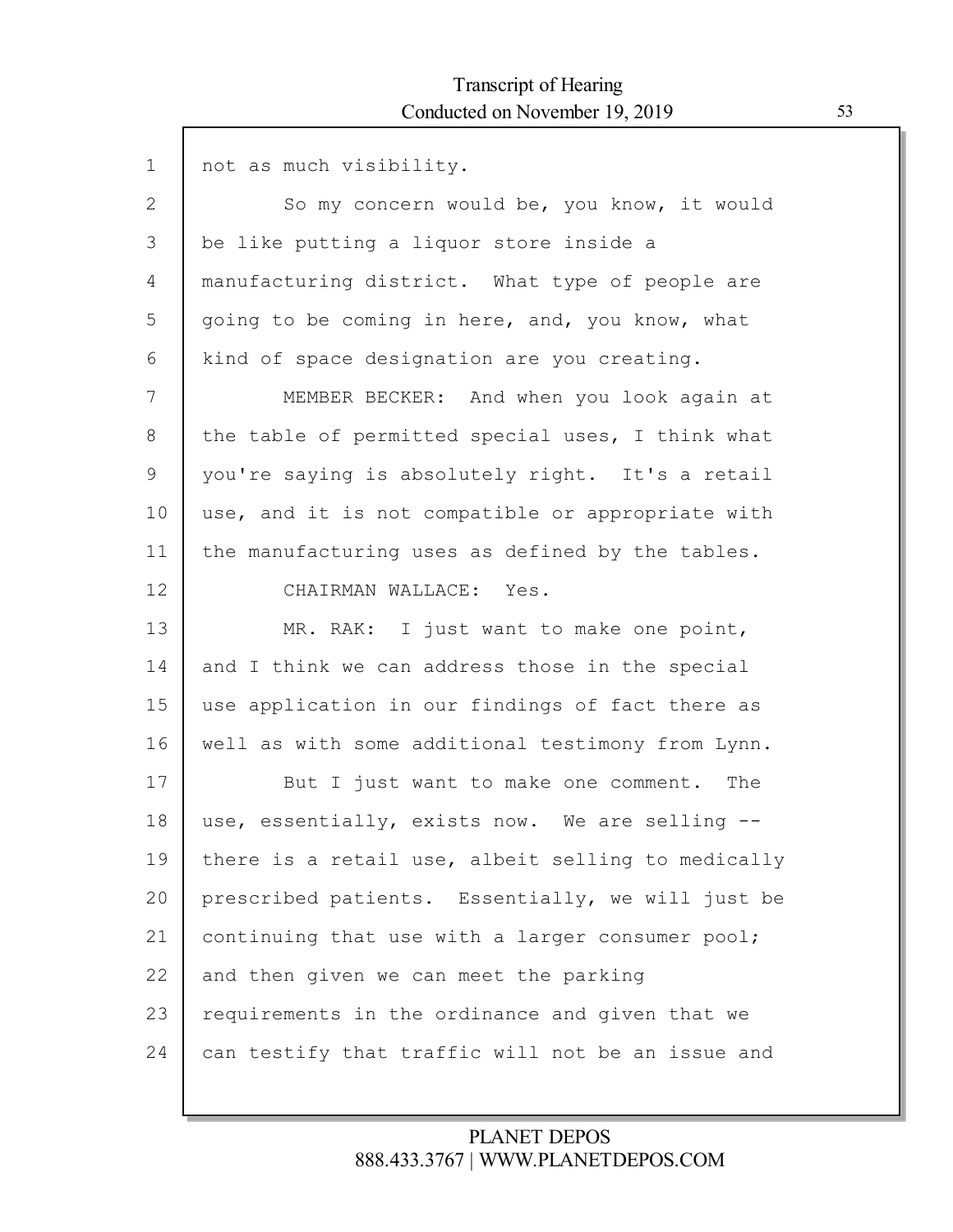| $\mathbf 1$  | not as much visibility.                            |
|--------------|----------------------------------------------------|
| $\mathbf{2}$ | So my concern would be, you know, it would         |
| 3            | be like putting a liquor store inside a            |
| 4            | manufacturing district. What type of people are    |
| 5            | going to be coming in here, and, you know, what    |
| 6            | kind of space designation are you creating.        |
| 7            | MEMBER BECKER: And when you look again at          |
| 8            | the table of permitted special uses, I think what  |
| 9            | you're saying is absolutely right. It's a retail   |
| 10           | use, and it is not compatible or appropriate with  |
| 11           | the manufacturing uses as defined by the tables.   |
| 12           | CHAIRMAN WALLACE: Yes.                             |
| 13           | MR. RAK: I just want to make one point,            |
| 14           | and I think we can address those in the special    |
| 15           | use application in our findings of fact there as   |
| 16           | well as with some additional testimony from Lynn.  |
| 17           | But I just want to make one comment. The           |
| 18           | use, essentially, exists now. We are selling --    |
| 19           | there is a retail use, albeit selling to medically |
| 20           | prescribed patients. Essentially, we will just be  |
| 21           | continuing that use with a larger consumer pool;   |
| 22           | and then given we can meet the parking             |
| 23           | requirements in the ordinance and given that we    |
| 24           | can testify that traffic will not be an issue and  |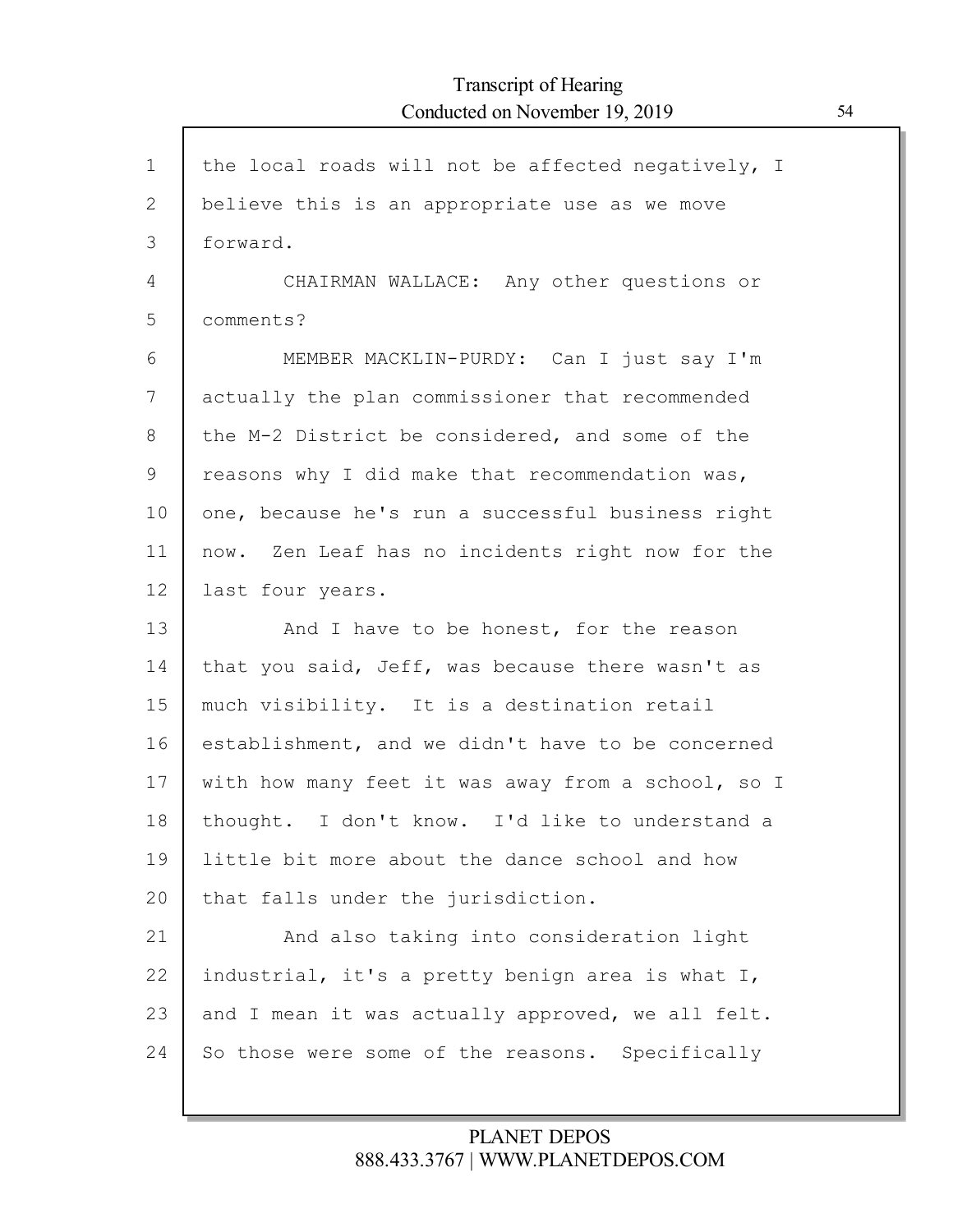| $\mathbf{1}$ | the local roads will not be affected negatively, I |
|--------------|----------------------------------------------------|
| 2            | believe this is an appropriate use as we move      |
| 3            | forward.                                           |
| 4            | CHAIRMAN WALLACE: Any other questions or           |
| 5            | comments?                                          |
| 6            | MEMBER MACKLIN-PURDY: Can I just say I'm           |
| 7            | actually the plan commissioner that recommended    |
| 8            | the M-2 District be considered, and some of the    |
| 9            | reasons why I did make that recommendation was,    |
| 10           | one, because he's run a successful business right  |
| 11           | now. Zen Leaf has no incidents right now for the   |
| 12           | last four years.                                   |
| 13           | And I have to be honest, for the reason            |
| 14           | that you said, Jeff, was because there wasn't as   |
| 15           | much visibility. It is a destination retail        |
| 16           | establishment, and we didn't have to be concerned  |
| 17           | with how many feet it was away from a school, so I |
| 18           | thought. I don't know. I'd like to understand a    |
| 19           | little bit more about the dance school and how     |
| 20           | that falls under the jurisdiction.                 |
| 21           | And also taking into consideration light           |
| 22           | industrial, it's a pretty benign area is what I,   |
| 23           | and I mean it was actually approved, we all felt.  |
| 24           | So those were some of the reasons. Specifically    |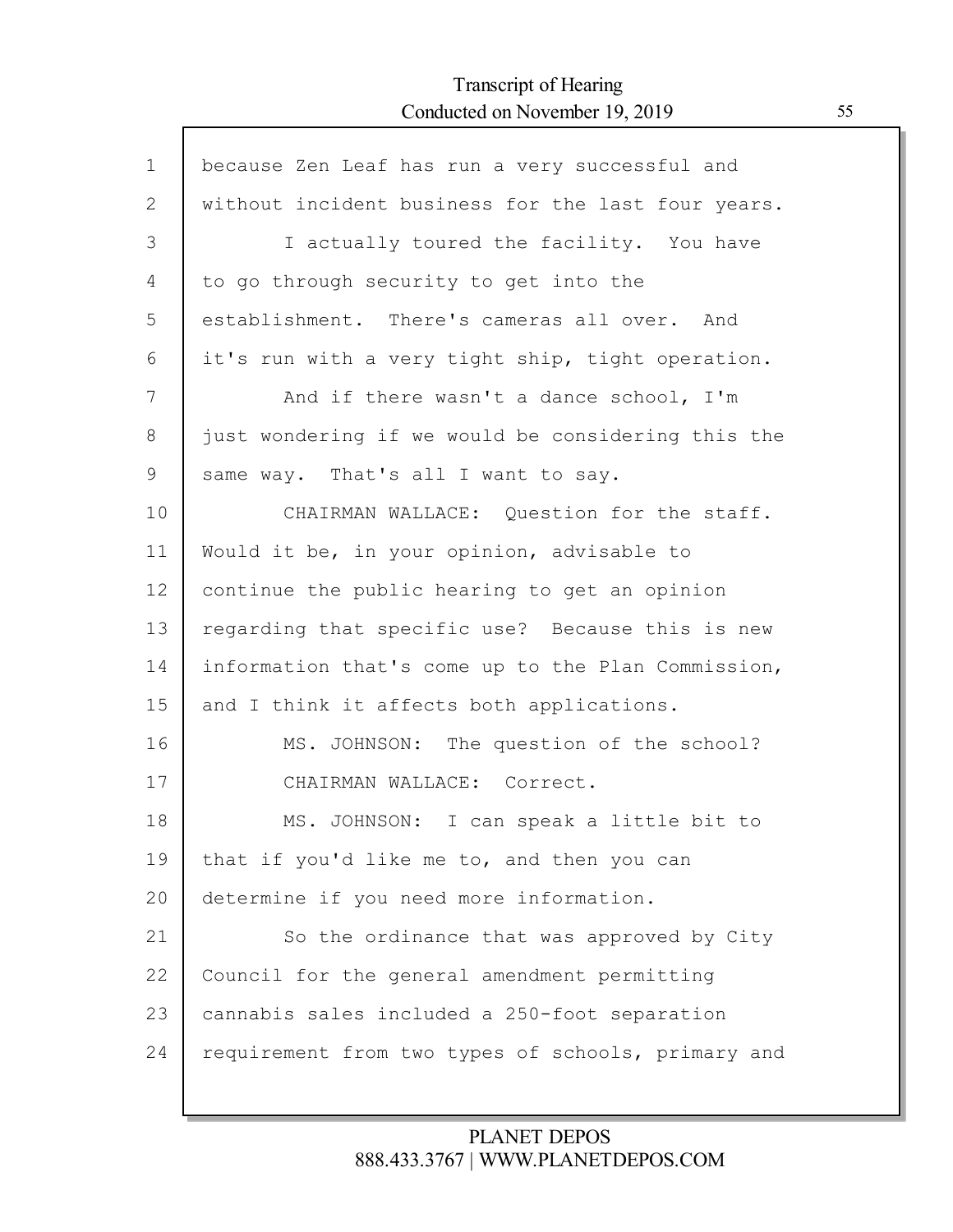Г

| $\mathbf 1$ | because Zen Leaf has run a very successful and     |
|-------------|----------------------------------------------------|
| 2           | without incident business for the last four years. |
| 3           | I actually toured the facility. You have           |
| 4           | to go through security to get into the             |
| 5           | establishment. There's cameras all over. And       |
| 6           | it's run with a very tight ship, tight operation.  |
| 7           | And if there wasn't a dance school, I'm            |
| 8           | just wondering if we would be considering this the |
| 9           | same way. That's all I want to say.                |
| 10          | CHAIRMAN WALLACE: Question for the staff.          |
| 11          | Would it be, in your opinion, advisable to         |
| 12          | continue the public hearing to get an opinion      |
| 13          | regarding that specific use? Because this is new   |
| 14          | information that's come up to the Plan Commission, |
| 15          | and I think it affects both applications.          |
| 16          | MS. JOHNSON: The question of the school?           |
| 17          | CHAIRMAN WALLACE: Correct.                         |
| 18          | MS. JOHNSON: I can speak a little bit to           |
| 19          | that if you'd like me to, and then you can         |
| 20          | determine if you need more information.            |
| 21          | So the ordinance that was approved by City         |
| 22          | Council for the general amendment permitting       |
| 23          | cannabis sales included a 250-foot separation      |
| 24          | requirement from two types of schools, primary and |
|             |                                                    |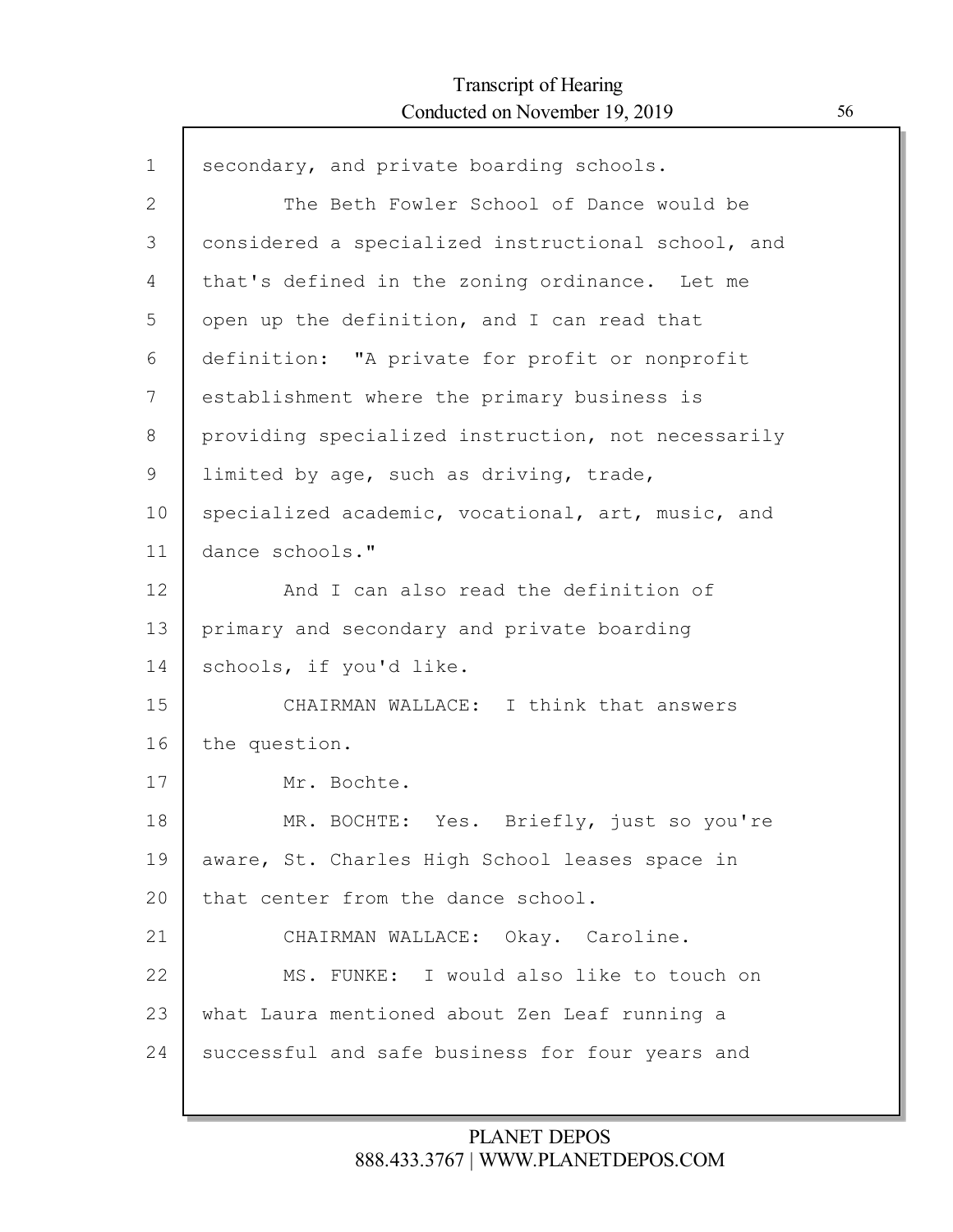Г

| $\mathbf 1$  | secondary, and private boarding schools.           |
|--------------|----------------------------------------------------|
| $\mathbf{2}$ | The Beth Fowler School of Dance would be           |
| 3            | considered a specialized instructional school, and |
| 4            | that's defined in the zoning ordinance. Let me     |
| 5            | open up the definition, and I can read that        |
| 6            | definition: "A private for profit or nonprofit     |
| 7            | establishment where the primary business is        |
| 8            | providing specialized instruction, not necessarily |
| 9            | limited by age, such as driving, trade,            |
| 10           | specialized academic, vocational, art, music, and  |
| 11           | dance schools."                                    |
| 12           | And I can also read the definition of              |
| 13           | primary and secondary and private boarding         |
| 14           | schools, if you'd like.                            |
| 15           | CHAIRMAN WALLACE: I think that answers             |
| 16           | the question.                                      |
| 17           | Mr. Bochte.                                        |
| 18           | MR. BOCHTE: Yes. Briefly, just so you're           |
| 19           | aware, St. Charles High School leases space in     |
| 20           | that center from the dance school.                 |
| 21           | CHAIRMAN WALLACE: Okay. Caroline.                  |
| 22           | MS. FUNKE: I would also like to touch on           |
| 23           | what Laura mentioned about Zen Leaf running a      |
| 24           | successful and safe business for four years and    |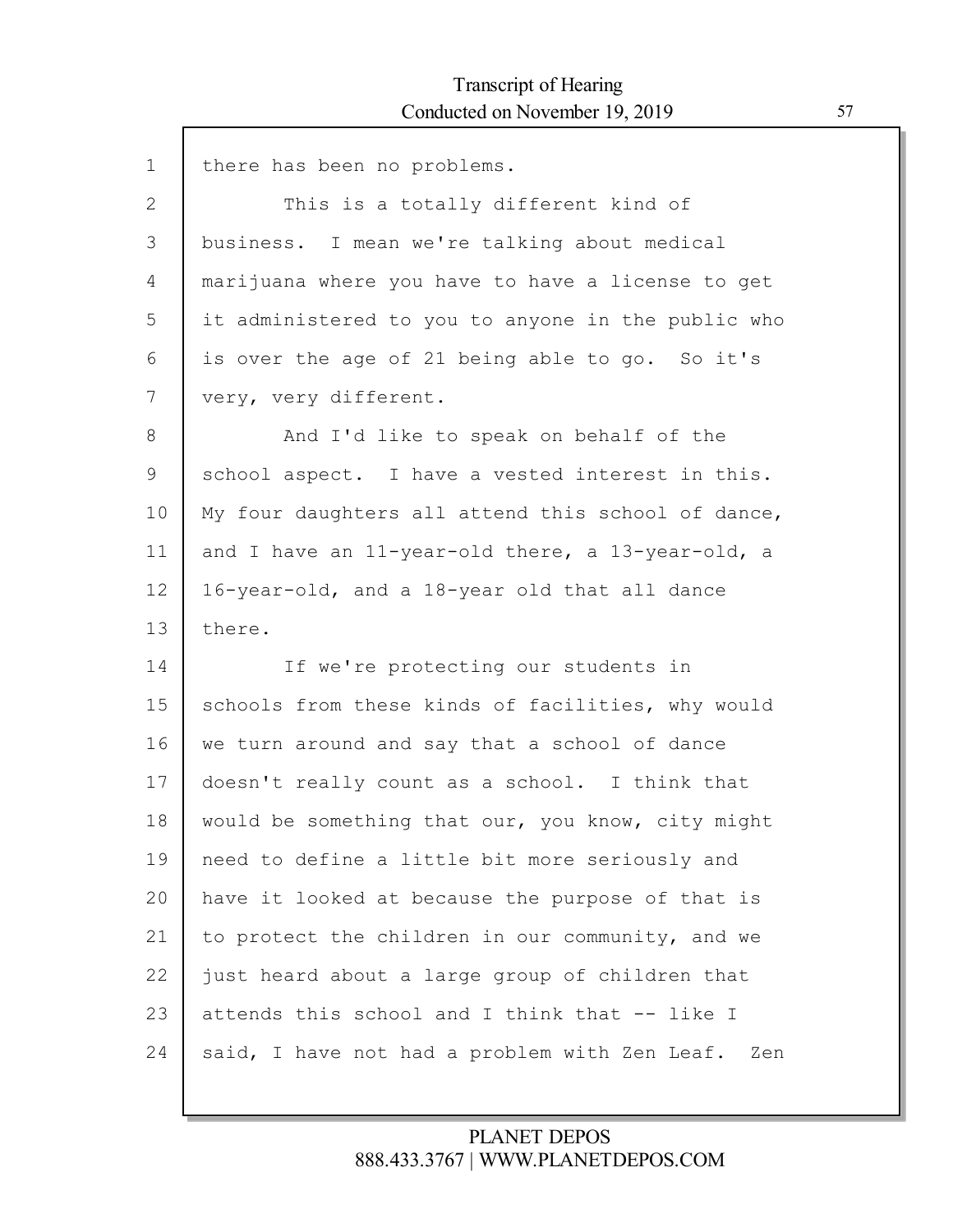$\mathsf{l}$ 

| $\mathbf 1$ | there has been no problems.                        |
|-------------|----------------------------------------------------|
| 2           | This is a totally different kind of                |
| 3           | business. I mean we're talking about medical       |
| 4           | marijuana where you have to have a license to get  |
| 5           | it administered to you to anyone in the public who |
| 6           | is over the age of 21 being able to go. So it's    |
| 7           | very, very different.                              |
| 8           | And I'd like to speak on behalf of the             |
| 9           | school aspect. I have a vested interest in this.   |
| 10          | My four daughters all attend this school of dance, |
| 11          | and I have an 11-year-old there, a 13-year-old, a  |
| 12          | 16-year-old, and a 18-year old that all dance      |
| 13          | there.                                             |
| 14          | If we're protecting our students in                |
| 15          | schools from these kinds of facilities, why would  |
| 16          | we turn around and say that a school of dance      |
| 17          | doesn't really count as a school. I think that     |
| 18          | would be something that our, you know, city might  |
| 19          | need to define a little bit more seriously and     |
| 20          | have it looked at because the purpose of that is   |
| 21          | to protect the children in our community, and we   |
| 22          | just heard about a large group of children that    |
| 23          | attends this school and I think that -- like I     |
| 24          | said, I have not had a problem with Zen Leaf. Zen  |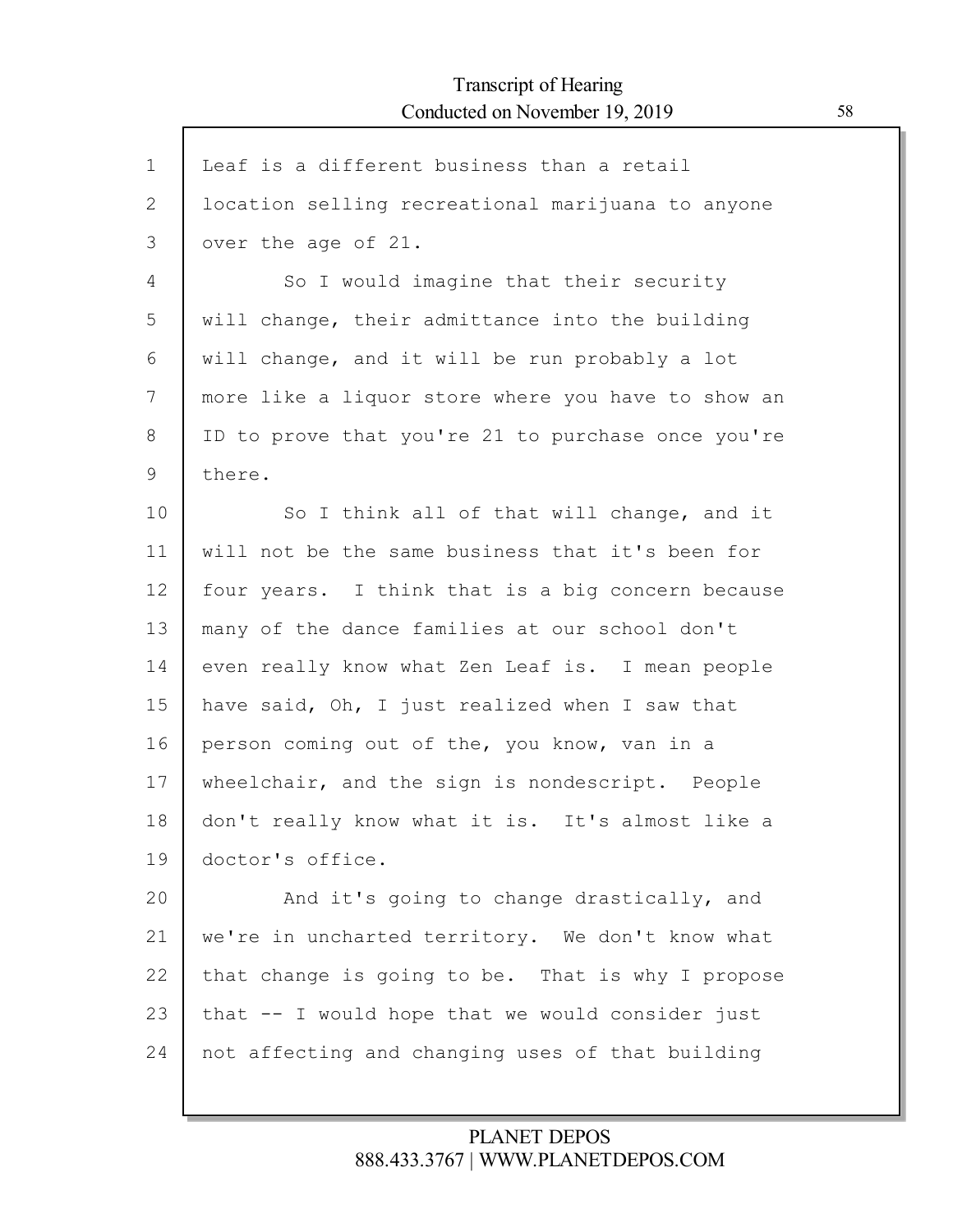Г

| $\mathbf 1$ | Leaf is a different business than a retail         |
|-------------|----------------------------------------------------|
| 2           | location selling recreational marijuana to anyone  |
| 3           | over the age of 21.                                |
| 4           | So I would imagine that their security             |
| 5           | will change, their admittance into the building    |
| 6           | will change, and it will be run probably a lot     |
| 7           | more like a liquor store where you have to show an |
| 8           | ID to prove that you're 21 to purchase once you're |
| 9           | there.                                             |
| 10          | So I think all of that will change, and it         |
| 11          | will not be the same business that it's been for   |
| 12          | four years. I think that is a big concern because  |
| 13          | many of the dance families at our school don't     |
| 14          | even really know what Zen Leaf is. I mean people   |
| 15          | have said, Oh, I just realized when I saw that     |
| 16          | person coming out of the, you know, van in a       |
| 17          | wheelchair, and the sign is nondescript. People    |
| 18          | don't really know what it is. It's almost like a   |
| 19          | doctor's office.                                   |
| 20          | And it's going to change drastically, and          |
| 21          | we're in uncharted territory. We don't know what   |
| 22          | that change is going to be. That is why I propose  |
| 23          | that -- I would hope that we would consider just   |
| 24          | not affecting and changing uses of that building   |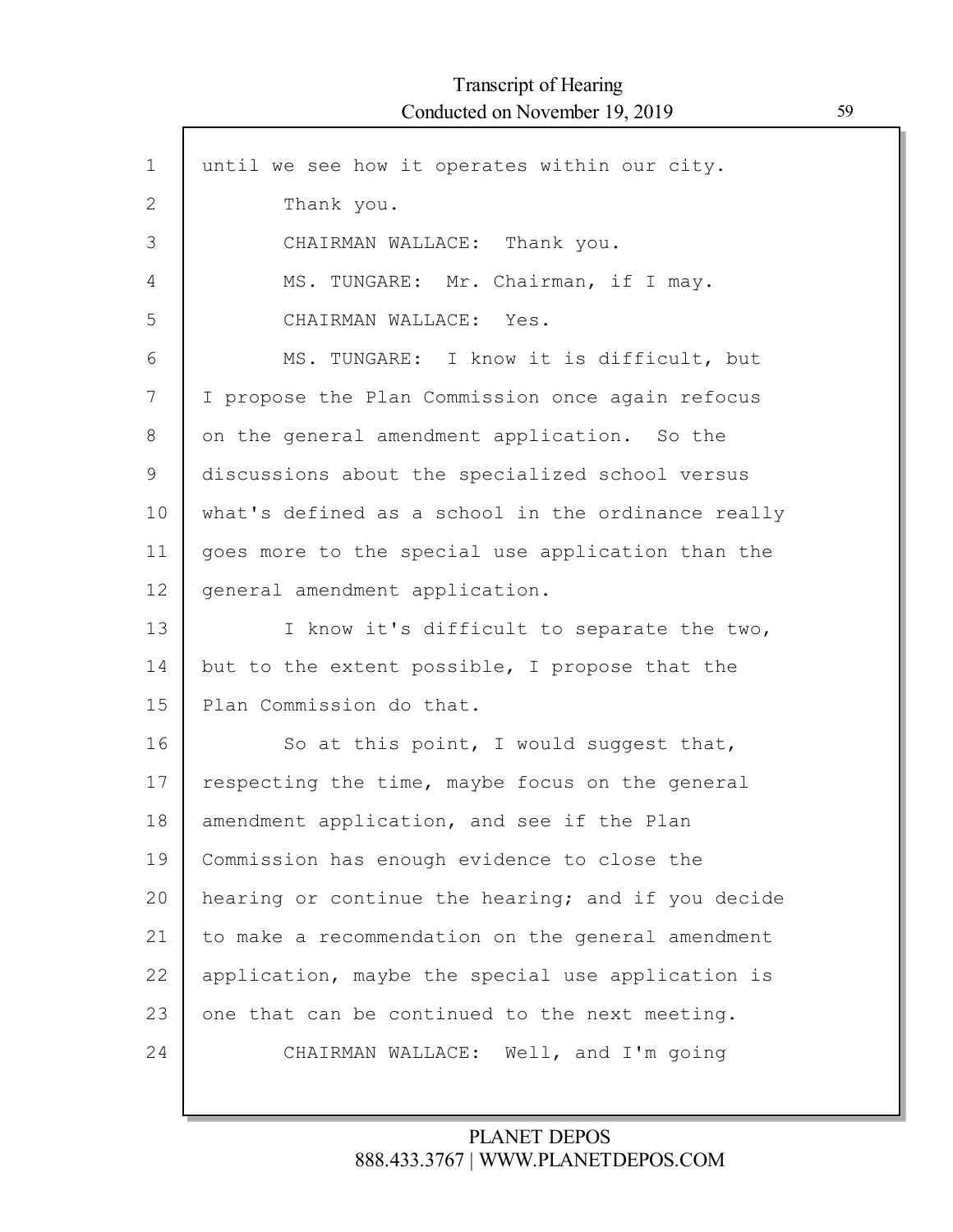| $\mathbf 1$  | until we see how it operates within our city.      |
|--------------|----------------------------------------------------|
| $\mathbf{2}$ | Thank you.                                         |
| 3            | CHAIRMAN WALLACE: Thank you.                       |
| 4            | MS. TUNGARE: Mr. Chairman, if I may.               |
| 5            | CHAIRMAN WALLACE: Yes.                             |
| 6            | MS. TUNGARE: I know it is difficult, but           |
| 7            | I propose the Plan Commission once again refocus   |
| 8            | on the general amendment application. So the       |
| 9            | discussions about the specialized school versus    |
| 10           | what's defined as a school in the ordinance really |
| 11           | goes more to the special use application than the  |
| 12           | general amendment application.                     |
| 13           | I know it's difficult to separate the two,         |
| 14           | but to the extent possible, I propose that the     |
| 15           | Plan Commission do that.                           |
| 16           | So at this point, I would suggest that,            |
| 17           | respecting the time, maybe focus on the general    |
| 18           | amendment application, and see if the Plan         |
| 19           | Commission has enough evidence to close the        |
| 20           | hearing or continue the hearing; and if you decide |
| 21           | to make a recommendation on the general amendment  |
| 22           | application, maybe the special use application is  |
| 23           | one that can be continued to the next meeting.     |
| 24           | CHAIRMAN WALLACE: Well, and I'm going              |
|              |                                                    |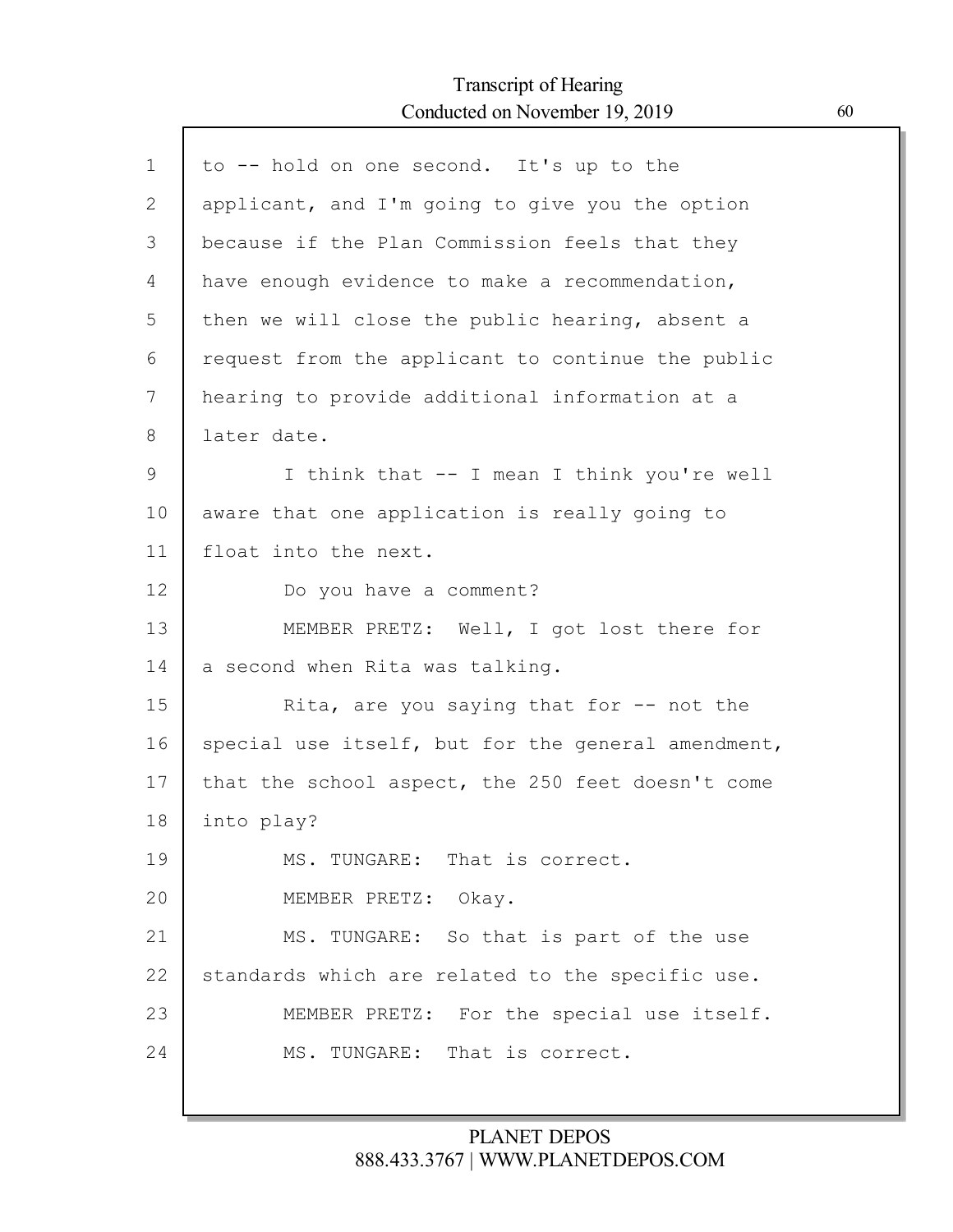Г

| $\mathbf 1$   | to -- hold on one second. It's up to the           |
|---------------|----------------------------------------------------|
| $\mathbf{2}$  | applicant, and I'm going to give you the option    |
| 3             | because if the Plan Commission feels that they     |
| 4             | have enough evidence to make a recommendation,     |
| 5             | then we will close the public hearing, absent a    |
| 6             | request from the applicant to continue the public  |
| 7             | hearing to provide additional information at a     |
| 8             | later date.                                        |
| $\mathcal{G}$ | I think that -- I mean I think you're well         |
| 10            | aware that one application is really going to      |
| 11            | float into the next.                               |
| 12            | Do you have a comment?                             |
| 13            | MEMBER PRETZ: Well, I got lost there for           |
| 14            | a second when Rita was talking.                    |
| 15            | Rita, are you saying that for $-$ not the          |
| 16            | special use itself, but for the general amendment, |
| 17            | that the school aspect, the 250 feet doesn't come  |
| 18            | into play?                                         |
| 19            | MS. TUNGARE: That is correct.                      |
| 20            | MEMBER PRETZ: Okay.                                |
| 21            | MS. TUNGARE: So that is part of the use            |
| 22            | standards which are related to the specific use.   |
| 23            | MEMBER PRETZ: For the special use itself.          |
| 24            | MS. TUNGARE: That is correct.                      |
|               |                                                    |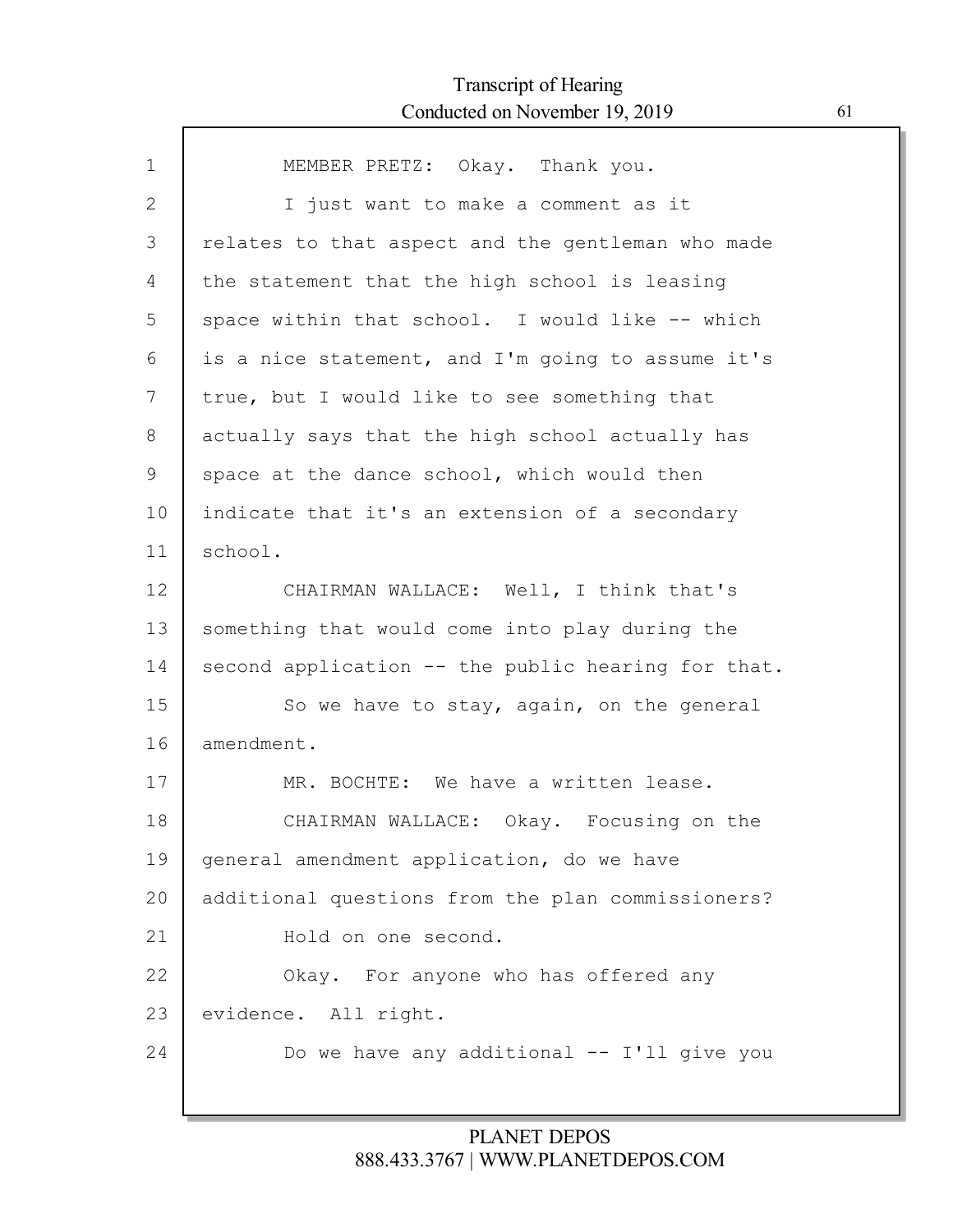| $\mathbf{1}$ | MEMBER PRETZ: Okay. Thank you.                     |
|--------------|----------------------------------------------------|
| $\mathbf{2}$ | I just want to make a comment as it                |
| 3            | relates to that aspect and the gentleman who made  |
| 4            | the statement that the high school is leasing      |
| 5            | space within that school. I would like -- which    |
| 6            | is a nice statement, and I'm going to assume it's  |
| 7            | true, but I would like to see something that       |
| 8            | actually says that the high school actually has    |
| $\mathsf 9$  | space at the dance school, which would then        |
| 10           | indicate that it's an extension of a secondary     |
| 11           | school.                                            |
| 12           | CHAIRMAN WALLACE: Well, I think that's             |
| 13           | something that would come into play during the     |
| 14           | second application -- the public hearing for that. |
| 15           | So we have to stay, again, on the general          |
| 16           | amendment.                                         |
| 17           | MR. BOCHTE: We have a written lease.               |
| 18           | CHAIRMAN WALLACE: Okay. Focusing on the            |
| 19           | general amendment application, do we have          |
| 20           | additional questions from the plan commissioners?  |
| 21           | Hold on one second.                                |
| 22           | Okay. For anyone who has offered any               |
| 23           | evidence. All right.                               |
| 24           | Do we have any additional -- I'll give you         |
|              |                                                    |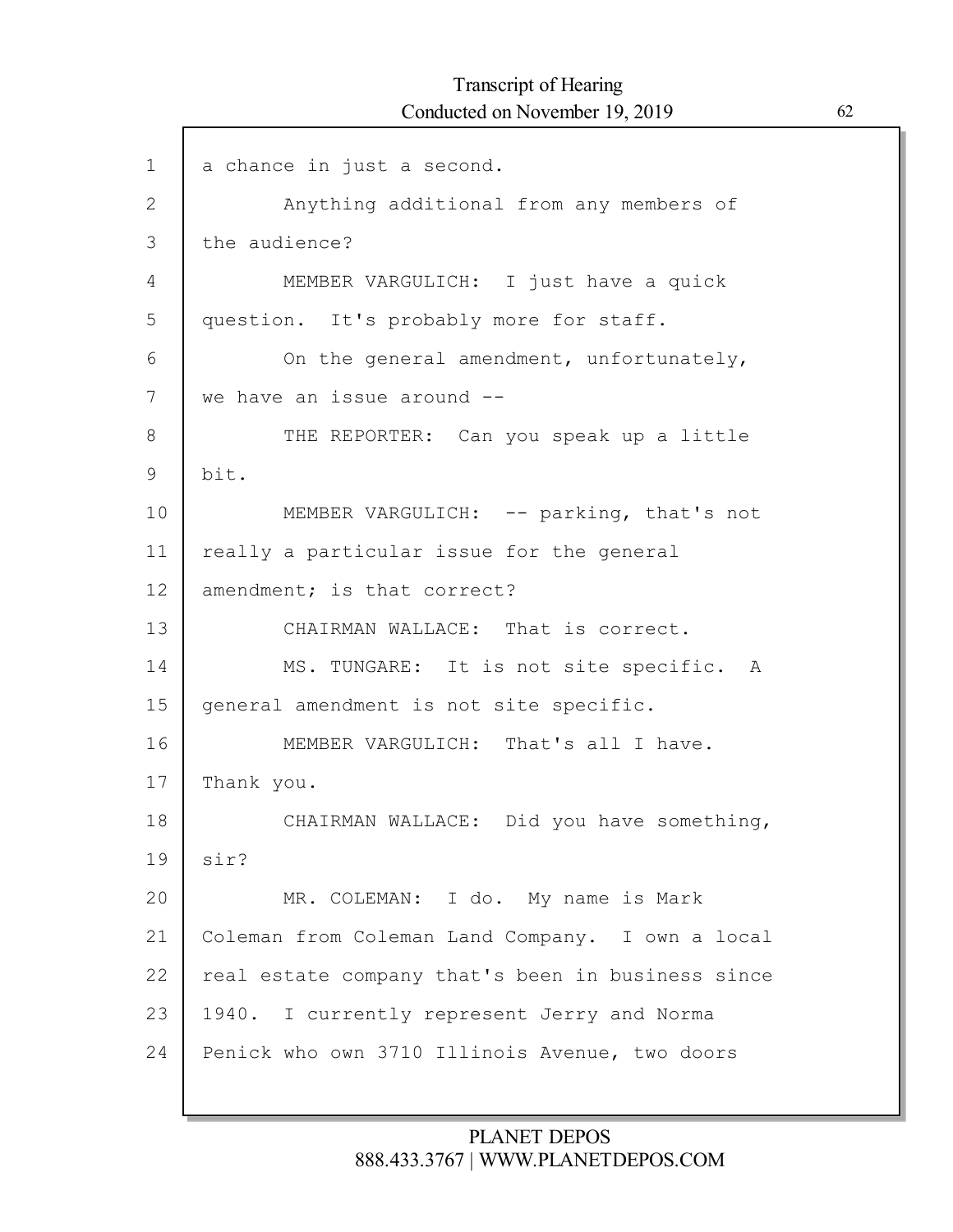| $\mathbf 1$  | a chance in just a second.                        |
|--------------|---------------------------------------------------|
| $\mathbf{2}$ | Anything additional from any members of           |
| 3            | the audience?                                     |
| 4            | MEMBER VARGULICH: I just have a quick             |
| 5            | question. It's probably more for staff.           |
| 6            | On the general amendment, unfortunately,          |
| 7            | we have an issue around --                        |
| 8            | THE REPORTER: Can you speak up a little           |
| $\mathsf 9$  | bit.                                              |
| 10           | MEMBER VARGULICH: -- parking, that's not          |
| 11           | really a particular issue for the general         |
| 12           | amendment; is that correct?                       |
| 13           | CHAIRMAN WALLACE: That is correct.                |
| 14           | MS. TUNGARE: It is not site specific. A           |
| 15           | general amendment is not site specific.           |
| 16           | MEMBER VARGULICH: That's all I have.              |
| 17           | Thank you.                                        |
| 18           | CHAIRMAN WALLACE: Did you have something,         |
| 19           | sir?                                              |
| 20           | MR. COLEMAN: I do. My name is Mark                |
| 21           | Coleman from Coleman Land Company. I own a local  |
| 22           | real estate company that's been in business since |
| 23           | 1940. I currently represent Jerry and Norma       |
| 24           | Penick who own 3710 Illinois Avenue, two doors    |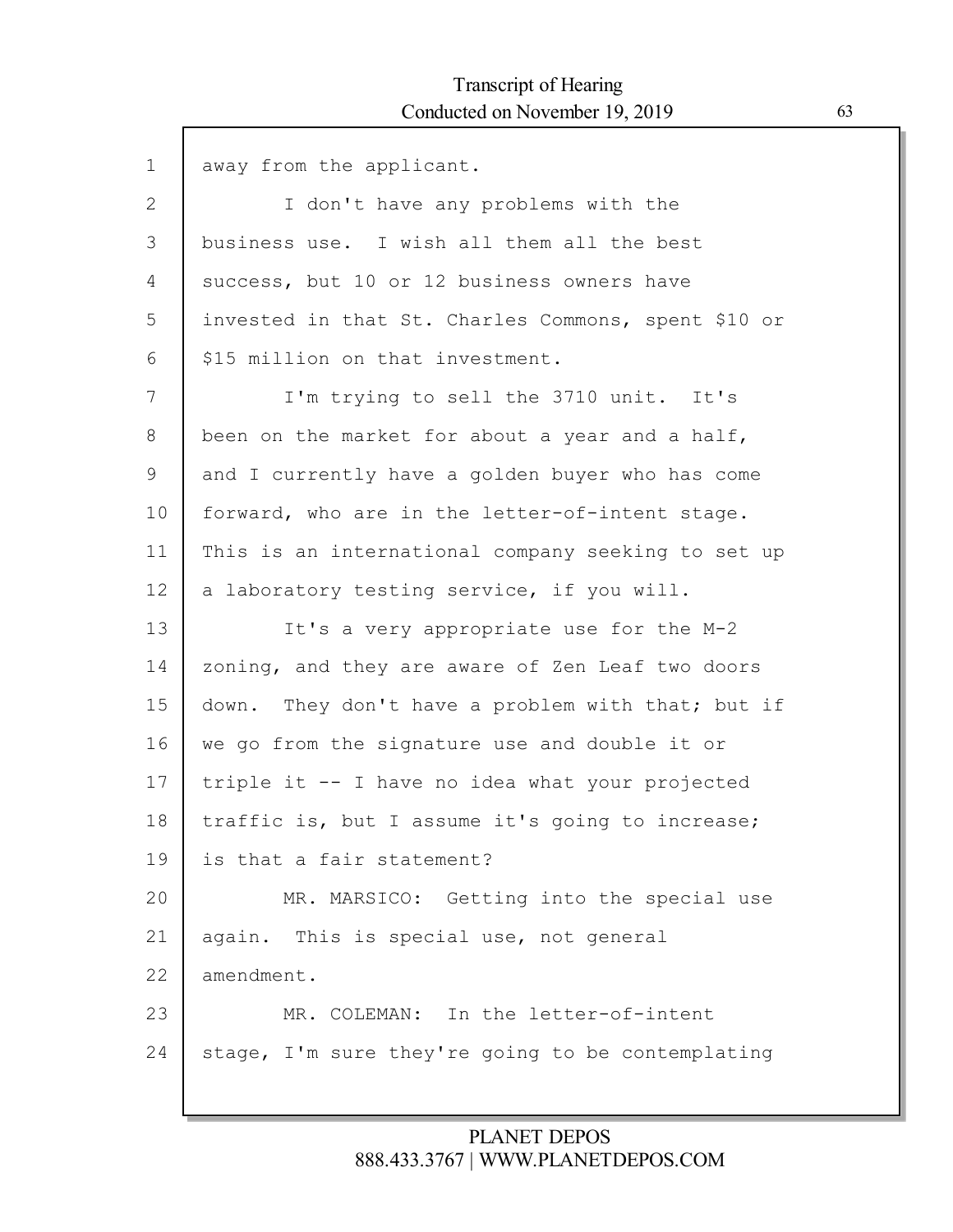$\Gamma$ 

| $\mathbf 1$  | away from the applicant.                            |
|--------------|-----------------------------------------------------|
| $\mathbf{2}$ | I don't have any problems with the                  |
| 3            | business use. I wish all them all the best          |
| 4            | success, but 10 or 12 business owners have          |
| 5            | invested in that St. Charles Commons, spent \$10 or |
| 6            | \$15 million on that investment.                    |
| 7            | I'm trying to sell the 3710 unit. It's              |
| 8            | been on the market for about a year and a half,     |
| 9            | and I currently have a golden buyer who has come    |
| 10           | forward, who are in the letter-of-intent stage.     |
| 11           | This is an international company seeking to set up  |
| 12           | a laboratory testing service, if you will.          |
| 13           | It's a very appropriate use for the M-2             |
| 14           | zoning, and they are aware of Zen Leaf two doors    |
| 15           | down. They don't have a problem with that; but if   |
| 16           | we go from the signature use and double it or       |
| 17           | triple it -- I have no idea what your projected     |
| 18           | traffic is, but I assume it's going to increase;    |
| 19           | is that a fair statement?                           |
| 20           | MR. MARSICO: Getting into the special use           |
| 21           | again. This is special use, not general             |
| 22           | amendment.                                          |
| 23           | MR. COLEMAN: In the letter-of-intent                |
| 24           | stage, I'm sure they're going to be contemplating   |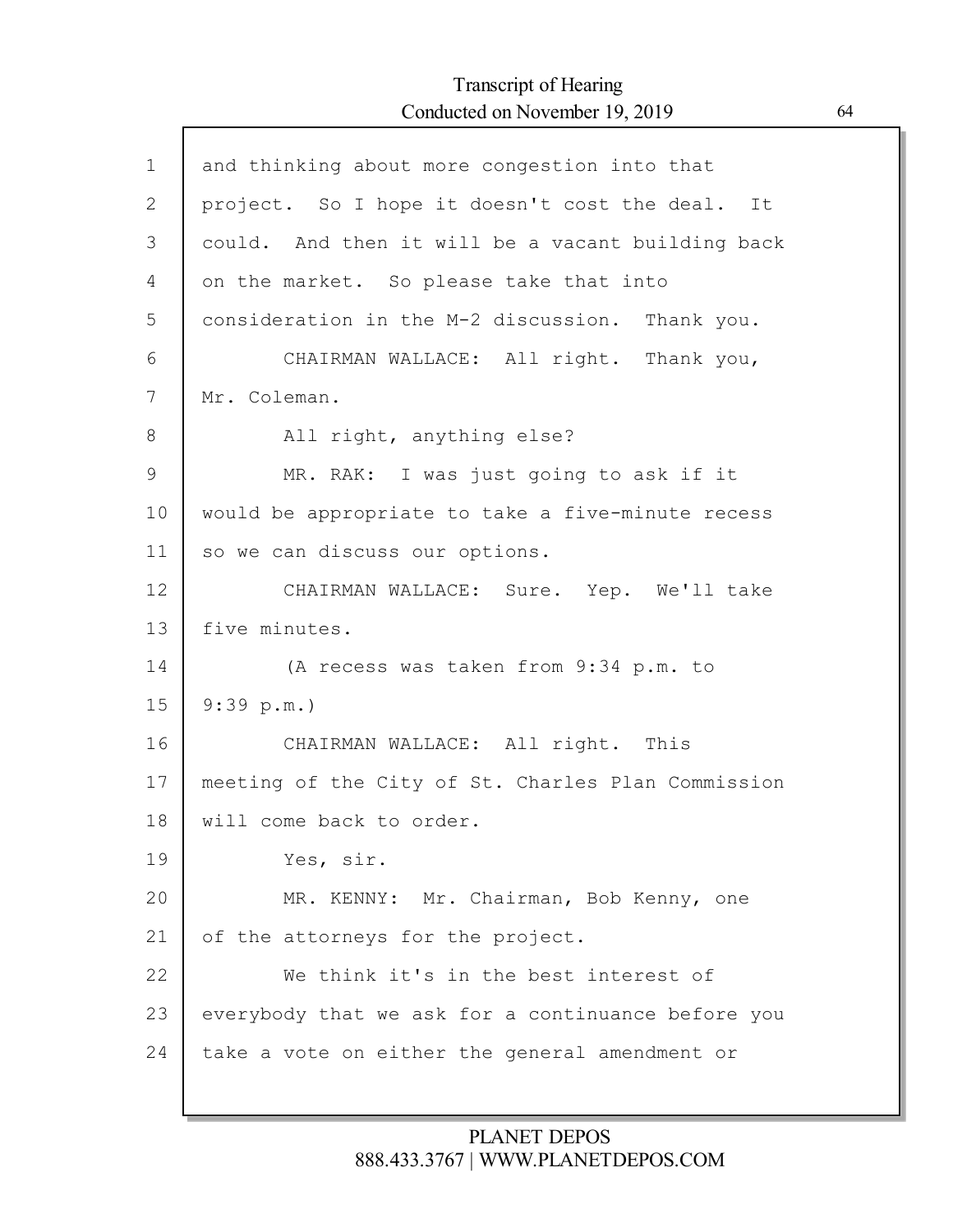Г

| $\mathbf 1$  | and thinking about more congestion into that       |
|--------------|----------------------------------------------------|
| $\mathbf{2}$ | project. So I hope it doesn't cost the deal. It    |
| 3            | could. And then it will be a vacant building back  |
| 4            | on the market. So please take that into            |
| 5            | consideration in the M-2 discussion. Thank you.    |
| 6            | CHAIRMAN WALLACE: All right. Thank you,            |
| 7            | Mr. Coleman.                                       |
| 8            | All right, anything else?                          |
| 9            | MR. RAK: I was just going to ask if it             |
| 10           | would be appropriate to take a five-minute recess  |
| 11           | so we can discuss our options.                     |
| 12           | CHAIRMAN WALLACE: Sure. Yep. We'll take            |
| 13           | five minutes.                                      |
| 14           | (A recess was taken from 9:34 p.m. to              |
| 15           | 9:39 p.m.                                          |
| 16           | CHAIRMAN WALLACE: All right. This                  |
| 17           | meeting of the City of St. Charles Plan Commission |
| 18           | will come back to order.                           |
| 19           | Yes, sir.                                          |
| 20           | MR. KENNY: Mr. Chairman, Bob Kenny, one            |
| 21           | of the attorneys for the project.                  |
| 22           | We think it's in the best interest of              |
| 23           | everybody that we ask for a continuance before you |
| 24           | take a vote on either the general amendment or     |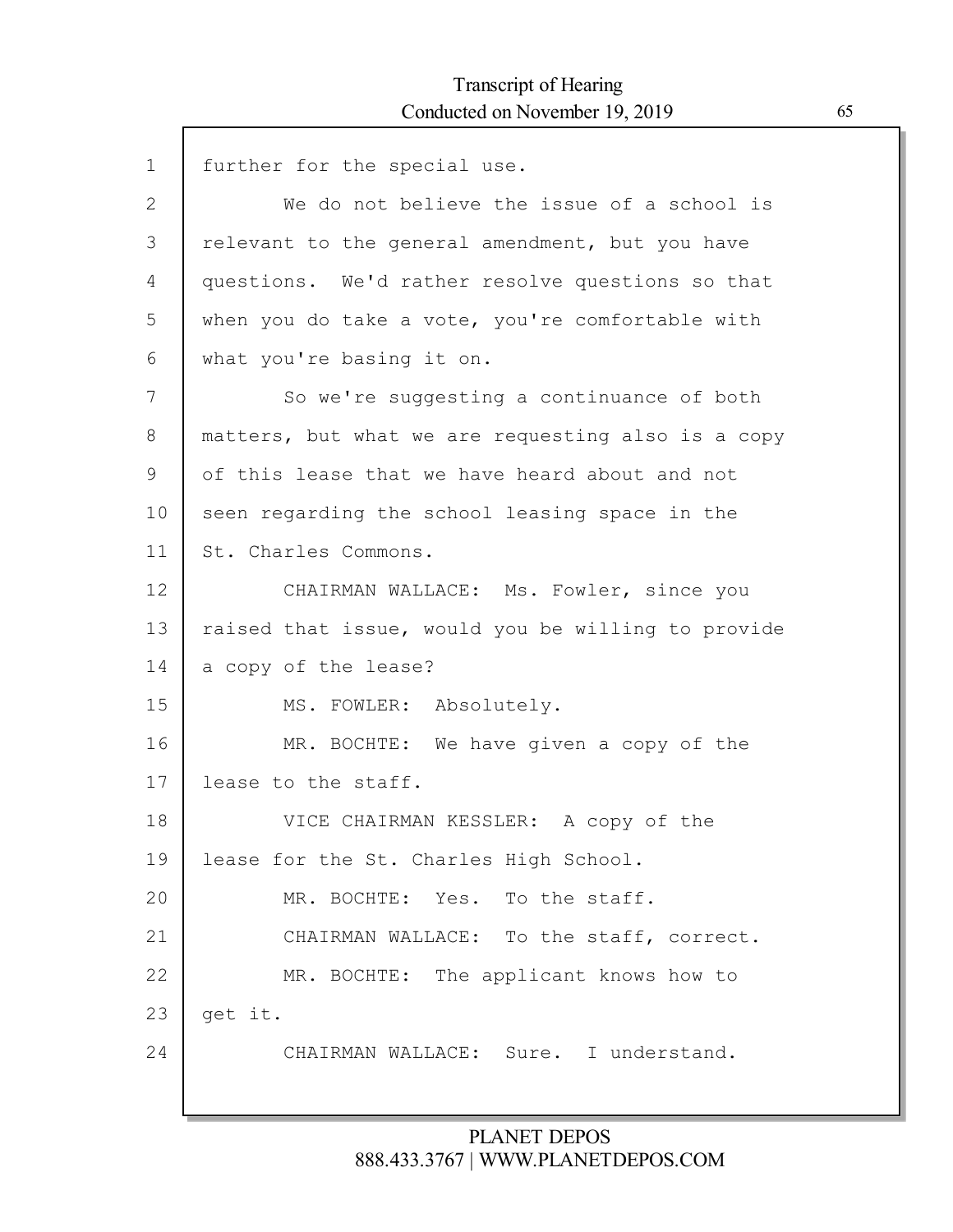| $\mathbf 1$ | further for the special use.                       |
|-------------|----------------------------------------------------|
| 2           | We do not believe the issue of a school is         |
| 3           | relevant to the general amendment, but you have    |
| 4           | questions. We'd rather resolve questions so that   |
| 5           | when you do take a vote, you're comfortable with   |
| 6           | what you're basing it on.                          |
| 7           | So we're suggesting a continuance of both          |
| 8           | matters, but what we are requesting also is a copy |
| 9           | of this lease that we have heard about and not     |
| 10          | seen regarding the school leasing space in the     |
| 11          | St. Charles Commons.                               |
| 12          | CHAIRMAN WALLACE: Ms. Fowler, since you            |
| 13          | raised that issue, would you be willing to provide |
| 14          | a copy of the lease?                               |
| 15          | MS. FOWLER: Absolutely.                            |
| 16          | MR. BOCHTE: We have given a copy of the            |
| 17          | lease to the staff.                                |
| 18          | VICE CHAIRMAN KESSLER: A copy of the               |
| 19          | lease for the St. Charles High School.             |
| 20          | MR. BOCHTE: Yes. To the staff.                     |
| 21          | CHAIRMAN WALLACE: To the staff, correct.           |
| 22          | MR. BOCHTE: The applicant knows how to             |
| 23          | get it.                                            |
| 24          | CHAIRMAN WALLACE: Sure. I understand.              |
|             |                                                    |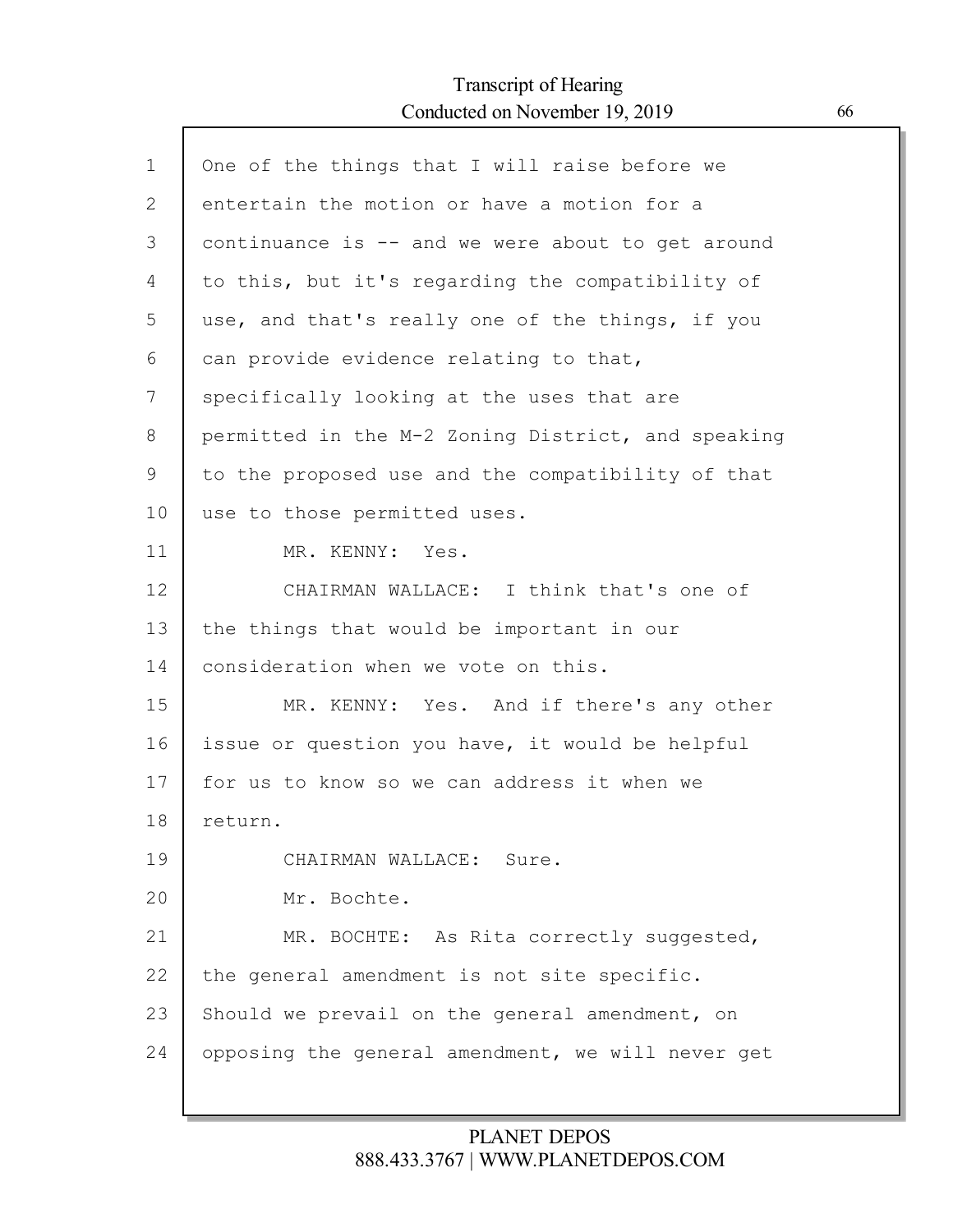$\mathsf{l}$ 

| $\mathbf 1$ | One of the things that I will raise before we      |
|-------------|----------------------------------------------------|
| 2           | entertain the motion or have a motion for a        |
| 3           | continuance is -- and we were about to get around  |
| 4           | to this, but it's regarding the compatibility of   |
| 5           | use, and that's really one of the things, if you   |
| 6           | can provide evidence relating to that,             |
| 7           | specifically looking at the uses that are          |
| 8           | permitted in the M-2 Zoning District, and speaking |
| 9           | to the proposed use and the compatibility of that  |
| 10          | use to those permitted uses.                       |
| 11          | MR. KENNY: Yes.                                    |
| 12          | CHAIRMAN WALLACE: I think that's one of            |
| 13          | the things that would be important in our          |
| 14          | consideration when we vote on this.                |
| 15          | MR. KENNY: Yes. And if there's any other           |
| 16          | issue or question you have, it would be helpful    |
| 17          | for us to know so we can address it when we        |
| 18          | return.                                            |
| 19          | CHAIRMAN WALLACE: Sure.                            |
| 20          | Mr. Bochte.                                        |
| 21          | MR. BOCHTE: As Rita correctly suggested,           |
| 22          | the general amendment is not site specific.        |
| 23          | Should we prevail on the general amendment, on     |
| 24          | opposing the general amendment, we will never get  |
|             |                                                    |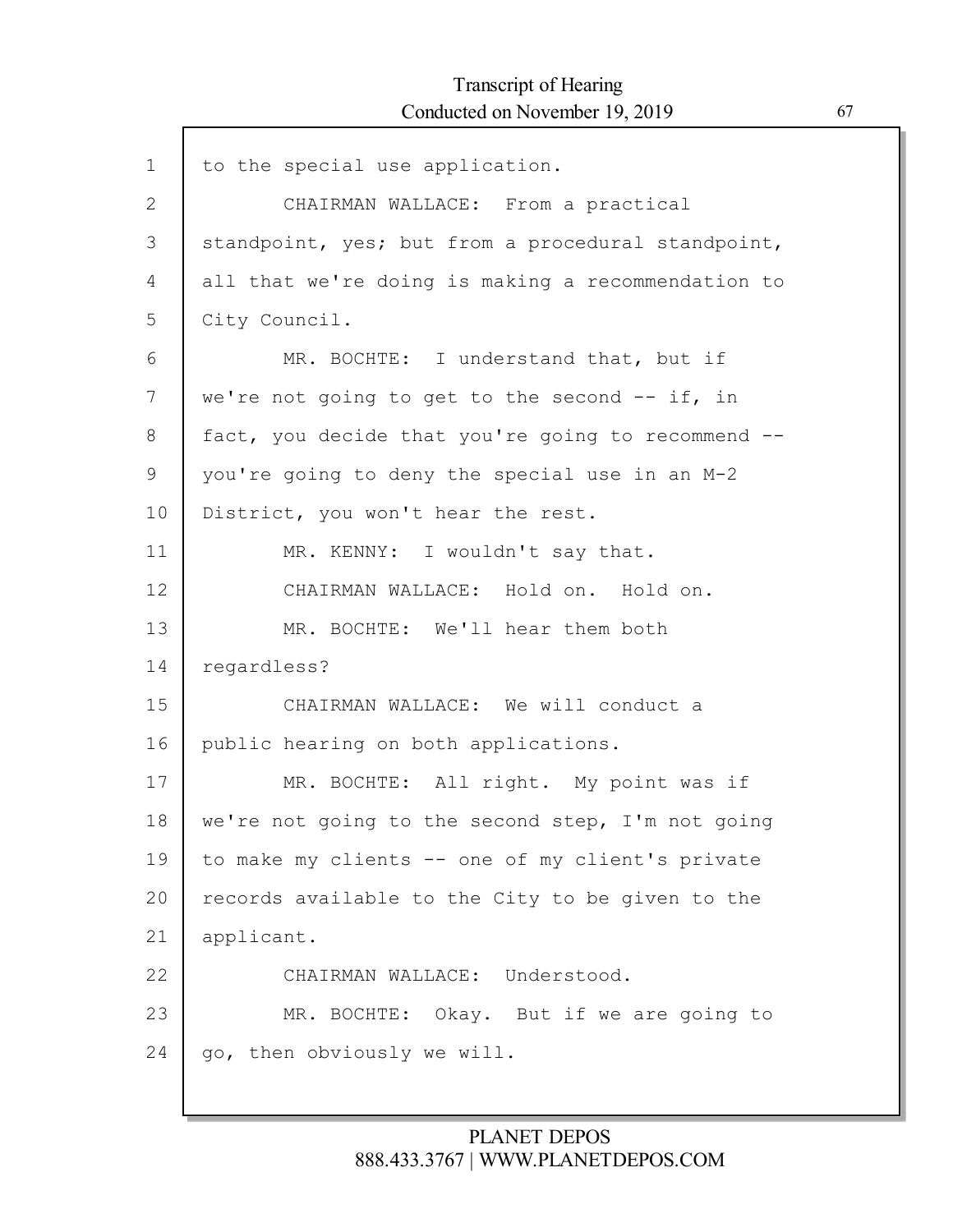# Transcript of Hearing Conducted on November 19, 2019 67

Г

| CHAIRMAN WALLACE: From a practical<br>standpoint, yes; but from a procedural standpoint,<br>all that we're doing is making a recommendation to<br>City Council. |
|-----------------------------------------------------------------------------------------------------------------------------------------------------------------|
|                                                                                                                                                                 |
|                                                                                                                                                                 |
|                                                                                                                                                                 |
|                                                                                                                                                                 |
| MR. BOCHTE: I understand that, but if                                                                                                                           |
| we're not going to get to the second $--$ if, in                                                                                                                |
| fact, you decide that you're going to recommend --                                                                                                              |
| you're going to deny the special use in an M-2                                                                                                                  |
| District, you won't hear the rest.                                                                                                                              |
| MR. KENNY: I wouldn't say that.                                                                                                                                 |
| CHAIRMAN WALLACE: Hold on. Hold on.                                                                                                                             |
| MR. BOCHTE: We'll hear them both                                                                                                                                |
| regardless?                                                                                                                                                     |
| CHAIRMAN WALLACE: We will conduct a                                                                                                                             |
| public hearing on both applications.                                                                                                                            |
| MR. BOCHTE: All right. My point was if                                                                                                                          |
| we're not going to the second step, I'm not going                                                                                                               |
| to make my clients -- one of my client's private                                                                                                                |
| records available to the City to be given to the                                                                                                                |
| applicant.                                                                                                                                                      |
| CHAIRMAN WALLACE: Understood.                                                                                                                                   |
| MR. BOCHTE: Okay. But if we are going to                                                                                                                        |
| go, then obviously we will.                                                                                                                                     |
|                                                                                                                                                                 |

## PLANET DEPOS 888.433.3767 | WWW.PLANETDEPOS.COM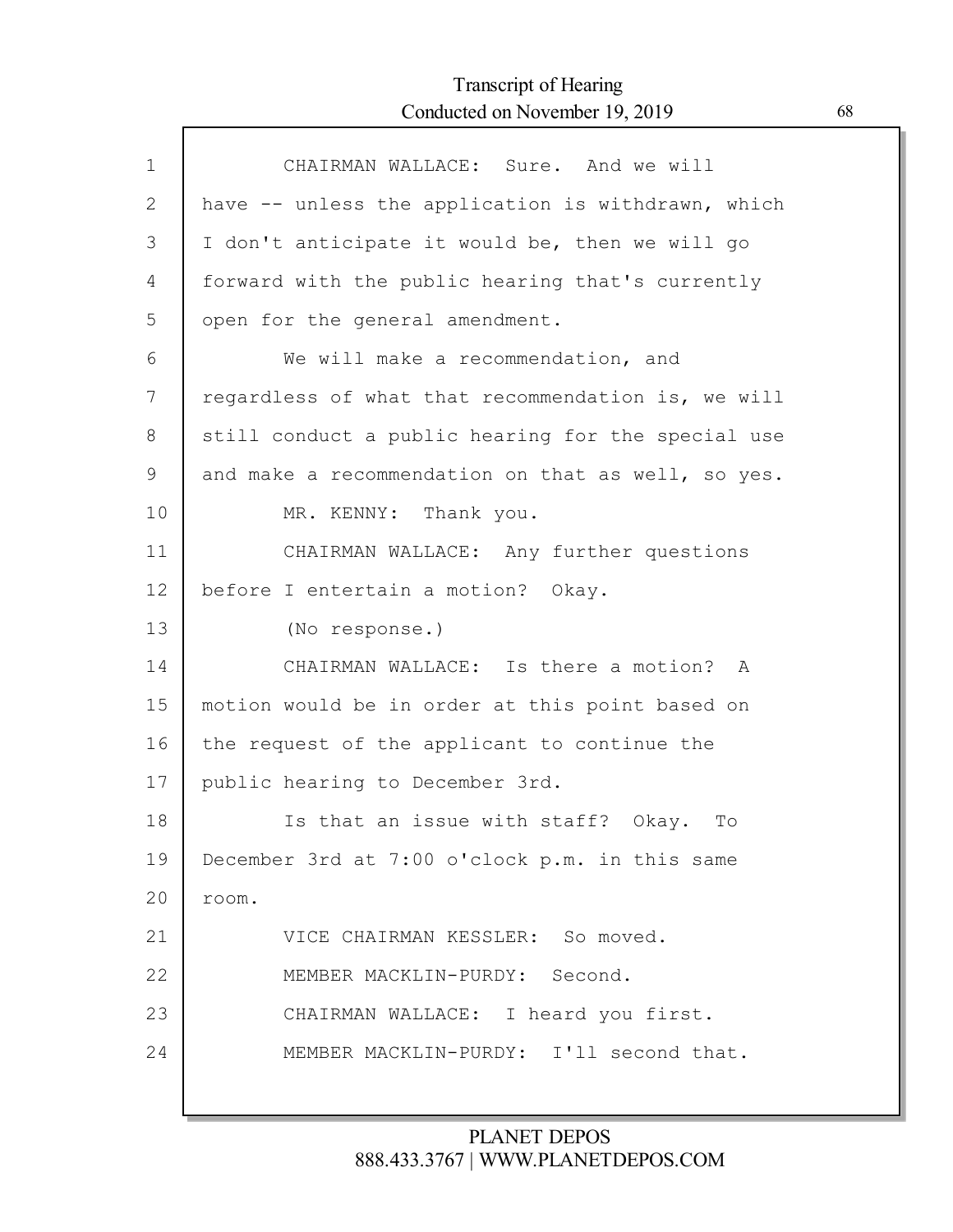# Transcript of Hearing Conducted on November 19, 2019 68

Г

| $\mathbf{1}$ | CHAIRMAN WALLACE: Sure. And we will                |
|--------------|----------------------------------------------------|
| 2            | have -- unless the application is withdrawn, which |
| 3            | I don't anticipate it would be, then we will go    |
| 4            | forward with the public hearing that's currently   |
| 5            | open for the general amendment.                    |
| 6            | We will make a recommendation, and                 |
| 7            | regardless of what that recommendation is, we will |
| 8            | still conduct a public hearing for the special use |
| $\mathsf 9$  | and make a recommendation on that as well, so yes. |
| 10           | MR. KENNY: Thank you.                              |
| 11           | CHAIRMAN WALLACE: Any further questions            |
| 12           | before I entertain a motion? Okay.                 |
| 13           | (No response.)                                     |
| 14           | CHAIRMAN WALLACE: Is there a motion? A             |
| 15           | motion would be in order at this point based on    |
| 16           | the request of the applicant to continue the       |
| 17           | public hearing to December 3rd.                    |
| 18           | Is that an issue with staff? Okay. To              |
| 19           | December 3rd at 7:00 o'clock p.m. in this same     |
| 20           | room.                                              |
| 21           | VICE CHAIRMAN KESSLER: So moved.                   |
| 22           | MEMBER MACKLIN-PURDY: Second.                      |
| 23           | CHAIRMAN WALLACE: I heard you first.               |
| 24           | MEMBER MACKLIN-PURDY: I'll second that.            |
|              |                                                    |

## PLANET DEPOS 888.433.3767 | WWW.PLANETDEPOS.COM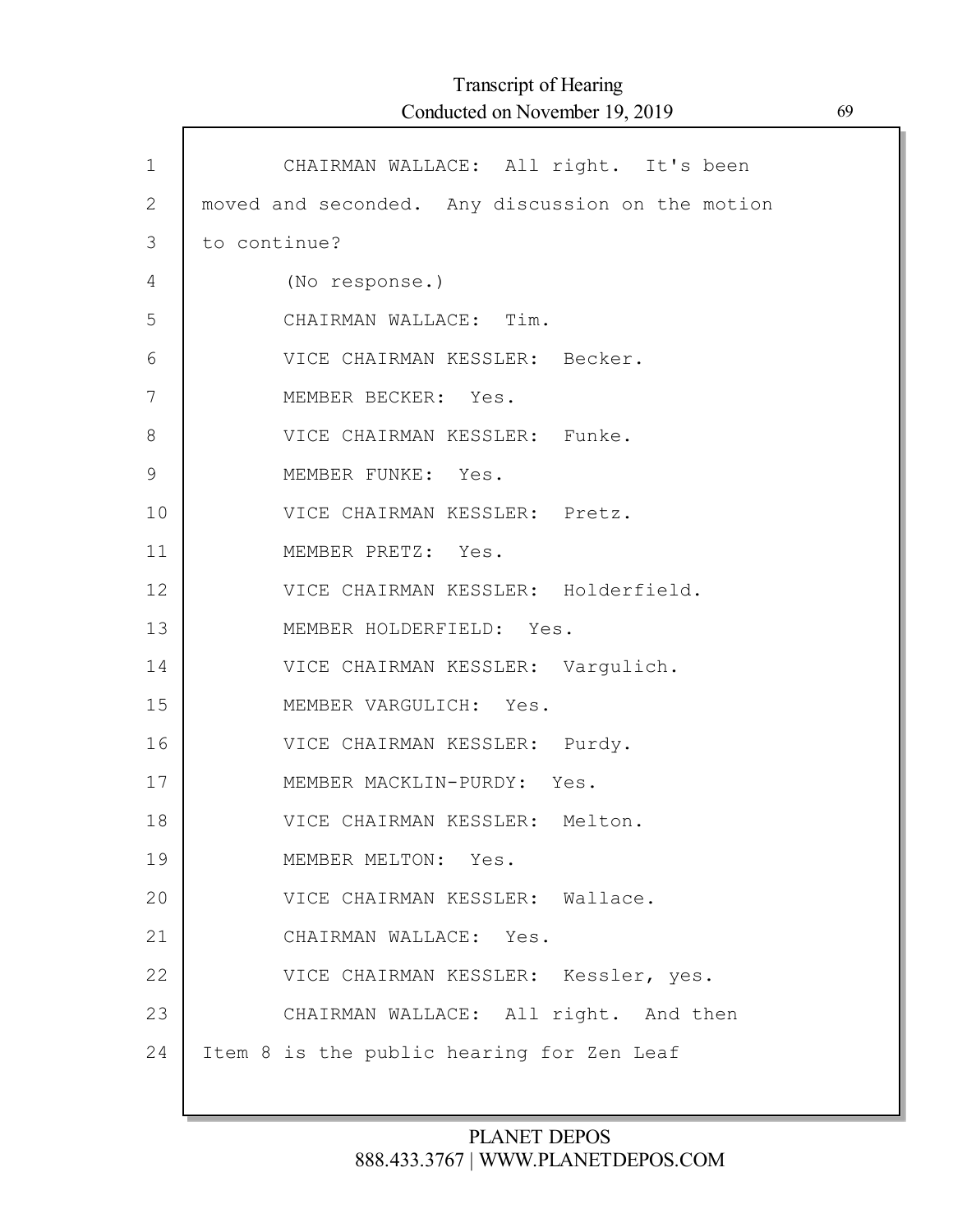Г

| $\mathbf{1}$  | CHAIRMAN WALLACE: All right. It's been           |
|---------------|--------------------------------------------------|
| $\mathbf{2}$  | moved and seconded. Any discussion on the motion |
| 3             | to continue?                                     |
| 4             | (No response.)                                   |
| 5             | CHAIRMAN WALLACE: Tim.                           |
| 6             | VICE CHAIRMAN KESSLER: Becker.                   |
| 7             | MEMBER BECKER: Yes.                              |
| $8\,$         | VICE CHAIRMAN KESSLER: Funke.                    |
| $\mathcal{G}$ | MEMBER FUNKE: Yes.                               |
| 10            | VICE CHAIRMAN KESSLER: Pretz.                    |
| 11            | MEMBER PRETZ: Yes.                               |
| 12            | VICE CHAIRMAN KESSLER: Holderfield.              |
| 13            | MEMBER HOLDERFIELD: Yes.                         |
| 14            | VICE CHAIRMAN KESSLER: Vargulich.                |
| 15            | MEMBER VARGULICH: Yes.                           |
| 16            | VICE CHAIRMAN KESSLER: Purdy.                    |
| 17            | MEMBER MACKLIN-PURDY: Yes.                       |
| 18            | VICE CHAIRMAN KESSLER: Melton.                   |
| 19            | MEMBER MELTON: Yes.                              |
| 20            | VICE CHAIRMAN KESSLER: Wallace.                  |
| 21            | CHAIRMAN WALLACE: Yes.                           |
| 22            | VICE CHAIRMAN KESSLER: Kessler, yes.             |
| 23            | CHAIRMAN WALLACE: All right. And then            |
| 24            | Item 8 is the public hearing for Zen Leaf        |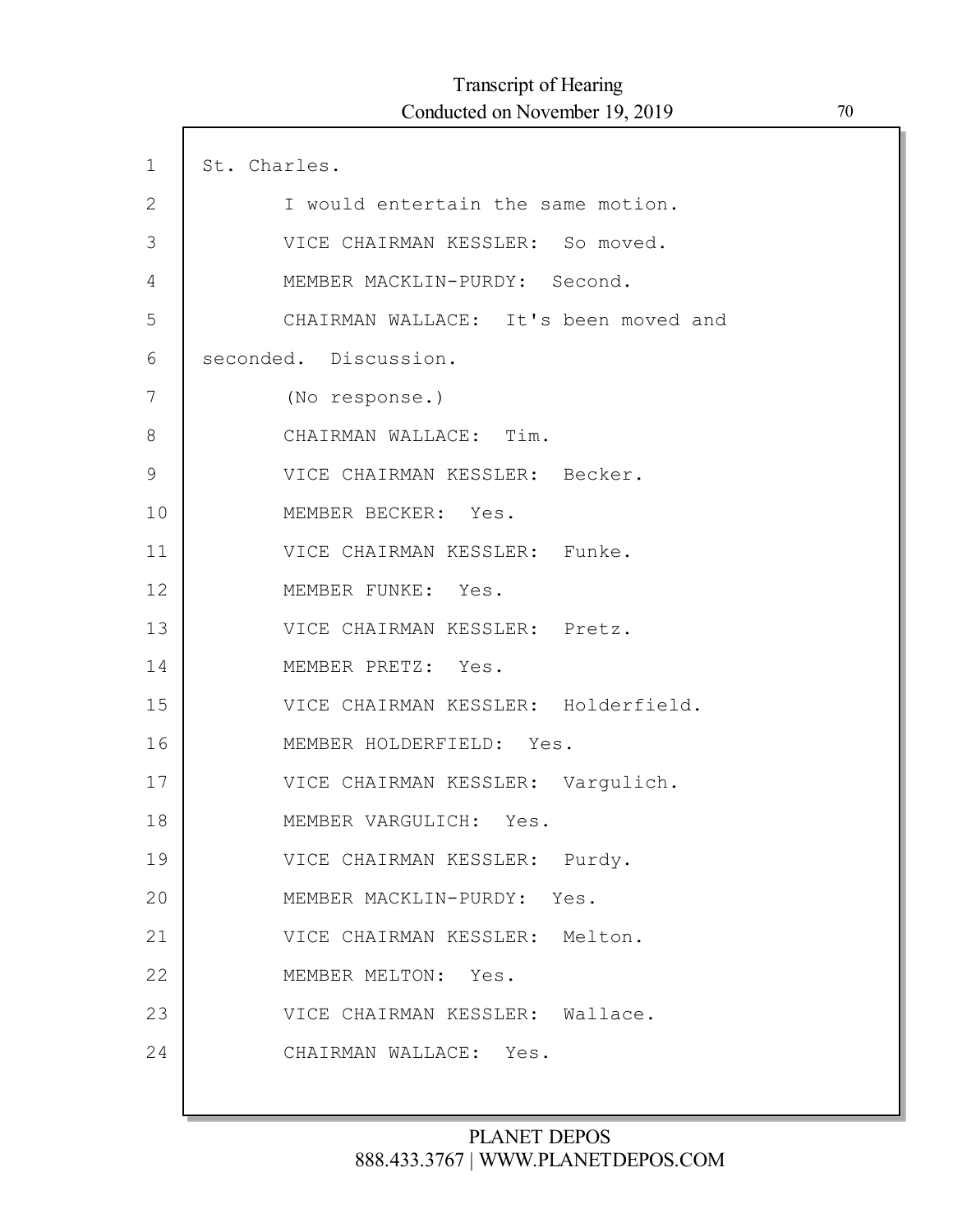| $\mathbf 1$   | St. Charles.                          |
|---------------|---------------------------------------|
| $\mathbf{2}$  | I would entertain the same motion.    |
| 3             | VICE CHAIRMAN KESSLER: So moved.      |
| 4             | MEMBER MACKLIN-PURDY: Second.         |
| 5             | CHAIRMAN WALLACE: It's been moved and |
| 6             | seconded. Discussion.                 |
| 7             | (No response.)                        |
| 8             | CHAIRMAN WALLACE: Tim.                |
| $\mathcal{G}$ | VICE CHAIRMAN KESSLER: Becker.        |
| 10            | MEMBER BECKER: Yes.                   |
| 11            | VICE CHAIRMAN KESSLER: Funke.         |
| 12            | MEMBER FUNKE: Yes.                    |
| 13            | VICE CHAIRMAN KESSLER: Pretz.         |
| 14            | MEMBER PRETZ: Yes.                    |
| 15            | VICE CHAIRMAN KESSLER: Holderfield.   |
| 16            | MEMBER HOLDERFIELD: Yes.              |
| 17            | VICE CHAIRMAN KESSLER: Vargulich.     |
| 18            | MEMBER VARGULICH: Yes.                |
| 19            | VICE CHAIRMAN KESSLER: Purdy.         |
| 20            | MEMBER MACKLIN-PURDY: Yes.            |
| 21            | VICE CHAIRMAN KESSLER: Melton.        |
| 22            | MEMBER MELTON: Yes.                   |
| 23            | VICE CHAIRMAN KESSLER: Wallace.       |
| 24            | CHAIRMAN WALLACE: Yes.                |
|               |                                       |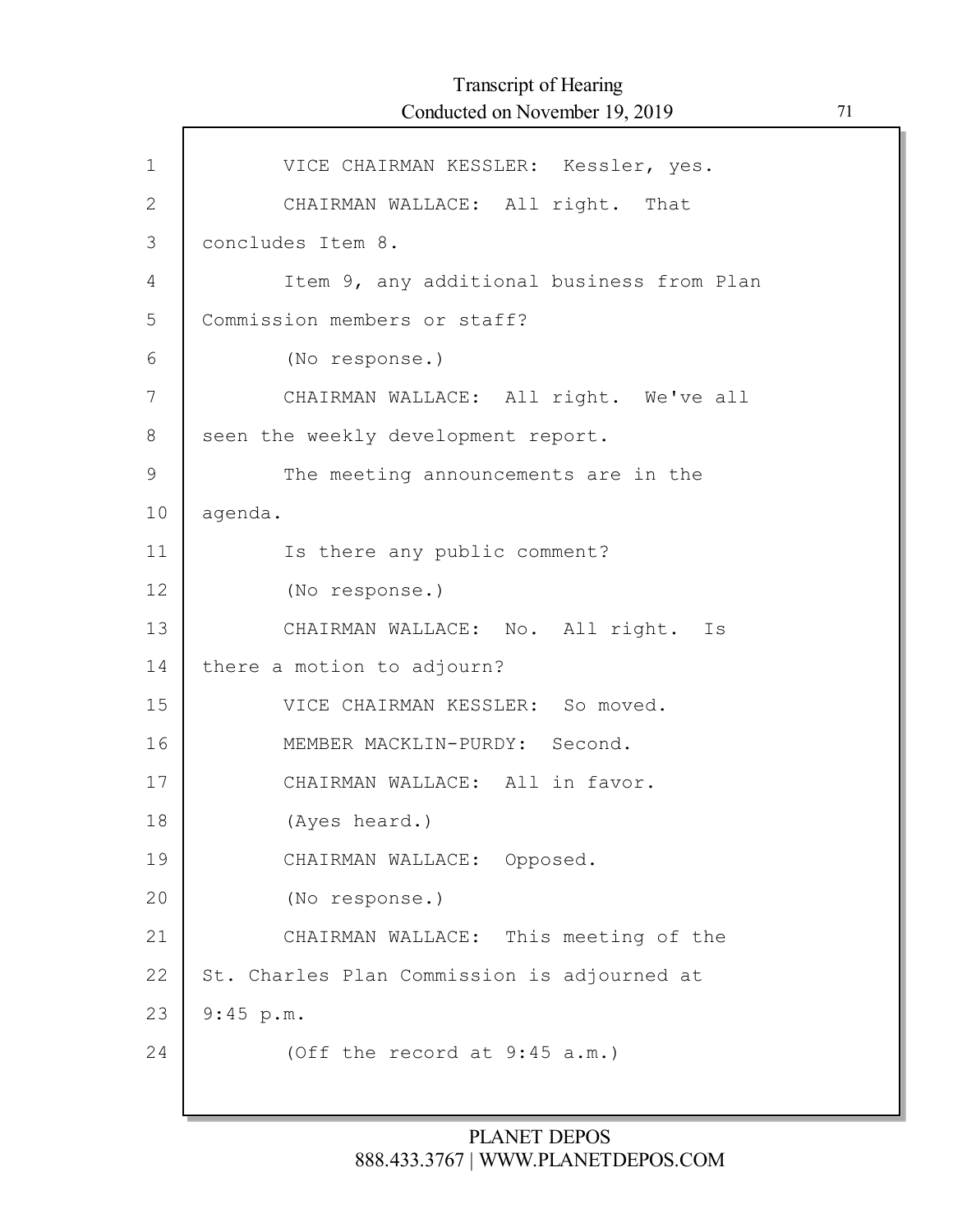| $\mathbf{1}$  | VICE CHAIRMAN KESSLER: Kessler, yes.        |
|---------------|---------------------------------------------|
| 2             | CHAIRMAN WALLACE: All right. That           |
| 3             | concludes Item 8.                           |
| 4             | Item 9, any additional business from Plan   |
| 5             | Commission members or staff?                |
| 6             | (No response.)                              |
| 7             | CHAIRMAN WALLACE: All right. We've all      |
| 8             | seen the weekly development report.         |
| $\mathcal{G}$ | The meeting announcements are in the        |
| 10            | agenda.                                     |
| 11            | Is there any public comment?                |
| 12            | (No response.)                              |
| 13            | CHAIRMAN WALLACE: No. All right. Is         |
| 14            | there a motion to adjourn?                  |
| 15            | VICE CHAIRMAN KESSLER: So moved.            |
| 16            | MEMBER MACKLIN-PURDY: Second.               |
| 17            | CHAIRMAN WALLACE: All in favor.             |
| 18            | (Ayes heard.)                               |
| 19            | CHAIRMAN WALLACE: Opposed.                  |
| 20            | (No response.)                              |
| 21            | CHAIRMAN WALLACE: This meeting of the       |
| 22            | St. Charles Plan Commission is adjourned at |
| 23            | 9:45 p.m.                                   |
| 24            | (Off the record at $9:45$ a.m.)             |
|               |                                             |

Г